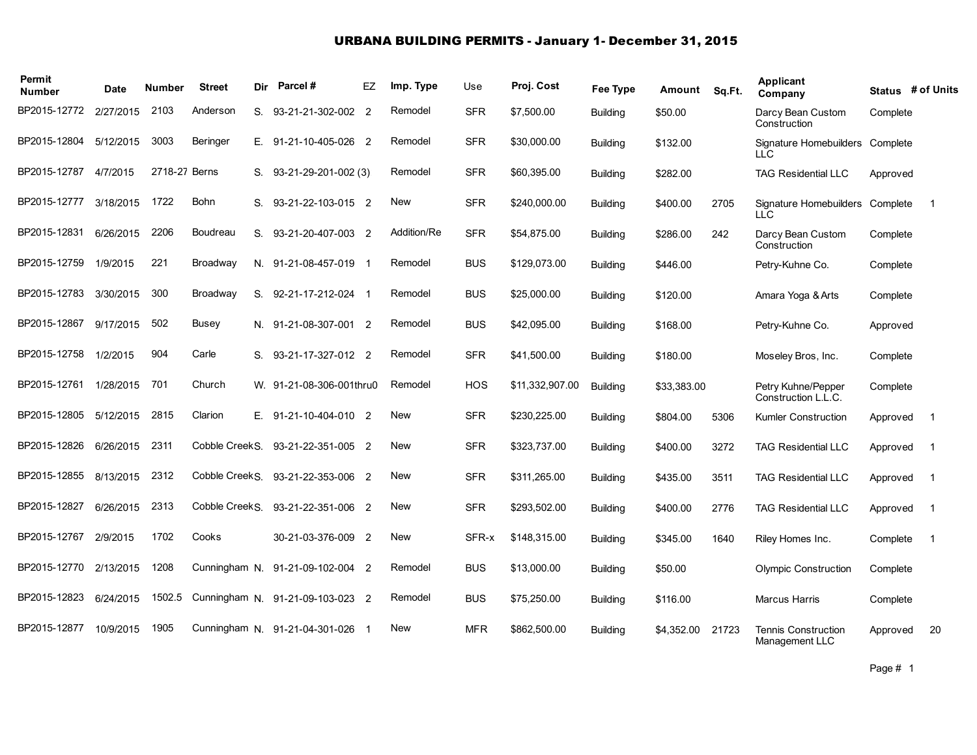#### URBANA BUILDING PERMITS - January 1- December 31, 2015

| Permit<br><b>Number</b> | Date      | <b>Number</b> | <b>Street</b>              |    | Dir Parcel#                      | EZ                         | Imp. Type   | Use        | Proj. Cost      | Fee Type        | Amount Sq.Ft. |       | Applicant<br>Company                         |          | Status # of Units |
|-------------------------|-----------|---------------|----------------------------|----|----------------------------------|----------------------------|-------------|------------|-----------------|-----------------|---------------|-------|----------------------------------------------|----------|-------------------|
| BP2015-12772            | 2/27/2015 | 2103          | Anderson                   | S. | 93-21-21-302-002                 | $\overline{2}$             | Remodel     | <b>SFR</b> | \$7,500.00      | Building        | \$50.00       |       | Darcy Bean Custom<br>Construction            | Complete |                   |
| BP2015-12804            | 5/12/2015 | 3003          | Beringer                   |    | E. 91-21-10-405-026              | $\overline{\phantom{0}}^2$ | Remodel     | <b>SFR</b> | \$30,000.00     | <b>Building</b> | \$132.00      |       | Signature Homebuilders<br>LLC                | Complete |                   |
| BP2015-12787            | 4/7/2015  | 2718-27 Berns |                            | S. | 93-21-29-201-002 (3)             |                            | Remodel     | <b>SFR</b> | \$60,395.00     | <b>Building</b> | \$282.00      |       | <b>TAG Residential LLC</b>                   | Approved |                   |
| BP2015-12777            | 3/18/2015 | 1722          | Bohn                       | S. | 93-21-22-103-015 2               |                            | <b>New</b>  | <b>SFR</b> | \$240,000.00    | <b>Building</b> | \$400.00      | 2705  | Signature Homebuilders<br><b>LLC</b>         | Complete | $\mathbf 1$       |
| BP2015-12831            | 6/26/2015 | 2206          | Boudreau                   | S. | 93-21-20-407-003 2               |                            | Addition/Re | <b>SFR</b> | \$54,875.00     | <b>Building</b> | \$286.00      | 242   | Darcy Bean Custom<br>Construction            | Complete |                   |
| BP2015-12759            | 1/9/2015  | 221           | Broadway                   |    | N. 91-21-08-457-019              |                            | Remodel     | <b>BUS</b> | \$129,073.00    | <b>Building</b> | \$446.00      |       | Petry-Kuhne Co.                              | Complete |                   |
| BP2015-12783            | 3/30/2015 | 300           | Broadway                   | S. | 92-21-17-212-024                 | - 1                        | Remodel     | <b>BUS</b> | \$25,000.00     | <b>Building</b> | \$120.00      |       | Amara Yoga & Arts                            | Complete |                   |
| BP2015-12867            | 9/17/2015 | 502           | <b>Busey</b>               |    | N. 91-21-08-307-001 2            |                            | Remodel     | <b>BUS</b> | \$42,095.00     | <b>Building</b> | \$168.00      |       | Petry-Kuhne Co.                              | Approved |                   |
| BP2015-12758            | 1/2/2015  | 904           | Carle                      | S. | 93-21-17-327-012 2               |                            | Remodel     | <b>SFR</b> | \$41,500.00     | <b>Building</b> | \$180.00      |       | Moseley Bros, Inc.                           | Complete |                   |
| BP2015-12761            | 1/28/2015 | 701           | Church                     |    | W. 91-21-08-306-001thru0         |                            | Remodel     | <b>HOS</b> | \$11,332,907.00 | <b>Building</b> | \$33,383.00   |       | Petry Kuhne/Pepper<br>Construction L.L.C.    | Complete |                   |
| BP2015-12805            | 5/12/2015 | 2815          | Clarion                    | Е. | 91-21-10-404-010 2               |                            | <b>New</b>  | <b>SFR</b> | \$230,225.00    | <b>Building</b> | \$804.00      | 5306  | Kumler Construction                          | Approved | $\mathbf 1$       |
| BP2015-12826            | 6/26/2015 | 2311          | Cobble CreekS.             |    | 93-21-22-351-005 2               |                            | <b>New</b>  | <b>SFR</b> | \$323,737.00    | <b>Building</b> | \$400.00      | 3272  | <b>TAG Residential LLC</b>                   | Approved | $\overline{1}$    |
| BP2015-12855            | 8/13/2015 | 2312          | Cobble Creek <sub>S.</sub> |    | 93-21-22-353-006 2               |                            | New         | <b>SFR</b> | \$311,265.00    | <b>Building</b> | \$435.00      | 3511  | <b>TAG Residential LLC</b>                   | Approved | $\overline{1}$    |
| BP2015-12827            | 6/26/2015 | 2313          | Cobble Creek <sub>S.</sub> |    | 93-21-22-351-006 2               |                            | New         | <b>SFR</b> | \$293,502.00    | <b>Building</b> | \$400.00      | 2776  | <b>TAG Residential LLC</b>                   | Approved | $\overline{1}$    |
| BP2015-12767            | 2/9/2015  | 1702          | Cooks                      |    | 30-21-03-376-009 2               |                            | <b>New</b>  | SFR-x      | \$148,315.00    | <b>Building</b> | \$345.00      | 1640  | Riley Homes Inc.                             | Complete | $\overline{1}$    |
| BP2015-12770            | 2/13/2015 | 1208          |                            |    | Cunningham N. 91-21-09-102-004 2 |                            | Remodel     | <b>BUS</b> | \$13,000.00     | <b>Building</b> | \$50.00       |       | <b>Olympic Construction</b>                  | Complete |                   |
| BP2015-12823            | 6/24/2015 | 1502.5        |                            |    | Cunningham N. 91-21-09-103-023 2 |                            | Remodel     | <b>BUS</b> | \$75,250.00     | <b>Building</b> | \$116.00      |       | Marcus Harris                                | Complete |                   |
| BP2015-12877            | 10/9/2015 | 1905          |                            |    | Cunningham N. 91-21-04-301-026   | - 1                        | New         | <b>MFR</b> | \$862,500.00    | <b>Building</b> | \$4,352.00    | 21723 | <b>Tennis Construction</b><br>Management LLC | Approved | 20                |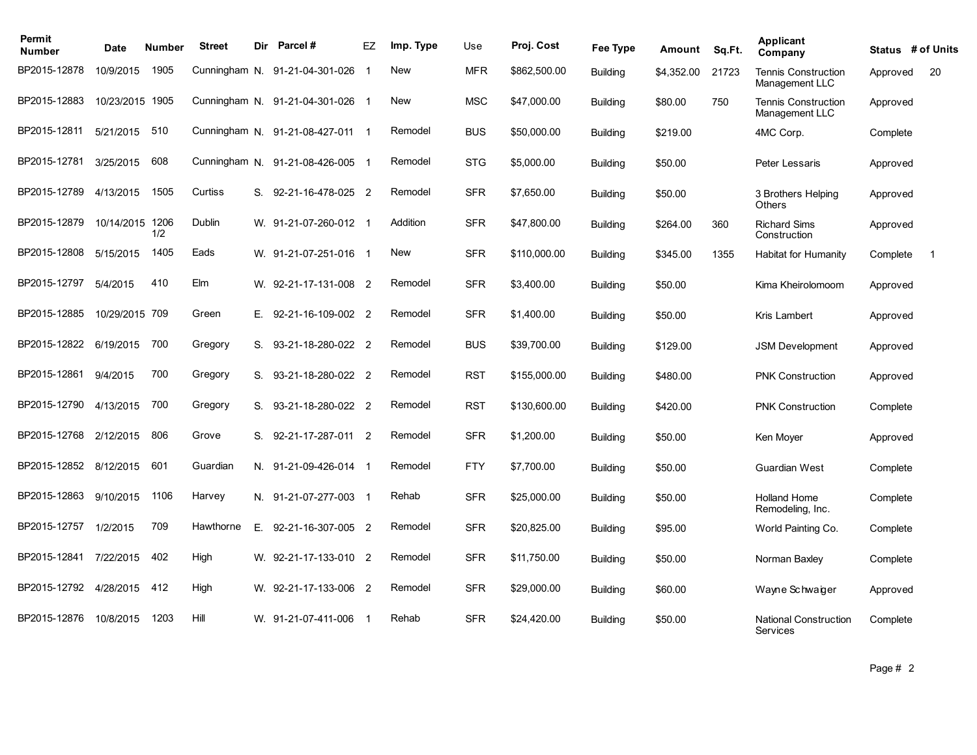| Permit<br><b>Number</b> | Date            | <b>Number</b> | <b>Street</b> | Dir | Parcel#                          | EZ                         | Imp. Type  | Use        | Proj. Cost   | Fee Type        | Amount     | Sq.Ft. | <b>Applicant</b><br>Company                     |          | Status # of Units |
|-------------------------|-----------------|---------------|---------------|-----|----------------------------------|----------------------------|------------|------------|--------------|-----------------|------------|--------|-------------------------------------------------|----------|-------------------|
| BP2015-12878            | 10/9/2015       | 1905          |               |     | Cunningham N. 91-21-04-301-026   | - 1                        | <b>New</b> | <b>MFR</b> | \$862,500.00 | <b>Building</b> | \$4,352.00 | 21723  | <b>Tennis Construction</b><br>Management LLC    | Approved | 20                |
| BP2015-12883            | 10/23/2015 1905 |               |               |     | Cunningham N. 91-21-04-301-026   | - 1                        | <b>New</b> | <b>MSC</b> | \$47,000.00  | <b>Building</b> | \$80.00    | 750    | <b>Tennis Construction</b><br>Management LLC    | Approved |                   |
| BP2015-12811            | 5/21/2015       | 510           |               |     | Cunningham N. 91-21-08-427-011 1 |                            | Remodel    | <b>BUS</b> | \$50,000.00  | <b>Building</b> | \$219.00   |        | 4MC Corp.                                       | Complete |                   |
| BP2015-12781            | 3/25/2015       | 608           |               |     | Cunningham N. 91-21-08-426-005   | $\overline{\phantom{0}}$ 1 | Remodel    | <b>STG</b> | \$5,000.00   | <b>Building</b> | \$50.00    |        | <b>Peter Lessaris</b>                           | Approved |                   |
| BP2015-12789            | 4/13/2015       | 1505          | Curtiss       | S.  | 92-21-16-478-025 2               |                            | Remodel    | <b>SFR</b> | \$7,650.00   | <b>Building</b> | \$50.00    |        | 3 Brothers Helping<br>Others                    | Approved |                   |
| BP2015-12879            | 10/14/2015 1206 | 1/2           | Dublin        |     | W. 91-21-07-260-012 1            |                            | Addition   | <b>SFR</b> | \$47,800.00  | <b>Building</b> | \$264.00   | 360    | <b>Richard Sims</b><br>Construction             | Approved |                   |
| BP2015-12808            | 5/15/2015       | 1405          | Eads          |     | W. 91-21-07-251-016 1            |                            | New        | <b>SFR</b> | \$110,000.00 | <b>Building</b> | \$345.00   | 1355   | <b>Habitat for Humanity</b>                     | Complete | $\overline{1}$    |
| BP2015-12797            | 5/4/2015        | 410           | Elm           |     | W. 92-21-17-131-008 2            |                            | Remodel    | <b>SFR</b> | \$3,400.00   | <b>Building</b> | \$50.00    |        | Kima Kheirolomoom                               | Approved |                   |
| BP2015-12885            | 10/29/2015 709  |               | Green         | Е.  | 92-21-16-109-002 2               |                            | Remodel    | <b>SFR</b> | \$1.400.00   | <b>Building</b> | \$50.00    |        | Kris Lambert                                    | Approved |                   |
| BP2015-12822            | 6/19/2015       | 700           | Gregory       | S.  | 93-21-18-280-022 2               |                            | Remodel    | <b>BUS</b> | \$39,700.00  | <b>Building</b> | \$129.00   |        | <b>JSM Development</b>                          | Approved |                   |
| BP2015-12861            | 9/4/2015        | 700           | Gregory       | S.  | 93-21-18-280-022 2               |                            | Remodel    | <b>RST</b> | \$155,000.00 | <b>Building</b> | \$480.00   |        | <b>PNK Construction</b>                         | Approved |                   |
| BP2015-12790            | 4/13/2015       | 700           | Gregory       | S.  | 93-21-18-280-022 2               |                            | Remodel    | <b>RST</b> | \$130,600.00 | <b>Building</b> | \$420.00   |        | <b>PNK Construction</b>                         | Complete |                   |
| BP2015-12768            | 2/12/2015       | 806           | Grove         | S.  | 92-21-17-287-011                 | $\overline{2}$             | Remodel    | <b>SFR</b> | \$1,200.00   | <b>Building</b> | \$50.00    |        | Ken Moyer                                       | Approved |                   |
| BP2015-12852            | 8/12/2015       | 601           | Guardian      | N.  | 91-21-09-426-014                 |                            | Remodel    | <b>FTY</b> | \$7,700.00   | <b>Building</b> | \$50.00    |        | Guardian West                                   | Complete |                   |
| BP2015-12863            | 9/10/2015       | 1106          | Harvey        |     | N. 91-21-07-277-003 1            |                            | Rehab      | <b>SFR</b> | \$25,000.00  | <b>Building</b> | \$50.00    |        | <b>Holland Home</b><br>Remodeling, Inc.         | Complete |                   |
| BP2015-12757            | 1/2/2015        | 709           | Hawthorne     | Е.  | 92-21-16-307-005 2               |                            | Remodel    | <b>SFR</b> | \$20,825.00  | <b>Building</b> | \$95.00    |        | World Painting Co.                              | Complete |                   |
| BP2015-12841            | 7/22/2015       | 402           | High          |     | W. 92-21-17-133-010 2            |                            | Remodel    | <b>SFR</b> | \$11,750.00  | <b>Building</b> | \$50.00    |        | Norman Baxley                                   | Complete |                   |
| BP2015-12792            | 4/28/2015       | 412           | High          |     | W. 92-21-17-133-006 2            |                            | Remodel    | <b>SFR</b> | \$29,000.00  | <b>Building</b> | \$60.00    |        | Wayne Schwaiger                                 | Approved |                   |
| BP2015-12876            | 10/8/2015       | 1203          | Hill          |     | W. 91-21-07-411-006              | - 1                        | Rehab      | <b>SFR</b> | \$24,420.00  | <b>Building</b> | \$50.00    |        | <b>National Construction</b><br><b>Services</b> | Complete |                   |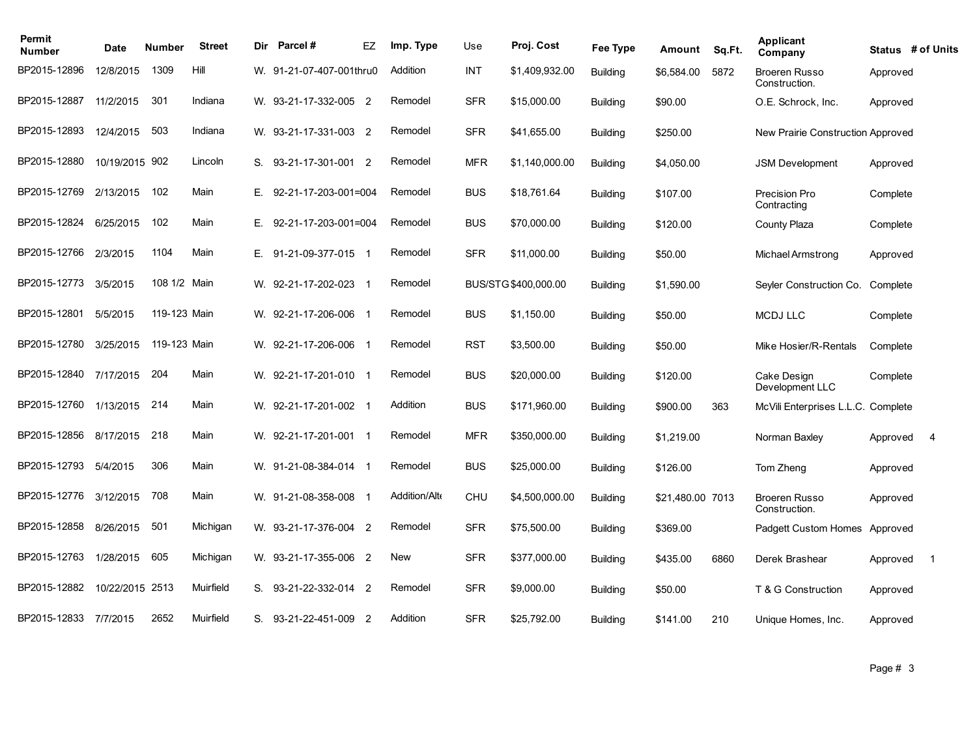| Permit<br><b>Number</b> | Date            | Number       | <b>Street</b> | Dir | <b>Parcel#</b>           | EZ             | Imp. Type     | Use        | Proj. Cost           | Fee Type        | Amount           | Sq.Ft. | <b>Applicant</b><br>Company           |          | Status # of Units |
|-------------------------|-----------------|--------------|---------------|-----|--------------------------|----------------|---------------|------------|----------------------|-----------------|------------------|--------|---------------------------------------|----------|-------------------|
| BP2015-12896            | 12/8/2015       | 1309         | Hill          |     | W. 91-21-07-407-001thru0 |                | Addition      | <b>INT</b> | \$1,409,932.00       | <b>Building</b> | \$6,584.00       | 5872   | <b>Broeren Russo</b><br>Construction. | Approved |                   |
| BP2015-12887            | 11/2/2015       | 301          | Indiana       |     | W. 93-21-17-332-005 2    |                | Remodel       | <b>SFR</b> | \$15,000.00          | <b>Building</b> | \$90.00          |        | O.E. Schrock, Inc.                    | Approved |                   |
| BP2015-12893            | 12/4/2015       | 503          | Indiana       |     | W. 93-21-17-331-003 2    |                | Remodel       | <b>SFR</b> | \$41,655.00          | <b>Building</b> | \$250.00         |        | New Prairie Construction Approved     |          |                   |
| BP2015-12880            | 10/19/2015 902  |              | Lincoln       | S.  | 93-21-17-301-001 2       |                | Remodel       | <b>MFR</b> | \$1,140,000.00       | <b>Building</b> | \$4,050.00       |        | <b>JSM Development</b>                | Approved |                   |
| BP2015-12769            | 2/13/2015       | 102          | Main          | E.  | 92-21-17-203-001=004     |                | Remodel       | <b>BUS</b> | \$18,761.64          | <b>Building</b> | \$107.00         |        | Precision Pro<br>Contracting          | Complete |                   |
| BP2015-12824            | 6/25/2015       | 102          | Main          | Е.  | 92-21-17-203-001=004     |                | Remodel       | <b>BUS</b> | \$70,000.00          | <b>Building</b> | \$120.00         |        | County Plaza                          | Complete |                   |
| BP2015-12766            | 2/3/2015        | 1104         | Main          | Е.  | 91-21-09-377-015 1       |                | Remodel       | <b>SFR</b> | \$11,000.00          | <b>Building</b> | \$50.00          |        | Michael Armstrong                     | Approved |                   |
| BP2015-12773            | 3/5/2015        | 108 1/2 Main |               |     | W. 92-21-17-202-023 1    |                | Remodel       |            | BUS/STG \$400,000.00 | <b>Building</b> | \$1,590.00       |        | Seyler Construction Co.               | Complete |                   |
| BP2015-12801            | 5/5/2015        | 119-123 Main |               |     | W. 92-21-17-206-006 1    |                | Remodel       | <b>BUS</b> | \$1,150.00           | <b>Building</b> | \$50.00          |        | <b>MCDJ LLC</b>                       | Complete |                   |
| BP2015-12780            | 3/25/2015       | 119-123 Main |               |     | W. 92-21-17-206-006 1    |                | Remodel       | <b>RST</b> | \$3,500.00           | <b>Building</b> | \$50.00          |        | Mike Hosier/R-Rentals                 | Complete |                   |
| BP2015-12840            | 7/17/2015       | 204          | Main          |     | W. 92-21-17-201-010 1    |                | Remodel       | <b>BUS</b> | \$20,000.00          | <b>Building</b> | \$120.00         |        | Cake Design<br>Development LLC        | Complete |                   |
| BP2015-12760            | 1/13/2015       | 214          | Main          |     | W. 92-21-17-201-002 1    |                | Addition      | <b>BUS</b> | \$171,960.00         | <b>Building</b> | \$900.00         | 363    | McVili Enterprises L.L.C. Complete    |          |                   |
| BP2015-12856            | 8/17/2015       | 218          | Main          |     | W. 92-21-17-201-001 1    |                | Remodel       | <b>MFR</b> | \$350,000.00         | <b>Building</b> | \$1,219.00       |        | Norman Baxley                         | Approved | -4                |
| BP2015-12793            | 5/4/2015        | 306          | Main          |     | W. 91-21-08-384-014      |                | Remodel       | <b>BUS</b> | \$25,000.00          | <b>Building</b> | \$126.00         |        | Tom Zheng                             | Approved |                   |
| BP2015-12776            | 3/12/2015       | 708          | Main          |     | W. 91-21-08-358-008      |                | Addition/Alte | <b>CHU</b> | \$4,500,000.00       | <b>Building</b> | \$21,480.00 7013 |        | <b>Broeren Russo</b><br>Construction. | Approved |                   |
| BP2015-12858            | 8/26/2015       | 501          | Michigan      |     | W. 93-21-17-376-004      | - 2            | Remodel       | <b>SFR</b> | \$75,500.00          | <b>Building</b> | \$369.00         |        | Padgett Custom Homes                  | Approved |                   |
| BP2015-12763            | 1/28/2015       | 605          | Michigan      |     | W. 93-21-17-355-006      | $\overline{2}$ | New           | <b>SFR</b> | \$377,000.00         | <b>Building</b> | \$435.00         | 6860   | Derek Brashear                        | Approved | $\mathbf 1$       |
| BP2015-12882            | 10/22/2015 2513 |              | Muirfield     | S.  | 93-21-22-332-014         | $\overline{2}$ | Remodel       | <b>SFR</b> | \$9,000.00           | <b>Building</b> | \$50.00          |        | T & G Construction                    | Approved |                   |
| BP2015-12833            | 7/7/2015        | 2652         | Muirfield     | S.  | 93-21-22-451-009 2       |                | Addition      | <b>SFR</b> | \$25,792.00          | <b>Building</b> | \$141.00         | 210    | Unique Homes, Inc.                    | Approved |                   |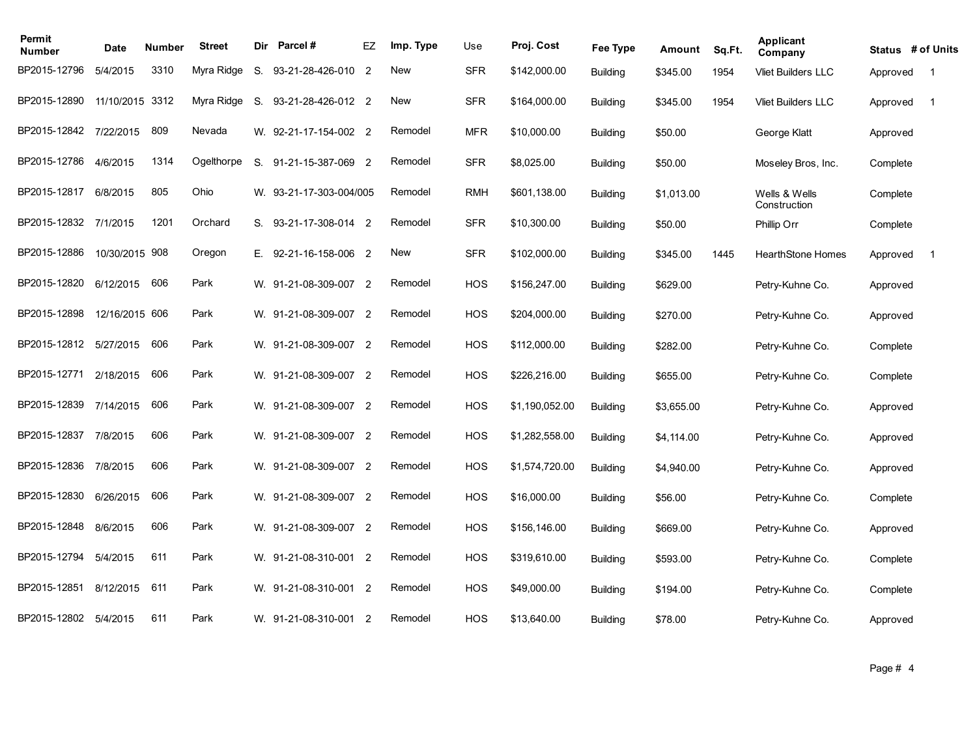| Permit<br><b>Number</b> | Date            | Number | <b>Street</b> | Dir | Parcel #                | EZ             | Imp. Type  | Use        | Proj. Cost     | Fee Type        | Amount     | Sq.Ft. | <b>Applicant</b><br>Company   | Status # of Units |                |
|-------------------------|-----------------|--------|---------------|-----|-------------------------|----------------|------------|------------|----------------|-----------------|------------|--------|-------------------------------|-------------------|----------------|
| BP2015-12796            | 5/4/2015        | 3310   | Myra Ridge    | S.  | 93-21-28-426-010        | $\overline{2}$ | <b>New</b> | <b>SFR</b> | \$142,000.00   | <b>Building</b> | \$345.00   | 1954   | <b>Vliet Builders LLC</b>     | Approved          | $\overline{1}$ |
| BP2015-12890            | 11/10/2015 3312 |        | Myra Ridge    | S.  | 93-21-28-426-012 2      |                | <b>New</b> | <b>SFR</b> | \$164,000.00   | <b>Building</b> | \$345.00   | 1954   | <b>Vliet Builders LLC</b>     | Approved          | $\overline{1}$ |
| BP2015-12842            | 7/22/2015       | 809    | Nevada        |     | W. 92-21-17-154-002 2   |                | Remodel    | <b>MFR</b> | \$10,000.00    | <b>Building</b> | \$50.00    |        | George Klatt                  | Approved          |                |
| BP2015-12786            | 4/6/2015        | 1314   | Ogelthorpe    | S.  | 91-21-15-387-069 2      |                | Remodel    | <b>SFR</b> | \$8,025.00     | <b>Building</b> | \$50.00    |        | Moseley Bros, Inc.            | Complete          |                |
| BP2015-12817            | 6/8/2015        | 805    | Ohio          |     | W. 93-21-17-303-004/005 |                | Remodel    | <b>RMH</b> | \$601,138.00   | <b>Building</b> | \$1,013.00 |        | Wells & Wells<br>Construction | Complete          |                |
| BP2015-12832            | 7/1/2015        | 1201   | Orchard       | S.  | 93-21-17-308-014 2      |                | Remodel    | <b>SFR</b> | \$10,300.00    | <b>Building</b> | \$50.00    |        | Phillip Orr                   | Complete          |                |
| BP2015-12886            | 10/30/2015 908  |        | Oregon        | Е.  | 92-21-16-158-006 2      |                | <b>New</b> | <b>SFR</b> | \$102,000.00   | <b>Building</b> | \$345.00   | 1445   | <b>HearthStone Homes</b>      | Approved          | $\mathbf 1$    |
| BP2015-12820            | 6/12/2015       | 606    | Park          |     | W. 91-21-08-309-007 2   |                | Remodel    | <b>HOS</b> | \$156,247.00   | <b>Building</b> | \$629.00   |        | Petry-Kuhne Co.               | Approved          |                |
| BP2015-12898            | 12/16/2015 606  |        | Park          |     | W. 91-21-08-309-007 2   |                | Remodel    | <b>HOS</b> | \$204,000.00   | <b>Building</b> | \$270.00   |        | Petry-Kuhne Co.               | Approved          |                |
| BP2015-12812 5/27/2015  |                 | 606    | Park          |     | W. 91-21-08-309-007 2   |                | Remodel    | <b>HOS</b> | \$112,000.00   | <b>Building</b> | \$282.00   |        | Petry-Kuhne Co.               | Complete          |                |
| BP2015-12771            | 2/18/2015       | 606    | Park          |     | W. 91-21-08-309-007 2   |                | Remodel    | <b>HOS</b> | \$226,216.00   | <b>Building</b> | \$655.00   |        | Petry-Kuhne Co.               | Complete          |                |
| BP2015-12839            | 7/14/2015       | 606    | Park          |     | W. 91-21-08-309-007 2   |                | Remodel    | <b>HOS</b> | \$1,190,052.00 | <b>Building</b> | \$3,655.00 |        | Petry-Kuhne Co.               | Approved          |                |
| BP2015-12837            | 7/8/2015        | 606    | Park          |     | W. 91-21-08-309-007 2   |                | Remodel    | HOS        | \$1,282,558.00 | <b>Building</b> | \$4,114.00 |        | Petry-Kuhne Co.               | Approved          |                |
| BP2015-12836            | 7/8/2015        | 606    | Park          |     | W. 91-21-08-309-007 2   |                | Remodel    | <b>HOS</b> | \$1,574,720.00 | <b>Building</b> | \$4,940.00 |        | Petry-Kuhne Co.               | Approved          |                |
| BP2015-12830            | 6/26/2015       | 606    | Park          |     | W. 91-21-08-309-007 2   |                | Remodel    | HOS        | \$16,000.00    | <b>Building</b> | \$56.00    |        | Petry-Kuhne Co.               | Complete          |                |
| BP2015-12848            | 8/6/2015        | 606    | Park          |     | W. 91-21-08-309-007 2   |                | Remodel    | <b>HOS</b> | \$156,146.00   | <b>Building</b> | \$669.00   |        | Petry-Kuhne Co.               | Approved          |                |
| BP2015-12794            | 5/4/2015        | 611    | Park          |     | W. 91-21-08-310-001     | $\overline{2}$ | Remodel    | <b>HOS</b> | \$319,610.00   | <b>Building</b> | \$593.00   |        | Petry-Kuhne Co.               | Complete          |                |
| BP2015-12851            | 8/12/2015       | 611    | Park          |     | W. 91-21-08-310-001 2   |                | Remodel    | <b>HOS</b> | \$49,000.00    | <b>Building</b> | \$194.00   |        | Petry-Kuhne Co.               | Complete          |                |
| BP2015-12802            | 5/4/2015        | 611    | Park          |     | W. 91-21-08-310-001 2   |                | Remodel    | <b>HOS</b> | \$13,640.00    | <b>Building</b> | \$78.00    |        | Petry-Kuhne Co.               | Approved          |                |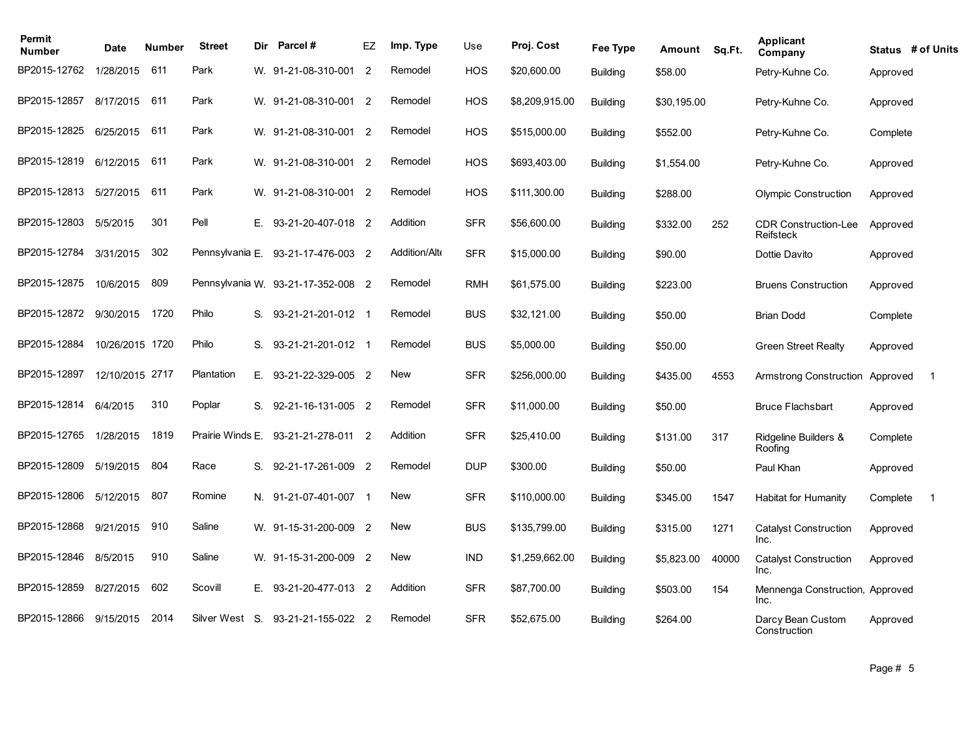| Permit<br><b>Number</b> | Date            | Number | <b>Street</b>    | Dir | <b>Parcel#</b>                     | EZ             | Imp. Type     | Use        | Proj. Cost     | Fee Type        | Amount      | Sq.Ft. | <b>Applicant</b><br>Company              |          | Status # of Units |
|-------------------------|-----------------|--------|------------------|-----|------------------------------------|----------------|---------------|------------|----------------|-----------------|-------------|--------|------------------------------------------|----------|-------------------|
| BP2015-12762            | 1/28/2015       | 611    | Park             |     | W. 91-21-08-310-001                | $\overline{2}$ | Remodel       | <b>HOS</b> | \$20,600.00    | <b>Building</b> | \$58.00     |        | Petry-Kuhne Co.                          | Approved |                   |
| BP2015-12857            | 8/17/2015       | 611    | Park             |     | W. 91-21-08-310-001 2              |                | Remodel       | <b>HOS</b> | \$8,209,915.00 | <b>Building</b> | \$30,195.00 |        | Petry-Kuhne Co.                          | Approved |                   |
| BP2015-12825            | 6/25/2015       | 611    | Park             |     | W. 91-21-08-310-001 2              |                | Remodel       | <b>HOS</b> | \$515,000.00   | <b>Building</b> | \$552.00    |        | Petry-Kuhne Co.                          | Complete |                   |
| BP2015-12819            | 6/12/2015       | 611    | Park             |     | W. 91-21-08-310-001 2              |                | Remodel       | <b>HOS</b> | \$693,403.00   | <b>Building</b> | \$1,554.00  |        | Petry-Kuhne Co.                          | Approved |                   |
| BP2015-12813            | 5/27/2015       | 611    | Park             |     | W. 91-21-08-310-001                | $\overline{2}$ | Remodel       | <b>HOS</b> | \$111,300.00   | <b>Building</b> | \$288.00    |        | <b>Olympic Construction</b>              | Approved |                   |
| BP2015-12803            | 5/5/2015        | 301    | Pell             | Е.  | 93-21-20-407-018 2                 |                | Addition      | <b>SFR</b> | \$56,600.00    | <b>Building</b> | \$332.00    | 252    | <b>CDR Construction-Lee</b><br>Reifsteck | Approved |                   |
| BP2015-12784            | 3/31/2015       | 302    |                  |     | Pennsylvania E. 93-21-17-476-003 2 |                | Addition/Alte | <b>SFR</b> | \$15,000.00    | <b>Building</b> | \$90.00     |        | Dottie Davito                            | Approved |                   |
| BP2015-12875            | 10/6/2015       | 809    |                  |     | Pennsylvania W. 93-21-17-352-008 2 |                | Remodel       | <b>RMH</b> | \$61,575.00    | <b>Building</b> | \$223.00    |        | <b>Bruens Construction</b>               | Approved |                   |
| BP2015-12872            | 9/30/2015       | 1720   | Philo            | S.  | 93-21-21-201-012 1                 |                | Remodel       | <b>BUS</b> | \$32,121.00    | <b>Building</b> | \$50.00     |        | <b>Brian Dodd</b>                        | Complete |                   |
| BP2015-12884            | 10/26/2015 1720 |        | Philo            | S.  | 93-21-21-201-012 1                 |                | Remodel       | <b>BUS</b> | \$5,000.00     | <b>Building</b> | \$50.00     |        | <b>Green Street Realty</b>               | Approved |                   |
| BP2015-12897            | 12/10/2015 2717 |        | Plantation       | E., | 93-21-22-329-005 2                 |                | New           | <b>SFR</b> | \$256,000.00   | <b>Building</b> | \$435.00    | 4553   | Armstrong Construction                   | Approved | $\overline{1}$    |
| BP2015-12814            | 6/4/2015        | 310    | Poplar           | S.  | 92-21-16-131-005 2                 |                | Remodel       | <b>SFR</b> | \$11,000.00    | <b>Building</b> | \$50.00     |        | <b>Bruce Flachsbart</b>                  | Approved |                   |
| BP2015-12765            | 1/28/2015       | 1819   | Prairie Winds E. |     | 93-21-21-278-011                   | $\overline{2}$ | Addition      | <b>SFR</b> | \$25,410.00    | <b>Building</b> | \$131.00    | 317    | Ridgeline Builders &<br>Roofing          | Complete |                   |
| BP2015-12809            | 5/19/2015       | 804    | Race             | S.  | 92-21-17-261-009 2                 |                | Remodel       | <b>DUP</b> | \$300.00       | <b>Building</b> | \$50.00     |        | Paul Khan                                | Approved |                   |
| BP2015-12806            | 5/12/2015       | 807    | Romine           |     | N. 91-21-07-401-007 1              |                | New           | <b>SFR</b> | \$110,000.00   | <b>Building</b> | \$345.00    | 1547   | <b>Habitat for Humanity</b>              | Complete | $\overline{1}$    |
| BP2015-12868            | 9/21/2015       | 910    | Saline           |     | W. 91-15-31-200-009 2              |                | New           | <b>BUS</b> | \$135,799.00   | <b>Building</b> | \$315.00    | 1271   | <b>Catalyst Construction</b><br>Inc.     | Approved |                   |
| BP2015-12846            | 8/5/2015        | 910    | Saline           |     | W. 91-15-31-200-009 2              |                | New           | <b>IND</b> | \$1,259,662.00 | <b>Building</b> | \$5,823.00  | 40000  | <b>Catalyst Construction</b><br>Inc.     | Approved |                   |
| BP2015-12859            | 8/27/2015       | 602    | Scovill          | Е.  | 93-21-20-477-013 2                 |                | Addition      | <b>SFR</b> | \$87,700.00    | <b>Building</b> | \$503.00    | 154    | Mennenga Construction, Approved<br>Inc.  |          |                   |
| BP2015-12866            | 9/15/2015       | 2014   | Silver West S.   |     | 93-21-21-155-022 2                 |                | Remodel       | <b>SFR</b> | \$52,675.00    | <b>Building</b> | \$264.00    |        | Darcy Bean Custom<br>Construction        | Approved |                   |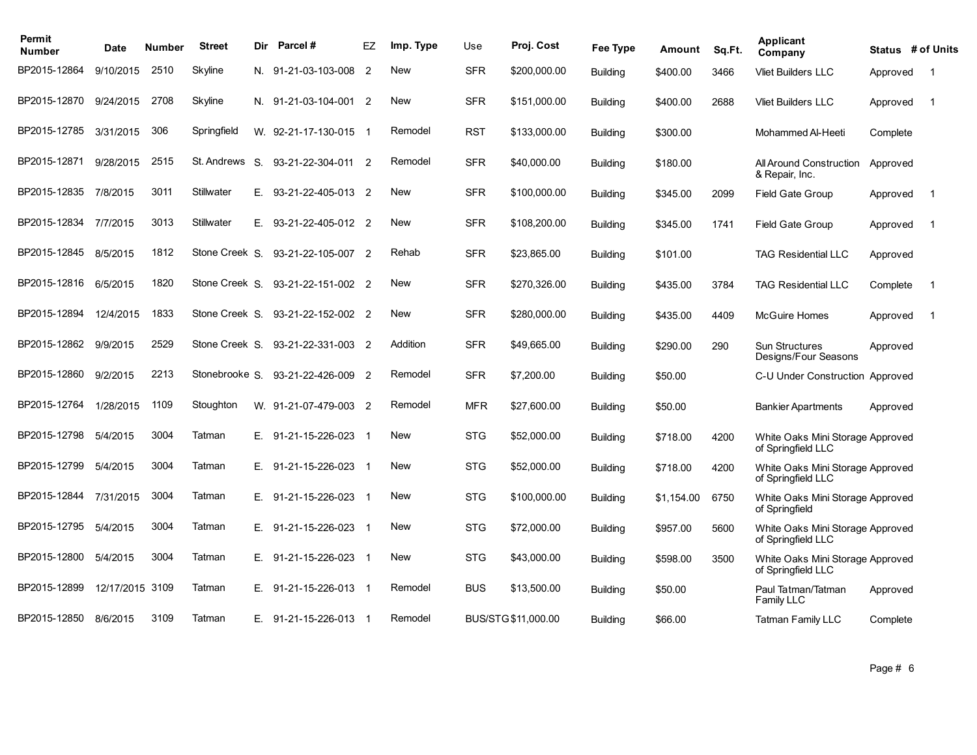| Permit<br><b>Number</b> | Date            | Number | <b>Street</b>  | <b>Dir</b> | Parcel #                          | EZ             | Imp. Type  | Use        | Proj. Cost          | Fee Type        | Amount     | Sq.Ft. | Applicant<br>Company                                   | Status # of Units |                |
|-------------------------|-----------------|--------|----------------|------------|-----------------------------------|----------------|------------|------------|---------------------|-----------------|------------|--------|--------------------------------------------------------|-------------------|----------------|
| BP2015-12864            | 9/10/2015       | 2510   | Skyline        |            | N. 91-21-03-103-008               | $\overline{2}$ | New        | <b>SFR</b> | \$200,000.00        | <b>Building</b> | \$400.00   | 3466   | <b>Vliet Builders LLC</b>                              | Approved          | $\overline{1}$ |
| BP2015-12870            | 9/24/2015       | 2708   | Skyline        |            | N. 91-21-03-104-001 2             |                | <b>New</b> | <b>SFR</b> | \$151,000.00        | <b>Building</b> | \$400.00   | 2688   | <b>Vliet Builders LLC</b>                              | Approved          | $\overline{1}$ |
| BP2015-12785            | 3/31/2015       | 306    | Springfield    |            | W. 92-21-17-130-015               |                | Remodel    | <b>RST</b> | \$133,000.00        | <b>Building</b> | \$300.00   |        | Mohammed Al-Heeti                                      | Complete          |                |
| BP2015-12871            | 9/28/2015       | 2515   | St. Andrews S. |            | 93-21-22-304-011                  | $\overline{2}$ | Remodel    | <b>SFR</b> | \$40,000.00         | <b>Building</b> | \$180.00   |        | All Around Construction<br>& Repair, Inc.              | Approved          |                |
| BP2015-12835            | 7/8/2015        | 3011   | Stillwater     | Е.         | 93-21-22-405-013 2                |                | New        | <b>SFR</b> | \$100,000.00        | <b>Building</b> | \$345.00   | 2099   | <b>Field Gate Group</b>                                | Approved          | $\overline{1}$ |
| BP2015-12834            | 7/7/2015        | 3013   | Stillwater     | Е.         | 93-21-22-405-012 2                |                | New        | <b>SFR</b> | \$108,200.00        | <b>Building</b> | \$345.00   | 1741   | <b>Field Gate Group</b>                                | Approved          | $\overline{1}$ |
| BP2015-12845            | 8/5/2015        | 1812   | Stone Creek S. |            | 93-21-22-105-007 2                |                | Rehab      | <b>SFR</b> | \$23,865.00         | <b>Building</b> | \$101.00   |        | <b>TAG Residential LLC</b>                             | Approved          |                |
| BP2015-12816            | 6/5/2015        | 1820   | Stone Creek S. |            | 93-21-22-151-002 2                |                | New        | <b>SFR</b> | \$270,326.00        | <b>Building</b> | \$435.00   | 3784   | <b>TAG Residential LLC</b>                             | Complete          | $\overline{1}$ |
| BP2015-12894            | 12/4/2015       | 1833   |                |            | Stone Creek S. 93-21-22-152-002 2 |                | <b>New</b> | <b>SFR</b> | \$280,000.00        | <b>Building</b> | \$435.00   | 4409   | <b>McGuire Homes</b>                                   | Approved          | $\mathbf 1$    |
| BP2015-12862            | 9/9/2015        | 2529   | Stone Creek S. |            | 93-21-22-331-003 2                |                | Addition   | <b>SFR</b> | \$49,665.00         | <b>Building</b> | \$290.00   | 290    | <b>Sun Structures</b><br>Designs/Four Seasons          | Approved          |                |
| BP2015-12860            | 9/2/2015        | 2213   | Stonebrooke S. |            | 93-21-22-426-009 2                |                | Remodel    | <b>SFR</b> | \$7,200.00          | <b>Building</b> | \$50.00    |        | C-U Under Construction Approved                        |                   |                |
| BP2015-12764            | 1/28/2015       | 1109   | Stoughton      |            | W. 91-21-07-479-003 2             |                | Remodel    | <b>MFR</b> | \$27,600.00         | <b>Building</b> | \$50.00    |        | <b>Bankier Apartments</b>                              | Approved          |                |
| BP2015-12798            | 5/4/2015        | 3004   | Tatman         | Е.         | 91-21-15-226-023 1                |                | New        | <b>STG</b> | \$52,000.00         | <b>Building</b> | \$718.00   | 4200   | White Oaks Mini Storage Approved<br>of Springfield LLC |                   |                |
| BP2015-12799            | 5/4/2015        | 3004   | Tatman         | Е.         | 91-21-15-226-023 1                |                | New        | <b>STG</b> | \$52,000.00         | <b>Building</b> | \$718.00   | 4200   | White Oaks Mini Storage Approved<br>of Springfield LLC |                   |                |
| BP2015-12844            | 7/31/2015       | 3004   | Tatman         | Е.         | 91-21-15-226-023                  | - 1            | New        | <b>STG</b> | \$100,000.00        | <b>Building</b> | \$1,154.00 | 6750   | White Oaks Mini Storage Approved<br>of Springfield     |                   |                |
| BP2015-12795            | 5/4/2015        | 3004   | Tatman         | Е.         | 91-21-15-226-023                  |                | New        | <b>STG</b> | \$72,000.00         | <b>Building</b> | \$957.00   | 5600   | White Oaks Mini Storage Approved<br>of Springfield LLC |                   |                |
| BP2015-12800            | 5/4/2015        | 3004   | Tatman         | E.         | 91-21-15-226-023 1                |                | New        | <b>STG</b> | \$43,000.00         | <b>Building</b> | \$598.00   | 3500   | White Oaks Mini Storage Approved<br>of Springfield LLC |                   |                |
| BP2015-12899            | 12/17/2015 3109 |        | Tatman         | Е.         | 91-21-15-226-013                  |                | Remodel    | <b>BUS</b> | \$13,500.00         | <b>Building</b> | \$50.00    |        | Paul Tatman/Tatman<br>Family LLC                       | Approved          |                |
| BP2015-12850            | 8/6/2015        | 3109   | Tatman         |            | E. 91-21-15-226-013 1             |                | Remodel    |            | BUS/STG \$11,000.00 | <b>Building</b> | \$66.00    |        | <b>Tatman Family LLC</b>                               | Complete          |                |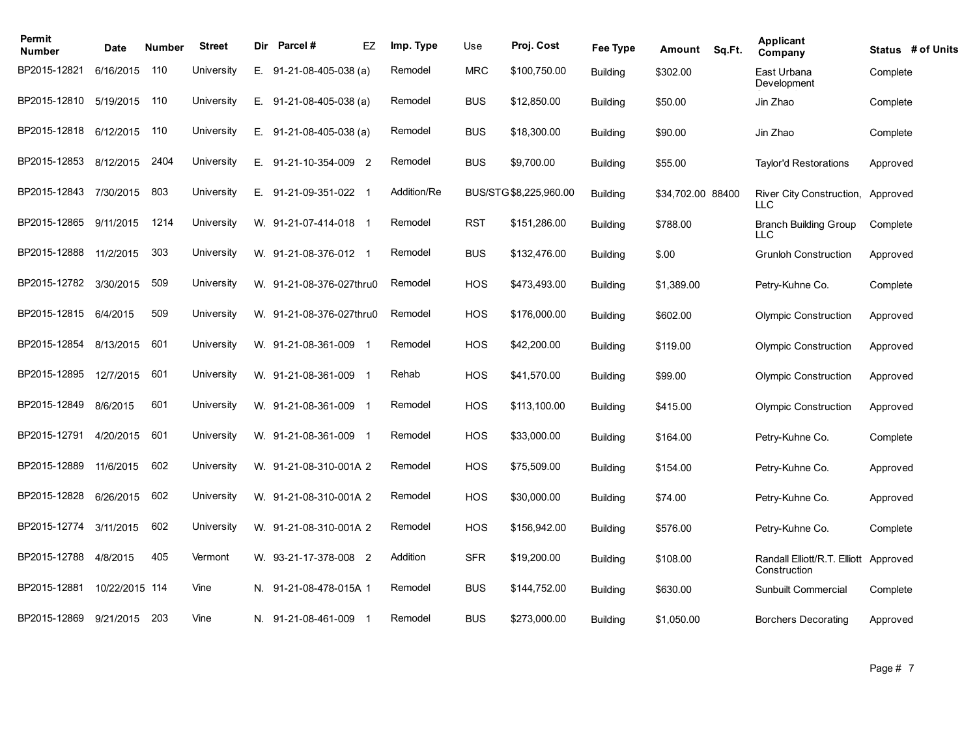| Permit<br><b>Number</b> | Date           | Number | <b>Street</b> | <b>Dir</b> | Parcel #                       | EZ | Imp. Type   | Use        | Proj. Cost             | Fee Type        | Amount<br>Sq.Ft.  | Applicant<br>Company                                  | Status # of Units |
|-------------------------|----------------|--------|---------------|------------|--------------------------------|----|-------------|------------|------------------------|-----------------|-------------------|-------------------------------------------------------|-------------------|
| BP2015-12821            | 6/16/2015      | 110    | University    | Е.         | $91-21-08-405-038$ (a)         |    | Remodel     | <b>MRC</b> | \$100,750.00           | <b>Building</b> | \$302.00          | East Urbana<br>Development                            | Complete          |
| BP2015-12810            | 5/19/2015      | 110    | University    | Е.         | $91 - 21 - 08 - 405 - 038$ (a) |    | Remodel     | <b>BUS</b> | \$12,850.00            | <b>Building</b> | \$50.00           | Jin Zhao                                              | Complete          |
| BP2015-12818            | 6/12/2015      | 110    | University    | Ε.         | $91 - 21 - 08 - 405 - 038$ (a) |    | Remodel     | <b>BUS</b> | \$18,300.00            | <b>Building</b> | \$90.00           | Jin Zhao                                              | Complete          |
| BP2015-12853            | 8/12/2015      | 2404   | University    | Е.         | 91-21-10-354-009 2             |    | Remodel     | <b>BUS</b> | \$9,700.00             | <b>Building</b> | \$55.00           | <b>Taylor'd Restorations</b>                          | Approved          |
| BP2015-12843            | 7/30/2015      | 803    | University    | Е.         | 91-21-09-351-022 1             |    | Addition/Re |            | BUS/STG \$8,225,960.00 | <b>Building</b> | \$34,702.00 88400 | River City Construction,<br><b>LLC</b>                | Approved          |
| BP2015-12865            | 9/11/2015      | 1214   | University    |            | W. 91-21-07-414-018 1          |    | Remodel     | <b>RST</b> | \$151,286.00           | <b>Building</b> | \$788.00          | <b>Branch Building Group</b><br>LLC                   | Complete          |
| BP2015-12888            | 11/2/2015      | 303    | University    |            | W. 91-21-08-376-012 1          |    | Remodel     | <b>BUS</b> | \$132,476.00           | <b>Building</b> | \$.00             | <b>Grunloh Construction</b>                           | Approved          |
| BP2015-12782            | 3/30/2015      | 509    | University    |            | W. 91-21-08-376-027thru0       |    | Remodel     | <b>HOS</b> | \$473,493.00           | <b>Building</b> | \$1,389.00        | Petry-Kuhne Co.                                       | Complete          |
| BP2015-12815            | 6/4/2015       | 509    | University    |            | W. 91-21-08-376-027thru0       |    | Remodel     | <b>HOS</b> | \$176,000.00           | <b>Building</b> | \$602.00          | <b>Olympic Construction</b>                           | Approved          |
| BP2015-12854            | 8/13/2015      | 601    | University    |            | W. 91-21-08-361-009 1          |    | Remodel     | <b>HOS</b> | \$42,200.00            | <b>Building</b> | \$119.00          | <b>Olympic Construction</b>                           | Approved          |
| BP2015-12895            | 12/7/2015      | 601    | University    |            | W. 91-21-08-361-009 1          |    | Rehab       | <b>HOS</b> | \$41,570.00            | <b>Building</b> | \$99.00           | <b>Olympic Construction</b>                           | Approved          |
| BP2015-12849            | 8/6/2015       | 601    | University    |            | W. 91-21-08-361-009 1          |    | Remodel     | <b>HOS</b> | \$113,100.00           | <b>Building</b> | \$415.00          | <b>Olympic Construction</b>                           | Approved          |
| BP2015-12791            | 4/20/2015      | 601    | University    |            | W. 91-21-08-361-009 1          |    | Remodel     | HOS        | \$33,000.00            | <b>Building</b> | \$164.00          | Petry-Kuhne Co.                                       | Complete          |
| BP2015-12889            | 11/6/2015      | 602    | University    |            | W. 91-21-08-310-001A 2         |    | Remodel     | <b>HOS</b> | \$75,509.00            | <b>Building</b> | \$154.00          | Petry-Kuhne Co.                                       | Approved          |
| BP2015-12828            | 6/26/2015      | 602    | University    |            | W. 91-21-08-310-001A 2         |    | Remodel     | HOS        | \$30,000.00            | <b>Building</b> | \$74.00           | Petry-Kuhne Co.                                       | Approved          |
| BP2015-12774            | 3/11/2015      | 602    | University    |            | W. 91-21-08-310-001A 2         |    | Remodel     | <b>HOS</b> | \$156,942.00           | <b>Building</b> | \$576.00          | Petry-Kuhne Co.                                       | Complete          |
| BP2015-12788            | 4/8/2015       | 405    | Vermont       |            | W. 93-21-17-378-008 2          |    | Addition    | <b>SFR</b> | \$19,200.00            | <b>Building</b> | \$108.00          | Randall Elliott/R.T. Elliott Approved<br>Construction |                   |
| BP2015-12881            | 10/22/2015 114 |        | Vine          | N.         | 91-21-08-478-015A 1            |    | Remodel     | <b>BUS</b> | \$144,752.00           | <b>Building</b> | \$630.00          | Sunbuilt Commercial                                   | Complete          |
| BP2015-12869            | 9/21/2015      | 203    | Vine          |            | N. 91-21-08-461-009 1          |    | Remodel     | <b>BUS</b> | \$273,000.00           | <b>Building</b> | \$1.050.00        | <b>Borchers Decorating</b>                            | Approved          |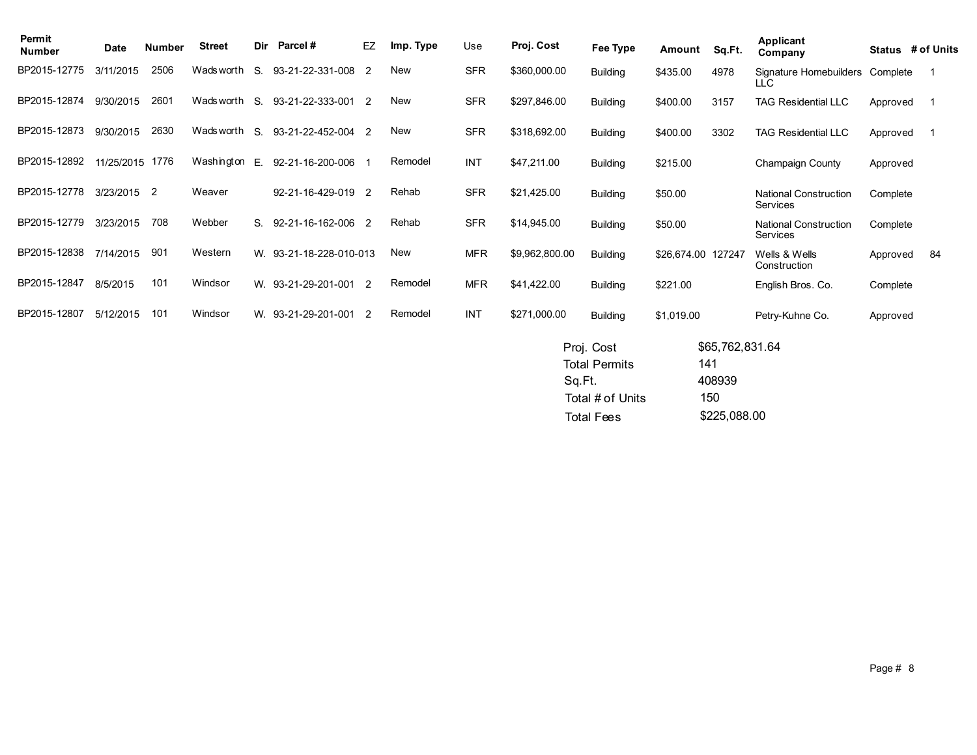| Permit<br><b>Number</b> | Date            | <b>Number</b> | <b>Street</b> | <b>Dir</b> | Parcel#                 | EZ             | Imp. Type  | Use        | Proj. Cost     | Fee Type             | Amount             | Sq.Ft.          | Applicant<br>Company                          |          | Status # of Units |
|-------------------------|-----------------|---------------|---------------|------------|-------------------------|----------------|------------|------------|----------------|----------------------|--------------------|-----------------|-----------------------------------------------|----------|-------------------|
| BP2015-12775            | 3/11/2015       | 2506          | Wadsworth     | $S$ .      | 93-21-22-331-008        | $\overline{2}$ | <b>New</b> | <b>SFR</b> | \$360,000.00   | <b>Building</b>      | \$435.00           | 4978            | Signature Homebuilders Complete<br><b>LLC</b> |          | $\overline{1}$    |
| BP2015-12874            | 9/30/2015       | 2601          | Wadsworth S.  |            | 93-21-22-333-001        | $\overline{2}$ | New        | <b>SFR</b> | \$297,846.00   | <b>Building</b>      | \$400.00           | 3157            | <b>TAG Residential LLC</b>                    | Approved |                   |
| BP2015-12873            | 9/30/2015       | 2630          | Wadsworth S.  |            | 93-21-22-452-004 2      |                | <b>New</b> | <b>SFR</b> | \$318,692.00   | <b>Building</b>      | \$400.00           | 3302            | <b>TAG Residential LLC</b>                    | Approved |                   |
| BP2015-12892            | 11/25/2015 1776 |               | Washington    | E.         | 92-21-16-200-006        |                | Remodel    | <b>INT</b> | \$47,211.00    | <b>Building</b>      | \$215.00           |                 | Champaign County                              | Approved |                   |
| BP2015-12778            | 3/23/2015 2     |               | Weaver        |            | 92-21-16-429-019 2      |                | Rehab      | <b>SFR</b> | \$21,425.00    | <b>Building</b>      | \$50.00            |                 | <b>National Construction</b><br>Services      | Complete |                   |
| BP2015-12779            | 3/23/2015       | 708           | Webber        | S.         | 92-21-16-162-006 2      |                | Rehab      | <b>SFR</b> | \$14,945.00    | <b>Building</b>      | \$50.00            |                 | <b>National Construction</b><br>Services      | Complete |                   |
| BP2015-12838            | 7/14/2015       | 901           | Western       |            | W. 93-21-18-228-010-013 |                | <b>New</b> | <b>MFR</b> | \$9,962,800.00 | <b>Building</b>      | \$26,674.00 127247 |                 | Wells & Wells<br>Construction                 | Approved | 84                |
| BP2015-12847            | 8/5/2015        | 101           | Windsor       |            | W. 93-21-29-201-001     | $\overline{2}$ | Remodel    | <b>MFR</b> | \$41,422.00    | <b>Building</b>      | \$221.00           |                 | English Bros. Co.                             | Complete |                   |
| BP2015-12807            | 5/12/2015       | 101           | Windsor       |            | W. 93-21-29-201-001     | $\overline{2}$ | Remodel    | <b>INT</b> | \$271,000.00   | <b>Building</b>      | \$1,019.00         |                 | Petry-Kuhne Co.                               | Approved |                   |
|                         |                 |               |               |            |                         |                |            |            |                | Proj. Cost           |                    | \$65,762,831.64 |                                               |          |                   |
|                         |                 |               |               |            |                         |                |            |            |                | <b>Total Permits</b> |                    | 141             |                                               |          |                   |
|                         |                 |               |               |            |                         |                |            |            | Sq.Ft.         |                      |                    | 408939          |                                               |          |                   |
|                         |                 |               |               |            |                         |                |            |            |                | Total # of Units     |                    | 150             |                                               |          |                   |
|                         |                 |               |               |            |                         |                |            |            |                | <b>Total Fees</b>    |                    | \$225,088.00    |                                               |          |                   |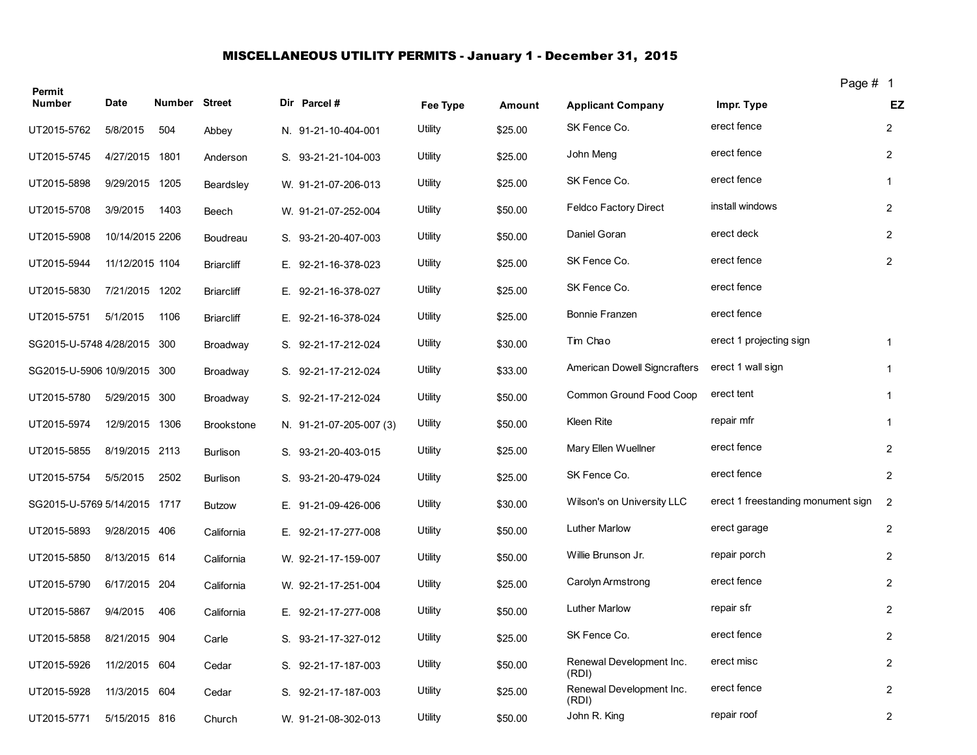# MISCELLANEOUS UTILITY PERMITS - January 1 - December 31, 2015

| Permit                       |                 |               |                   |                         |          |               |                                     | Page # 1                           |                |
|------------------------------|-----------------|---------------|-------------------|-------------------------|----------|---------------|-------------------------------------|------------------------------------|----------------|
| <b>Number</b>                | Date            | Number Street |                   | Dir Parcel #            | Fee Type | <b>Amount</b> | <b>Applicant Company</b>            | Impr. Type                         | EZ             |
| UT2015-5762                  | 5/8/2015        | 504           | Abbey             | N. 91-21-10-404-001     | Utility  | \$25.00       | SK Fence Co.                        | erect fence                        | $\overline{2}$ |
| UT2015-5745                  | 4/27/2015 1801  |               | Anderson          | S. 93-21-21-104-003     | Utility  | \$25.00       | John Meng                           | erect fence                        | $\overline{2}$ |
| UT2015-5898                  | 9/29/2015 1205  |               | Beardsley         | W. 91-21-07-206-013     | Utility  | \$25.00       | SK Fence Co.                        | erect fence                        | $\mathbf{1}$   |
| UT2015-5708                  | 3/9/2015        | 1403          | Beech             | W. 91-21-07-252-004     | Utility  | \$50.00       | Feldco Factory Direct               | install windows                    | $\overline{2}$ |
| UT2015-5908                  | 10/14/2015 2206 |               | Boudreau          | S. 93-21-20-407-003     | Utility  | \$50.00       | Daniel Goran                        | erect deck                         | $\overline{2}$ |
| UT2015-5944                  | 11/12/2015 1104 |               | <b>Briarcliff</b> | E. 92-21-16-378-023     | Utility  | \$25.00       | SK Fence Co.                        | erect fence                        | $\overline{2}$ |
| UT2015-5830                  | 7/21/2015 1202  |               | <b>Briarcliff</b> | E. 92-21-16-378-027     | Utility  | \$25.00       | SK Fence Co.                        | erect fence                        |                |
| UT2015-5751                  | 5/1/2015        | 1106          | <b>Briarcliff</b> | E. 92-21-16-378-024     | Utility  | \$25.00       | Bonnie Franzen                      | erect fence                        |                |
| SG2015-U-5748 4/28/2015      |                 | 300           | Broadway          | S. 92-21-17-212-024     | Utility  | \$30.00       | Tim Chao                            | erect 1 projecting sign            | $\mathbf{1}$   |
| SG2015-U-5906 10/9/2015 300  |                 |               | Broadway          | S. 92-21-17-212-024     | Utility  | \$33.00       | <b>American Dowell Signcrafters</b> | erect 1 wall sign                  | $\mathbf{1}$   |
| UT2015-5780                  | 5/29/2015       | 300           | Broadway          | S. 92-21-17-212-024     | Utility  | \$50.00       | Common Ground Food Coop             | erect tent                         | $\mathbf{1}$   |
| UT2015-5974                  | 12/9/2015 1306  |               | <b>Brookstone</b> | N. 91-21-07-205-007 (3) | Utility  | \$50.00       | <b>Kleen Rite</b>                   | repair mfr                         | $\mathbf{1}$   |
| UT2015-5855                  | 8/19/2015 2113  |               | Burlison          | S. 93-21-20-403-015     | Utility  | \$25.00       | Mary Ellen Wuellner                 | erect fence                        | $\overline{2}$ |
| UT2015-5754                  | 5/5/2015        | 2502          | <b>Burlison</b>   | S. 93-21-20-479-024     | Utility  | \$25.00       | SK Fence Co.                        | erect fence                        | $\overline{2}$ |
| SG2015-U-5769 5/14/2015 1717 |                 |               | <b>Butzow</b>     | E. 91-21-09-426-006     | Utility  | \$30.00       | Wilson's on University LLC          | erect 1 freestanding monument sign | $\overline{2}$ |
| UT2015-5893                  | 9/28/2015 406   |               | California        | E. 92-21-17-277-008     | Utility  | \$50.00       | Luther Marlow                       | erect garage                       | $\overline{2}$ |
| UT2015-5850                  | 8/13/2015 614   |               | California        | W. 92-21-17-159-007     | Utility  | \$50.00       | Willie Brunson Jr.                  | repair porch                       | $\overline{2}$ |
| UT2015-5790                  | 6/17/2015 204   |               | California        | W. 92-21-17-251-004     | Utility  | \$25.00       | Carolyn Armstrong                   | erect fence                        | $\overline{2}$ |
| UT2015-5867                  | 9/4/2015        | 406           | California        | E. 92-21-17-277-008     | Utility  | \$50.00       | <b>Luther Marlow</b>                | repair sfr                         | $\overline{2}$ |
| UT2015-5858                  | 8/21/2015 904   |               | Carle             | S. 93-21-17-327-012     | Utility  | \$25.00       | SK Fence Co.                        | erect fence                        | $\overline{2}$ |
| UT2015-5926                  | 11/2/2015 604   |               | Cedar             | S. 92-21-17-187-003     | Utility  | \$50.00       | Renewal Development Inc.<br>(RDI)   | erect misc                         | $\overline{2}$ |
| UT2015-5928                  | 11/3/2015 604   |               | Cedar             | S. 92-21-17-187-003     | Utility  | \$25.00       | Renewal Development Inc.<br>(RDI)   | erect fence                        | $\overline{2}$ |
| UT2015-5771                  | 5/15/2015 816   |               | Church            | W. 91-21-08-302-013     | Utility  | \$50.00       | John R. King                        | repair roof                        | $\mathbf{2}$   |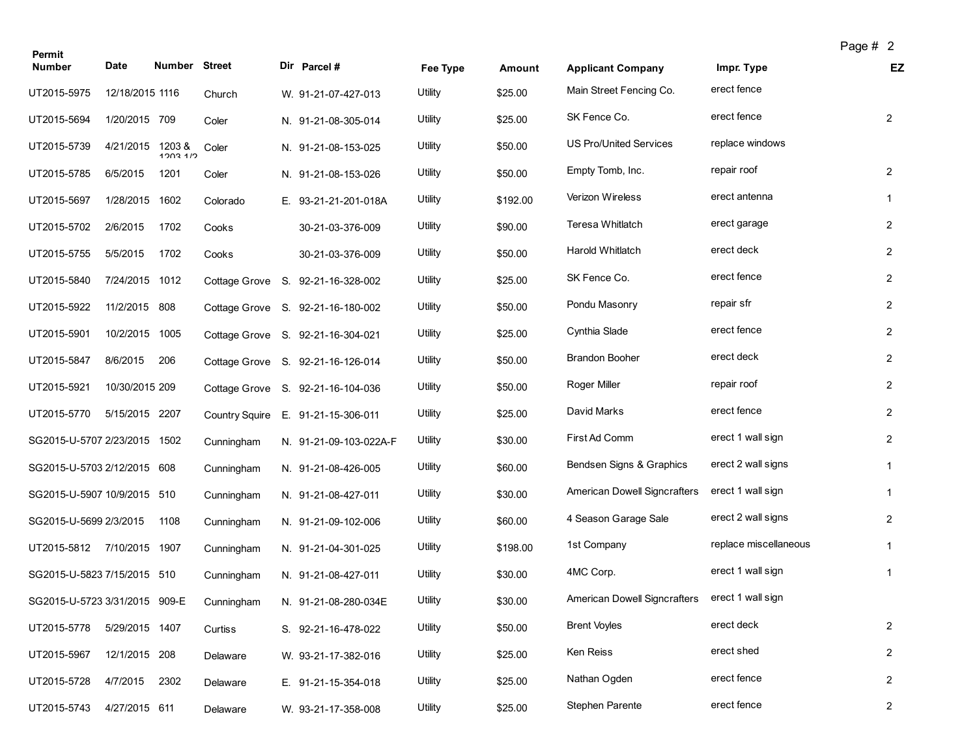| Permit                        |                 |                   |                |                                   |          |               |                                                |                       | Page # 2 |                |
|-------------------------------|-----------------|-------------------|----------------|-----------------------------------|----------|---------------|------------------------------------------------|-----------------------|----------|----------------|
| <b>Number</b>                 | <b>Date</b>     | Number Street     |                | Dir Parcel #                      | Fee Type | <b>Amount</b> | <b>Applicant Company</b>                       | Impr. Type            |          | <b>EZ</b>      |
| UT2015-5975                   | 12/18/2015 1116 |                   | Church         | W. 91-21-07-427-013               | Utility  | \$25.00       | Main Street Fencing Co.                        | erect fence           |          |                |
| UT2015-5694                   | 1/20/2015 709   |                   | Coler          | N. 91-21-08-305-014               | Utility  | \$25.00       | SK Fence Co.                                   | erect fence           |          | $\overline{2}$ |
| UT2015-5739                   | 4/21/2015       | 1203 &<br>1202112 | Coler          | N. 91-21-08-153-025               | Utility  | \$50.00       | <b>US Pro/United Services</b>                  | replace windows       |          |                |
| UT2015-5785                   | 6/5/2015        | 1201              | Coler          | N. 91-21-08-153-026               | Utility  | \$50.00       | Empty Tomb, Inc.                               | repair roof           |          | $\overline{2}$ |
| UT2015-5697                   | 1/28/2015       | 1602              | Colorado       | E. 93-21-21-201-018A              | Utility  | \$192.00      | Verizon Wireless                               | erect antenna         |          | $\mathbf{1}$   |
| UT2015-5702                   | 2/6/2015        | 1702              | Cooks          | 30-21-03-376-009                  | Utility  | \$90.00       | Teresa Whitlatch                               | erect garage          |          | $\overline{2}$ |
| UT2015-5755                   | 5/5/2015        | 1702              | Cooks          | 30-21-03-376-009                  | Utility  | \$50.00       | Harold Whitlatch                               | erect deck            |          | $\overline{2}$ |
| UT2015-5840                   | 7/24/2015       | 1012              |                | Cottage Grove S. 92-21-16-328-002 | Utility  | \$25.00       | SK Fence Co.                                   | erect fence           |          | $\overline{2}$ |
| UT2015-5922                   | 11/2/2015 808   |                   |                | Cottage Grove S. 92-21-16-180-002 | Utility  | \$50.00       | Pondu Masonry                                  | repair sfr            |          | $\overline{2}$ |
| UT2015-5901                   | 10/2/2015       | 1005              |                | Cottage Grove S. 92-21-16-304-021 | Utility  | \$25.00       | Cynthia Slade                                  | erect fence           |          | $\overline{2}$ |
| UT2015-5847                   | 8/6/2015        | 206               |                | Cottage Grove S. 92-21-16-126-014 | Utility  | \$50.00       | <b>Brandon Booher</b>                          | erect deck            |          | $\overline{2}$ |
| UT2015-5921                   | 10/30/2015 209  |                   |                | Cottage Grove S. 92-21-16-104-036 | Utility  | \$50.00       | Roger Miller                                   | repair roof           |          | $\overline{2}$ |
| UT2015-5770                   | 5/15/2015 2207  |                   | Country Squire | E. 91-21-15-306-011               | Utility  | \$25.00       | David Marks                                    | erect fence           |          | $\overline{2}$ |
| SG2015-U-5707 2/23/2015 1502  |                 |                   | Cunningham     | N. 91-21-09-103-022A-F            | Utility  | \$30.00       | First Ad Comm                                  | erect 1 wall sign     |          | $\overline{2}$ |
| SG2015-U-5703 2/12/2015       |                 | 608               | Cunningham     | N. 91-21-08-426-005               | Utility  | \$60.00       | Bendsen Signs & Graphics                       | erect 2 wall signs    |          | $\mathbf{1}$   |
| SG2015-U-5907 10/9/2015 510   |                 |                   | Cunningham     | N. 91-21-08-427-011               | Utility  | \$30.00       | American Dowell Signcrafters                   | erect 1 wall sign     |          | $\mathbf{1}$   |
| SG2015-U-5699 2/3/2015        |                 | 1108              | Cunningham     | N. 91-21-09-102-006               | Utility  | \$60.00       | 4 Season Garage Sale                           | erect 2 wall signs    |          | $\overline{2}$ |
| UT2015-5812 7/10/2015 1907    |                 |                   | Cunningham     | N. 91-21-04-301-025               | Utility  | \$198.00      | 1st Company                                    | replace miscellaneous |          | $\mathbf{1}$   |
| SG2015-U-5823 7/15/2015 510   |                 |                   | Cunningham     | N. 91-21-08-427-011               | Utility  | \$30.00       | 4MC Corp.                                      | erect 1 wall sign     |          | $\mathbf{1}$   |
| SG2015-U-5723 3/31/2015 909-E |                 |                   | Cunningham     | N. 91-21-08-280-034E              | Utility  | \$30.00       | American Dowell Signcrafters erect 1 wall sign |                       |          |                |
| UT2015-5778                   | 5/29/2015 1407  |                   | Curtiss        | S. 92-21-16-478-022               | Utility  | \$50.00       | <b>Brent Voyles</b>                            | erect deck            |          | $\overline{2}$ |
| UT2015-5967                   | 12/1/2015 208   |                   | Delaware       | W. 93-21-17-382-016               | Utility  | \$25.00       | Ken Reiss                                      | erect shed            |          | $\overline{2}$ |
| UT2015-5728                   | 4/7/2015        | 2302              | Delaware       | E. 91-21-15-354-018               | Utility  | \$25.00       | Nathan Ogden                                   | erect fence           |          | $\overline{2}$ |
| UT2015-5743                   | 4/27/2015 611   |                   | Delaware       | W. 93-21-17-358-008               | Utility  | \$25.00       | Stephen Parente                                | erect fence           |          | $\overline{2}$ |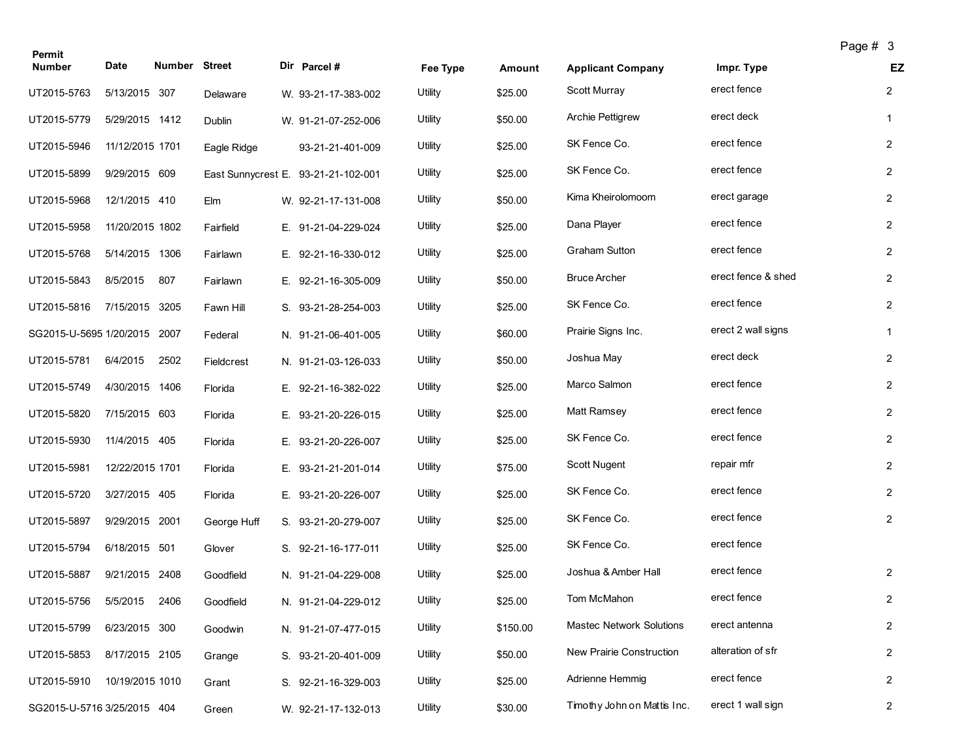| Permit                       |                 |               |             |                                     |          |          |                                 | Page # 3           |                |
|------------------------------|-----------------|---------------|-------------|-------------------------------------|----------|----------|---------------------------------|--------------------|----------------|
| <b>Number</b>                | Date            | Number Street |             | Dir Parcel #                        | Fee Type | Amount   | <b>Applicant Company</b>        | Impr. Type         | EZ             |
| UT2015-5763                  | 5/13/2015 307   |               | Delaware    | W. 93-21-17-383-002                 | Utility  | \$25.00  | Scott Murray                    | erect fence        | $\overline{a}$ |
| UT2015-5779                  | 5/29/2015 1412  |               | Dublin      | W. 91-21-07-252-006                 | Utility  | \$50.00  | <b>Archie Pettigrew</b>         | erect deck         | $\mathbf{1}$   |
| UT2015-5946                  | 11/12/2015 1701 |               | Eagle Ridge | 93-21-21-401-009                    | Utility  | \$25.00  | SK Fence Co.                    | erect fence        | $\overline{2}$ |
| UT2015-5899                  | 9/29/2015 609   |               |             | East Sunnycrest E. 93-21-21-102-001 | Utility  | \$25.00  | SK Fence Co.                    | erect fence        | $\overline{2}$ |
| UT2015-5968                  | 12/1/2015 410   |               | Elm         | W. 92-21-17-131-008                 | Utility  | \$50.00  | Kima Kheirolomoom               | erect garage       | $\overline{2}$ |
| UT2015-5958                  | 11/20/2015 1802 |               | Fairfield   | E. 91-21-04-229-024                 | Utility  | \$25.00  | Dana Player                     | erect fence        | $\overline{2}$ |
| UT2015-5768                  | 5/14/2015 1306  |               | Fairlawn    | E. 92-21-16-330-012                 | Utility  | \$25.00  | <b>Graham Sutton</b>            | erect fence        | $\overline{2}$ |
| UT2015-5843                  | 8/5/2015        | 807           | Fairlawn    | E. 92-21-16-305-009                 | Utility  | \$50.00  | <b>Bruce Archer</b>             | erect fence & shed | $\overline{2}$ |
| UT2015-5816                  | 7/15/2015 3205  |               | Fawn Hill   | S. 93-21-28-254-003                 | Utility  | \$25.00  | SK Fence Co.                    | erect fence        | $\overline{2}$ |
| SG2015-U-5695 1/20/2015 2007 |                 |               | Federal     | N. 91-21-06-401-005                 | Utility  | \$60.00  | Prairie Signs Inc.              | erect 2 wall signs | $\mathbf{1}$   |
| UT2015-5781                  | 6/4/2015        | 2502          | Fieldcrest  | N. 91-21-03-126-033                 | Utility  | \$50.00  | Joshua May                      | erect deck         | $\overline{2}$ |
| UT2015-5749                  | 4/30/2015 1406  |               | Florida     | E. 92-21-16-382-022                 | Utility  | \$25.00  | Marco Salmon                    | erect fence        | $\overline{c}$ |
| UT2015-5820                  | 7/15/2015 603   |               | Florida     | E. 93-21-20-226-015                 | Utility  | \$25.00  | <b>Matt Ramsey</b>              | erect fence        | $\overline{2}$ |
| UT2015-5930                  | 11/4/2015 405   |               | Florida     | E. 93-21-20-226-007                 | Utility  | \$25.00  | SK Fence Co.                    | erect fence        | $\overline{2}$ |
| UT2015-5981                  | 12/22/2015 1701 |               | Florida     | E. 93-21-21-201-014                 | Utility  | \$75.00  | Scott Nugent                    | repair mfr         | $\overline{2}$ |
| UT2015-5720                  | 3/27/2015 405   |               | Florida     | E. 93-21-20-226-007                 | Utility  | \$25.00  | SK Fence Co.                    | erect fence        | $\overline{2}$ |
| UT2015-5897                  | 9/29/2015 2001  |               | George Huff | S. 93-21-20-279-007                 | Utility  | \$25.00  | SK Fence Co.                    | erect fence        | $\overline{2}$ |
| UT2015-5794                  | 6/18/2015 501   |               | Glover      | S. 92-21-16-177-011                 | Utility  | \$25.00  | SK Fence Co.                    | erect fence        |                |
| UT2015-5887                  | 9/21/2015 2408  |               | Goodfield   | N. 91-21-04-229-008                 | Utility  | \$25.00  | Joshua & Amber Hall             | erect fence        | $\overline{2}$ |
| UT2015-5756                  | 5/5/2015        | 2406          | Goodfield   | N. 91-21-04-229-012                 | Utility  | \$25.00  | Tom McMahon                     | erect fence        | $\overline{2}$ |
| UT2015-5799                  | 6/23/2015 300   |               | Goodwin     | N. 91-21-07-477-015                 | Utility  | \$150.00 | <b>Mastec Network Solutions</b> | erect antenna      | $\overline{2}$ |
| UT2015-5853                  | 8/17/2015 2105  |               | Grange      | S. 93-21-20-401-009                 | Utility  | \$50.00  | New Prairie Construction        | alteration of sfr  | $\overline{2}$ |
| UT2015-5910                  | 10/19/2015 1010 |               | Grant       | S. 92-21-16-329-003                 | Utility  | \$25.00  | Adrienne Hemmig                 | erect fence        | $\overline{2}$ |
| SG2015-U-5716 3/25/2015 404  |                 |               | Green       | W. 92-21-17-132-013                 | Utility  | \$30.00  | Timothy John on Mattis Inc.     | erect 1 wall sign  | $\mathbf{2}$   |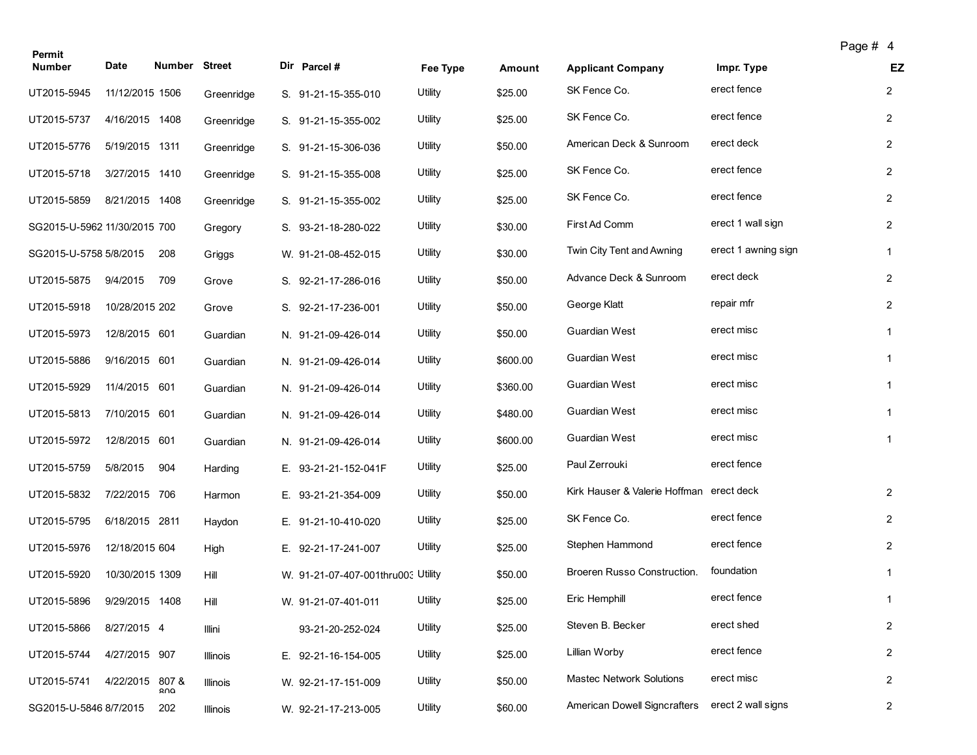| Permit                       |                 |               |            |                                    |          |          |                                          |                     | Page # 4 |                |
|------------------------------|-----------------|---------------|------------|------------------------------------|----------|----------|------------------------------------------|---------------------|----------|----------------|
| <b>Number</b>                | Date            | Number Street |            | Dir Parcel #                       | Fee Type | Amount   | <b>Applicant Company</b>                 | Impr. Type          |          | EZ             |
| UT2015-5945                  | 11/12/2015 1506 |               | Greenridge | S. 91-21-15-355-010                | Utility  | \$25.00  | SK Fence Co.                             | erect fence         |          | $\overline{2}$ |
| UT2015-5737                  | 4/16/2015 1408  |               | Greenridge | S. 91-21-15-355-002                | Utility  | \$25.00  | SK Fence Co.                             | erect fence         |          | $\overline{2}$ |
| UT2015-5776                  | 5/19/2015 1311  |               | Greenridge | S. 91-21-15-306-036                | Utility  | \$50.00  | American Deck & Sunroom                  | erect deck          |          | $\overline{2}$ |
| UT2015-5718                  | 3/27/2015 1410  |               | Greenridge | S. 91-21-15-355-008                | Utility  | \$25.00  | SK Fence Co.                             | erect fence         |          | $\overline{2}$ |
| UT2015-5859                  | 8/21/2015 1408  |               | Greenridge | S. 91-21-15-355-002                | Utility  | \$25.00  | SK Fence Co.                             | erect fence         |          | $\overline{2}$ |
| SG2015-U-5962 11/30/2015 700 |                 |               | Gregory    | S. 93-21-18-280-022                | Utility  | \$30.00  | First Ad Comm                            | erect 1 wall sign   |          | $\overline{2}$ |
| SG2015-U-5758 5/8/2015       |                 | 208           | Griggs     | W. 91-21-08-452-015                | Utility  | \$30.00  | Twin City Tent and Awning                | erect 1 awning sign |          | $\mathbf{1}$   |
| UT2015-5875                  | 9/4/2015        | 709           | Grove      | S. 92-21-17-286-016                | Utility  | \$50.00  | Advance Deck & Sunroom                   | erect deck          |          | $\overline{2}$ |
| UT2015-5918                  | 10/28/2015 202  |               | Grove      | S. 92-21-17-236-001                | Utility  | \$50.00  | George Klatt                             | repair mfr          |          | $\overline{2}$ |
| UT2015-5973                  | 12/8/2015 601   |               | Guardian   | N. 91-21-09-426-014                | Utility  | \$50.00  | Guardian West                            | erect misc          |          | $\mathbf{1}$   |
| UT2015-5886                  | 9/16/2015 601   |               | Guardian   | N. 91-21-09-426-014                | Utility  | \$600.00 | Guardian West                            | erect misc          |          | $\mathbf{1}$   |
| UT2015-5929                  | 11/4/2015 601   |               | Guardian   | N. 91-21-09-426-014                | Utility  | \$360.00 | Guardian West                            | erect misc          |          | 1              |
| UT2015-5813                  | 7/10/2015 601   |               | Guardian   | N. 91-21-09-426-014                | Utility  | \$480.00 | Guardian West                            | erect misc          |          | $\mathbf{1}$   |
| UT2015-5972                  | 12/8/2015 601   |               | Guardian   | N. 91-21-09-426-014                | Utility  | \$600.00 | Guardian West                            | erect misc          |          | $\mathbf{1}$   |
| UT2015-5759                  | 5/8/2015        | 904           | Harding    | E. 93-21-21-152-041F               | Utility  | \$25.00  | Paul Zerrouki                            | erect fence         |          |                |
| UT2015-5832                  | 7/22/2015 706   |               | Harmon     | E. 93-21-21-354-009                | Utility  | \$50.00  | Kirk Hauser & Valerie Hoffman erect deck |                     |          | $\overline{2}$ |
| UT2015-5795                  | 6/18/2015 2811  |               | Haydon     | E. 91-21-10-410-020                | Utility  | \$25.00  | SK Fence Co.                             | erect fence         |          | $\overline{2}$ |
| UT2015-5976                  | 12/18/2015 604  |               | High       | E. 92-21-17-241-007                | Utility  | \$25.00  | Stephen Hammond                          | erect fence         |          | $\overline{2}$ |
| UT2015-5920                  | 10/30/2015 1309 |               | Hill       | W. 91-21-07-407-001thru003 Utility |          | \$50.00  | Broeren Russo Construction.              | foundation          |          | $\mathbf{1}$   |
| UT2015-5896                  | 9/29/2015 1408  |               | Hill       | W. 91-21-07-401-011                | Utility  | \$25.00  | Eric Hemphill                            | erect fence         |          | 1              |
| UT2015-5866                  | 8/27/2015 4     |               | Illini     | 93-21-20-252-024                   | Utility  | \$25.00  | Steven B. Becker                         | erect shed          |          | $\overline{c}$ |
| UT2015-5744                  | 4/27/2015 907   |               | Illinois   | E. 92-21-16-154-005                | Utility  | \$25.00  | Lillian Worby                            | erect fence         |          | $\overline{c}$ |
| UT2015-5741                  | 4/22/2015 807 & | Q∩Ω           | Illinois   | W. 92-21-17-151-009                | Utility  | \$50.00  | <b>Mastec Network Solutions</b>          | erect misc          |          | $\overline{2}$ |
| SG2015-U-5846 8/7/2015       |                 | 202           | Illinois   | W. 92-21-17-213-005                | Utility  | \$60.00  | American Dowell Signcrafters             | erect 2 wall signs  |          | $\overline{2}$ |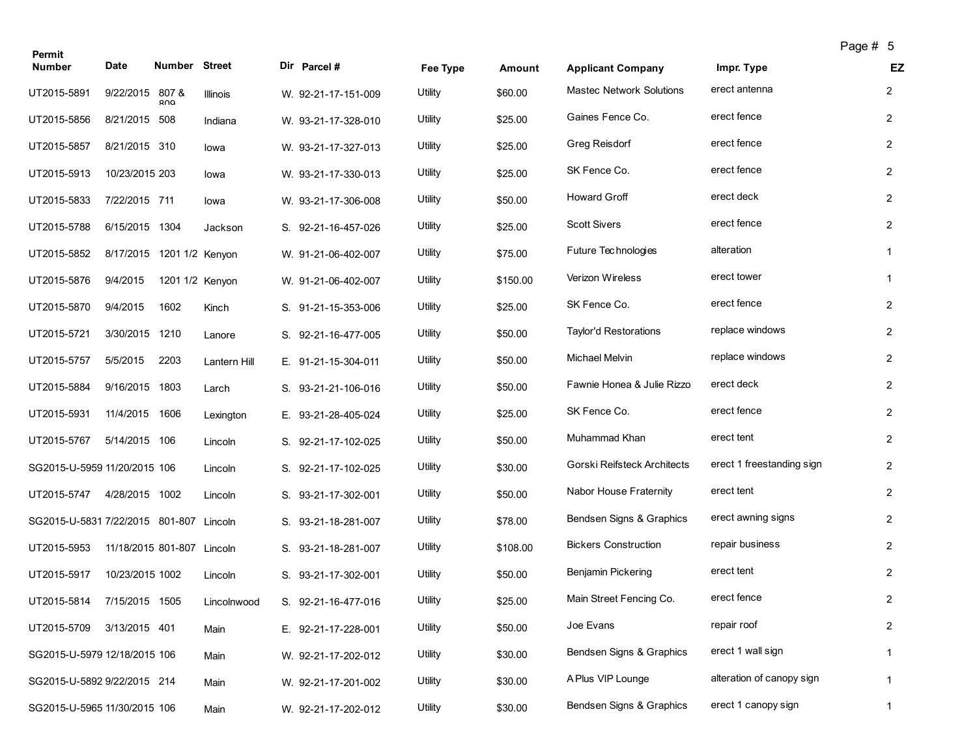| Permit                          |                 |                    |                 |                     |          |          |                                 |                           | Page # 5 |                |
|---------------------------------|-----------------|--------------------|-----------------|---------------------|----------|----------|---------------------------------|---------------------------|----------|----------------|
| <b>Number</b>                   | Date            | Number Street      |                 | Dir Parcel #        | Fee Type | Amount   | <b>Applicant Company</b>        | Impr. Type                |          | EZ             |
| UT2015-5891                     | 9/22/2015 807 & | ΩΩ                 | <b>Illinois</b> | W. 92-21-17-151-009 | Utility  | \$60.00  | <b>Mastec Network Solutions</b> | erect antenna             |          | $\overline{2}$ |
| UT2015-5856                     | 8/21/2015       | 508                | Indiana         | W. 93-21-17-328-010 | Utility  | \$25.00  | Gaines Fence Co.                | erect fence               |          | $\overline{2}$ |
| UT2015-5857                     | 8/21/2015 310   |                    | lowa            | W. 93-21-17-327-013 | Utility  | \$25.00  | Greg Reisdorf                   | erect fence               |          | $\overline{2}$ |
| UT2015-5913                     | 10/23/2015 203  |                    | lowa            | W. 93-21-17-330-013 | Utility  | \$25.00  | SK Fence Co.                    | erect fence               |          | $\overline{2}$ |
| UT2015-5833                     | 7/22/2015 711   |                    | lowa            | W. 93-21-17-306-008 | Utility  | \$50.00  | <b>Howard Groff</b>             | erect deck                |          | $\overline{2}$ |
| UT2015-5788                     | 6/15/2015 1304  |                    | Jackson         | S. 92-21-16-457-026 | Utility  | \$25.00  | <b>Scott Sivers</b>             | erect fence               |          | $\overline{2}$ |
| UT2015-5852                     | 8/17/2015       | 1201 1/2 Kenyon    |                 | W. 91-21-06-402-007 | Utility  | \$75.00  | Future Technologies             | alteration                |          | $\mathbf{1}$   |
| UT2015-5876                     | 9/4/2015        | 1201 1/2 Kenyon    |                 | W. 91-21-06-402-007 | Utility  | \$150.00 | Verizon Wireless                | erect tower               |          | $\mathbf{1}$   |
| UT2015-5870                     | 9/4/2015        | 1602               | Kinch           | S. 91-21-15-353-006 | Utility  | \$25.00  | SK Fence Co.                    | erect fence               |          | $\overline{2}$ |
| UT2015-5721                     | 3/30/2015       | 1210               | Lanore          | S. 92-21-16-477-005 | Utility  | \$50.00  | <b>Taylor'd Restorations</b>    | replace windows           |          | $\overline{2}$ |
| UT2015-5757                     | 5/5/2015        | 2203               | Lantern Hill    | E. 91-21-15-304-011 | Utility  | \$50.00  | Michael Melvin                  | replace windows           |          | $\overline{2}$ |
| UT2015-5884                     | 9/16/2015       | 1803               | Larch           | S. 93-21-21-106-016 | Utility  | \$50.00  | Fawnie Honea & Julie Rizzo      | erect deck                |          | $\overline{2}$ |
| UT2015-5931                     | 11/4/2015       | 1606               | Lexington       | E. 93-21-28-405-024 | Utility  | \$25.00  | SK Fence Co.                    | erect fence               |          | $\overline{2}$ |
| UT2015-5767                     | 5/14/2015 106   |                    | Lincoln         | S. 92-21-17-102-025 | Utility  | \$50.00  | Muhammad Khan                   | erect tent                |          | $\overline{2}$ |
| SG2015-U-5959 11/20/2015 106    |                 |                    | Lincoln         | S. 92-21-17-102-025 | Utility  | \$30.00  | Gorski Reifsteck Architects     | erect 1 freestanding sign |          | $\overline{2}$ |
| UT2015-5747                     | 4/28/2015 1002  |                    | Lincoln         | S. 93-21-17-302-001 | Utility  | \$50.00  | Nabor House Fraternity          | erect tent                |          | $\overline{2}$ |
| SG2015-U-5831 7/22/2015 801-807 |                 |                    | Lincoln         | S. 93-21-18-281-007 | Utility  | \$78.00  | Bendsen Signs & Graphics        | erect awning signs        |          | $\overline{2}$ |
| UT2015-5953                     |                 | 11/18/2015 801-807 | Lincoln         | S. 93-21-18-281-007 | Utility  | \$108.00 | <b>Bickers Construction</b>     | repair business           |          | $\overline{2}$ |
| UT2015-5917                     | 10/23/2015 1002 |                    | Lincoln         | S. 93-21-17-302-001 | Utility  | \$50.00  | Benjamin Pickering              | erect tent                |          | $\overline{2}$ |
| UT2015-5814                     | 7/15/2015 1505  |                    | Lincolnwood     | S. 92-21-16-477-016 | Utility  | \$25.00  | Main Street Fencing Co.         | erect fence               |          | $\overline{c}$ |
| UT2015-5709                     | 3/13/2015 401   |                    | Main            | E. 92-21-17-228-001 | Utility  | \$50.00  | Joe Evans                       | repair roof               |          | $\overline{2}$ |
| SG2015-U-5979 12/18/2015 106    |                 |                    | Main            | W. 92-21-17-202-012 | Utility  | \$30.00  | Bendsen Signs & Graphics        | erect 1 wall sign         |          | $\mathbf 1$    |
| SG2015-U-5892 9/22/2015 214     |                 |                    | Main            | W. 92-21-17-201-002 | Utility  | \$30.00  | A Plus VIP Lounge               | alteration of canopy sign |          | $\mathbf{1}$   |
| SG2015-U-5965 11/30/2015 106    |                 |                    | Main            | W. 92-21-17-202-012 | Utility  | \$30.00  | Bendsen Signs & Graphics        | erect 1 canopy sign       |          | $\mathbf{1}$   |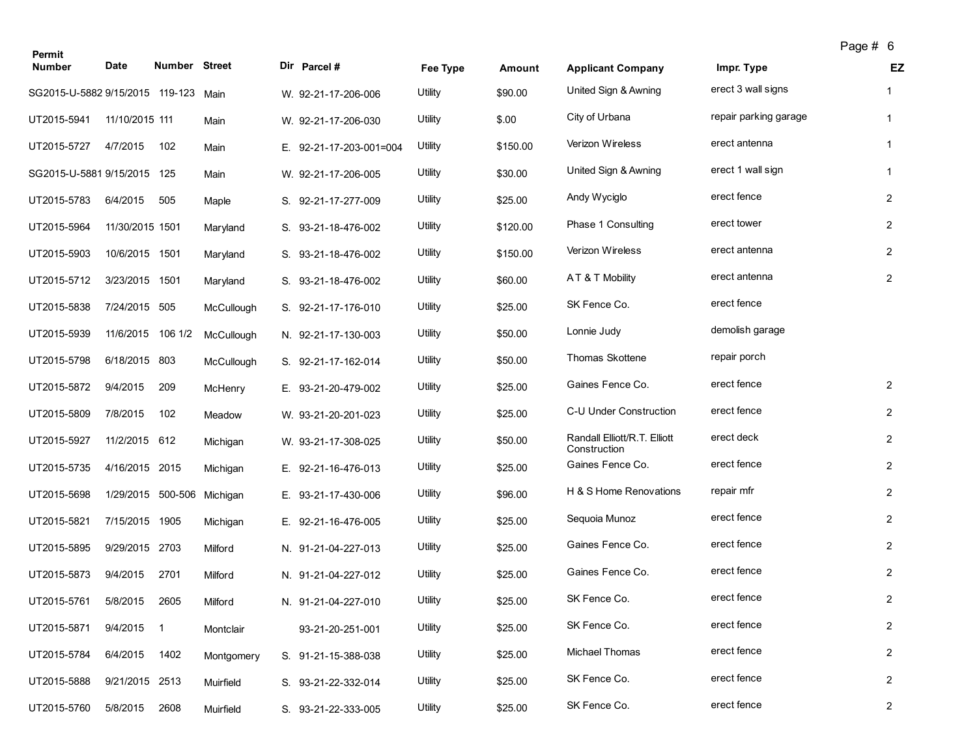| Permit                          |                 |                            |            |                         |          |          |                                              |                       | Page # 6 |                |
|---------------------------------|-----------------|----------------------------|------------|-------------------------|----------|----------|----------------------------------------------|-----------------------|----------|----------------|
| <b>Number</b>                   | Date            | Number Street              |            | Dir Parcel#             | Fee Type | Amount   | <b>Applicant Company</b>                     | Impr. Type            |          | EZ             |
| SG2015-U-5882 9/15/2015 119-123 |                 |                            | Main       | W. 92-21-17-206-006     | Utility  | \$90.00  | United Sign & Awning                         | erect 3 wall signs    |          | $\mathbf{1}$   |
| UT2015-5941                     | 11/10/2015 111  |                            | Main       | W. 92-21-17-206-030     | Utility  | \$.00    | City of Urbana                               | repair parking garage |          | $\mathbf{1}$   |
| UT2015-5727                     | 4/7/2015        | 102                        | Main       | E. 92-21-17-203-001=004 | Utility  | \$150.00 | Verizon Wireless                             | erect antenna         |          | $\mathbf{1}$   |
| SG2015-U-5881 9/15/2015         |                 | 125                        | Main       | W. 92-21-17-206-005     | Utility  | \$30.00  | United Sign & Awning                         | erect 1 wall sign     |          | 1              |
| UT2015-5783                     | 6/4/2015        | 505                        | Maple      | S. 92-21-17-277-009     | Utility  | \$25.00  | Andy Wyciglo                                 | erect fence           |          | $\overline{2}$ |
| UT2015-5964                     | 11/30/2015 1501 |                            | Maryland   | S. 93-21-18-476-002     | Utility  | \$120.00 | Phase 1 Consulting                           | erect tower           |          | $\overline{2}$ |
| UT2015-5903                     | 10/6/2015 1501  |                            | Maryland   | S. 93-21-18-476-002     | Utility  | \$150.00 | Verizon Wireless                             | erect antenna         |          | $\overline{2}$ |
| UT2015-5712                     | 3/23/2015 1501  |                            | Maryland   | S. 93-21-18-476-002     | Utility  | \$60.00  | AT & T Mobility                              | erect antenna         |          | $\overline{2}$ |
| UT2015-5838                     | 7/24/2015 505   |                            | McCullough | S. 92-21-17-176-010     | Utility  | \$25.00  | SK Fence Co.                                 | erect fence           |          |                |
| UT2015-5939                     | 11/6/2015       | 106 1/2                    | McCullough | N. 92-21-17-130-003     | Utility  | \$50.00  | Lonnie Judy                                  | demolish garage       |          |                |
| UT2015-5798                     | 6/18/2015 803   |                            | McCullough | S. 92-21-17-162-014     | Utility  | \$50.00  | Thomas Skottene                              | repair porch          |          |                |
| UT2015-5872                     | 9/4/2015        | 209                        | McHenry    | E. 93-21-20-479-002     | Utility  | \$25.00  | Gaines Fence Co.                             | erect fence           |          | 2              |
| UT2015-5809                     | 7/8/2015        | 102                        | Meadow     | W. 93-21-20-201-023     | Utility  | \$25.00  | C-U Under Construction                       | erect fence           |          | $\overline{2}$ |
| UT2015-5927                     | 11/2/2015 612   |                            | Michigan   | W. 93-21-17-308-025     | Utility  | \$50.00  | Randall Elliott/R.T. Elliott<br>Construction | erect deck            |          | $\overline{c}$ |
| UT2015-5735                     | 4/16/2015 2015  |                            | Michigan   | E. 92-21-16-476-013     | Utility  | \$25.00  | Gaines Fence Co.                             | erect fence           |          | $\overline{2}$ |
| UT2015-5698                     |                 | 1/29/2015 500-506          | Michigan   | E. 93-21-17-430-006     | Utility  | \$96.00  | H & S Home Renovations                       | repair mfr            |          | $\overline{2}$ |
| UT2015-5821                     | 7/15/2015 1905  |                            | Michigan   | E. 92-21-16-476-005     | Utility  | \$25.00  | Sequoia Munoz                                | erect fence           |          | $\overline{2}$ |
| UT2015-5895                     | 9/29/2015 2703  |                            | Milford    | N. 91-21-04-227-013     | Utility  | \$25.00  | Gaines Fence Co.                             | erect fence           |          | $\overline{2}$ |
| UT2015-5873                     | 9/4/2015        | 2701                       | Milford    | N. 91-21-04-227-012     | Utility  | \$25.00  | Gaines Fence Co.                             | erect fence           |          | $\overline{2}$ |
| UT2015-5761                     | 5/8/2015        | 2605                       | Milford    | N. 91-21-04-227-010     | Utility  | \$25.00  | SK Fence Co.                                 | erect fence           |          | $\overline{c}$ |
| UT2015-5871                     | 9/4/2015        | $\overline{\phantom{0}}$ 1 | Montclair  | 93-21-20-251-001        | Utility  | \$25.00  | SK Fence Co.                                 | erect fence           |          | $\overline{c}$ |
| UT2015-5784                     | 6/4/2015        | 1402                       | Montgomery | S. 91-21-15-388-038     | Utility  | \$25.00  | Michael Thomas                               | erect fence           |          | $\overline{c}$ |
| UT2015-5888                     | 9/21/2015 2513  |                            | Muirfield  | S. 93-21-22-332-014     | Utility  | \$25.00  | SK Fence Co.                                 | erect fence           |          | $\overline{2}$ |
| UT2015-5760                     | 5/8/2015        | 2608                       | Muirfield  | S. 93-21-22-333-005     | Utility  | \$25.00  | SK Fence Co.                                 | erect fence           |          | $\overline{2}$ |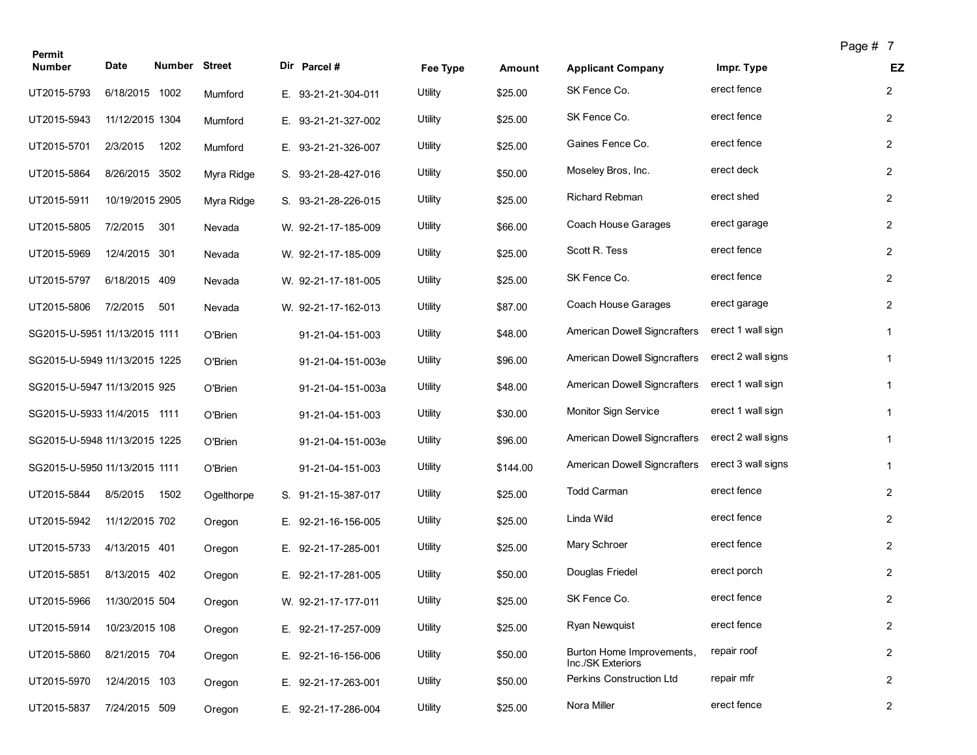| Permit                        |                 |               |            |                     |          |          |                                                |                    | Page # 7 |                         |
|-------------------------------|-----------------|---------------|------------|---------------------|----------|----------|------------------------------------------------|--------------------|----------|-------------------------|
| <b>Number</b>                 | <b>Date</b>     | Number Street |            | Dir Parcel#         | Fee Type | Amount   | <b>Applicant Company</b>                       | Impr. Type         |          | EZ                      |
| UT2015-5793                   | 6/18/2015 1002  |               | Mumford    | E. 93-21-21-304-011 | Utility  | \$25.00  | SK Fence Co.                                   | erect fence        |          | $\overline{2}$          |
| UT2015-5943                   | 11/12/2015 1304 |               | Mumford    | E. 93-21-21-327-002 | Utility  | \$25.00  | SK Fence Co.                                   | erect fence        |          | $\overline{2}$          |
| UT2015-5701                   | 2/3/2015        | 1202          | Mumford    | E. 93-21-21-326-007 | Utility  | \$25.00  | Gaines Fence Co.                               | erect fence        |          | $\overline{c}$          |
| UT2015-5864                   | 8/26/2015 3502  |               | Myra Ridge | S. 93-21-28-427-016 | Utility  | \$50.00  | Moseley Bros, Inc.                             | erect deck         |          | $\overline{c}$          |
| UT2015-5911                   | 10/19/2015 2905 |               | Myra Ridge | S. 93-21-28-226-015 | Utility  | \$25.00  | Richard Rebman                                 | erect shed         |          | $\overline{c}$          |
| UT2015-5805                   | 7/2/2015        | 301           | Nevada     | W. 92-21-17-185-009 | Utility  | \$66.00  | Coach House Garages                            | erect garage       |          | $\overline{2}$          |
| UT2015-5969                   | 12/4/2015 301   |               | Nevada     | W. 92-21-17-185-009 | Utility  | \$25.00  | Scott R. Tess                                  | erect fence        |          | $\overline{2}$          |
| UT2015-5797                   | 6/18/2015       | 409           | Nevada     | W. 92-21-17-181-005 | Utility  | \$25.00  | SK Fence Co.                                   | erect fence        |          | $\overline{c}$          |
| UT2015-5806                   | 7/2/2015        | 501           | Nevada     | W. 92-21-17-162-013 | Utility  | \$87.00  | Coach House Garages                            | erect garage       |          | $\overline{\mathbf{c}}$ |
| SG2015-U-5951 11/13/2015 1111 |                 |               | O'Brien    | 91-21-04-151-003    | Utility  | \$48.00  | American Dowell Signcrafters                   | erect 1 wall sign  |          | $\mathbf{1}$            |
| SG2015-U-5949 11/13/2015 1225 |                 |               | O'Brien    | 91-21-04-151-003e   | Utility  | \$96.00  | American Dowell Signcrafters                   | erect 2 wall signs |          | 1                       |
| SG2015-U-5947 11/13/2015 925  |                 |               | O'Brien    | 91-21-04-151-003a   | Utility  | \$48.00  | <b>American Dowell Signcrafters</b>            | erect 1 wall sign  |          | $\mathbf{1}$            |
| SG2015-U-5933 11/4/2015 1111  |                 |               | O'Brien    | 91-21-04-151-003    | Utility  | \$30.00  | Monitor Sign Service                           | erect 1 wall sign  |          | 1                       |
| SG2015-U-5948 11/13/2015 1225 |                 |               | O'Brien    | 91-21-04-151-003e   | Utility  | \$96.00  | American Dowell Signcrafters                   | erect 2 wall signs |          | 1                       |
| SG2015-U-5950 11/13/2015 1111 |                 |               | O'Brien    | 91-21-04-151-003    | Utility  | \$144.00 | American Dowell Signcrafters                   | erect 3 wall signs |          | 1                       |
| UT2015-5844                   | 8/5/2015        | 1502          | Ogelthorpe | S. 91-21-15-387-017 | Utility  | \$25.00  | <b>Todd Carman</b>                             | erect fence        |          | $\overline{\mathbf{c}}$ |
| UT2015-5942                   | 11/12/2015 702  |               | Oregon     | E. 92-21-16-156-005 | Utility  | \$25.00  | Linda Wild                                     | erect fence        |          | $\overline{2}$          |
| UT2015-5733                   | 4/13/2015 401   |               | Oregon     | E. 92-21-17-285-001 | Utility  | \$25.00  | Mary Schroer                                   | erect fence        |          | $\overline{2}$          |
| UT2015-5851                   | 8/13/2015 402   |               | Oregon     | E. 92-21-17-281-005 | Utility  | \$50.00  | Douglas Friedel                                | erect porch        |          | $\overline{c}$          |
| UT2015-5966                   | 11/30/2015 504  |               | Oregon     | W. 92-21-17-177-011 | Utility  | \$25.00  | SK Fence Co.                                   | erect fence        |          | $\overline{c}$          |
| UT2015-5914                   | 10/23/2015 108  |               | Oregon     | E. 92-21-17-257-009 | Utility  | \$25.00  | Ryan Newquist                                  | erect fence        |          | $\overline{2}$          |
| UT2015-5860                   | 8/21/2015 704   |               | Oregon     | E. 92-21-16-156-006 | Utility  | \$50.00  | Burton Home Improvements,<br>Inc./SK Exteriors | repair roof        |          | $\overline{2}$          |
| UT2015-5970                   | 12/4/2015 103   |               | Oregon     | E. 92-21-17-263-001 | Utility  | \$50.00  | Perkins Construction Ltd                       | repair mfr         |          | $\mathbf{2}$            |
| UT2015-5837                   | 7/24/2015 509   |               | Oregon     | E. 92-21-17-286-004 | Utility  | \$25.00  | Nora Miller                                    | erect fence        |          | $\overline{2}$          |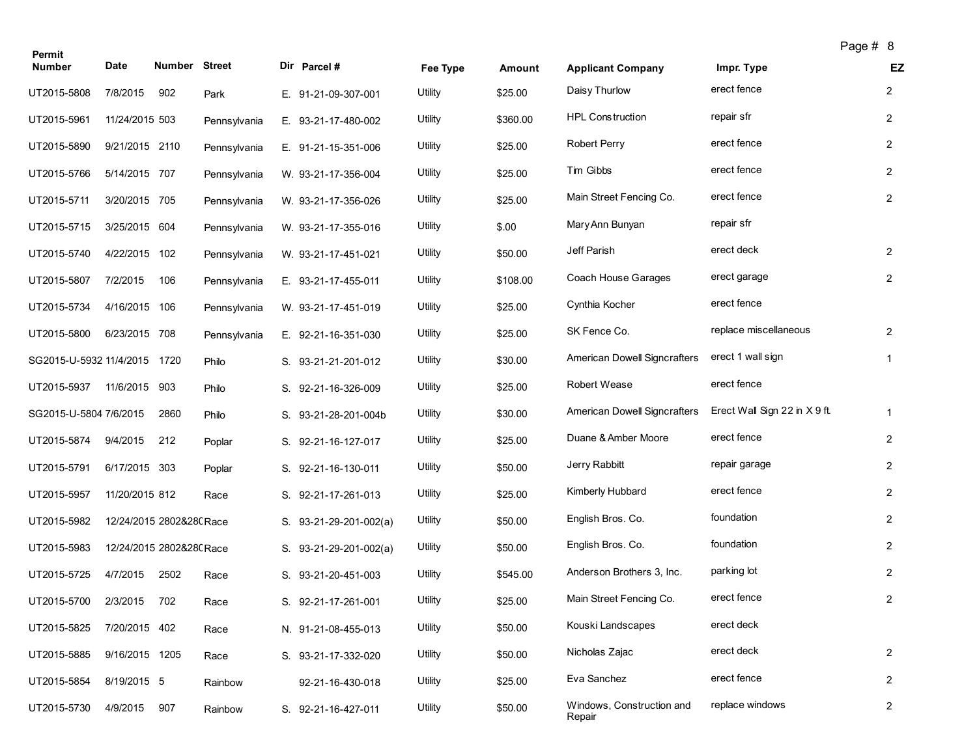| Permit                  |                |                          |              |                          |          |          |                                     |                               | Page # 8 |                |
|-------------------------|----------------|--------------------------|--------------|--------------------------|----------|----------|-------------------------------------|-------------------------------|----------|----------------|
| <b>Number</b>           | <b>Date</b>    | Number Street            |              | Dir Parcel#              | Fee Type | Amount   | <b>Applicant Company</b>            | Impr. Type                    |          | EZ             |
| UT2015-5808             | 7/8/2015       | 902                      | Park         | E. 91-21-09-307-001      | Utility  | \$25.00  | Daisy Thurlow                       | erect fence                   |          | $\mathbf{2}$   |
| UT2015-5961             | 11/24/2015 503 |                          | Pennsylvania | E. 93-21-17-480-002      | Utility  | \$360.00 | <b>HPL Construction</b>             | repair sfr                    |          | $\overline{2}$ |
| UT2015-5890             | 9/21/2015 2110 |                          | Pennsylvania | E. 91-21-15-351-006      | Utility  | \$25.00  | <b>Robert Perry</b>                 | erect fence                   |          | $\overline{2}$ |
| UT2015-5766             | 5/14/2015 707  |                          | Pennsylvania | W. 93-21-17-356-004      | Utility  | \$25.00  | Tim Gibbs                           | erect fence                   |          | $\overline{2}$ |
| UT2015-5711             | 3/20/2015 705  |                          | Pennsylvania | W. 93-21-17-356-026      | Utility  | \$25.00  | Main Street Fencing Co.             | erect fence                   |          | $\overline{2}$ |
| UT2015-5715             | 3/25/2015 604  |                          | Pennsylvania | W. 93-21-17-355-016      | Utility  | \$.00    | Mary Ann Bunyan                     | repair sfr                    |          |                |
| UT2015-5740             | 4/22/2015 102  |                          | Pennsylvania | W. 93-21-17-451-021      | Utility  | \$50.00  | Jeff Parish                         | erect deck                    |          | $\overline{2}$ |
| UT2015-5807             | 7/2/2015       | 106                      | Pennsylvania | E. 93-21-17-455-011      | Utility  | \$108.00 | Coach House Garages                 | erect garage                  |          | $\overline{2}$ |
| UT2015-5734             | 4/16/2015 106  |                          | Pennsylvania | W. 93-21-17-451-019      | Utility  | \$25.00  | Cynthia Kocher                      | erect fence                   |          |                |
| UT2015-5800             | 6/23/2015 708  |                          | Pennsylvania | E. 92-21-16-351-030      | Utility  | \$25.00  | SK Fence Co.                        | replace miscellaneous         |          | $\overline{2}$ |
| SG2015-U-5932 11/4/2015 |                | 1720                     | Philo        | S. 93-21-21-201-012      | Utility  | \$30.00  | American Dowell Signcrafters        | erect 1 wall sign             |          | $\mathbf{1}$   |
| UT2015-5937             | 11/6/2015 903  |                          | Philo        | S. 92-21-16-326-009      | Utility  | \$25.00  | <b>Robert Wease</b>                 | erect fence                   |          |                |
| SG2015-U-5804 7/6/2015  |                | 2860                     | Philo        | S. 93-21-28-201-004b     | Utility  | \$30.00  | American Dowell Signcrafters        | Erect Wall Sign 22 in X 9 ft. |          | $\mathbf{1}$   |
| UT2015-5874             | 9/4/2015       | 212                      | Poplar       | S. 92-21-16-127-017      | Utility  | \$25.00  | Duane & Amber Moore                 | erect fence                   |          | $\overline{2}$ |
| UT2015-5791             | 6/17/2015 303  |                          | Poplar       | S. 92-21-16-130-011      | Utility  | \$50.00  | Jerry Rabbitt                       | repair garage                 |          | $\overline{2}$ |
| UT2015-5957             | 11/20/2015 812 |                          | Race         | S. 92-21-17-261-013      | Utility  | \$25.00  | Kimberly Hubbard                    | erect fence                   |          | $\overline{2}$ |
| UT2015-5982             |                | 12/24/2015 2802&280 Race |              | S. $93-21-29-201-002(a)$ | Utility  | \$50.00  | English Bros. Co.                   | foundation                    |          | $\overline{2}$ |
| UT2015-5983             |                | 12/24/2015 2802&280 Race |              | S. $93-21-29-201-002(a)$ | Utility  | \$50.00  | English Bros. Co.                   | foundation                    |          | $\overline{2}$ |
| UT2015-5725             | 4/7/2015       | 2502                     | Race         | S. 93-21-20-451-003      | Utility  | \$545.00 | Anderson Brothers 3, Inc.           | parking lot                   |          | $\overline{2}$ |
| UT2015-5700             | 2/3/2015       | 702                      | Race         | S. 92-21-17-261-001      | Utility  | \$25.00  | Main Street Fencing Co.             | erect fence                   |          | $\overline{2}$ |
| UT2015-5825             | 7/20/2015 402  |                          | Race         | N. 91-21-08-455-013      | Utility  | \$50.00  | Kouski Landscapes                   | erect deck                    |          |                |
| UT2015-5885             | 9/16/2015 1205 |                          | Race         | S. 93-21-17-332-020      | Utility  | \$50.00  | Nicholas Zajac                      | erect deck                    |          | $\overline{c}$ |
| UT2015-5854             | 8/19/2015 5    |                          | Rainbow      | 92-21-16-430-018         | Utility  | \$25.00  | Eva Sanchez                         | erect fence                   |          | $\overline{2}$ |
| UT2015-5730             | 4/9/2015       | 907                      | Rainbow      | S. 92-21-16-427-011      | Utility  | \$50.00  | Windows, Construction and<br>Repair | replace windows               |          | $\mathbf{2}$   |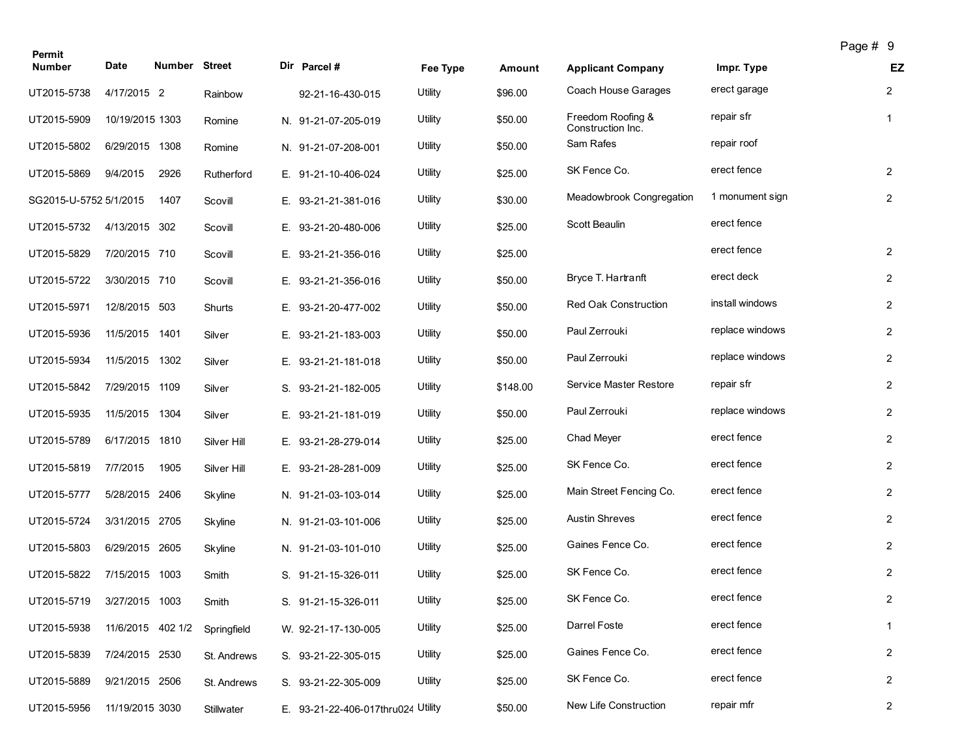| Permit                     |                 |                   |             |                                    |          |          |                                        | r ay <del>c</del> <del>n</del> | ್              |
|----------------------------|-----------------|-------------------|-------------|------------------------------------|----------|----------|----------------------------------------|--------------------------------|----------------|
| <b>Number</b>              | Date            | Number Street     |             | Dir Parcel#                        | Fee Type | Amount   | <b>Applicant Company</b>               | Impr. Type                     | EZ             |
| UT2015-5738                | 4/17/2015 2     |                   | Rainbow     | 92-21-16-430-015                   | Utility  | \$96.00  | Coach House Garages                    | erect garage                   | $\overline{2}$ |
| UT2015-5909                | 10/19/2015 1303 |                   | Romine      | N. 91-21-07-205-019                | Utility  | \$50.00  | Freedom Roofing &<br>Construction Inc. | repair sfr                     | $\mathbf{1}$   |
| UT2015-5802                | 6/29/2015 1308  |                   | Romine      | N. 91-21-07-208-001                | Utility  | \$50.00  | Sam Rafes                              | repair roof                    |                |
| UT2015-5869                | 9/4/2015        | 2926              | Rutherford  | E. 91-21-10-406-024                | Utility  | \$25.00  | SK Fence Co.                           | erect fence                    | $\overline{2}$ |
| SG2015-U-5752 5/1/2015     |                 | 1407              | Scovill     | E. 93-21-21-381-016                | Utility  | \$30.00  | Meadowbrook Congregation               | 1 monument sign                | $\overline{2}$ |
| UT2015-5732                | 4/13/2015 302   |                   | Scovill     | E. 93-21-20-480-006                | Utility  | \$25.00  | Scott Beaulin                          | erect fence                    |                |
| UT2015-5829                | 7/20/2015 710   |                   | Scovill     | E. 93-21-21-356-016                | Utility  | \$25.00  |                                        | erect fence                    | $\overline{2}$ |
| UT2015-5722                | 3/30/2015 710   |                   | Scovill     | E. 93-21-21-356-016                | Utility  | \$50.00  | Bryce T. Hartranft                     | erect deck                     | $\overline{2}$ |
| UT2015-5971                | 12/8/2015 503   |                   | Shurts      | E. 93-21-20-477-002                | Utility  | \$50.00  | Red Oak Construction                   | install windows                | $\overline{2}$ |
| UT2015-5936                | 11/5/2015 1401  |                   | Silver      | E. 93-21-21-183-003                | Utility  | \$50.00  | Paul Zerrouki                          | replace windows                | $\overline{2}$ |
| UT2015-5934                | 11/5/2015 1302  |                   | Silver      | E. 93-21-21-181-018                | Utility  | \$50.00  | Paul Zerrouki                          | replace windows                | $\overline{c}$ |
| UT2015-5842                | 7/29/2015 1109  |                   | Silver      | S. 93-21-21-182-005                | Utility  | \$148.00 | Service Master Restore                 | repair sfr                     | $\overline{2}$ |
| UT2015-5935                | 11/5/2015       | 1304              | Silver      | E. 93-21-21-181-019                | Utility  | \$50.00  | Paul Zerrouki                          | replace windows                | $\overline{2}$ |
| UT2015-5789                | 6/17/2015 1810  |                   | Silver Hill | E. 93-21-28-279-014                | Utility  | \$25.00  | Chad Meyer                             | erect fence                    | $\overline{2}$ |
| UT2015-5819                | 7/7/2015        | 1905              | Silver Hill | E. 93-21-28-281-009                | Utility  | \$25.00  | SK Fence Co.                           | erect fence                    | $\overline{2}$ |
| UT2015-5777                | 5/28/2015 2406  |                   | Skyline     | N. 91-21-03-103-014                | Utility  | \$25.00  | Main Street Fencing Co.                | erect fence                    | $\overline{c}$ |
| UT2015-5724                | 3/31/2015 2705  |                   | Skyline     | N. 91-21-03-101-006                | Utility  | \$25.00  | <b>Austin Shreves</b>                  | erect fence                    | $\overline{2}$ |
| UT2015-5803                | 6/29/2015       | 2605              | Skyline     | N. 91-21-03-101-010                | Utility  | \$25.00  | Gaines Fence Co.                       | erect fence                    | $\overline{2}$ |
| UT2015-5822                | 7/15/2015 1003  |                   | Smith       | S. 91-21-15-326-011                | Utility  | \$25.00  | SK Fence Co.                           | erect fence                    | $\overline{2}$ |
| UT2015-5719 3/27/2015 1003 |                 |                   | Smith       | S. 91-21-15-326-011                | Utility  | \$25.00  | SK Fence Co.                           | erect fence                    | $\overline{2}$ |
| UT2015-5938                |                 | 11/6/2015 402 1/2 | Springfield | W. 92-21-17-130-005                | Utility  | \$25.00  | Darrel Foste                           | erect fence                    | $\mathbf{1}$   |
| UT2015-5839                | 7/24/2015 2530  |                   | St. Andrews | S. 93-21-22-305-015                | Utility  | \$25.00  | Gaines Fence Co.                       | erect fence                    | $\overline{2}$ |
| UT2015-5889                | 9/21/2015 2506  |                   | St. Andrews | S. 93-21-22-305-009                | Utility  | \$25.00  | SK Fence Co.                           | erect fence                    | $\overline{2}$ |
| UT2015-5956                | 11/19/2015 3030 |                   | Stillwater  | E. 93-21-22-406-017thru024 Utility |          | \$50.00  | New Life Construction                  | repair mfr                     | $\overline{c}$ |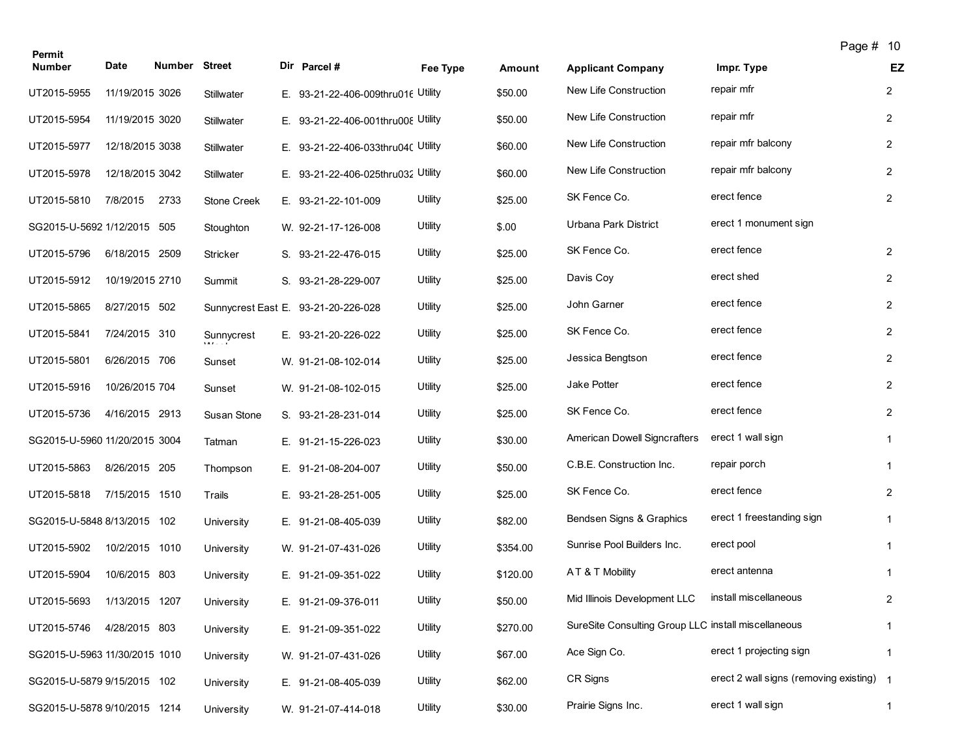| Permit                        |                 |               |                   |                                     |          |               |                                                     | Page # 10                                |                |
|-------------------------------|-----------------|---------------|-------------------|-------------------------------------|----------|---------------|-----------------------------------------------------|------------------------------------------|----------------|
| <b>Number</b>                 | Date            | Number Street |                   | Dir Parcel #                        | Fee Type | <b>Amount</b> | <b>Applicant Company</b>                            | Impr. Type                               | EZ             |
| UT2015-5955                   | 11/19/2015 3026 |               | Stillwater        | E. 93-21-22-406-009thru016 Utility  |          | \$50.00       | New Life Construction                               | repair mfr                               | $\overline{2}$ |
| UT2015-5954                   | 11/19/2015 3020 |               | Stillwater        | E. 93-21-22-406-001thru008 Utility  |          | \$50.00       | New Life Construction                               | repair mfr                               | $\overline{2}$ |
| UT2015-5977                   | 12/18/2015 3038 |               | <b>Stillwater</b> | E. 93-21-22-406-033thru040 Utility  |          | \$60.00       | New Life Construction                               | repair mfr balcony                       | $\overline{2}$ |
| UT2015-5978                   | 12/18/2015 3042 |               | <b>Stillwater</b> | E. 93-21-22-406-025thru032 Utility  |          | \$60.00       | New Life Construction                               | repair mfr balcony                       | $\overline{2}$ |
| UT2015-5810                   | 7/8/2015        | 2733          | Stone Creek       | E. 93-21-22-101-009                 | Utility  | \$25.00       | SK Fence Co.                                        | erect fence                              | $\overline{2}$ |
| SG2015-U-5692 1/12/2015 505   |                 |               | Stoughton         | W. 92-21-17-126-008                 | Utility  | \$.00         | Urbana Park District                                | erect 1 monument sign                    |                |
| UT2015-5796                   | 6/18/2015 2509  |               | <b>Stricker</b>   | S. 93-21-22-476-015                 | Utility  | \$25.00       | SK Fence Co.                                        | erect fence                              | $\overline{2}$ |
| UT2015-5912                   | 10/19/2015 2710 |               | Summit            | S. 93-21-28-229-007                 | Utility  | \$25.00       | Davis Coy                                           | erect shed                               | $\overline{2}$ |
| UT2015-5865                   | 8/27/2015 502   |               |                   | Sunnycrest East E. 93-21-20-226-028 | Utility  | \$25.00       | John Garner                                         | erect fence                              | $\overline{2}$ |
| UT2015-5841                   | 7/24/2015 310   |               | Sunnycrest        | E. 93-21-20-226-022                 | Utility  | \$25.00       | SK Fence Co.                                        | erect fence                              | $\overline{2}$ |
| UT2015-5801                   | 6/26/2015 706   |               | Sunset            | W. 91-21-08-102-014                 | Utility  | \$25.00       | Jessica Bengtson                                    | erect fence                              | $\overline{2}$ |
| UT2015-5916                   | 10/26/2015 704  |               | Sunset            | W. 91-21-08-102-015                 | Utility  | \$25.00       | Jake Potter                                         | erect fence                              | $\overline{2}$ |
| UT2015-5736                   | 4/16/2015 2913  |               | Susan Stone       | S. 93-21-28-231-014                 | Utility  | \$25.00       | SK Fence Co.                                        | erect fence                              | $\overline{2}$ |
| SG2015-U-5960 11/20/2015 3004 |                 |               | Tatman            | E. 91-21-15-226-023                 | Utility  | \$30.00       | American Dowell Signcrafters                        | erect 1 wall sign                        | 1              |
| UT2015-5863                   | 8/26/2015 205   |               | Thompson          | E. 91-21-08-204-007                 | Utility  | \$50.00       | C.B.E. Construction Inc.                            | repair porch                             | $\mathbf{1}$   |
| UT2015-5818                   | 7/15/2015 1510  |               | Trails            | E. 93-21-28-251-005                 | Utility  | \$25.00       | SK Fence Co.                                        | erect fence                              | $\overline{2}$ |
| SG2015-U-5848 8/13/2015 102   |                 |               | University        | E. 91-21-08-405-039                 | Utility  | \$82.00       | Bendsen Signs & Graphics                            | erect 1 freestanding sign                | $\mathbf{1}$   |
| UT2015-5902                   | 10/2/2015 1010  |               | University        | W. 91-21-07-431-026                 | Utility  | \$354.00      | Sunrise Pool Builders Inc.                          | erect pool                               | $\mathbf{1}$   |
| UT2015-5904                   | 10/6/2015 803   |               | University        | E. 91-21-09-351-022                 | Utility  | \$120.00      | AT & T Mobility                                     | erect antenna                            | $\mathbf{1}$   |
| UT2015-5693                   | 1/13/2015 1207  |               | University        | E. 91-21-09-376-011                 | Utility  | \$50.00       | Mid Illinois Development LLC                        | install miscellaneous                    | $\overline{c}$ |
| UT2015-5746                   | 4/28/2015 803   |               | University        | E. 91-21-09-351-022                 | Utility  | \$270.00      | SureSite Consulting Group LLC install miscellaneous |                                          | 1              |
| SG2015-U-5963 11/30/2015 1010 |                 |               | University        | W. 91-21-07-431-026                 | Utility  | \$67.00       | Ace Sign Co.                                        | erect 1 projecting sign                  | 1              |
| SG2015-U-5879 9/15/2015 102   |                 |               | University        | E. 91-21-08-405-039                 | Utility  | \$62.00       | CR Signs                                            | erect 2 wall signs (removing existing) 1 |                |
| SG2015-U-5878 9/10/2015 1214  |                 |               | University        | W. 91-21-07-414-018                 | Utility  | \$30.00       | Prairie Signs Inc.                                  | erect 1 wall sign                        | $\mathbf{1}$   |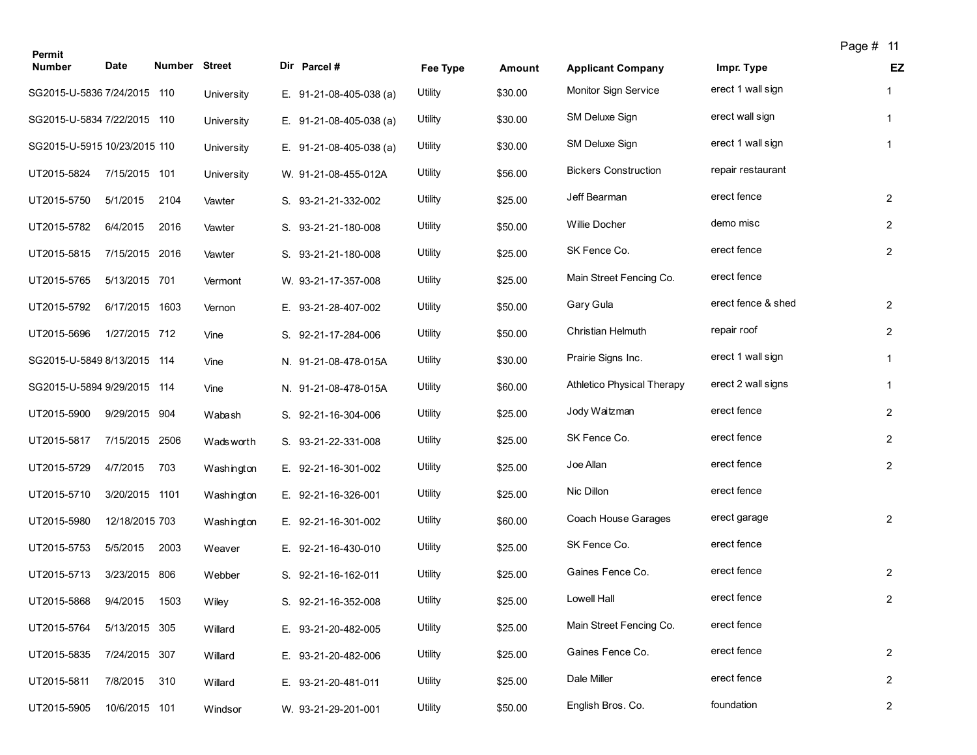| Permit                       |                |               |            |                           |          |               |                                   | Page # 11          |                |
|------------------------------|----------------|---------------|------------|---------------------------|----------|---------------|-----------------------------------|--------------------|----------------|
| <b>Number</b>                | Date           | Number Street |            | Dir Parcel #              | Fee Type | <b>Amount</b> | <b>Applicant Company</b>          | Impr. Type         | EZ             |
| SG2015-U-5836 7/24/2015 110  |                |               | University | E. $91-21-08-405-038$ (a) | Utility  | \$30.00       | Monitor Sign Service              | erect 1 wall sign  | $\mathbf{1}$   |
| SG2015-U-5834 7/22/2015 110  |                |               | University | E. $91-21-08-405-038$ (a) | Utility  | \$30.00       | SM Deluxe Sign                    | erect wall sign    | $\mathbf{1}$   |
| SG2015-U-5915 10/23/2015 110 |                |               | University | E. $91-21-08-405-038$ (a) | Utility  | \$30.00       | <b>SM Deluxe Sign</b>             | erect 1 wall sign  | $\mathbf{1}$   |
| UT2015-5824                  | 7/15/2015 101  |               | University | W. 91-21-08-455-012A      | Utility  | \$56.00       | <b>Bickers Construction</b>       | repair restaurant  |                |
| UT2015-5750                  | 5/1/2015       | 2104          | Vawter     | S. 93-21-21-332-002       | Utility  | \$25.00       | Jeff Bearman                      | erect fence        | $\overline{2}$ |
| UT2015-5782                  | 6/4/2015       | 2016          | Vawter     | S. 93-21-21-180-008       | Utility  | \$50.00       | <b>Willie Docher</b>              | demo misc          | $\overline{2}$ |
| UT2015-5815                  | 7/15/2015 2016 |               | Vawter     | S. 93-21-21-180-008       | Utility  | \$25.00       | SK Fence Co.                      | erect fence        | $\overline{2}$ |
| UT2015-5765                  | 5/13/2015 701  |               | Vermont    | W. 93-21-17-357-008       | Utility  | \$25.00       | Main Street Fencing Co.           | erect fence        |                |
| UT2015-5792                  | 6/17/2015 1603 |               | Vernon     | E. 93-21-28-407-002       | Utility  | \$50.00       | Gary Gula                         | erect fence & shed | $\overline{2}$ |
| UT2015-5696                  | 1/27/2015 712  |               | Vine       | S. 92-21-17-284-006       | Utility  | \$50.00       | Christian Helmuth                 | repair roof        | $\overline{2}$ |
| SG2015-U-5849 8/13/2015 114  |                |               | Vine       | N. 91-21-08-478-015A      | Utility  | \$30.00       | Prairie Signs Inc.                | erect 1 wall sign  | $\mathbf{1}$   |
| SG2015-U-5894 9/29/2015 114  |                |               | Vine       | N. 91-21-08-478-015A      | Utility  | \$60.00       | <b>Athletico Physical Therapy</b> | erect 2 wall signs | 1              |
| UT2015-5900                  | 9/29/2015 904  |               | Wabash     | S. 92-21-16-304-006       | Utility  | \$25.00       | Jody Waitzman                     | erect fence        | $\overline{2}$ |
| UT2015-5817                  | 7/15/2015 2506 |               | Wads worth | S. 93-21-22-331-008       | Utility  | \$25.00       | SK Fence Co.                      | erect fence        | $\overline{2}$ |
| UT2015-5729                  | 4/7/2015       | 703           | Washington | E. 92-21-16-301-002       | Utility  | \$25.00       | Joe Allan                         | erect fence        | $\overline{2}$ |
| UT2015-5710                  | 3/20/2015 1101 |               | Washington | E. 92-21-16-326-001       | Utility  | \$25.00       | Nic Dillon                        | erect fence        |                |
| UT2015-5980                  | 12/18/2015 703 |               | Washington | E. 92-21-16-301-002       | Utility  | \$60.00       | Coach House Garages               | erect garage       | $\overline{2}$ |
| UT2015-5753                  | 5/5/2015       | 2003          | Weaver     | E. 92-21-16-430-010       | Utility  | \$25.00       | SK Fence Co.                      | erect fence        |                |
| UT2015-5713                  | 3/23/2015 806  |               | Webber     | S. 92-21-16-162-011       | Utility  | \$25.00       | Gaines Fence Co.                  | erect fence        | $\overline{2}$ |
| UT2015-5868                  | 9/4/2015       | 1503          | Wiley      | S. 92-21-16-352-008       | Utility  | \$25.00       | Lowell Hall                       | erect fence        | $\overline{2}$ |
| UT2015-5764                  | 5/13/2015 305  |               | Willard    | E. 93-21-20-482-005       | Utility  | \$25.00       | Main Street Fencing Co.           | erect fence        |                |
| UT2015-5835                  | 7/24/2015 307  |               | Willard    | E. 93-21-20-482-006       | Utility  | \$25.00       | Gaines Fence Co.                  | erect fence        | $\overline{2}$ |
| UT2015-5811                  | 7/8/2015       | 310           | Willard    | E. 93-21-20-481-011       | Utility  | \$25.00       | Dale Miller                       | erect fence        | $\overline{2}$ |
| UT2015-5905                  | 10/6/2015 101  |               | Windsor    | W. 93-21-29-201-001       | Utility  | \$50.00       | English Bros. Co.                 | foundation         | $\overline{2}$ |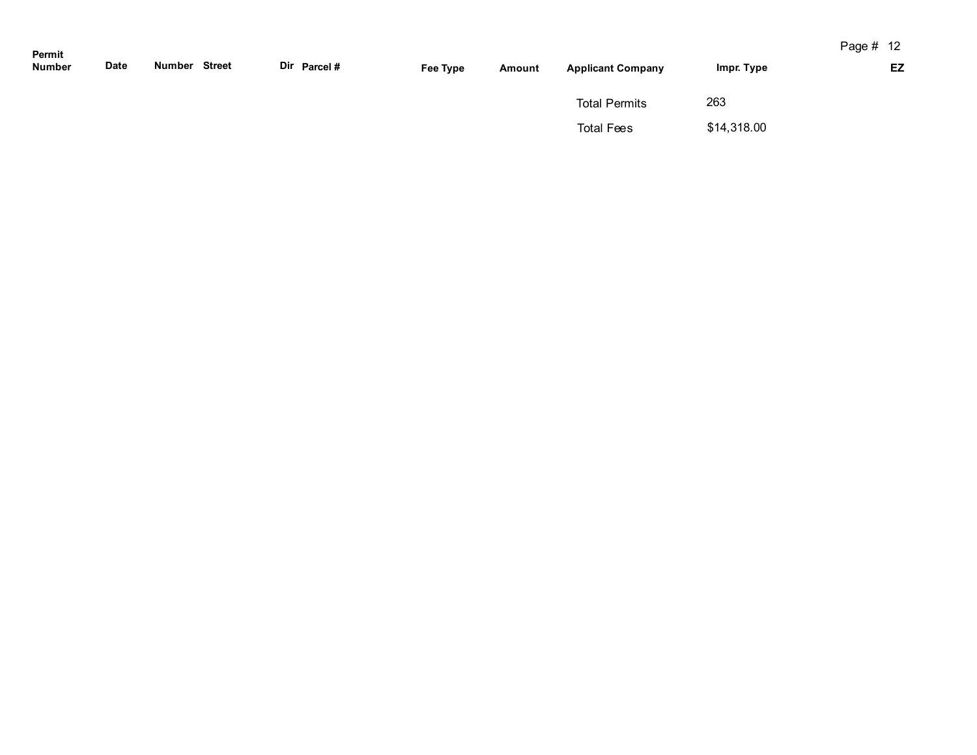| Paqe # | 12 |
|--------|----|
|        |    |

| Permit<br><b>Number</b> | Date | Number | <b>Street</b> | Dir Parcel # | Fee Type | Amount | <b>Applicant Company</b> | Impr. Type  | EZ |
|-------------------------|------|--------|---------------|--------------|----------|--------|--------------------------|-------------|----|
|                         |      |        |               |              |          |        | <b>Total Permits</b>     | 263         |    |
|                         |      |        |               |              |          |        | <b>Total Fees</b>        | \$14,318.00 |    |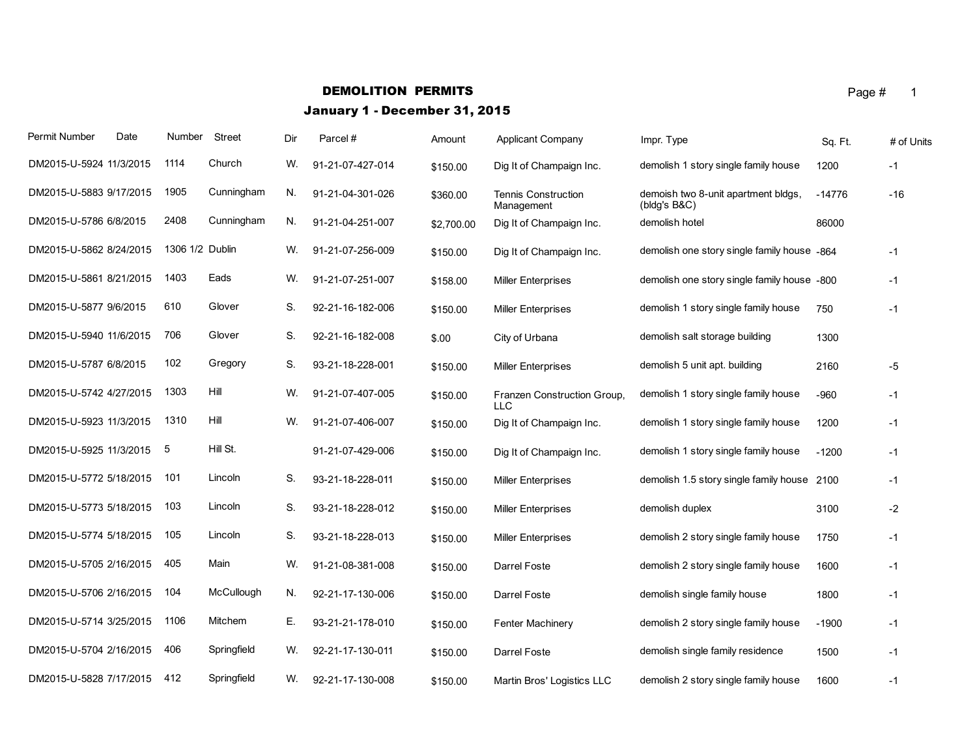## DEMOLITION PERMITS **Page 4** 1

| Permit Number           | Date | Number          | Street      | Dir | Parcel#          | Amount     | <b>Applicant Company</b>                  | Impr. Type                                          | Sq. Ft.  | # of Units |
|-------------------------|------|-----------------|-------------|-----|------------------|------------|-------------------------------------------|-----------------------------------------------------|----------|------------|
| DM2015-U-5924 11/3/2015 |      | 1114            | Church      | W.  | 91-21-07-427-014 | \$150.00   | Dig It of Champaign Inc.                  | demolish 1 story single family house                | 1200     | -1         |
| DM2015-U-5883 9/17/2015 |      | 1905            | Cunningham  | N.  | 91-21-04-301-026 | \$360.00   | <b>Tennis Construction</b><br>Management  | demoish two 8-unit apartment bldgs,<br>(bldg's B&C) | $-14776$ | $-16$      |
| DM2015-U-5786 6/8/2015  |      | 2408            | Cunningham  | N.  | 91-21-04-251-007 | \$2,700.00 | Dig It of Champaign Inc.                  | demolish hotel                                      | 86000    |            |
| DM2015-U-5862 8/24/2015 |      | 1306 1/2 Dublin |             | W.  | 91-21-07-256-009 | \$150.00   | Dig It of Champaign Inc.                  | demolish one story single family house -864         |          | -1         |
| DM2015-U-5861 8/21/2015 |      | 1403            | Eads        | W.  | 91-21-07-251-007 | \$158.00   | <b>Miller Enterprises</b>                 | demolish one story single family house -800         |          | $-1$       |
| DM2015-U-5877 9/6/2015  |      | 610             | Glover      | S.  | 92-21-16-182-006 | \$150.00   | <b>Miller Enterprises</b>                 | demolish 1 story single family house                | 750      | $-1$       |
| DM2015-U-5940 11/6/2015 |      | 706             | Glover      | S.  | 92-21-16-182-008 | \$.00      | City of Urbana                            | demolish salt storage building                      | 1300     |            |
| DM2015-U-5787 6/8/2015  |      | 102             | Gregory     | S.  | 93-21-18-228-001 | \$150.00   | <b>Miller Enterprises</b>                 | demolish 5 unit apt. building                       | 2160     | -5         |
| DM2015-U-5742 4/27/2015 |      | 1303            | Hill        | W.  | 91-21-07-407-005 | \$150.00   | Franzen Construction Group,<br><b>LLC</b> | demolish 1 story single family house                | $-960$   | $-1$       |
| DM2015-U-5923 11/3/2015 |      | 1310            | Hill        | W.  | 91-21-07-406-007 | \$150.00   | Dig It of Champaign Inc.                  | demolish 1 story single family house                | 1200     | $-1$       |
| DM2015-U-5925 11/3/2015 |      | 5               | Hill St.    |     | 91-21-07-429-006 | \$150.00   | Dig It of Champaign Inc.                  | demolish 1 story single family house                | $-1200$  | $-1$       |
| DM2015-U-5772 5/18/2015 |      | 101             | Lincoln     | S.  | 93-21-18-228-011 | \$150.00   | <b>Miller Enterprises</b>                 | demolish 1.5 story single family house 2100         |          | $-1$       |
| DM2015-U-5773 5/18/2015 |      | 103             | Lincoln     | S.  | 93-21-18-228-012 | \$150.00   | <b>Miller Enterprises</b>                 | demolish duplex                                     | 3100     | $-2$       |
| DM2015-U-5774 5/18/2015 |      | 105             | Lincoln     | S.  | 93-21-18-228-013 | \$150.00   | <b>Miller Enterprises</b>                 | demolish 2 story single family house                | 1750     | -1         |
| DM2015-U-5705 2/16/2015 |      | 405             | Main        | W.  | 91-21-08-381-008 | \$150.00   | Darrel Foste                              | demolish 2 story single family house                | 1600     | $-1$       |
| DM2015-U-5706 2/16/2015 |      | 104             | McCullough  | N.  | 92-21-17-130-006 | \$150.00   | Darrel Foste                              | demolish single family house                        | 1800     | $-1$       |
| DM2015-U-5714 3/25/2015 |      | 1106            | Mitchem     | Е.  | 93-21-21-178-010 | \$150.00   | <b>Fenter Machinery</b>                   | demolish 2 story single family house                | $-1900$  | $-1$       |
| DM2015-U-5704 2/16/2015 |      | 406             | Springfield | W.  | 92-21-17-130-011 | \$150.00   | Darrel Foste                              | demolish single family residence                    | 1500     | $-1$       |
| DM2015-U-5828 7/17/2015 |      | 412             | Springfield | W.  | 92-21-17-130-008 | \$150.00   | Martin Bros' Logistics LLC                | demolish 2 story single family house                | 1600     | $-1$       |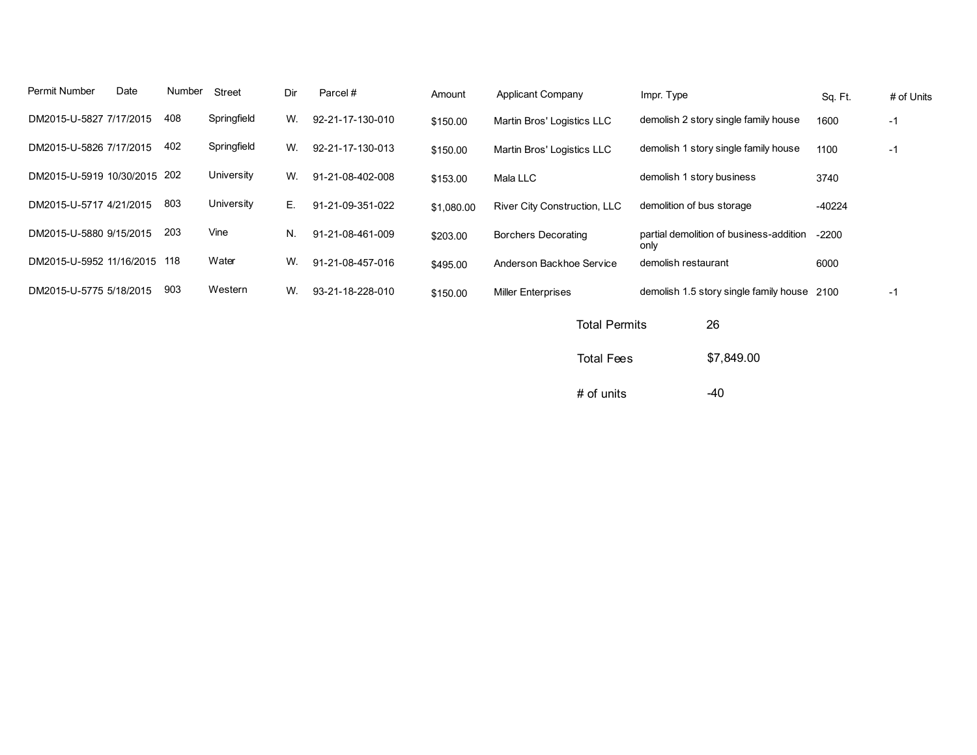| Permit Number                | Date | Number | <b>Street</b> | Dir | Parcel#          | Amount     | <b>Applicant Company</b>     |                      | Impr. Type                |                                             | Sq. Ft. | # of Units |
|------------------------------|------|--------|---------------|-----|------------------|------------|------------------------------|----------------------|---------------------------|---------------------------------------------|---------|------------|
| DM2015-U-5827 7/17/2015      |      | 408    | Springfield   | W.  | 92-21-17-130-010 | \$150.00   | Martin Bros' Logistics LLC   |                      |                           | demolish 2 story single family house        | 1600    | $-1$       |
| DM2015-U-5826 7/17/2015      |      | 402    | Springfield   | W.  | 92-21-17-130-013 | \$150.00   | Martin Bros' Logistics LLC   |                      |                           | demolish 1 story single family house        | 1100    | $-1$       |
| DM2015-U-5919 10/30/2015 202 |      |        | University    | W.  | 91-21-08-402-008 | \$153.00   | Mala LLC                     |                      | demolish 1 story business |                                             | 3740    |            |
| DM2015-U-5717 4/21/2015      |      | 803    | University    | Е.  | 91-21-09-351-022 | \$1,080.00 | River City Construction, LLC |                      | demolition of bus storage |                                             | -40224  |            |
| DM2015-U-5880 9/15/2015      |      | 203    | Vine          | N.  | 91-21-08-461-009 | \$203.00   | <b>Borchers Decorating</b>   |                      | only                      | partial demolition of business-addition     | $-2200$ |            |
| DM2015-U-5952 11/16/2015     |      | 118    | Water         | W.  | 91-21-08-457-016 | \$495.00   | Anderson Backhoe Service     |                      | demolish restaurant       |                                             | 6000    |            |
| DM2015-U-5775 5/18/2015      |      | 903    | Western       | W.  | 93-21-18-228-010 | \$150.00   | <b>Miller Enterprises</b>    |                      |                           | demolish 1.5 story single family house 2100 |         | $-1$       |
|                              |      |        |               |     |                  |            |                              | <b>Total Permits</b> |                           | 26                                          |         |            |
|                              |      |        |               |     |                  |            |                              | <b>Total Fees</b>    |                           | \$7,849.00                                  |         |            |

 $# of units$   $-40$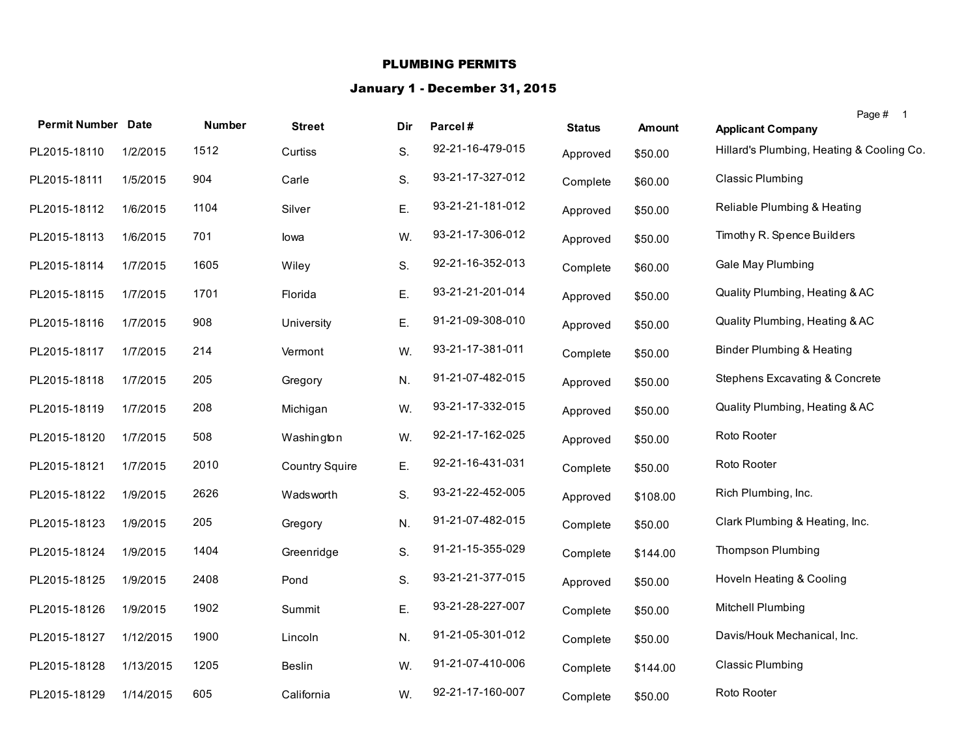### PLUMBING PERMITS

|                           |           |               |                       |     |                  |               |               | Page # 1                                  |
|---------------------------|-----------|---------------|-----------------------|-----|------------------|---------------|---------------|-------------------------------------------|
| <b>Permit Number Date</b> |           | <b>Number</b> | <b>Street</b>         | Dir | Parcel#          | <b>Status</b> | <b>Amount</b> | <b>Applicant Company</b>                  |
| PL2015-18110              | 1/2/2015  | 1512          | Curtiss               | S.  | 92-21-16-479-015 | Approved      | \$50.00       | Hillard's Plumbing, Heating & Cooling Co. |
| PL2015-18111              | 1/5/2015  | 904           | Carle                 | S.  | 93-21-17-327-012 | Complete      | \$60.00       | Classic Plumbing                          |
| PL2015-18112              | 1/6/2015  | 1104          | Silver                | Ε.  | 93-21-21-181-012 | Approved      | \$50.00       | Reliable Plumbing & Heating               |
| PL2015-18113              | 1/6/2015  | 701           | lowa                  | W.  | 93-21-17-306-012 | Approved      | \$50.00       | Timothy R. Spence Builders                |
| PL2015-18114              | 1/7/2015  | 1605          | Wiley                 | S.  | 92-21-16-352-013 | Complete      | \$60.00       | Gale May Plumbing                         |
| PL2015-18115              | 1/7/2015  | 1701          | Florida               | Ε.  | 93-21-21-201-014 | Approved      | \$50.00       | Quality Plumbing, Heating & AC            |
| PL2015-18116              | 1/7/2015  | 908           | University            | Ε.  | 91-21-09-308-010 | Approved      | \$50.00       | Quality Plumbing, Heating & AC            |
| PL2015-18117              | 1/7/2015  | 214           | Vermont               | W.  | 93-21-17-381-011 | Complete      | \$50.00       | Binder Plumbing & Heating                 |
| PL2015-18118              | 1/7/2015  | 205           | Gregory               | N.  | 91-21-07-482-015 | Approved      | \$50.00       | Stephens Excavating & Concrete            |
| PL2015-18119              | 1/7/2015  | 208           | Michigan              | W.  | 93-21-17-332-015 | Approved      | \$50.00       | Quality Plumbing, Heating & AC            |
| PL2015-18120              | 1/7/2015  | 508           | Washington            | W.  | 92-21-17-162-025 | Approved      | \$50.00       | Roto Rooter                               |
| PL2015-18121              | 1/7/2015  | 2010          | <b>Country Squire</b> | Ε.  | 92-21-16-431-031 | Complete      | \$50.00       | Roto Rooter                               |
| PL2015-18122              | 1/9/2015  | 2626          | Wadsworth             | S.  | 93-21-22-452-005 | Approved      | \$108.00      | Rich Plumbing, Inc.                       |
| PL2015-18123              | 1/9/2015  | 205           | Gregory               | N.  | 91-21-07-482-015 | Complete      | \$50.00       | Clark Plumbing & Heating, Inc.            |
| PL2015-18124              | 1/9/2015  | 1404          | Greenridge            | S.  | 91-21-15-355-029 | Complete      | \$144.00      | <b>Thompson Plumbing</b>                  |
| PL2015-18125              | 1/9/2015  | 2408          | Pond                  | S.  | 93-21-21-377-015 | Approved      | \$50.00       | Hoveln Heating & Cooling                  |
| PL2015-18126              | 1/9/2015  | 1902          | Summit                | Ε.  | 93-21-28-227-007 | Complete      | \$50.00       | Mitchell Plumbing                         |
| PL2015-18127              | 1/12/2015 | 1900          | Lincoln               | N.  | 91-21-05-301-012 | Complete      | \$50.00       | Davis/Houk Mechanical, Inc.               |
| PL2015-18128              | 1/13/2015 | 1205          | <b>Beslin</b>         | W.  | 91-21-07-410-006 | Complete      | \$144.00      | <b>Classic Plumbing</b>                   |
| PL2015-18129              | 1/14/2015 | 605           | California            | W.  | 92-21-17-160-007 | Complete      | \$50.00       | Roto Rooter                               |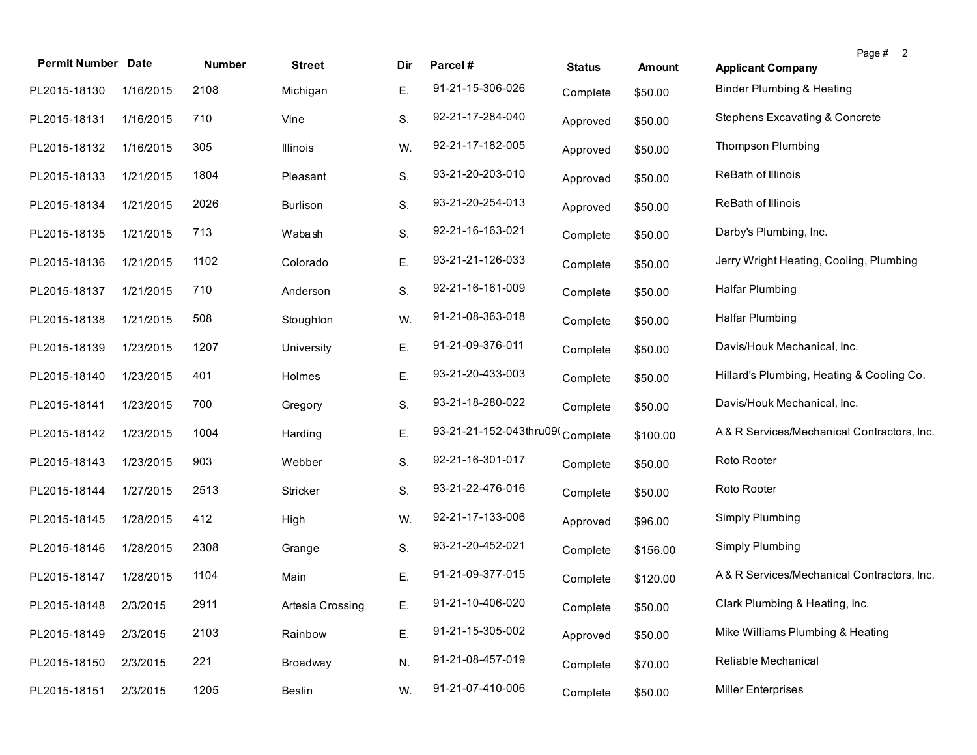| <b>Permit Number Date</b> |           | Number | <b>Street</b>    | Dir | Parcel#                         | <b>Status</b> | Amount   | Page # 2<br><b>Applicant Company</b>       |
|---------------------------|-----------|--------|------------------|-----|---------------------------------|---------------|----------|--------------------------------------------|
| PL2015-18130              | 1/16/2015 | 2108   | Michigan         | Е.  | 91-21-15-306-026                | Complete      | \$50.00  | <b>Binder Plumbing &amp; Heating</b>       |
| PL2015-18131              | 1/16/2015 | 710    | Vine             | S.  | 92-21-17-284-040                | Approved      | \$50.00  | <b>Stephens Excavating &amp; Concrete</b>  |
| PL2015-18132              | 1/16/2015 | 305    | Illinois         | W.  | 92-21-17-182-005                | Approved      | \$50.00  | Thompson Plumbing                          |
| PL2015-18133              | 1/21/2015 | 1804   | Pleasant         | S.  | 93-21-20-203-010                | Approved      | \$50.00  | ReBath of Illinois                         |
| PL2015-18134              | 1/21/2015 | 2026   | <b>Burlison</b>  | S.  | 93-21-20-254-013                | Approved      | \$50.00  | ReBath of Illinois                         |
| PL2015-18135              | 1/21/2015 | 713    | Wabash           | S.  | 92-21-16-163-021                | Complete      | \$50.00  | Darby's Plumbing, Inc.                     |
| PL2015-18136              | 1/21/2015 | 1102   | Colorado         | Ε.  | 93-21-21-126-033                | Complete      | \$50.00  | Jerry Wright Heating, Cooling, Plumbing    |
| PL2015-18137              | 1/21/2015 | 710    | Anderson         | S.  | 92-21-16-161-009                | Complete      | \$50.00  | <b>Halfar Plumbing</b>                     |
| PL2015-18138              | 1/21/2015 | 508    | Stoughton        | W.  | 91-21-08-363-018                | Complete      | \$50.00  | <b>Halfar Plumbing</b>                     |
| PL2015-18139              | 1/23/2015 | 1207   | University       | Ε.  | 91-21-09-376-011                | Complete      | \$50.00  | Davis/Houk Mechanical, Inc.                |
| PL2015-18140              | 1/23/2015 | 401    | Holmes           | Ε.  | 93-21-20-433-003                | Complete      | \$50.00  | Hillard's Plumbing, Heating & Cooling Co.  |
| PL2015-18141              | 1/23/2015 | 700    | Gregory          | S.  | 93-21-18-280-022                | Complete      | \$50.00  | Davis/Houk Mechanical, Inc.                |
| PL2015-18142              | 1/23/2015 | 1004   | Harding          | Ε.  | 93-21-21-152-043thru09(Complete |               | \$100.00 | A& R Services/Mechanical Contractors, Inc. |
| PL2015-18143              | 1/23/2015 | 903    | Webber           | S.  | 92-21-16-301-017                | Complete      | \$50.00  | Roto Rooter                                |
| PL2015-18144              | 1/27/2015 | 2513   | <b>Stricker</b>  | S.  | 93-21-22-476-016                | Complete      | \$50.00  | Roto Rooter                                |
| PL2015-18145              | 1/28/2015 | 412    | High             | W.  | 92-21-17-133-006                | Approved      | \$96.00  | Simply Plumbing                            |
| PL2015-18146              | 1/28/2015 | 2308   | Grange           | S.  | 93-21-20-452-021                | Complete      | \$156.00 | Simply Plumbing                            |
| PL2015-18147              | 1/28/2015 | 1104   | Main             | Е.  | 91-21-09-377-015                | Complete      | \$120.00 | A& R Services/Mechanical Contractors, Inc. |
| PL2015-18148 2/3/2015     |           | 2911   | Artesia Crossing | Ε.  | 91-21-10-406-020                | Complete      | \$50.00  | Clark Plumbing & Heating, Inc.             |
| PL2015-18149              | 2/3/2015  | 2103   | Rainbow          | Ε.  | 91-21-15-305-002                | Approved      | \$50.00  | Mike Williams Plumbing & Heating           |
| PL2015-18150              | 2/3/2015  | 221    | Broadway         | N.  | 91-21-08-457-019                | Complete      | \$70.00  | Reliable Mechanical                        |
| PL2015-18151              | 2/3/2015  | 1205   | Beslin           | W.  | 91-21-07-410-006                | Complete      | \$50.00  | <b>Miller Enterprises</b>                  |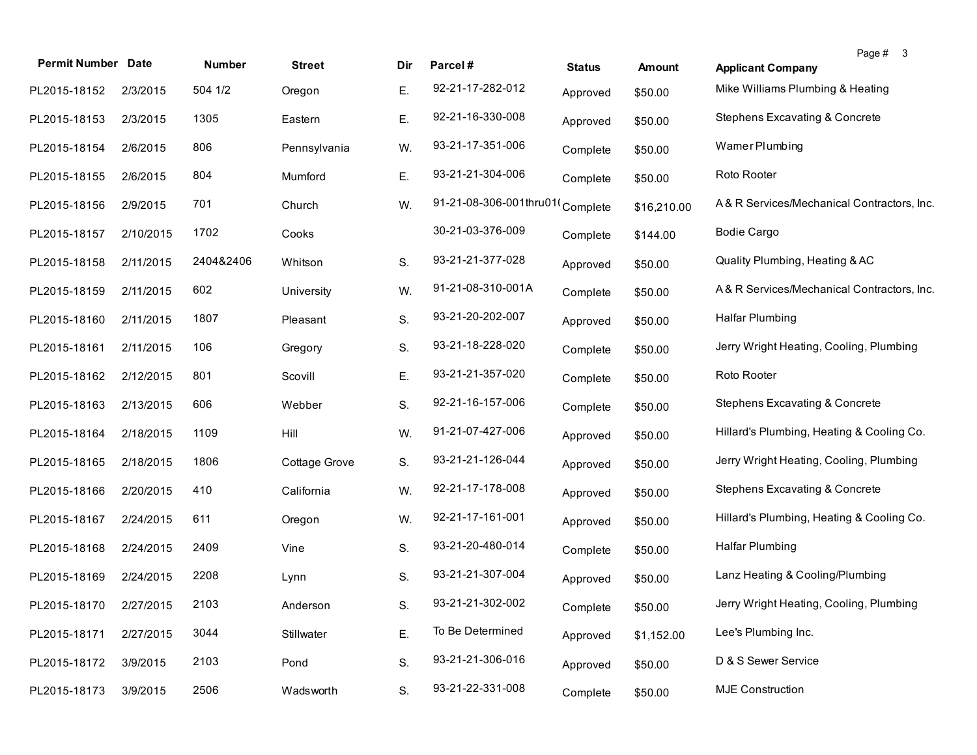| <b>Permit Number Date</b> |           | Number    | <b>Street</b> | Dir. | Parcel#                         | <b>Status</b> | <b>Amount</b> | Page # 3<br><b>Applicant Company</b>       |
|---------------------------|-----------|-----------|---------------|------|---------------------------------|---------------|---------------|--------------------------------------------|
| PL2015-18152              | 2/3/2015  | 504 1/2   | Oregon        | Е.   | 92-21-17-282-012                | Approved      | \$50.00       | Mike Williams Plumbing & Heating           |
| PL2015-18153              | 2/3/2015  | 1305      | Eastern       | Ε.   | 92-21-16-330-008                | Approved      | \$50.00       | Stephens Excavating & Concrete             |
| PL2015-18154              | 2/6/2015  | 806       | Pennsylvania  | W.   | 93-21-17-351-006                | Complete      | \$50.00       | Wamer Plumbing                             |
| PL2015-18155              | 2/6/2015  | 804       | Mumford       | Ε.   | 93-21-21-304-006                | Complete      | \$50.00       | Roto Rooter                                |
| PL2015-18156              | 2/9/2015  | 701       | Church        | W.   | 91-21-08-306-001thru01(Complete |               | \$16,210.00   | A& R Services/Mechanical Contractors, Inc. |
| PL2015-18157              | 2/10/2015 | 1702      | Cooks         |      | 30-21-03-376-009                | Complete      | \$144.00      | <b>Bodie Cargo</b>                         |
| PL2015-18158              | 2/11/2015 | 2404&2406 | Whitson       | S.   | 93-21-21-377-028                | Approved      | \$50.00       | Quality Plumbing, Heating & AC             |
| PL2015-18159              | 2/11/2015 | 602       | University    | W.   | 91-21-08-310-001A               | Complete      | \$50.00       | A& R Services/Mechanical Contractors, Inc. |
| PL2015-18160              | 2/11/2015 | 1807      | Pleasant      | S.   | 93-21-20-202-007                | Approved      | \$50.00       | <b>Halfar Plumbing</b>                     |
| PL2015-18161              | 2/11/2015 | 106       | Gregory       | S.   | 93-21-18-228-020                | Complete      | \$50.00       | Jerry Wright Heating, Cooling, Plumbing    |
| PL2015-18162              | 2/12/2015 | 801       | Scovill       | Ε.   | 93-21-21-357-020                | Complete      | \$50.00       | Roto Rooter                                |
| PL2015-18163              | 2/13/2015 | 606       | Webber        | S.   | 92-21-16-157-006                | Complete      | \$50.00       | <b>Stephens Excavating &amp; Concrete</b>  |
| PL2015-18164              | 2/18/2015 | 1109      | Hill          | W.   | 91-21-07-427-006                | Approved      | \$50.00       | Hillard's Plumbing, Heating & Cooling Co.  |
| PL2015-18165              | 2/18/2015 | 1806      | Cottage Grove | S.   | 93-21-21-126-044                | Approved      | \$50.00       | Jerry Wright Heating, Cooling, Plumbing    |
| PL2015-18166              | 2/20/2015 | 410       | California    | W.   | 92-21-17-178-008                | Approved      | \$50.00       | Stephens Excavating & Concrete             |
| PL2015-18167              | 2/24/2015 | 611       | Oregon        | W.   | 92-21-17-161-001                | Approved      | \$50.00       | Hillard's Plumbing, Heating & Cooling Co.  |
| PL2015-18168              | 2/24/2015 | 2409      | Vine          | S.   | 93-21-20-480-014                | Complete      | \$50.00       | <b>Halfar Plumbing</b>                     |
| PL2015-18169              | 2/24/2015 | 2208      | Lynn          | S.   | 93-21-21-307-004                | Approved      | \$50.00       | Lanz Heating & Cooling/Plumbing            |
| PL2015-18170 2/27/2015    |           | 2103      | Anderson      | S.   | 93-21-21-302-002                | Complete      | \$50.00       | Jerry Wright Heating, Cooling, Plumbing    |
| PL2015-18171              | 2/27/2015 | 3044      | Stillwater    | Е.   | To Be Determined                | Approved      | \$1,152.00    | Lee's Plumbing Inc.                        |
| PL2015-18172              | 3/9/2015  | 2103      | Pond          | S.   | 93-21-21-306-016                | Approved      | \$50.00       | D & S Sewer Service                        |
| PL2015-18173              | 3/9/2015  | 2506      | Wadsworth     | S.   | 93-21-22-331-008                | Complete      | \$50.00       | <b>MJE Construction</b>                    |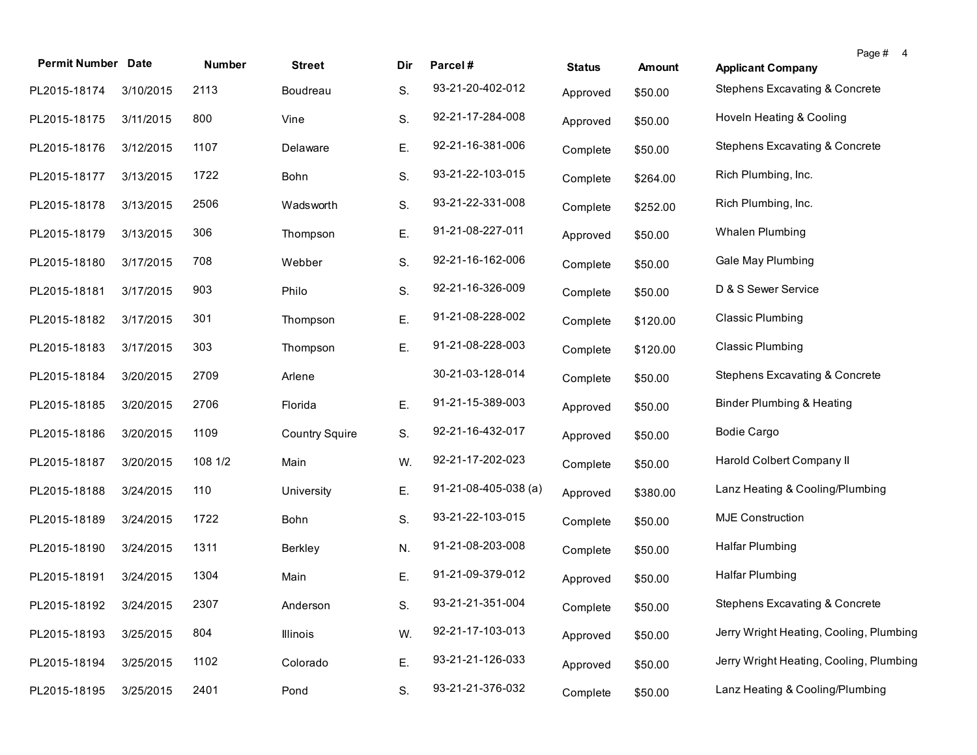| <b>Permit Number Date</b> |           | Number  | <b>Street</b>         | Dir | Parcel#                | <b>Status</b> | <b>Amount</b> | Page # 4<br><b>Applicant Company</b>      |
|---------------------------|-----------|---------|-----------------------|-----|------------------------|---------------|---------------|-------------------------------------------|
| PL2015-18174              | 3/10/2015 | 2113    | Boudreau              | S.  | 93-21-20-402-012       | Approved      | \$50.00       | Stephens Excavating & Concrete            |
| PL2015-18175              | 3/11/2015 | 800     | Vine                  | S.  | 92-21-17-284-008       | Approved      | \$50.00       | Hoveln Heating & Cooling                  |
| PL2015-18176              | 3/12/2015 | 1107    | Delaware              | Ε.  | 92-21-16-381-006       | Complete      | \$50.00       | Stephens Excavating & Concrete            |
| PL2015-18177              | 3/13/2015 | 1722    | Bohn                  | S.  | 93-21-22-103-015       | Complete      | \$264.00      | Rich Plumbing, Inc.                       |
| PL2015-18178              | 3/13/2015 | 2506    | Wadsworth             | S.  | 93-21-22-331-008       | Complete      | \$252.00      | Rich Plumbing, Inc.                       |
| PL2015-18179              | 3/13/2015 | 306     | Thompson              | Ε.  | 91-21-08-227-011       | Approved      | \$50.00       | Whalen Plumbing                           |
| PL2015-18180              | 3/17/2015 | 708     | Webber                | S.  | 92-21-16-162-006       | Complete      | \$50.00       | Gale May Plumbing                         |
| PL2015-18181              | 3/17/2015 | 903     | Philo                 | S.  | 92-21-16-326-009       | Complete      | \$50.00       | D & S Sewer Service                       |
| PL2015-18182              | 3/17/2015 | 301     | Thompson              | Ε.  | 91-21-08-228-002       | Complete      | \$120.00      | Classic Plumbing                          |
| PL2015-18183              | 3/17/2015 | 303     | Thompson              | Ε.  | 91-21-08-228-003       | Complete      | \$120.00      | <b>Classic Plumbing</b>                   |
| PL2015-18184              | 3/20/2015 | 2709    | Arlene                |     | 30-21-03-128-014       | Complete      | \$50.00       | Stephens Excavating & Concrete            |
| PL2015-18185              | 3/20/2015 | 2706    | Florida               | Ε.  | 91-21-15-389-003       | Approved      | \$50.00       | <b>Binder Plumbing &amp; Heating</b>      |
| PL2015-18186              | 3/20/2015 | 1109    | <b>Country Squire</b> | S.  | 92-21-16-432-017       | Approved      | \$50.00       | <b>Bodie Cargo</b>                        |
| PL2015-18187              | 3/20/2015 | 108 1/2 | Main                  | W.  | 92-21-17-202-023       | Complete      | \$50.00       | Harold Colbert Company II                 |
| PL2015-18188              | 3/24/2015 | 110     | University            | Ε.  | $91-21-08-405-038$ (a) | Approved      | \$380.00      | Lanz Heating & Cooling/Plumbing           |
| PL2015-18189              | 3/24/2015 | 1722    | Bohn                  | S.  | 93-21-22-103-015       | Complete      | \$50.00       | <b>MJE Construction</b>                   |
| PL2015-18190              | 3/24/2015 | 1311    | Berkley               | N.  | 91-21-08-203-008       | Complete      | \$50.00       | <b>Halfar Plumbing</b>                    |
| PL2015-18191              | 3/24/2015 | 1304    | Main                  | Ε.  | 91-21-09-379-012       | Approved      | \$50.00       | <b>Halfar Plumbing</b>                    |
| PL2015-18192 3/24/2015    |           | 2307    | Anderson              | S.  | 93-21-21-351-004       | Complete      | \$50.00       | <b>Stephens Excavating &amp; Concrete</b> |
| PL2015-18193              | 3/25/2015 | 804     | Illinois              | W.  | 92-21-17-103-013       | Approved      | \$50.00       | Jerry Wright Heating, Cooling, Plumbing   |
| PL2015-18194              | 3/25/2015 | 1102    | Colorado              | Ε.  | 93-21-21-126-033       | Approved      | \$50.00       | Jerry Wright Heating, Cooling, Plumbing   |
| PL2015-18195              | 3/25/2015 | 2401    | Pond                  | S.  | 93-21-21-376-032       | Complete      | \$50.00       | Lanz Heating & Cooling/Plumbing           |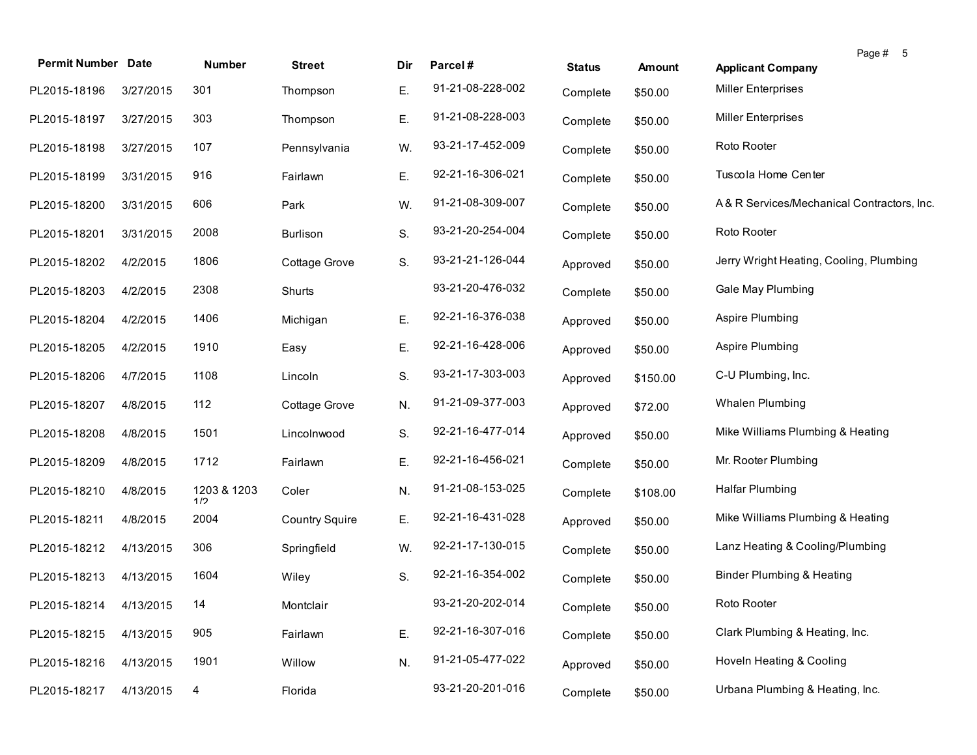| <b>Permit Number Date</b> |           | Number             | <b>Street</b>         | Dir | Parcel#          | <b>Status</b> | Amount   | Page # 5<br><b>Applicant Company</b>       |
|---------------------------|-----------|--------------------|-----------------------|-----|------------------|---------------|----------|--------------------------------------------|
| PL2015-18196              | 3/27/2015 | 301                | Thompson              | Ε.  | 91-21-08-228-002 | Complete      | \$50.00  | <b>Miller Enterprises</b>                  |
| PL2015-18197              | 3/27/2015 | 303                | Thompson              | Ε.  | 91-21-08-228-003 | Complete      | \$50.00  | <b>Miller Enterprises</b>                  |
| PL2015-18198              | 3/27/2015 | 107                | Pennsylvania          | W.  | 93-21-17-452-009 | Complete      | \$50.00  | Roto Rooter                                |
| PL2015-18199              | 3/31/2015 | 916                | Fairlawn              | Ε.  | 92-21-16-306-021 | Complete      | \$50.00  | Tuscola Home Center                        |
| PL2015-18200              | 3/31/2015 | 606                | Park                  | W.  | 91-21-08-309-007 | Complete      | \$50.00  | A& R Services/Mechanical Contractors, Inc. |
| PL2015-18201              | 3/31/2015 | 2008               | <b>Burlison</b>       | S.  | 93-21-20-254-004 | Complete      | \$50.00  | Roto Rooter                                |
| PL2015-18202              | 4/2/2015  | 1806               | Cottage Grove         | S.  | 93-21-21-126-044 | Approved      | \$50.00  | Jerry Wright Heating, Cooling, Plumbing    |
| PL2015-18203              | 4/2/2015  | 2308               | Shurts                |     | 93-21-20-476-032 | Complete      | \$50.00  | Gale May Plumbing                          |
| PL2015-18204              | 4/2/2015  | 1406               | Michigan              | Ε.  | 92-21-16-376-038 | Approved      | \$50.00  | Aspire Plumbing                            |
| PL2015-18205              | 4/2/2015  | 1910               | Easy                  | Ε.  | 92-21-16-428-006 | Approved      | \$50.00  | Aspire Plumbing                            |
| PL2015-18206              | 4/7/2015  | 1108               | Lincoln               | S.  | 93-21-17-303-003 | Approved      | \$150.00 | C-U Plumbing, Inc.                         |
| PL2015-18207              | 4/8/2015  | 112                | Cottage Grove         | N.  | 91-21-09-377-003 | Approved      | \$72.00  | Whalen Plumbing                            |
| PL2015-18208              | 4/8/2015  | 1501               | Lincolnwood           | S.  | 92-21-16-477-014 | Approved      | \$50.00  | Mike Williams Plumbing & Heating           |
| PL2015-18209              | 4/8/2015  | 1712               | Fairlawn              | Ε.  | 92-21-16-456-021 | Complete      | \$50.00  | Mr. Rooter Plumbing                        |
| PL2015-18210              | 4/8/2015  | 1203 & 1203<br>1/2 | Coler                 | N.  | 91-21-08-153-025 | Complete      | \$108.00 | Halfar Plumbing                            |
| PL2015-18211              | 4/8/2015  | 2004               | <b>Country Squire</b> | Ε.  | 92-21-16-431-028 | Approved      | \$50.00  | Mike Williams Plumbing & Heating           |
| PL2015-18212              | 4/13/2015 | 306                | Springfield           | W.  | 92-21-17-130-015 | Complete      | \$50.00  | Lanz Heating & Cooling/Plumbing            |
| PL2015-18213              | 4/13/2015 | 1604               | Wiley                 | S.  | 92-21-16-354-002 | Complete      | \$50.00  | <b>Binder Plumbing &amp; Heating</b>       |
| PL2015-18214 4/13/2015    |           | 14                 | Montclair             |     | 93-21-20-202-014 | Complete      | \$50.00  | Roto Rooter                                |
| PL2015-18215              | 4/13/2015 | 905                | Fairlawn              | Ε.  | 92-21-16-307-016 | Complete      | \$50.00  | Clark Plumbing & Heating, Inc.             |
| PL2015-18216              | 4/13/2015 | 1901               | Willow                | N.  | 91-21-05-477-022 | Approved      | \$50.00  | Hoveln Heating & Cooling                   |
| PL2015-18217              | 4/13/2015 | 4                  | Florida               |     | 93-21-20-201-016 | Complete      | \$50.00  | Urbana Plumbing & Heating, Inc.            |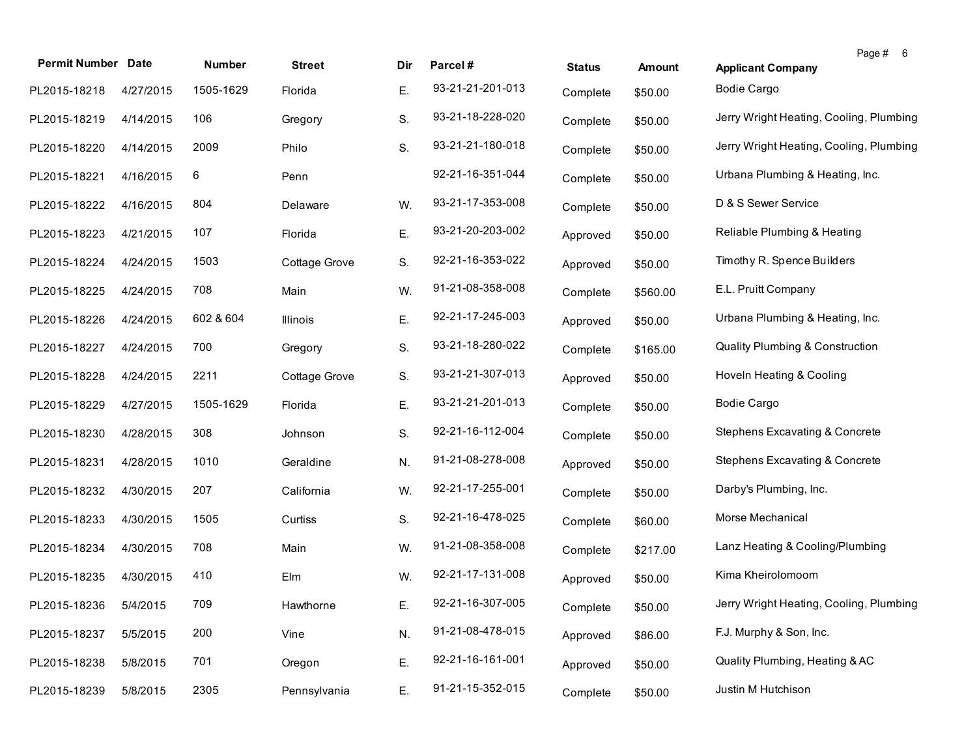| <b>Permit Number Date</b> |           | Number    | <b>Street</b>   | Dir | Parcel#          | <b>Status</b> | <b>Amount</b> | Page # 6<br><b>Applicant Company</b>      |
|---------------------------|-----------|-----------|-----------------|-----|------------------|---------------|---------------|-------------------------------------------|
| PL2015-18218              | 4/27/2015 | 1505-1629 | Florida         | Ε.  | 93-21-21-201-013 | Complete      | \$50.00       | <b>Bodie Cargo</b>                        |
| PL2015-18219              | 4/14/2015 | 106       | Gregory         | S.  | 93-21-18-228-020 | Complete      | \$50.00       | Jerry Wright Heating, Cooling, Plumbing   |
| PL2015-18220              | 4/14/2015 | 2009      | Philo           | S.  | 93-21-21-180-018 | Complete      | \$50.00       | Jerry Wright Heating, Cooling, Plumbing   |
| PL2015-18221              | 4/16/2015 | 6         | Penn            |     | 92-21-16-351-044 | Complete      | \$50.00       | Urbana Plumbing & Heating, Inc.           |
| PL2015-18222              | 4/16/2015 | 804       | Delaware        | W.  | 93-21-17-353-008 | Complete      | \$50.00       | D & S Sewer Service                       |
| PL2015-18223              | 4/21/2015 | 107       | Florida         | Ε.  | 93-21-20-203-002 | Approved      | \$50.00       | Reliable Plumbing & Heating               |
| PL2015-18224              | 4/24/2015 | 1503      | Cottage Grove   | S.  | 92-21-16-353-022 | Approved      | \$50.00       | Timothy R. Spence Builders                |
| PL2015-18225              | 4/24/2015 | 708       | Main            | W.  | 91-21-08-358-008 | Complete      | \$560.00      | E.L. Pruitt Company                       |
| PL2015-18226              | 4/24/2015 | 602 & 604 | <b>Illinois</b> | Ε.  | 92-21-17-245-003 | Approved      | \$50.00       | Urbana Plumbing & Heating, Inc.           |
| PL2015-18227              | 4/24/2015 | 700       | Gregory         | S.  | 93-21-18-280-022 | Complete      | \$165.00      | Quality Plumbing & Construction           |
| PL2015-18228              | 4/24/2015 | 2211      | Cottage Grove   | S.  | 93-21-21-307-013 | Approved      | \$50.00       | Hoveln Heating & Cooling                  |
| PL2015-18229              | 4/27/2015 | 1505-1629 | Florida         | Ε.  | 93-21-21-201-013 | Complete      | \$50.00       | <b>Bodie Cargo</b>                        |
| PL2015-18230              | 4/28/2015 | 308       | Johnson         | S.  | 92-21-16-112-004 | Complete      | \$50.00       | <b>Stephens Excavating &amp; Concrete</b> |
| PL2015-18231              | 4/28/2015 | 1010      | Geraldine       | N.  | 91-21-08-278-008 | Approved      | \$50.00       | <b>Stephens Excavating &amp; Concrete</b> |
| PL2015-18232              | 4/30/2015 | 207       | California      | W.  | 92-21-17-255-001 | Complete      | \$50.00       | Darby's Plumbing, Inc.                    |
| PL2015-18233              | 4/30/2015 | 1505      | Curtiss         | S.  | 92-21-16-478-025 | Complete      | \$60.00       | Morse Mechanical                          |
| PL2015-18234              | 4/30/2015 | 708       | Main            | W.  | 91-21-08-358-008 | Complete      | \$217.00      | Lanz Heating & Cooling/Plumbing           |
| PL2015-18235              | 4/30/2015 | 410       | Elm             | W.  | 92-21-17-131-008 | Approved      | \$50.00       | Kima Kheirolomoom                         |
| PL2015-18236              | 5/4/2015  | 709       | Hawthorne       | Е.  | 92-21-16-307-005 | Complete      | \$50.00       | Jerry Wright Heating, Cooling, Plumbing   |
| PL2015-18237              | 5/5/2015  | 200       | Vine            | N.  | 91-21-08-478-015 | Approved      | \$86.00       | F.J. Murphy & Son, Inc.                   |
| PL2015-18238              | 5/8/2015  | 701       | Oregon          | Ε.  | 92-21-16-161-001 | Approved      | \$50.00       | Quality Plumbing, Heating & AC            |
| PL2015-18239              | 5/8/2015  | 2305      | Pennsylvania    | Ε.  | 91-21-15-352-015 | Complete      | \$50.00       | Justin M Hutchison                        |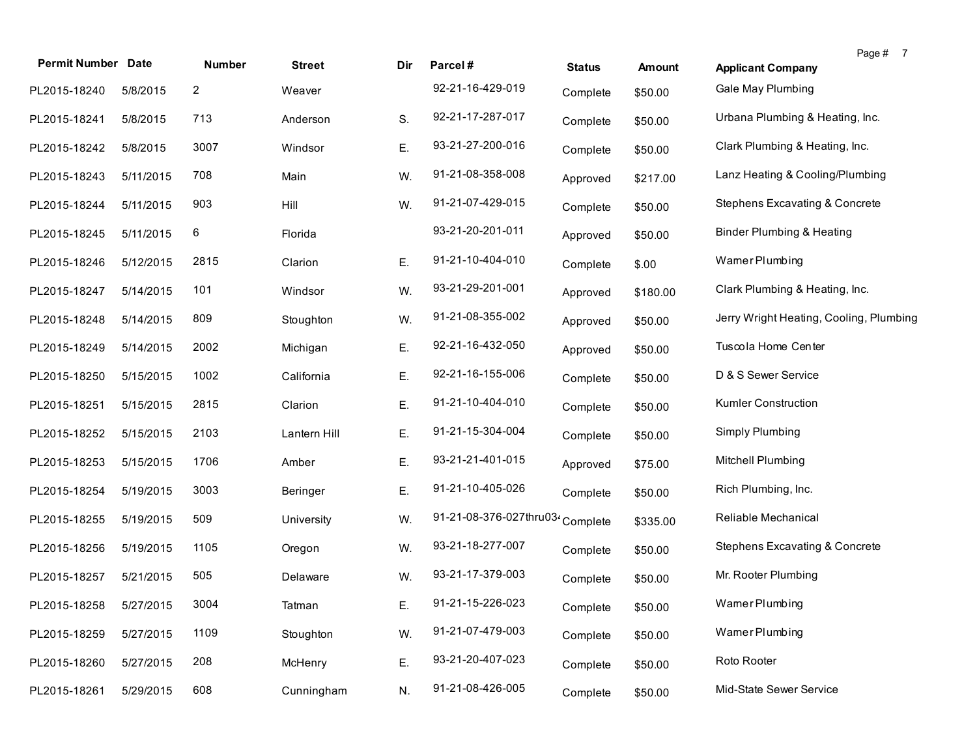| <b>Permit Number Date</b> |           | Number       | <b>Street</b> | Dir | Parcel#                                      | <b>Status</b> | <b>Amount</b> | Page # 7<br><b>Applicant Company</b>    |
|---------------------------|-----------|--------------|---------------|-----|----------------------------------------------|---------------|---------------|-----------------------------------------|
| PL2015-18240              | 5/8/2015  | $\mathbf{2}$ | Weaver        |     | 92-21-16-429-019                             | Complete      | \$50.00       | Gale May Plumbing                       |
| PL2015-18241              | 5/8/2015  | 713          | Anderson      | S.  | 92-21-17-287-017                             | Complete      | \$50.00       | Urbana Plumbing & Heating, Inc.         |
| PL2015-18242              | 5/8/2015  | 3007         | Windsor       | Ε.  | 93-21-27-200-016                             | Complete      | \$50.00       | Clark Plumbing & Heating, Inc.          |
| PL2015-18243              | 5/11/2015 | 708          | Main          | W.  | 91-21-08-358-008                             | Approved      | \$217.00      | Lanz Heating & Cooling/Plumbing         |
| PL2015-18244              | 5/11/2015 | 903          | Hill          | W.  | 91-21-07-429-015                             | Complete      | \$50.00       | Stephens Excavating & Concrete          |
| PL2015-18245              | 5/11/2015 | 6            | Florida       |     | 93-21-20-201-011                             | Approved      | \$50.00       | <b>Binder Plumbing &amp; Heating</b>    |
| PL2015-18246              | 5/12/2015 | 2815         | Clarion       | Ε.  | 91-21-10-404-010                             | Complete      | \$.00         | Wamer Plumbing                          |
| PL2015-18247              | 5/14/2015 | 101          | Windsor       | W.  | 93-21-29-201-001                             | Approved      | \$180.00      | Clark Plumbing & Heating, Inc.          |
| PL2015-18248              | 5/14/2015 | 809          | Stoughton     | W.  | 91-21-08-355-002                             | Approved      | \$50.00       | Jerry Wright Heating, Cooling, Plumbing |
| PL2015-18249              | 5/14/2015 | 2002         | Michigan      | Ε.  | 92-21-16-432-050                             | Approved      | \$50.00       | Tuscola Home Center                     |
| PL2015-18250              | 5/15/2015 | 1002         | California    | Ε.  | 92-21-16-155-006                             | Complete      | \$50.00       | D & S Sewer Service                     |
| PL2015-18251              | 5/15/2015 | 2815         | Clarion       | Ε.  | 91-21-10-404-010                             | Complete      | \$50.00       | Kumler Construction                     |
| PL2015-18252              | 5/15/2015 | 2103         | Lantern Hill  | Ε.  | 91-21-15-304-004                             | Complete      | \$50.00       | Simply Plumbing                         |
| PL2015-18253              | 5/15/2015 | 1706         | Amber         | Ε.  | 93-21-21-401-015                             | Approved      | \$75.00       | Mitchell Plumbing                       |
| PL2015-18254              | 5/19/2015 | 3003         | Beringer      | Ε.  | 91-21-10-405-026                             | Complete      | \$50.00       | Rich Plumbing, Inc.                     |
| PL2015-18255              | 5/19/2015 | 509          | University    | W.  | 91-21-08-376-027thru03 <sup>4</sup> Complete |               | \$335.00      | Reliable Mechanical                     |
| PL2015-18256              | 5/19/2015 | 1105         | Oregon        | W.  | 93-21-18-277-007                             | Complete      | \$50.00       | Stephens Excavating & Concrete          |
| PL2015-18257              | 5/21/2015 | 505          | Delaware      | W.  | 93-21-17-379-003                             | Complete      | \$50.00       | Mr. Rooter Plumbing                     |
| PL2015-18258 5/27/2015    |           | 3004         | Tatman        | Е.  | 91-21-15-226-023                             | Complete      | \$50.00       | Wamer Plumbing                          |
| PL2015-18259              | 5/27/2015 | 1109         | Stoughton     | W.  | 91-21-07-479-003                             | Complete      | \$50.00       | Wamer Plumbing                          |
| PL2015-18260              | 5/27/2015 | 208          | McHenry       | Ε.  | 93-21-20-407-023                             | Complete      | \$50.00       | Roto Rooter                             |
| PL2015-18261              | 5/29/2015 | 608          | Cunningham    | N.  | 91-21-08-426-005                             | Complete      | \$50.00       | Mid-State Sewer Service                 |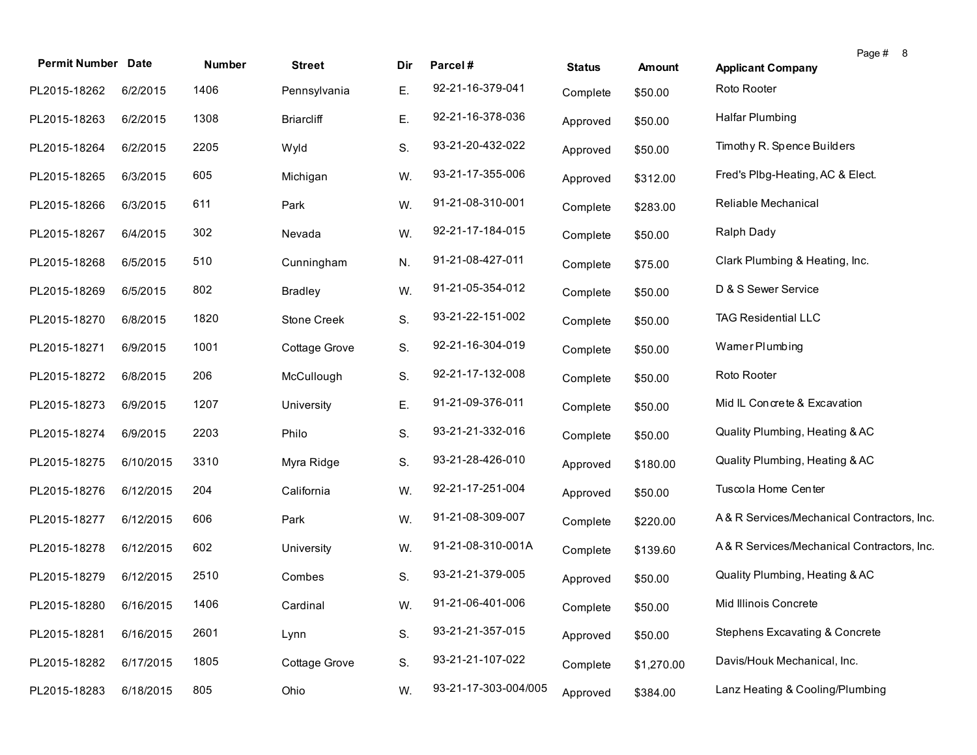| <b>Permit Number Date</b> |           |        |                    |     |                      |               |               | Page # 8                                   |
|---------------------------|-----------|--------|--------------------|-----|----------------------|---------------|---------------|--------------------------------------------|
|                           |           | Number | <b>Street</b>      | Dir | Parcel#              | <b>Status</b> | <b>Amount</b> | <b>Applicant Company</b>                   |
| PL2015-18262              | 6/2/2015  | 1406   | Pennsylvania       | Ε.  | 92-21-16-379-041     | Complete      | \$50.00       | Roto Rooter                                |
| PL2015-18263              | 6/2/2015  | 1308   | <b>Briarcliff</b>  | Ε.  | 92-21-16-378-036     | Approved      | \$50.00       | Halfar Plumbing                            |
| PL2015-18264              | 6/2/2015  | 2205   | Wyld               | S.  | 93-21-20-432-022     | Approved      | \$50.00       | Timothy R. Spence Builders                 |
| PL2015-18265              | 6/3/2015  | 605    | Michigan           | W.  | 93-21-17-355-006     | Approved      | \$312.00      | Fred's Plbg-Heating, AC & Elect.           |
| PL2015-18266              | 6/3/2015  | 611    | Park               | W.  | 91-21-08-310-001     | Complete      | \$283.00      | Reliable Mechanical                        |
| PL2015-18267              | 6/4/2015  | 302    | Nevada             | W.  | 92-21-17-184-015     | Complete      | \$50.00       | Ralph Dady                                 |
| PL2015-18268              | 6/5/2015  | 510    | Cunningham         | N.  | 91-21-08-427-011     | Complete      | \$75.00       | Clark Plumbing & Heating, Inc.             |
| PL2015-18269              | 6/5/2015  | 802    | <b>Bradley</b>     | W.  | 91-21-05-354-012     | Complete      | \$50.00       | D & S Sewer Service                        |
| PL2015-18270              | 6/8/2015  | 1820   | <b>Stone Creek</b> | S.  | 93-21-22-151-002     | Complete      | \$50.00       | <b>TAG Residential LLC</b>                 |
| PL2015-18271              | 6/9/2015  | 1001   | Cottage Grove      | S.  | 92-21-16-304-019     | Complete      | \$50.00       | Wamer Plumbing                             |
| PL2015-18272              | 6/8/2015  | 206    | McCullough         | S.  | 92-21-17-132-008     | Complete      | \$50.00       | Roto Rooter                                |
| PL2015-18273              | 6/9/2015  | 1207   | University         | Ε.  | 91-21-09-376-011     | Complete      | \$50.00       | Mid IL Concrete & Excavation               |
| PL2015-18274              | 6/9/2015  | 2203   | Philo              | S.  | 93-21-21-332-016     | Complete      | \$50.00       | Quality Plumbing, Heating & AC             |
| PL2015-18275              | 6/10/2015 | 3310   | Myra Ridge         | S.  | 93-21-28-426-010     | Approved      | \$180.00      | Quality Plumbing, Heating & AC             |
| PL2015-18276              | 6/12/2015 | 204    | California         | W.  | 92-21-17-251-004     | Approved      | \$50.00       | Tuscola Home Center                        |
| PL2015-18277              | 6/12/2015 | 606    | Park               | W.  | 91-21-08-309-007     | Complete      | \$220.00      | A& R Services/Mechanical Contractors, Inc. |
| PL2015-18278              | 6/12/2015 | 602    | University         | W.  | 91-21-08-310-001A    | Complete      | \$139.60      | A& R Services/Mechanical Contractors, Inc. |
| PL2015-18279              | 6/12/2015 | 2510   | Combes             | S.  | 93-21-21-379-005     | Approved      | \$50.00       | Quality Plumbing, Heating & AC             |
| PL2015-18280              | 6/16/2015 | 1406   | Cardinal           | W.  | 91-21-06-401-006     | Complete      | \$50.00       | Mid Illinois Concrete                      |
| PL2015-18281              | 6/16/2015 | 2601   | Lynn               | S.  | 93-21-21-357-015     | Approved      | \$50.00       | Stephens Excavating & Concrete             |
| PL2015-18282              | 6/17/2015 | 1805   | Cottage Grove      | S.  | 93-21-21-107-022     | Complete      | \$1,270.00    | Davis/Houk Mechanical, Inc.                |
| PL2015-18283              | 6/18/2015 | 805    | Ohio               | W.  | 93-21-17-303-004/005 | Approved      | \$384.00      | Lanz Heating & Cooling/Plumbing            |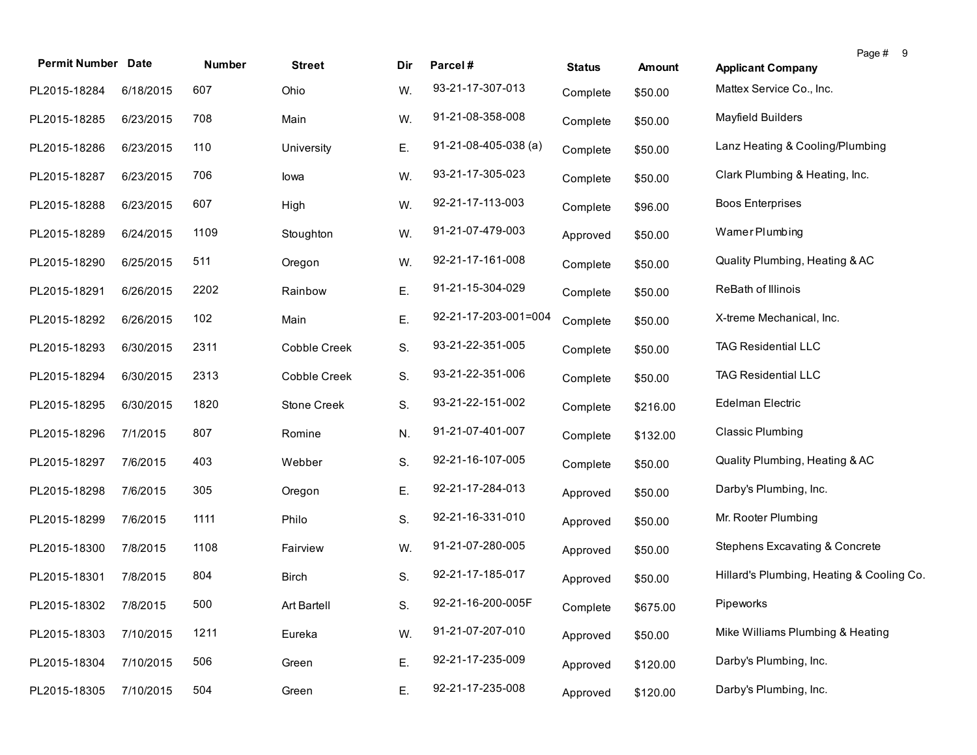| <b>Permit Number Date</b> |           | Number | <b>Street</b>       | Dir | Parcel#                        | <b>Status</b> | <b>Amount</b> | Page # 9<br><b>Applicant Company</b>      |
|---------------------------|-----------|--------|---------------------|-----|--------------------------------|---------------|---------------|-------------------------------------------|
| PL2015-18284              | 6/18/2015 | 607    | Ohio                | W.  | 93-21-17-307-013               | Complete      | \$50.00       | Mattex Service Co., Inc.                  |
| PL2015-18285              | 6/23/2015 | 708    | Main                | W.  | 91-21-08-358-008               | Complete      | \$50.00       | Mayfield Builders                         |
| PL2015-18286              | 6/23/2015 | 110    | University          | Ε.  | $91 - 21 - 08 - 405 - 038$ (a) | Complete      | \$50.00       | Lanz Heating & Cooling/Plumbing           |
| PL2015-18287              | 6/23/2015 | 706    | lowa                | W.  | 93-21-17-305-023               | Complete      | \$50.00       | Clark Plumbing & Heating, Inc.            |
| PL2015-18288              | 6/23/2015 | 607    | High                | W.  | 92-21-17-113-003               | Complete      | \$96.00       | <b>Boos Enterprises</b>                   |
| PL2015-18289              | 6/24/2015 | 1109   | Stoughton           | W.  | 91-21-07-479-003               | Approved      | \$50.00       | Wamer Plumbing                            |
| PL2015-18290              | 6/25/2015 | 511    | Oregon              | W.  | 92-21-17-161-008               | Complete      | \$50.00       | Quality Plumbing, Heating & AC            |
| PL2015-18291              | 6/26/2015 | 2202   | Rainbow             | Ε.  | 91-21-15-304-029               | Complete      | \$50.00       | ReBath of Illinois                        |
| PL2015-18292              | 6/26/2015 | 102    | Main                | Ε.  | 92-21-17-203-001=004           | Complete      | \$50.00       | X-treme Mechanical, Inc.                  |
| PL2015-18293              | 6/30/2015 | 2311   | <b>Cobble Creek</b> | S.  | 93-21-22-351-005               | Complete      | \$50.00       | <b>TAG Residential LLC</b>                |
| PL2015-18294              | 6/30/2015 | 2313   | Cobble Creek        | S.  | 93-21-22-351-006               | Complete      | \$50.00       | <b>TAG Residential LLC</b>                |
| PL2015-18295              | 6/30/2015 | 1820   | Stone Creek         | S.  | 93-21-22-151-002               | Complete      | \$216.00      | Edelman Electric                          |
| PL2015-18296              | 7/1/2015  | 807    | Romine              | N.  | 91-21-07-401-007               | Complete      | \$132.00      | <b>Classic Plumbing</b>                   |
| PL2015-18297              | 7/6/2015  | 403    | Webber              | S.  | 92-21-16-107-005               | Complete      | \$50.00       | Quality Plumbing, Heating & AC            |
| PL2015-18298              | 7/6/2015  | 305    | Oregon              | Ε.  | 92-21-17-284-013               | Approved      | \$50.00       | Darby's Plumbing, Inc.                    |
| PL2015-18299              | 7/6/2015  | 1111   | Philo               | S.  | 92-21-16-331-010               | Approved      | \$50.00       | Mr. Rooter Plumbing                       |
| PL2015-18300              | 7/8/2015  | 1108   | Fairview            | W.  | 91-21-07-280-005               | Approved      | \$50.00       | Stephens Excavating & Concrete            |
| PL2015-18301              | 7/8/2015  | 804    | <b>Birch</b>        | S.  | 92-21-17-185-017               | Approved      | \$50.00       | Hillard's Plumbing, Heating & Cooling Co. |
| PL2015-18302              | 7/8/2015  | 500    | Art Bartell         | S.  | 92-21-16-200-005F              | Complete      | \$675.00      | Pipeworks                                 |
| PL2015-18303              | 7/10/2015 | 1211   | Eureka              | W.  | 91-21-07-207-010               | Approved      | \$50.00       | Mike Williams Plumbing & Heating          |
| PL2015-18304              | 7/10/2015 | 506    | Green               | Ε.  | 92-21-17-235-009               | Approved      | \$120.00      | Darby's Plumbing, Inc.                    |
| PL2015-18305              | 7/10/2015 | 504    | Green               | Ε.  | 92-21-17-235-008               | Approved      | \$120.00      | Darby's Plumbing, Inc.                    |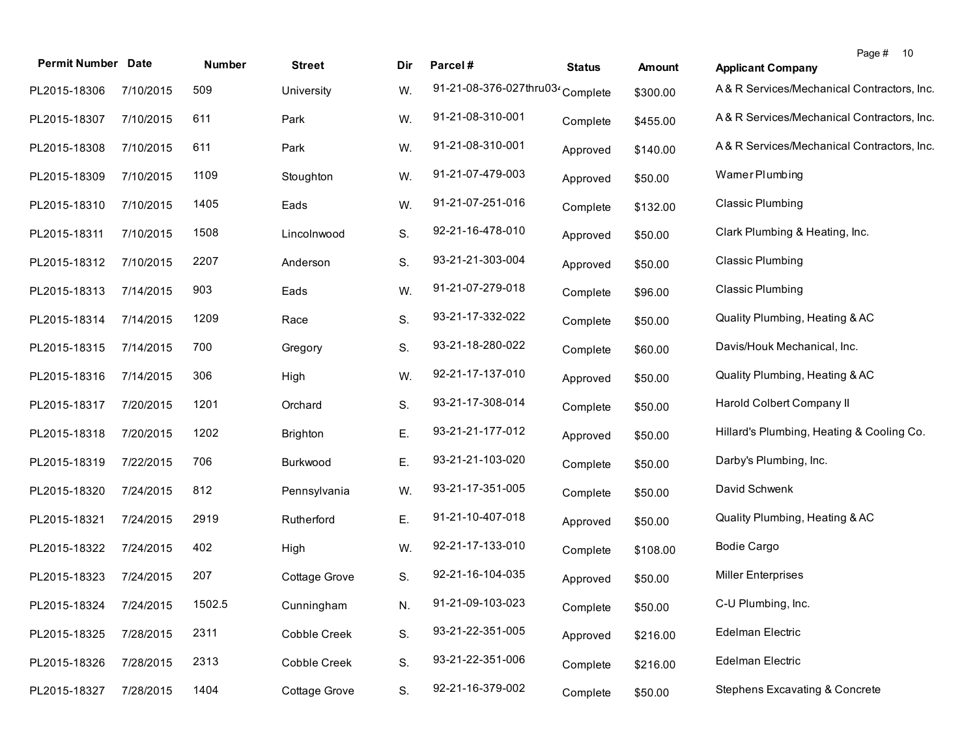| <b>Permit Number</b> | <b>Date</b> | Number | <b>Street</b>   | Dir | Parcel#                                      | <b>Status</b> | <b>Amount</b> | <b>Applicant Company</b>                   | Page # 10 |  |
|----------------------|-------------|--------|-----------------|-----|----------------------------------------------|---------------|---------------|--------------------------------------------|-----------|--|
| PL2015-18306         | 7/10/2015   | 509    | University      | W.  | 91-21-08-376-027thru03 <sup>2</sup> Complete |               | \$300.00      | A& R Services/Mechanical Contractors, Inc. |           |  |
| PL2015-18307         | 7/10/2015   | 611    | Park            | W.  | 91-21-08-310-001                             | Complete      | \$455.00      | A& R Services/Mechanical Contractors, Inc. |           |  |
| PL2015-18308         | 7/10/2015   | 611    | Park            | W.  | 91-21-08-310-001                             | Approved      | \$140.00      | A& R Services/Mechanical Contractors, Inc. |           |  |
| PL2015-18309         | 7/10/2015   | 1109   | Stoughton       | W.  | 91-21-07-479-003                             | Approved      | \$50.00       | Wamer Plumbing                             |           |  |
| PL2015-18310         | 7/10/2015   | 1405   | Eads            | W.  | 91-21-07-251-016                             | Complete      | \$132.00      | <b>Classic Plumbing</b>                    |           |  |
| PL2015-18311         | 7/10/2015   | 1508   | Lincolnwood     | S.  | 92-21-16-478-010                             | Approved      | \$50.00       | Clark Plumbing & Heating, Inc.             |           |  |
| PL2015-18312         | 7/10/2015   | 2207   | Anderson        | S.  | 93-21-21-303-004                             | Approved      | \$50.00       | <b>Classic Plumbing</b>                    |           |  |
| PL2015-18313         | 7/14/2015   | 903    | Eads            | W.  | 91-21-07-279-018                             | Complete      | \$96.00       | <b>Classic Plumbing</b>                    |           |  |
| PL2015-18314         | 7/14/2015   | 1209   | Race            | S.  | 93-21-17-332-022                             | Complete      | \$50.00       | Quality Plumbing, Heating & AC             |           |  |
| PL2015-18315         | 7/14/2015   | 700    | Gregory         | S.  | 93-21-18-280-022                             | Complete      | \$60.00       | Davis/Houk Mechanical, Inc.                |           |  |
| PL2015-18316         | 7/14/2015   | 306    | High            | W.  | 92-21-17-137-010                             | Approved      | \$50.00       | Quality Plumbing, Heating & AC             |           |  |
| PL2015-18317         | 7/20/2015   | 1201   | Orchard         | S.  | 93-21-17-308-014                             | Complete      | \$50.00       | Harold Colbert Company II                  |           |  |
| PL2015-18318         | 7/20/2015   | 1202   | <b>Brighton</b> | Ε.  | 93-21-21-177-012                             | Approved      | \$50.00       | Hillard's Plumbing, Heating & Cooling Co.  |           |  |
| PL2015-18319         | 7/22/2015   | 706    | Burkwood        | Ε.  | 93-21-21-103-020                             | Complete      | \$50.00       | Darby's Plumbing, Inc.                     |           |  |
| PL2015-18320         | 7/24/2015   | 812    | Pennsylvania    | W.  | 93-21-17-351-005                             | Complete      | \$50.00       | David Schwenk                              |           |  |
| PL2015-18321         | 7/24/2015   | 2919   | Rutherford      | Е.  | 91-21-10-407-018                             | Approved      | \$50.00       | Quality Plumbing, Heating & AC             |           |  |
| PL2015-18322         | 7/24/2015   | 402    | High            | W.  | 92-21-17-133-010                             | Complete      | \$108.00      | <b>Bodie Cargo</b>                         |           |  |
| PL2015-18323         | 7/24/2015   | 207    | Cottage Grove   | S.  | 92-21-16-104-035                             | Approved      | \$50.00       | <b>Miller Enterprises</b>                  |           |  |
| PL2015-18324         | 7/24/2015   | 1502.5 | Cunningham      | N.  | 91-21-09-103-023                             | Complete      | \$50.00       | C-U Plumbing, Inc.                         |           |  |
| PL2015-18325         | 7/28/2015   | 2311   | Cobble Creek    | S.  | 93-21-22-351-005                             | Approved      | \$216.00      | Edelman Electric                           |           |  |
| PL2015-18326         | 7/28/2015   | 2313   | Cobble Creek    | S.  | 93-21-22-351-006                             | Complete      | \$216.00      | <b>Edelman Electric</b>                    |           |  |
| PL2015-18327         | 7/28/2015   | 1404   | Cottage Grove   | S.  | 92-21-16-379-002                             | Complete      | \$50.00       | Stephens Excavating & Concrete             |           |  |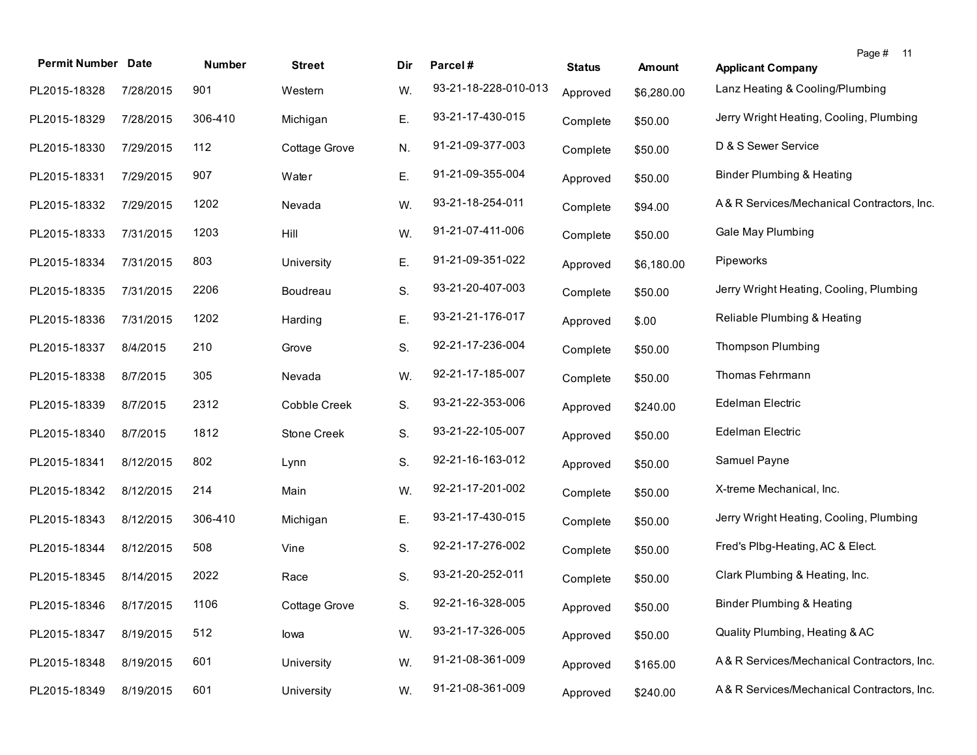| <b>Permit Number Date</b> |           | <b>Number</b> | <b>Street</b>   | Dir | Parcel#              | <b>Status</b> | <b>Amount</b> | Page # 11<br><b>Applicant Company</b>      |
|---------------------------|-----------|---------------|-----------------|-----|----------------------|---------------|---------------|--------------------------------------------|
| PL2015-18328              | 7/28/2015 | 901           | Western         | W.  | 93-21-18-228-010-013 | Approved      | \$6,280.00    | Lanz Heating & Cooling/Plumbing            |
| PL2015-18329              | 7/28/2015 | 306-410       | Michigan        | Ε.  | 93-21-17-430-015     | Complete      | \$50.00       | Jerry Wright Heating, Cooling, Plumbing    |
| PL2015-18330              | 7/29/2015 | 112           | Cottage Grove   | N.  | 91-21-09-377-003     | Complete      | \$50.00       | D & S Sewer Service                        |
| PL2015-18331              | 7/29/2015 | 907           | Water           | Ε.  | 91-21-09-355-004     | Approved      | \$50.00       | <b>Binder Plumbing &amp; Heating</b>       |
| PL2015-18332              | 7/29/2015 | 1202          | Nevada          | W.  | 93-21-18-254-011     | Complete      | \$94.00       | A& R Services/Mechanical Contractors, Inc. |
| PL2015-18333              | 7/31/2015 | 1203          | Hill            | W.  | 91-21-07-411-006     | Complete      | \$50.00       | Gale May Plumbing                          |
| PL2015-18334              | 7/31/2015 | 803           | University      | Ε.  | 91-21-09-351-022     | Approved      | \$6,180.00    | Pipeworks                                  |
| PL2015-18335              | 7/31/2015 | 2206          | <b>Boudreau</b> | S.  | 93-21-20-407-003     | Complete      | \$50.00       | Jerry Wright Heating, Cooling, Plumbing    |
| PL2015-18336              | 7/31/2015 | 1202          | Harding         | Ε.  | 93-21-21-176-017     | Approved      | \$.00         | Reliable Plumbing & Heating                |
| PL2015-18337              | 8/4/2015  | 210           | Grove           | S.  | 92-21-17-236-004     | Complete      | \$50.00       | Thompson Plumbing                          |
| PL2015-18338              | 8/7/2015  | 305           | Nevada          | W.  | 92-21-17-185-007     | Complete      | \$50.00       | Thomas Fehrmann                            |
| PL2015-18339              | 8/7/2015  | 2312          | Cobble Creek    | S.  | 93-21-22-353-006     | Approved      | \$240.00      | <b>Edelman Electric</b>                    |
| PL2015-18340              | 8/7/2015  | 1812          | Stone Creek     | S.  | 93-21-22-105-007     | Approved      | \$50.00       | Edelman Electric                           |
| PL2015-18341              | 8/12/2015 | 802           | Lynn            | S.  | 92-21-16-163-012     | Approved      | \$50.00       | Samuel Payne                               |
| PL2015-18342              | 8/12/2015 | 214           | Main            | W.  | 92-21-17-201-002     | Complete      | \$50.00       | X-treme Mechanical, Inc.                   |
| PL2015-18343              | 8/12/2015 | 306-410       | Michigan        | Ε.  | 93-21-17-430-015     | Complete      | \$50.00       | Jerry Wright Heating, Cooling, Plumbing    |
| PL2015-18344              | 8/12/2015 | 508           | Vine            | S.  | 92-21-17-276-002     | Complete      | \$50.00       | Fred's Plbg-Heating, AC & Elect.           |
| PL2015-18345              | 8/14/2015 | 2022          | Race            | S.  | 93-21-20-252-011     | Complete      | \$50.00       | Clark Plumbing & Heating, Inc.             |
| PL2015-18346              | 8/17/2015 | 1106          | Cottage Grove   | S.  | 92-21-16-328-005     | Approved      | \$50.00       | <b>Binder Plumbing &amp; Heating</b>       |
| PL2015-18347              | 8/19/2015 | 512           | lowa            | W.  | 93-21-17-326-005     | Approved      | \$50.00       | Quality Plumbing, Heating & AC             |
| PL2015-18348              | 8/19/2015 | 601           | University      | W.  | 91-21-08-361-009     | Approved      | \$165.00      | A& R Services/Mechanical Contractors, Inc. |
| PL2015-18349              | 8/19/2015 | 601           | University      | W.  | 91-21-08-361-009     | Approved      | \$240.00      | A& R Services/Mechanical Contractors, Inc. |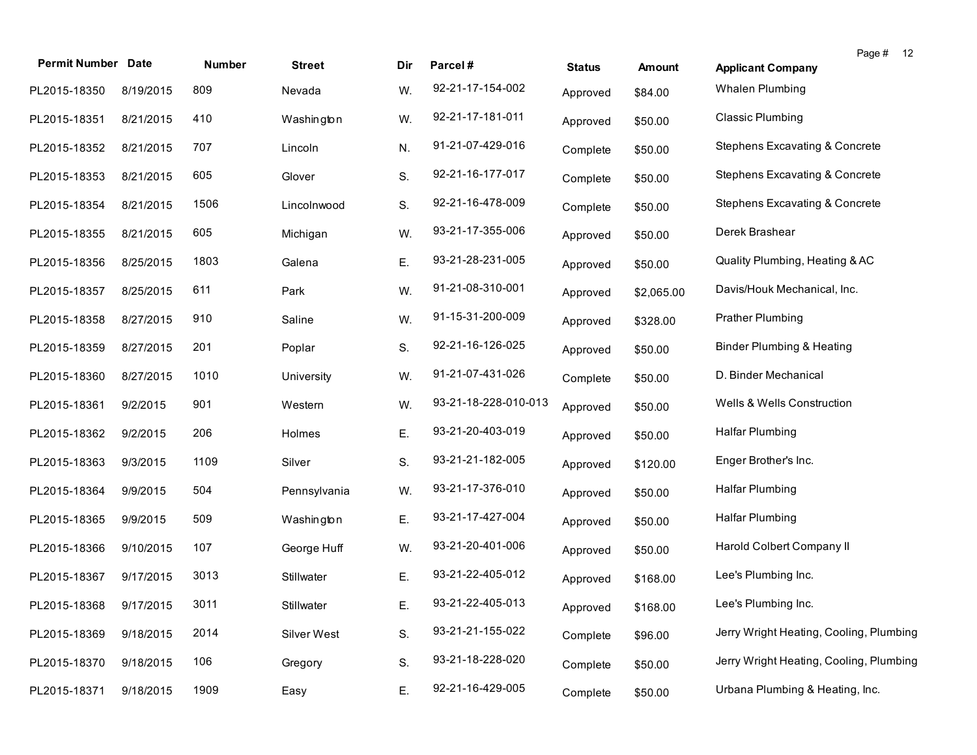| <b>Permit Number Date</b> |           | <b>Number</b> | <b>Street</b> | Dir | Parcel#              |               | <b>Amount</b> | Page # 12                                   |
|---------------------------|-----------|---------------|---------------|-----|----------------------|---------------|---------------|---------------------------------------------|
| PL2015-18350              | 8/19/2015 | 809           | Nevada        | W.  | 92-21-17-154-002     | <b>Status</b> |               | <b>Applicant Company</b><br>Whalen Plumbing |
|                           |           |               |               |     |                      | Approved      | \$84.00       |                                             |
| PL2015-18351              | 8/21/2015 | 410           | Washington    | W.  | 92-21-17-181-011     | Approved      | \$50.00       | Classic Plumbing                            |
| PL2015-18352              | 8/21/2015 | 707           | Lincoln       | N.  | 91-21-07-429-016     | Complete      | \$50.00       | Stephens Excavating & Concrete              |
| PL2015-18353              | 8/21/2015 | 605           | Glover        | S.  | 92-21-16-177-017     | Complete      | \$50.00       | Stephens Excavating & Concrete              |
| PL2015-18354              | 8/21/2015 | 1506          | Lincolnwood   | S.  | 92-21-16-478-009     | Complete      | \$50.00       | Stephens Excavating & Concrete              |
| PL2015-18355              | 8/21/2015 | 605           | Michigan      | W.  | 93-21-17-355-006     | Approved      | \$50.00       | Derek Brashear                              |
| PL2015-18356              | 8/25/2015 | 1803          | Galena        | Ε.  | 93-21-28-231-005     | Approved      | \$50.00       | Quality Plumbing, Heating & AC              |
| PL2015-18357              | 8/25/2015 | 611           | Park          | W.  | 91-21-08-310-001     | Approved      | \$2,065.00    | Davis/Houk Mechanical, Inc.                 |
| PL2015-18358              | 8/27/2015 | 910           | Saline        | W.  | 91-15-31-200-009     | Approved      | \$328.00      | <b>Prather Plumbing</b>                     |
| PL2015-18359              | 8/27/2015 | 201           | Poplar        | S.  | 92-21-16-126-025     | Approved      | \$50.00       | <b>Binder Plumbing &amp; Heating</b>        |
| PL2015-18360              | 8/27/2015 | 1010          | University    | W.  | 91-21-07-431-026     | Complete      | \$50.00       | D. Binder Mechanical                        |
| PL2015-18361              | 9/2/2015  | 901           | Western       | W.  | 93-21-18-228-010-013 | Approved      | \$50.00       | Wells & Wells Construction                  |
| PL2015-18362              | 9/2/2015  | 206           | Holmes        | Ε.  | 93-21-20-403-019     | Approved      | \$50.00       | <b>Halfar Plumbing</b>                      |
| PL2015-18363              | 9/3/2015  | 1109          | Silver        | S.  | 93-21-21-182-005     | Approved      | \$120.00      | Enger Brother's Inc.                        |
| PL2015-18364              | 9/9/2015  | 504           | Pennsylvania  | W.  | 93-21-17-376-010     | Approved      | \$50.00       | <b>Halfar Plumbing</b>                      |
| PL2015-18365              | 9/9/2015  | 509           | Washington    | Ε.  | 93-21-17-427-004     | Approved      | \$50.00       | <b>Halfar Plumbing</b>                      |
| PL2015-18366              | 9/10/2015 | 107           | George Huff   | W.  | 93-21-20-401-006     | Approved      | \$50.00       | Harold Colbert Company II                   |
| PL2015-18367              | 9/17/2015 | 3013          | Stillwater    | Ε.  | 93-21-22-405-012     | Approved      | \$168.00      | Lee's Plumbing Inc.                         |
| PL2015-18368              | 9/17/2015 | 3011          | Stillwater    | E.  | 93-21-22-405-013     | Approved      | \$168.00      | Lee's Plumbing Inc.                         |
| PL2015-18369              | 9/18/2015 | 2014          | Silver West   | S.  | 93-21-21-155-022     | Complete      | \$96.00       | Jerry Wright Heating, Cooling, Plumbing     |
| PL2015-18370              | 9/18/2015 | 106           | Gregory       | S.  | 93-21-18-228-020     | Complete      | \$50.00       | Jerry Wright Heating, Cooling, Plumbing     |
| PL2015-18371              | 9/18/2015 | 1909          | Easy          | Ε.  | 92-21-16-429-005     | Complete      | \$50.00       | Urbana Plumbing & Heating, Inc.             |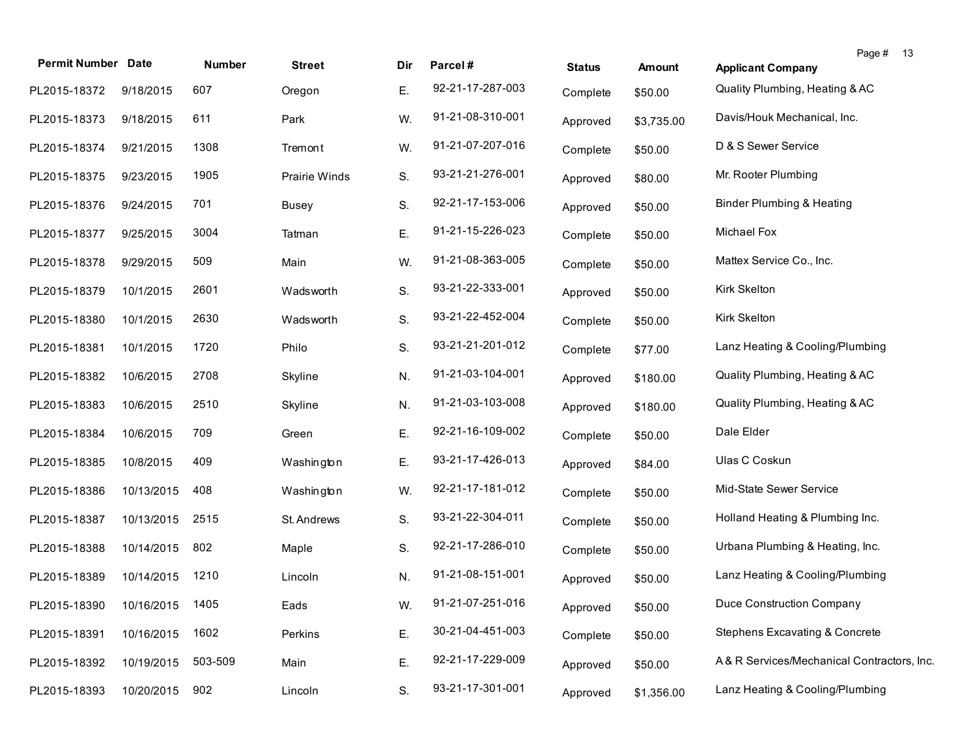| <b>Permit Number Date</b>    |            | Number  | <b>Street</b> | Dir | Parcel#          | <b>Status</b> | Amount     | Page # 13<br><b>Applicant Company</b>      |
|------------------------------|------------|---------|---------------|-----|------------------|---------------|------------|--------------------------------------------|
| PL2015-18372                 | 9/18/2015  | 607     | Oregon        | Ε.  | 92-21-17-287-003 | Complete      | \$50.00    | Quality Plumbing, Heating & AC             |
| PL2015-18373                 | 9/18/2015  | 611     | Park          | W.  | 91-21-08-310-001 | Approved      | \$3,735.00 | Davis/Houk Mechanical, Inc.                |
| PL2015-18374                 | 9/21/2015  | 1308    | Tremont       | W.  | 91-21-07-207-016 | Complete      | \$50.00    | D & S Sewer Service                        |
| PL2015-18375                 | 9/23/2015  | 1905    | Prairie Winds | S.  | 93-21-21-276-001 | Approved      | \$80.00    | Mr. Rooter Plumbing                        |
| PL2015-18376                 | 9/24/2015  | 701     | Busey         | S.  | 92-21-17-153-006 | Approved      | \$50.00    | <b>Binder Plumbing &amp; Heating</b>       |
| PL2015-18377                 | 9/25/2015  | 3004    | Tatman        | Ε.  | 91-21-15-226-023 | Complete      | \$50.00    | <b>Michael Fox</b>                         |
| PL2015-18378                 | 9/29/2015  | 509     | Main          | W.  | 91-21-08-363-005 | Complete      | \$50.00    | Mattex Service Co., Inc.                   |
| PL2015-18379                 | 10/1/2015  | 2601    | Wadsworth     | S.  | 93-21-22-333-001 | Approved      | \$50.00    | Kirk Skelton                               |
| PL2015-18380                 | 10/1/2015  | 2630    | Wadsworth     | S.  | 93-21-22-452-004 | Complete      | \$50.00    | Kirk Skelton                               |
| PL2015-18381                 | 10/1/2015  | 1720    | Philo         | S.  | 93-21-21-201-012 | Complete      | \$77.00    | Lanz Heating & Cooling/Plumbing            |
| PL2015-18382                 | 10/6/2015  | 2708    | Skyline       | N.  | 91-21-03-104-001 | Approved      | \$180.00   | Quality Plumbing, Heating & AC             |
| PL2015-18383                 | 10/6/2015  | 2510    | Skyline       | N.  | 91-21-03-103-008 | Approved      | \$180.00   | Quality Plumbing, Heating & AC             |
| PL2015-18384                 | 10/6/2015  | 709     | Green         | Ε.  | 92-21-16-109-002 | Complete      | \$50.00    | Dale Elder                                 |
| PL2015-18385                 | 10/8/2015  | 409     | Washington    | Ε.  | 93-21-17-426-013 | Approved      | \$84.00    | Ulas C Coskun                              |
| PL2015-18386                 | 10/13/2015 | 408     | Washington    | W.  | 92-21-17-181-012 | Complete      | \$50.00    | Mid-State Sewer Service                    |
| PL2015-18387                 | 10/13/2015 | 2515    | St. Andrews   | S.  | 93-21-22-304-011 | Complete      | \$50.00    | Holland Heating & Plumbing Inc.            |
| PL2015-18388                 | 10/14/2015 | 802     | Maple         | S.  | 92-21-17-286-010 | Complete      | \$50.00    | Urbana Plumbing & Heating, Inc.            |
| PL2015-18389                 | 10/14/2015 | 1210    | Lincoln       | N.  | 91-21-08-151-001 | Approved      | \$50.00    | Lanz Heating & Cooling/Plumbing            |
| PL2015-18390 10/16/2015 1405 |            |         | Eads          | W.  | 91-21-07-251-016 | Approved      | \$50.00    | Duce Construction Company                  |
| PL2015-18391                 | 10/16/2015 | 1602    | Perkins       | Ε.  | 30-21-04-451-003 | Complete      | \$50.00    | Stephens Excavating & Concrete             |
| PL2015-18392                 | 10/19/2015 | 503-509 | Main          | Ε.  | 92-21-17-229-009 | Approved      | \$50.00    | A& R Services/Mechanical Contractors, Inc. |
| PL2015-18393                 | 10/20/2015 | 902     | Lincoln       | S.  | 93-21-17-301-001 | Approved      | \$1,356.00 | Lanz Heating & Cooling/Plumbing            |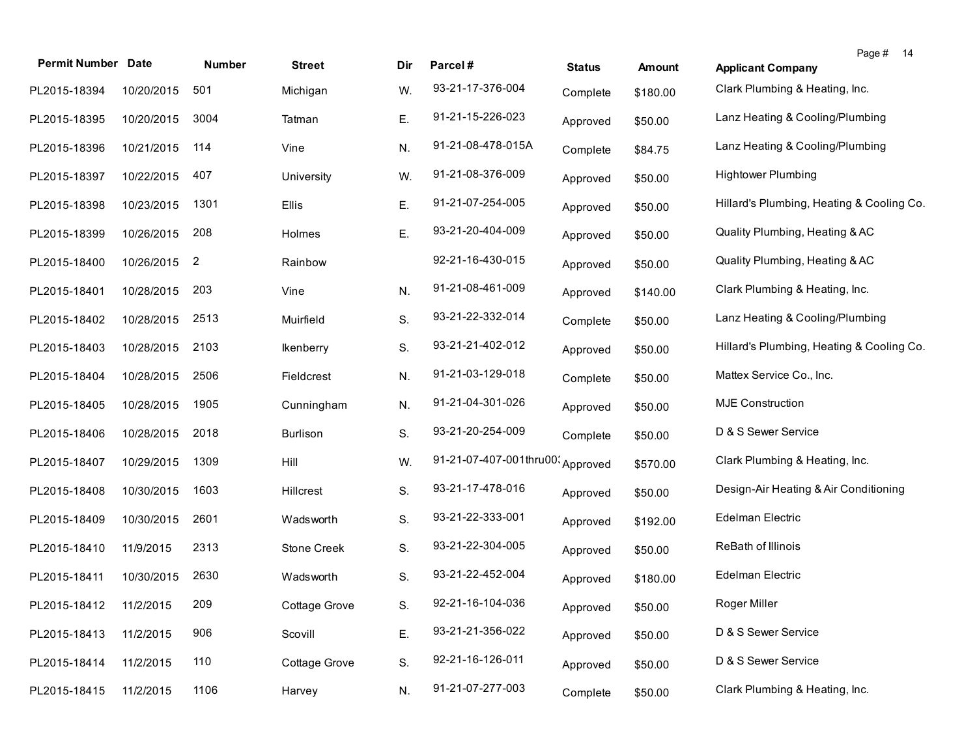| <b>Permit Number Date</b> |            | <b>Number</b>  | <b>Street</b>   | Dir | Parcel#                | <b>Status</b> | <b>Amount</b> | Page #<br>-14<br><b>Applicant Company</b> |
|---------------------------|------------|----------------|-----------------|-----|------------------------|---------------|---------------|-------------------------------------------|
| PL2015-18394              | 10/20/2015 | 501            | Michigan        | W.  | 93-21-17-376-004       | Complete      | \$180.00      | Clark Plumbing & Heating, Inc.            |
| PL2015-18395              | 10/20/2015 | 3004           | Tatman          | Ε.  | 91-21-15-226-023       | Approved      | \$50.00       | Lanz Heating & Cooling/Plumbing           |
| PL2015-18396              | 10/21/2015 | 114            | Vine            | N.  | 91-21-08-478-015A      | Complete      | \$84.75       | Lanz Heating & Cooling/Plumbing           |
| PL2015-18397              | 10/22/2015 | 407            | University      | W.  | 91-21-08-376-009       | Approved      | \$50.00       | <b>Hightower Plumbing</b>                 |
| PL2015-18398              | 10/23/2015 | 1301           | Ellis           | Ε.  | 91-21-07-254-005       | Approved      | \$50.00       | Hillard's Plumbing, Heating & Cooling Co. |
| PL2015-18399              | 10/26/2015 | 208            | Holmes          | Ε.  | 93-21-20-404-009       | Approved      | \$50.00       | Quality Plumbing, Heating & AC            |
| PL2015-18400              | 10/26/2015 | $\overline{c}$ | Rainbow         |     | 92-21-16-430-015       | Approved      | \$50.00       | Quality Plumbing, Heating & AC            |
| PL2015-18401              | 10/28/2015 | 203            | Vine            | N.  | 91-21-08-461-009       | Approved      | \$140.00      | Clark Plumbing & Heating, Inc.            |
| PL2015-18402              | 10/28/2015 | 2513           | Muirfield       | S.  | 93-21-22-332-014       | Complete      | \$50.00       | Lanz Heating & Cooling/Plumbing           |
| PL2015-18403              | 10/28/2015 | 2103           | Ikenberry       | S.  | 93-21-21-402-012       | Approved      | \$50.00       | Hillard's Plumbing, Heating & Cooling Co. |
| PL2015-18404              | 10/28/2015 | 2506           | Fieldcrest      | N.  | 91-21-03-129-018       | Complete      | \$50.00       | Mattex Service Co., Inc.                  |
| PL2015-18405              | 10/28/2015 | 1905           | Cunningham      | N.  | 91-21-04-301-026       | Approved      | \$50.00       | <b>MJE Construction</b>                   |
| PL2015-18406              | 10/28/2015 | 2018           | <b>Burlison</b> | S.  | 93-21-20-254-009       | Complete      | \$50.00       | D & S Sewer Service                       |
| PL2015-18407              | 10/29/2015 | 1309           | Hill            | W.  | 91-21-07-407-001thru00 | Approved      | \$570.00      | Clark Plumbing & Heating, Inc.            |
| PL2015-18408              | 10/30/2015 | 1603           | Hillcrest       | S.  | 93-21-17-478-016       | Approved      | \$50.00       | Design-Air Heating & Air Conditioning     |
| PL2015-18409              | 10/30/2015 | 2601           | Wadsworth       | S.  | 93-21-22-333-001       | Approved      | \$192.00      | Edelman Electric                          |
| PL2015-18410              | 11/9/2015  | 2313           | Stone Creek     | S.  | 93-21-22-304-005       | Approved      | \$50.00       | ReBath of Illinois                        |
| PL2015-18411              | 10/30/2015 | 2630           | Wadsworth       | S.  | 93-21-22-452-004       | Approved      | \$180.00      | Edelman Electric                          |
| PL2015-18412 11/2/2015    |            | 209            | Cottage Grove   | S.  | 92-21-16-104-036       | Approved      | \$50.00       | Roger Miller                              |
| PL2015-18413              | 11/2/2015  | 906            | Scovill         | Ε.  | 93-21-21-356-022       | Approved      | \$50.00       | D & S Sewer Service                       |
| PL2015-18414              | 11/2/2015  | 110            | Cottage Grove   | S.  | 92-21-16-126-011       | Approved      | \$50.00       | D & S Sewer Service                       |
| PL2015-18415              | 11/2/2015  | 1106           | Harvey          | N.  | 91-21-07-277-003       | Complete      | \$50.00       | Clark Plumbing & Heating, Inc.            |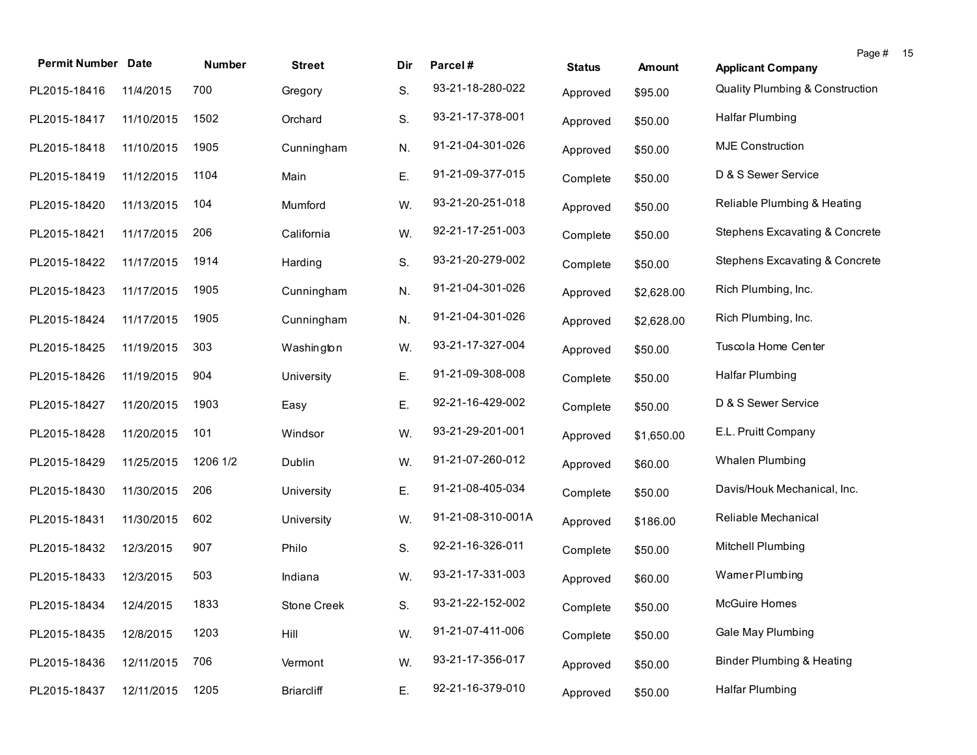| <b>Permit Number Date</b> |            | Number   | <b>Street</b>     | Dir | Parcel#           | <b>Status</b> | <b>Amount</b> | Page #<br>15<br><b>Applicant Company</b>   |
|---------------------------|------------|----------|-------------------|-----|-------------------|---------------|---------------|--------------------------------------------|
| PL2015-18416              | 11/4/2015  | 700      | Gregory           | S.  | 93-21-18-280-022  | Approved      | \$95.00       | <b>Quality Plumbing &amp; Construction</b> |
| PL2015-18417              | 11/10/2015 | 1502     | Orchard           | S.  | 93-21-17-378-001  | Approved      | \$50.00       | Halfar Plumbing                            |
| PL2015-18418              | 11/10/2015 | 1905     | Cunningham        | N.  | 91-21-04-301-026  | Approved      | \$50.00       | <b>MJE Construction</b>                    |
| PL2015-18419              | 11/12/2015 | 1104     | Main              | Ε.  | 91-21-09-377-015  | Complete      | \$50.00       | D & S Sewer Service                        |
| PL2015-18420              | 11/13/2015 | 104      | Mumford           | W.  | 93-21-20-251-018  | Approved      | \$50.00       | Reliable Plumbing & Heating                |
| PL2015-18421              | 11/17/2015 | 206      | California        | W.  | 92-21-17-251-003  | Complete      | \$50.00       | Stephens Excavating & Concrete             |
| PL2015-18422              | 11/17/2015 | 1914     | Harding           | S.  | 93-21-20-279-002  | Complete      | \$50.00       | Stephens Excavating & Concrete             |
| PL2015-18423              | 11/17/2015 | 1905     | Cunningham        | N.  | 91-21-04-301-026  | Approved      | \$2,628.00    | Rich Plumbing, Inc.                        |
| PL2015-18424              | 11/17/2015 | 1905     | Cunningham        | N.  | 91-21-04-301-026  | Approved      | \$2,628.00    | Rich Plumbing, Inc.                        |
| PL2015-18425              | 11/19/2015 | 303      | Washington        | W.  | 93-21-17-327-004  | Approved      | \$50.00       | Tuscola Home Center                        |
| PL2015-18426              | 11/19/2015 | 904      | University        | Ε.  | 91-21-09-308-008  | Complete      | \$50.00       | Halfar Plumbing                            |
| PL2015-18427              | 11/20/2015 | 1903     | Easy              | Ε.  | 92-21-16-429-002  | Complete      | \$50.00       | D & S Sewer Service                        |
| PL2015-18428              | 11/20/2015 | 101      | Windsor           | W.  | 93-21-29-201-001  | Approved      | \$1,650.00    | E.L. Pruitt Company                        |
| PL2015-18429              | 11/25/2015 | 1206 1/2 | Dublin            | W.  | 91-21-07-260-012  | Approved      | \$60.00       | Whalen Plumbing                            |
| PL2015-18430              | 11/30/2015 | 206      | University        | Ε.  | 91-21-08-405-034  | Complete      | \$50.00       | Davis/Houk Mechanical, Inc.                |
| PL2015-18431              | 11/30/2015 | 602      | University        | W.  | 91-21-08-310-001A | Approved      | \$186.00      | Reliable Mechanical                        |
| PL2015-18432              | 12/3/2015  | 907      | Philo             | S.  | 92-21-16-326-011  | Complete      | \$50.00       | Mitchell Plumbing                          |
| PL2015-18433              | 12/3/2015  | 503      | Indiana           | W.  | 93-21-17-331-003  | Approved      | \$60.00       | Wamer Plumbing                             |
| PL2015-18434 12/4/2015    |            | 1833     | Stone Creek       | S.  | 93-21-22-152-002  | Complete      | \$50.00       | McGuire Homes                              |
| PL2015-18435              | 12/8/2015  | 1203     | Hill              | W.  | 91-21-07-411-006  | Complete      | \$50.00       | Gale May Plumbing                          |
| PL2015-18436              | 12/11/2015 | 706      | Vermont           | W.  | 93-21-17-356-017  | Approved      | \$50.00       | <b>Binder Plumbing &amp; Heating</b>       |
| PL2015-18437              | 12/11/2015 | 1205     | <b>Briarcliff</b> | Ε.  | 92-21-16-379-010  | Approved      | \$50.00       | <b>Halfar Plumbing</b>                     |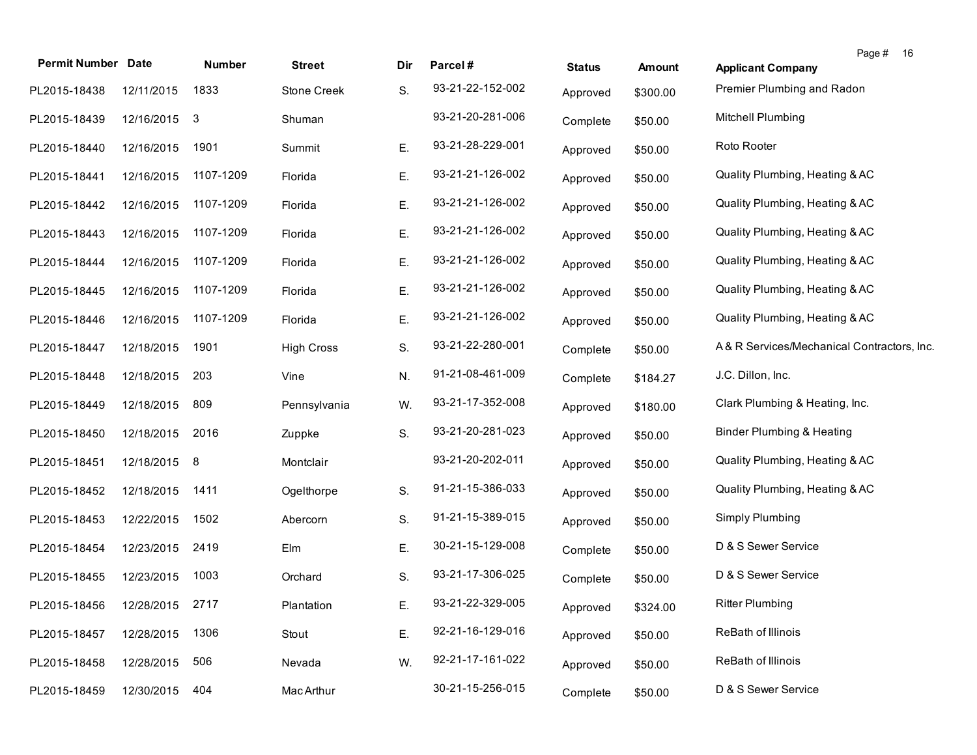| <b>Permit Number Date</b>    |            | Number                  | <b>Street</b>     | Dir | Parcel#          | <b>Status</b> | <b>Amount</b> | <b>Applicant Company</b>                   | Page # 16 |
|------------------------------|------------|-------------------------|-------------------|-----|------------------|---------------|---------------|--------------------------------------------|-----------|
| PL2015-18438                 | 12/11/2015 | 1833                    | Stone Creek       | S.  | 93-21-22-152-002 | Approved      | \$300.00      | Premier Plumbing and Radon                 |           |
| PL2015-18439                 | 12/16/2015 | $\overline{\mathbf{3}}$ | Shuman            |     | 93-21-20-281-006 | Complete      | \$50.00       | Mitchell Plumbing                          |           |
| PL2015-18440                 | 12/16/2015 | 1901                    | Summit            | Ε.  | 93-21-28-229-001 | Approved      | \$50.00       | Roto Rooter                                |           |
| PL2015-18441                 | 12/16/2015 | 1107-1209               | Florida           | Ε.  | 93-21-21-126-002 | Approved      | \$50.00       | Quality Plumbing, Heating & AC             |           |
| PL2015-18442                 | 12/16/2015 | 1107-1209               | Florida           | Ε.  | 93-21-21-126-002 | Approved      | \$50.00       | Quality Plumbing, Heating & AC             |           |
| PL2015-18443                 | 12/16/2015 | 1107-1209               | Florida           | Ε.  | 93-21-21-126-002 | Approved      | \$50.00       | Quality Plumbing, Heating & AC             |           |
| PL2015-18444                 | 12/16/2015 | 1107-1209               | Florida           | Ε.  | 93-21-21-126-002 | Approved      | \$50.00       | Quality Plumbing, Heating & AC             |           |
| PL2015-18445                 | 12/16/2015 | 1107-1209               | Florida           | Ε.  | 93-21-21-126-002 | Approved      | \$50.00       | Quality Plumbing, Heating & AC             |           |
| PL2015-18446                 | 12/16/2015 | 1107-1209               | Florida           | Е.  | 93-21-21-126-002 | Approved      | \$50.00       | Quality Plumbing, Heating & AC             |           |
| PL2015-18447                 | 12/18/2015 | 1901                    | <b>High Cross</b> | S.  | 93-21-22-280-001 | Complete      | \$50.00       | A& R Services/Mechanical Contractors, Inc. |           |
| PL2015-18448                 | 12/18/2015 | 203                     | Vine              | N.  | 91-21-08-461-009 | Complete      | \$184.27      | J.C. Dillon, Inc.                          |           |
| PL2015-18449                 | 12/18/2015 | 809                     | Pennsylvania      | W.  | 93-21-17-352-008 | Approved      | \$180.00      | Clark Plumbing & Heating, Inc.             |           |
| PL2015-18450                 | 12/18/2015 | 2016                    | Zuppke            | S.  | 93-21-20-281-023 | Approved      | \$50.00       | <b>Binder Plumbing &amp; Heating</b>       |           |
| PL2015-18451                 | 12/18/2015 | -8                      | Montclair         |     | 93-21-20-202-011 | Approved      | \$50.00       | Quality Plumbing, Heating & AC             |           |
| PL2015-18452                 | 12/18/2015 | 1411                    | Ogelthorpe        | S.  | 91-21-15-386-033 | Approved      | \$50.00       | Quality Plumbing, Heating & AC             |           |
| PL2015-18453                 | 12/22/2015 | 1502                    | Abercorn          | S.  | 91-21-15-389-015 | Approved      | \$50.00       | Simply Plumbing                            |           |
| PL2015-18454                 | 12/23/2015 | 2419                    | Elm               | Е.  | 30-21-15-129-008 | Complete      | \$50.00       | D & S Sewer Service                        |           |
| PL2015-18455                 | 12/23/2015 | 1003                    | Orchard           | S.  | 93-21-17-306-025 | Complete      | \$50.00       | D & S Sewer Service                        |           |
| PL2015-18456 12/28/2015 2717 |            |                         | Plantation        | Ε.  | 93-21-22-329-005 | Approved      | \$324.00      | <b>Ritter Plumbing</b>                     |           |
| PL2015-18457                 | 12/28/2015 | 1306                    | Stout             | Ε.  | 92-21-16-129-016 | Approved      | \$50.00       | ReBath of Illinois                         |           |
| PL2015-18458                 | 12/28/2015 | 506                     | Nevada            | W.  | 92-21-17-161-022 | Approved      | \$50.00       | ReBath of Illinois                         |           |
| PL2015-18459                 | 12/30/2015 | 404                     | Mac Arthur        |     | 30-21-15-256-015 | Complete      | \$50.00       | D & S Sewer Service                        |           |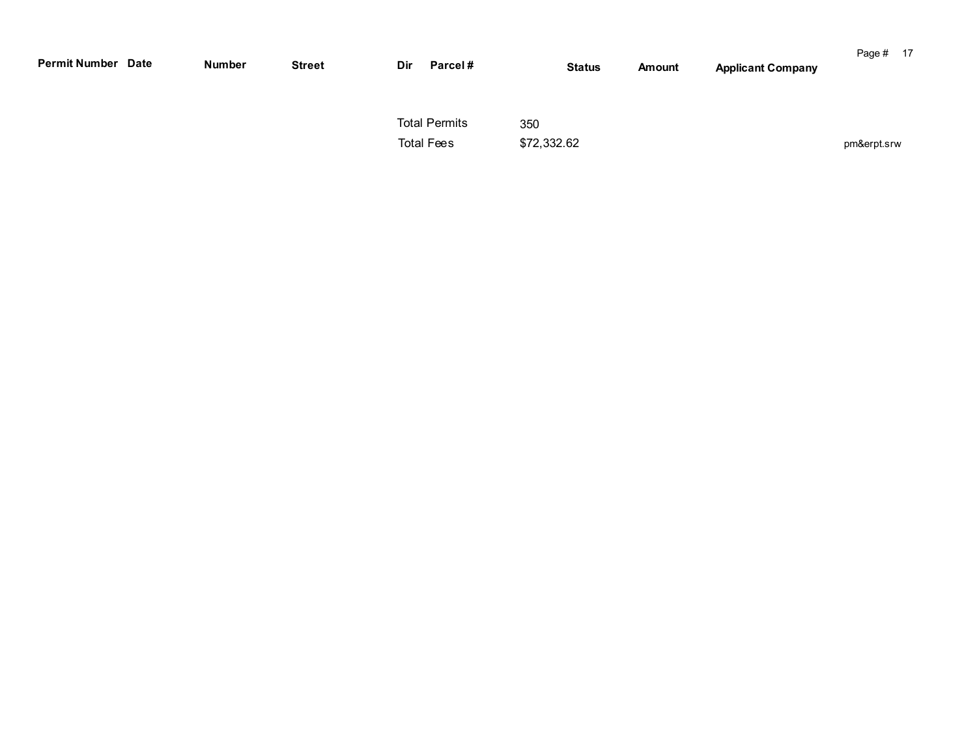| <b>Permit Number Date</b> | Number | <b>Street</b> | Dir | Parcel#                                   |                    | <b>Status</b> | Amount | <b>Applicant Company</b> | Page # 17   |  |
|---------------------------|--------|---------------|-----|-------------------------------------------|--------------------|---------------|--------|--------------------------|-------------|--|
|                           |        |               |     | <b>Total Permits</b><br><b>Total Fees</b> | 350<br>\$72,332.62 |               |        |                          | pm&erpt.srw |  |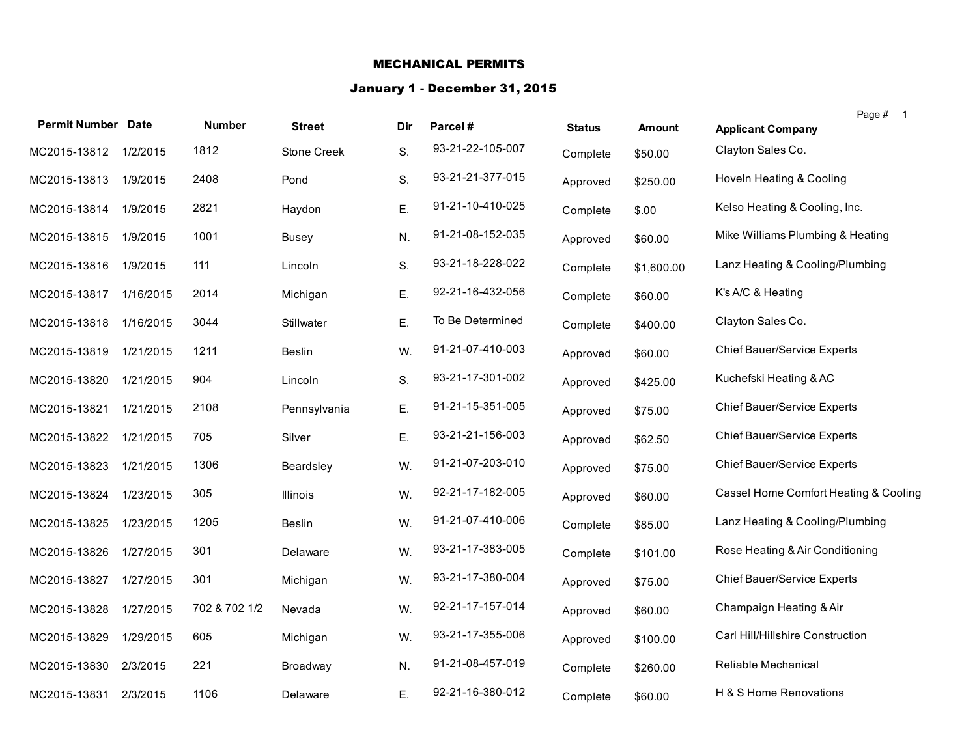#### MECHANICAL PERMITS

| <b>Permit Number Date</b> |           | <b>Number</b> | <b>Street</b>   | Dir | Parcel#          | <b>Status</b> | <b>Amount</b> | Page # 1<br><b>Applicant Company</b>  |
|---------------------------|-----------|---------------|-----------------|-----|------------------|---------------|---------------|---------------------------------------|
| MC2015-13812              | 1/2/2015  | 1812          | Stone Creek     | S.  | 93-21-22-105-007 | Complete      | \$50.00       | Clayton Sales Co.                     |
| MC2015-13813              | 1/9/2015  | 2408          | Pond            | S.  | 93-21-21-377-015 | Approved      | \$250.00      | Hoveln Heating & Cooling              |
| MC2015-13814              | 1/9/2015  | 2821          | Haydon          | Ε.  | 91-21-10-410-025 | Complete      | \$.00         | Kelso Heating & Cooling, Inc.         |
| MC2015-13815              | 1/9/2015  | 1001          | Busey           | N.  | 91-21-08-152-035 | Approved      | \$60.00       | Mike Williams Plumbing & Heating      |
| MC2015-13816              | 1/9/2015  | 111           | Lincoln         | S.  | 93-21-18-228-022 | Complete      | \$1,600.00    | Lanz Heating & Cooling/Plumbing       |
| MC2015-13817              | 1/16/2015 | 2014          | Michigan        | Ε.  | 92-21-16-432-056 | Complete      | \$60.00       | K's A/C & Heating                     |
| MC2015-13818              | 1/16/2015 | 3044          | Stillwater      | Ε.  | To Be Determined | Complete      | \$400.00      | Clayton Sales Co.                     |
| MC2015-13819              | 1/21/2015 | 1211          | Beslin          | W.  | 91-21-07-410-003 | Approved      | \$60.00       | <b>Chief Bauer/Service Experts</b>    |
| MC2015-13820              | 1/21/2015 | 904           | Lincoln         | S.  | 93-21-17-301-002 | Approved      | \$425.00      | Kuchefski Heating & AC                |
| MC2015-13821              | 1/21/2015 | 2108          | Pennsylvania    | Ε.  | 91-21-15-351-005 | Approved      | \$75.00       | Chief Bauer/Service Experts           |
| MC2015-13822              | 1/21/2015 | 705           | Silver          | Ε.  | 93-21-21-156-003 | Approved      | \$62.50       | Chief Bauer/Service Experts           |
| MC2015-13823              | 1/21/2015 | 1306          | Beardsley       | W.  | 91-21-07-203-010 | Approved      | \$75.00       | Chief Bauer/Service Experts           |
| MC2015-13824              | 1/23/2015 | 305           | <b>Illinois</b> | W.  | 92-21-17-182-005 | Approved      | \$60.00       | Cassel Home Comfort Heating & Cooling |
| MC2015-13825              | 1/23/2015 | 1205          | <b>Beslin</b>   | W.  | 91-21-07-410-006 | Complete      | \$85.00       | Lanz Heating & Cooling/Plumbing       |
| MC2015-13826              | 1/27/2015 | 301           | Delaware        | W.  | 93-21-17-383-005 | Complete      | \$101.00      | Rose Heating & Air Conditioning       |
| MC2015-13827              | 1/27/2015 | 301           | Michigan        | W.  | 93-21-17-380-004 | Approved      | \$75.00       | Chief Bauer/Service Experts           |
| MC2015-13828              | 1/27/2015 | 702 & 702 1/2 | Nevada          | W.  | 92-21-17-157-014 | Approved      | \$60.00       | Champaign Heating & Air               |
| MC2015-13829              | 1/29/2015 | 605           | Michigan        | W.  | 93-21-17-355-006 | Approved      | \$100.00      | Carl Hill/Hillshire Construction      |
| MC2015-13830              | 2/3/2015  | 221           | Broadway        | N.  | 91-21-08-457-019 | Complete      | \$260.00      | Reliable Mechanical                   |
| MC2015-13831              | 2/3/2015  | 1106          | Delaware        | Ε.  | 92-21-16-380-012 | Complete      | \$60.00       | H & S Home Renovations                |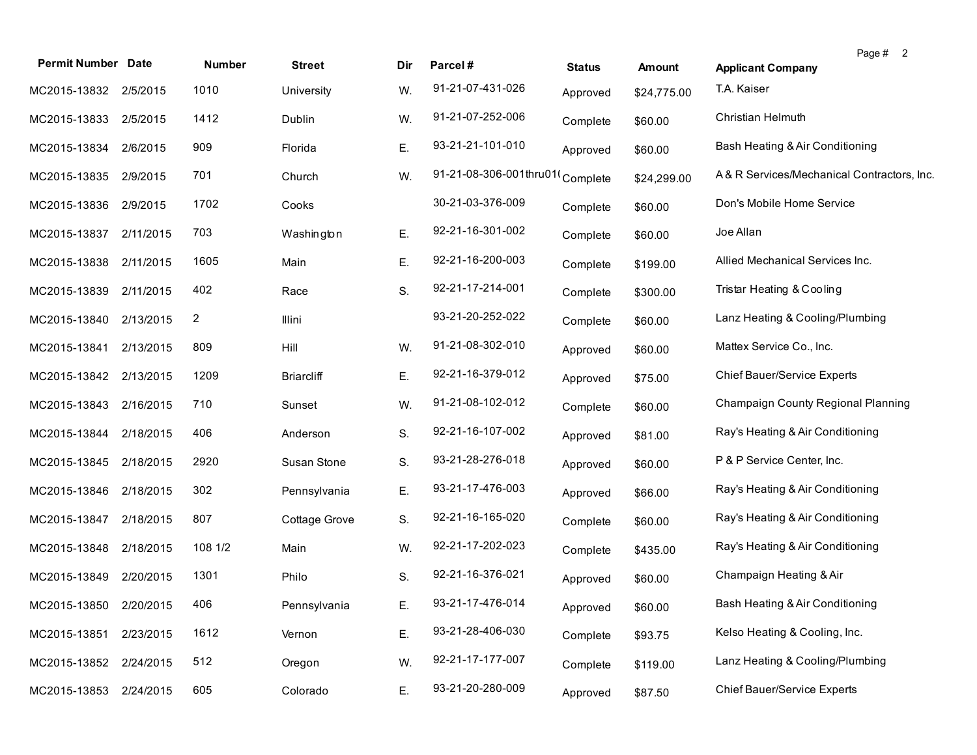| <b>Permit Number Date</b> |           | Number       | <b>Street</b>     | Dir. | Parcel#                         | <b>Status</b> | Amount      | Page # 2<br><b>Applicant Company</b>       |
|---------------------------|-----------|--------------|-------------------|------|---------------------------------|---------------|-------------|--------------------------------------------|
| MC2015-13832 2/5/2015     |           | 1010         | University        | W.   | 91-21-07-431-026                | Approved      | \$24,775.00 | T.A. Kaiser                                |
| MC2015-13833 2/5/2015     |           | 1412         | Dublin            | W.   | 91-21-07-252-006                | Complete      | \$60.00     | Christian Helmuth                          |
| MC2015-13834              | 2/6/2015  | 909          | Florida           | Ε.   | 93-21-21-101-010                | Approved      | \$60.00     | Bash Heating & Air Conditioning            |
| MC2015-13835              | 2/9/2015  | 701          | Church            | W.   | 91-21-08-306-001thru01(Complete |               | \$24,299.00 | A& R Services/Mechanical Contractors, Inc. |
| MC2015-13836              | 2/9/2015  | 1702         | Cooks             |      | 30-21-03-376-009                | Complete      | \$60.00     | Don's Mobile Home Service                  |
| MC2015-13837              | 2/11/2015 | 703          | Washington        | Е.   | 92-21-16-301-002                | Complete      | \$60.00     | Joe Allan                                  |
| MC2015-13838              | 2/11/2015 | 1605         | Main              | Ε.   | 92-21-16-200-003                | Complete      | \$199.00    | Allied Mechanical Services Inc.            |
| MC2015-13839              | 2/11/2015 | 402          | Race              | S.   | 92-21-17-214-001                | Complete      | \$300.00    | Tristar Heating & Cooling                  |
| MC2015-13840              | 2/13/2015 | $\mathbf{2}$ | Illini            |      | 93-21-20-252-022                | Complete      | \$60.00     | Lanz Heating & Cooling/Plumbing            |
| MC2015-13841              | 2/13/2015 | 809          | Hill              | W.   | 91-21-08-302-010                | Approved      | \$60.00     | Mattex Service Co., Inc.                   |
| MC2015-13842              | 2/13/2015 | 1209         | <b>Briarcliff</b> | Е.   | 92-21-16-379-012                | Approved      | \$75.00     | Chief Bauer/Service Experts                |
| MC2015-13843              | 2/16/2015 | 710          | Sunset            | W.   | 91-21-08-102-012                | Complete      | \$60.00     | Champaign County Regional Planning         |
| MC2015-13844              | 2/18/2015 | 406          | Anderson          | S.   | 92-21-16-107-002                | Approved      | \$81.00     | Ray's Heating & Air Conditioning           |
| MC2015-13845              | 2/18/2015 | 2920         | Susan Stone       | S.   | 93-21-28-276-018                | Approved      | \$60.00     | P & P Service Center, Inc.                 |
| MC2015-13846              | 2/18/2015 | 302          | Pennsylvania      | Е.   | 93-21-17-476-003                | Approved      | \$66.00     | Ray's Heating & Air Conditioning           |
| MC2015-13847              | 2/18/2015 | 807          | Cottage Grove     | S.   | 92-21-16-165-020                | Complete      | \$60.00     | Ray's Heating & Air Conditioning           |
| MC2015-13848              | 2/18/2015 | 108 1/2      | Main              | W.   | 92-21-17-202-023                | Complete      | \$435.00    | Ray's Heating & Air Conditioning           |
| MC2015-13849              | 2/20/2015 | 1301         | Philo             | S.   | 92-21-16-376-021                | Approved      | \$60.00     | Champaign Heating & Air                    |
| MC2015-13850 2/20/2015    |           | 406          | Pennsylvania      | Е.   | 93-21-17-476-014                | Approved      | \$60.00     | Bash Heating & Air Conditioning            |
| MC2015-13851              | 2/23/2015 | 1612         | Vernon            | Ε.   | 93-21-28-406-030                | Complete      | \$93.75     | Kelso Heating & Cooling, Inc.              |
| MC2015-13852              | 2/24/2015 | 512          | Oregon            | W.   | 92-21-17-177-007                | Complete      | \$119.00    | Lanz Heating & Cooling/Plumbing            |
| MC2015-13853              | 2/24/2015 | 605          | Colorado          | Ε.   | 93-21-20-280-009                | Approved      | \$87.50     | Chief Bauer/Service Experts                |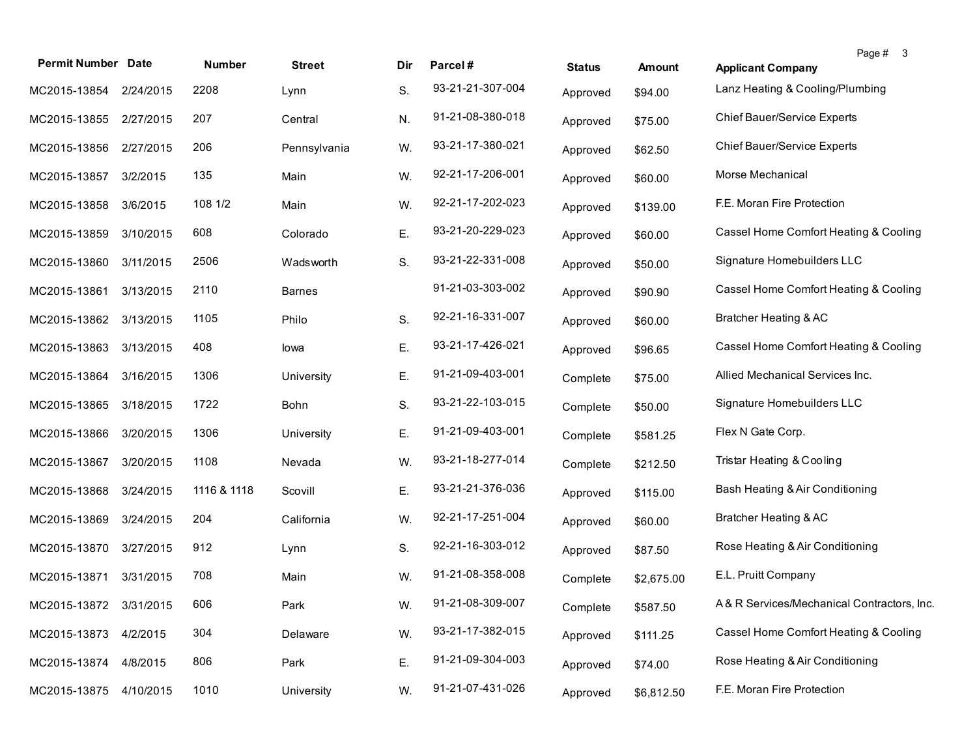| <b>Permit Number Date</b> |           | Number      | <b>Street</b> | Dir. | Parcel#          | <b>Status</b> | Amount     | Page # 3<br><b>Applicant Company</b>      |
|---------------------------|-----------|-------------|---------------|------|------------------|---------------|------------|-------------------------------------------|
| MC2015-13854              | 2/24/2015 | 2208        | Lynn          | S.   | 93-21-21-307-004 | Approved      | \$94.00    | Lanz Heating & Cooling/Plumbing           |
| MC2015-13855              | 2/27/2015 | 207         | Central       | N.   | 91-21-08-380-018 | Approved      | \$75.00    | Chief Bauer/Service Experts               |
| MC2015-13856              | 2/27/2015 | 206         | Pennsylvania  | W.   | 93-21-17-380-021 | Approved      | \$62.50    | Chief Bauer/Service Experts               |
| MC2015-13857              | 3/2/2015  | 135         | Main          | W.   | 92-21-17-206-001 | Approved      | \$60.00    | Morse Mechanical                          |
| MC2015-13858              | 3/6/2015  | 108 1/2     | Main          | W.   | 92-21-17-202-023 | Approved      | \$139.00   | F.E. Moran Fire Protection                |
| MC2015-13859              | 3/10/2015 | 608         | Colorado      | Ε.   | 93-21-20-229-023 | Approved      | \$60.00    | Cassel Home Comfort Heating & Cooling     |
| MC2015-13860              | 3/11/2015 | 2506        | Wadsworth     | S.   | 93-21-22-331-008 | Approved      | \$50.00    | Signature Homebuilders LLC                |
| MC2015-13861              | 3/13/2015 | 2110        | <b>Barnes</b> |      | 91-21-03-303-002 | Approved      | \$90.90    | Cassel Home Comfort Heating & Cooling     |
| MC2015-13862              | 3/13/2015 | 1105        | Philo         | S.   | 92-21-16-331-007 | Approved      | \$60.00    | Bratcher Heating & AC                     |
| MC2015-13863              | 3/13/2015 | 408         | lowa          | Ε.   | 93-21-17-426-021 | Approved      | \$96.65    | Cassel Home Comfort Heating & Cooling     |
| MC2015-13864              | 3/16/2015 | 1306        | University    | Е.   | 91-21-09-403-001 | Complete      | \$75.00    | Allied Mechanical Services Inc.           |
| MC2015-13865              | 3/18/2015 | 1722        | Bohn          | S.   | 93-21-22-103-015 | Complete      | \$50.00    | Signature Homebuilders LLC                |
| MC2015-13866              | 3/20/2015 | 1306        | University    | Ε.   | 91-21-09-403-001 | Complete      | \$581.25   | Flex N Gate Corp.                         |
| MC2015-13867              | 3/20/2015 | 1108        | Nevada        | W.   | 93-21-18-277-014 | Complete      | \$212.50   | Tristar Heating & Cooling                 |
| MC2015-13868              | 3/24/2015 | 1116 & 1118 | Scovill       | Е.   | 93-21-21-376-036 | Approved      | \$115.00   | Bash Heating & Air Conditioning           |
| MC2015-13869              | 3/24/2015 | 204         | California    | W.   | 92-21-17-251-004 | Approved      | \$60.00    | Bratcher Heating & AC                     |
| MC2015-13870              | 3/27/2015 | 912         | Lynn          | S.   | 92-21-16-303-012 | Approved      | \$87.50    | Rose Heating & Air Conditioning           |
| MC2015-13871              | 3/31/2015 | 708         | Main          | W.   | 91-21-08-358-008 | Complete      | \$2,675.00 | E.L. Pruitt Company                       |
| MC2015-13872 3/31/2015    |           | 606         | Park          | W.   | 91-21-08-309-007 | Complete      | \$587.50   | A&R Services/Mechanical Contractors, Inc. |
| MC2015-13873              | 4/2/2015  | 304         | Delaware      | W.   | 93-21-17-382-015 | Approved      | \$111.25   | Cassel Home Comfort Heating & Cooling     |
| MC2015-13874              | 4/8/2015  | 806         | Park          | Ε.   | 91-21-09-304-003 | Approved      | \$74.00    | Rose Heating & Air Conditioning           |
| MC2015-13875              | 4/10/2015 | 1010        | University    | W.   | 91-21-07-431-026 | Approved      | \$6,812.50 | F.E. Moran Fire Protection                |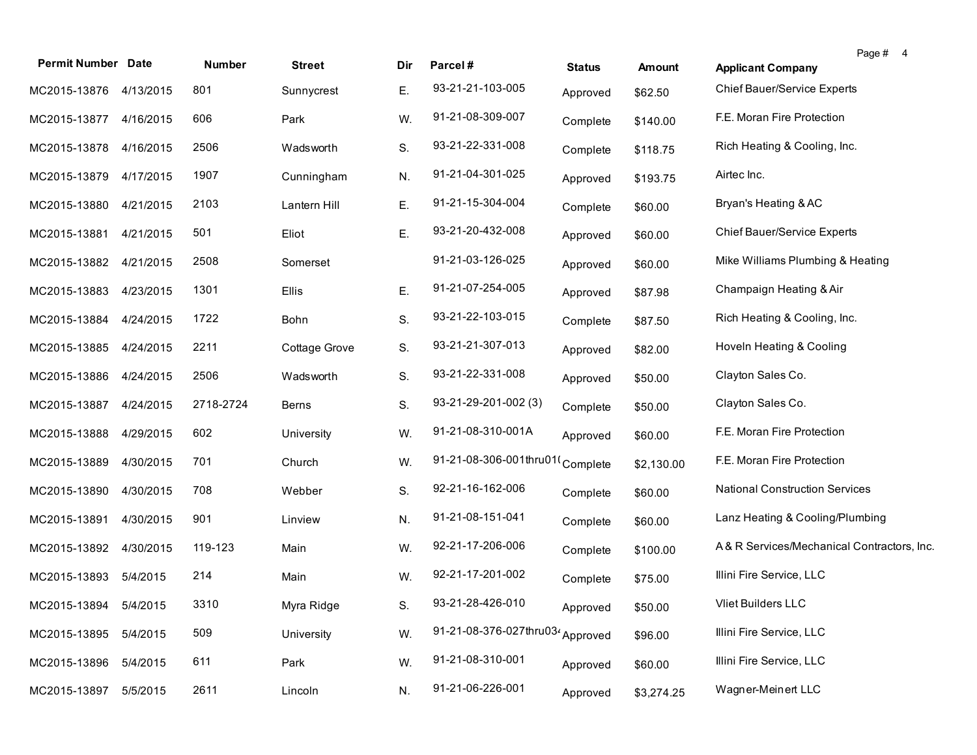| <b>Permit Number Date</b> |           | Number    | <b>Street</b> | Dir | Parcel#                                      | <b>Status</b> | Amount     | Page # 4<br><b>Applicant Company</b>       |
|---------------------------|-----------|-----------|---------------|-----|----------------------------------------------|---------------|------------|--------------------------------------------|
| MC2015-13876 4/13/2015    |           | 801       | Sunnycrest    | Ε.  | 93-21-21-103-005                             | Approved      | \$62.50    | Chief Bauer/Service Experts                |
| MC2015-13877              | 4/16/2015 | 606       | Park          | W.  | 91-21-08-309-007                             | Complete      | \$140.00   | F.E. Moran Fire Protection                 |
| MC2015-13878              | 4/16/2015 | 2506      | Wadsworth     | S.  | 93-21-22-331-008                             | Complete      | \$118.75   | Rich Heating & Cooling, Inc.               |
| MC2015-13879              | 4/17/2015 | 1907      | Cunningham    | N.  | 91-21-04-301-025                             | Approved      | \$193.75   | Airtec Inc.                                |
| MC2015-13880              | 4/21/2015 | 2103      | Lantern Hill  | Ε.  | 91-21-15-304-004                             | Complete      | \$60.00    | Bryan's Heating & AC                       |
| MC2015-13881              | 4/21/2015 | 501       | Eliot         | Ε.  | 93-21-20-432-008                             | Approved      | \$60.00    | Chief Bauer/Service Experts                |
| MC2015-13882              | 4/21/2015 | 2508      | Somerset      |     | 91-21-03-126-025                             | Approved      | \$60.00    | Mike Williams Plumbing & Heating           |
| MC2015-13883              | 4/23/2015 | 1301      | Ellis         | Ε.  | 91-21-07-254-005                             | Approved      | \$87.98    | Champaign Heating & Air                    |
| MC2015-13884              | 4/24/2015 | 1722      | Bohn          | S.  | 93-21-22-103-015                             | Complete      | \$87.50    | Rich Heating & Cooling, Inc.               |
| MC2015-13885              | 4/24/2015 | 2211      | Cottage Grove | S.  | 93-21-21-307-013                             | Approved      | \$82.00    | Hoveln Heating & Cooling                   |
| MC2015-13886              | 4/24/2015 | 2506      | Wadsworth     | S.  | 93-21-22-331-008                             | Approved      | \$50.00    | Clayton Sales Co.                          |
| MC2015-13887              | 4/24/2015 | 2718-2724 | <b>Berns</b>  | S.  | 93-21-29-201-002 (3)                         | Complete      | \$50.00    | Clayton Sales Co.                          |
| MC2015-13888              | 4/29/2015 | 602       | University    | W.  | 91-21-08-310-001A                            | Approved      | \$60.00    | F.E. Moran Fire Protection                 |
| MC2015-13889              | 4/30/2015 | 701       | Church        | W.  | 91-21-08-306-001thru01(Complete              |               | \$2,130.00 | F.E. Moran Fire Protection                 |
| MC2015-13890              | 4/30/2015 | 708       | Webber        | S.  | 92-21-16-162-006                             | Complete      | \$60.00    | <b>National Construction Services</b>      |
| MC2015-13891              | 4/30/2015 | 901       | Linview       | N.  | 91-21-08-151-041                             | Complete      | \$60.00    | Lanz Heating & Cooling/Plumbing            |
| MC2015-13892              | 4/30/2015 | 119-123   | Main          | W.  | 92-21-17-206-006                             | Complete      | \$100.00   | A& R Services/Mechanical Contractors, Inc. |
| MC2015-13893              | 5/4/2015  | 214       | Main          | W.  | 92-21-17-201-002                             | Complete      | \$75.00    | Illini Fire Service, LLC                   |
| MC2015-13894 5/4/2015     |           | 3310      | Myra Ridge    | S.  | 93-21-28-426-010                             | Approved      | \$50.00    | Vliet Builders LLC                         |
| MC2015-13895              | 5/4/2015  | 509       | University    | W.  | 91-21-08-376-027thru03 <sup>,</sup> Approved |               | \$96.00    | Illini Fire Service, LLC                   |
| MC2015-13896              | 5/4/2015  | 611       | Park          | W.  | 91-21-08-310-001                             | Approved      | \$60.00    | Illini Fire Service, LLC                   |
| MC2015-13897              | 5/5/2015  | 2611      | Lincoln       | N.  | 91-21-06-226-001                             | Approved      | \$3,274.25 | Wagner-Meinert LLC                         |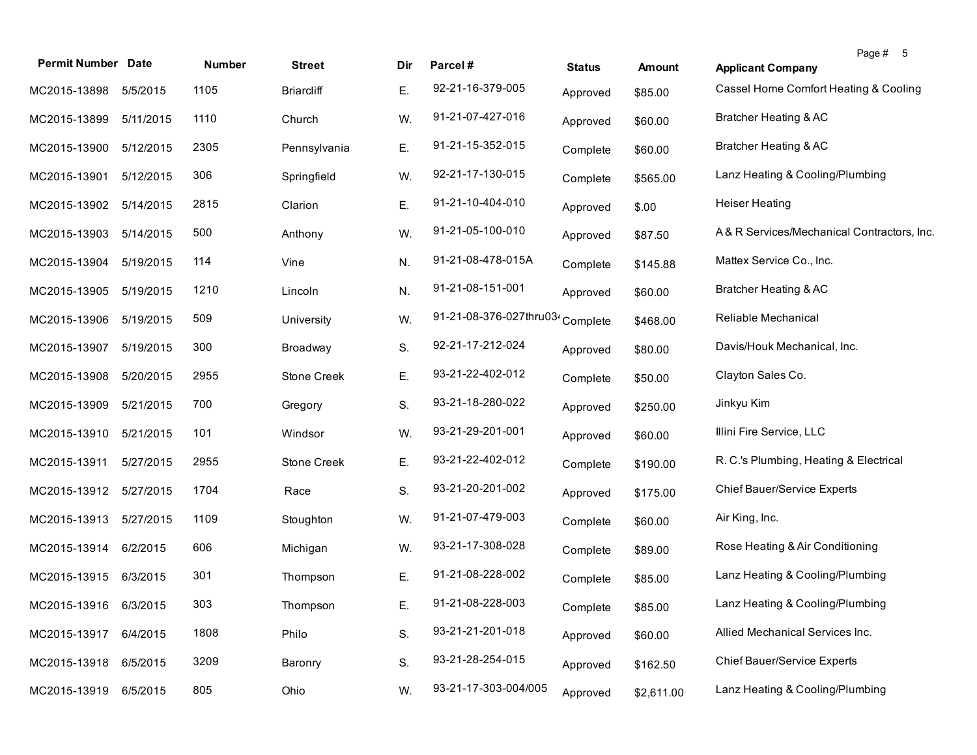| <b>Permit Number Date</b> |           | Number | <b>Street</b>     | Dir | Parcel#                                      | <b>Status</b> | Amount     | Page # 5<br><b>Applicant Company</b>       |
|---------------------------|-----------|--------|-------------------|-----|----------------------------------------------|---------------|------------|--------------------------------------------|
| MC2015-13898              | 5/5/2015  | 1105   | <b>Briarcliff</b> | Ε.  | 92-21-16-379-005                             | Approved      | \$85.00    | Cassel Home Comfort Heating & Cooling      |
| MC2015-13899              | 5/11/2015 | 1110   | Church            | W.  | 91-21-07-427-016                             | Approved      | \$60.00    | Bratcher Heating & AC                      |
| MC2015-13900              | 5/12/2015 | 2305   | Pennsylvania      | Ε.  | 91-21-15-352-015                             | Complete      | \$60.00    | Bratcher Heating & AC                      |
| MC2015-13901              | 5/12/2015 | 306    | Springfield       | W.  | 92-21-17-130-015                             | Complete      | \$565.00   | Lanz Heating & Cooling/Plumbing            |
| MC2015-13902              | 5/14/2015 | 2815   | Clarion           | Ε.  | 91-21-10-404-010                             | Approved      | \$.00      | Heiser Heating                             |
| MC2015-13903              | 5/14/2015 | 500    | Anthony           | W.  | 91-21-05-100-010                             | Approved      | \$87.50    | A& R Services/Mechanical Contractors, Inc. |
| MC2015-13904              | 5/19/2015 | 114    | Vine              | N.  | 91-21-08-478-015A                            | Complete      | \$145.88   | Mattex Service Co., Inc.                   |
| MC2015-13905              | 5/19/2015 | 1210   | Lincoln           | N.  | 91-21-08-151-001                             | Approved      | \$60.00    | Bratcher Heating & AC                      |
| MC2015-13906              | 5/19/2015 | 509    | University        | W.  | 91-21-08-376-027thru03 <sup>4</sup> Complete |               | \$468.00   | Reliable Mechanical                        |
| MC2015-13907              | 5/19/2015 | 300    | Broadway          | S.  | 92-21-17-212-024                             | Approved      | \$80.00    | Davis/Houk Mechanical, Inc.                |
| MC2015-13908              | 5/20/2015 | 2955   | Stone Creek       | Ε.  | 93-21-22-402-012                             | Complete      | \$50.00    | Clayton Sales Co.                          |
| MC2015-13909              | 5/21/2015 | 700    | Gregory           | S.  | 93-21-18-280-022                             | Approved      | \$250.00   | Jinkyu Kim                                 |
| MC2015-13910              | 5/21/2015 | 101    | Windsor           | W.  | 93-21-29-201-001                             | Approved      | \$60.00    | Illini Fire Service, LLC                   |
| MC2015-13911              | 5/27/2015 | 2955   | Stone Creek       | Ε.  | 93-21-22-402-012                             | Complete      | \$190.00   | R. C.'s Plumbing, Heating & Electrical     |
| MC2015-13912              | 5/27/2015 | 1704   | Race              | S.  | 93-21-20-201-002                             | Approved      | \$175.00   | <b>Chief Bauer/Service Experts</b>         |
| MC2015-13913              | 5/27/2015 | 1109   | Stoughton         | W.  | 91-21-07-479-003                             | Complete      | \$60.00    | Air King, Inc.                             |
| MC2015-13914              | 6/2/2015  | 606    | Michigan          | W.  | 93-21-17-308-028                             | Complete      | \$89.00    | Rose Heating & Air Conditioning            |
| MC2015-13915              | 6/3/2015  | 301    | Thompson          | Е.  | 91-21-08-228-002                             | Complete      | \$85.00    | Lanz Heating & Cooling/Plumbing            |
| MC2015-13916 6/3/2015     |           | 303    | Thompson          |     | 91-21-08-228-003                             | Complete      | \$85.00    | Lanz Heating & Cooling/Plumbing            |
| MC2015-13917              | 6/4/2015  | 1808   | Philo             | S.  | 93-21-21-201-018                             | Approved      | \$60.00    | Allied Mechanical Services Inc.            |
| MC2015-13918              | 6/5/2015  | 3209   | Baronry           | S.  | 93-21-28-254-015                             | Approved      | \$162.50   | Chief Bauer/Service Experts                |
| MC2015-13919              | 6/5/2015  | 805    | Ohio              | W.  | 93-21-17-303-004/005                         | Approved      | \$2,611.00 | Lanz Heating & Cooling/Plumbing            |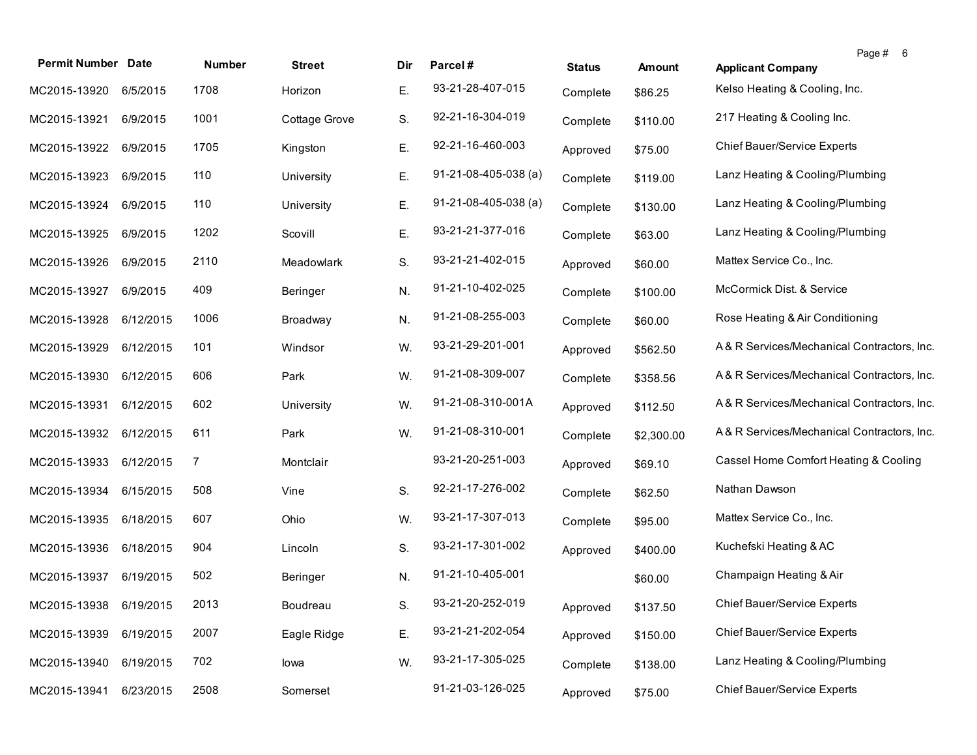| <b>Permit Number Date</b> |           | Number | <b>Street</b> | Dir | Parcel#                | <b>Status</b> | Amount     | Page # 6<br><b>Applicant Company</b>       |
|---------------------------|-----------|--------|---------------|-----|------------------------|---------------|------------|--------------------------------------------|
| MC2015-13920              | 6/5/2015  | 1708   | Horizon       | Ε.  | 93-21-28-407-015       | Complete      | \$86.25    | Kelso Heating & Cooling, Inc.              |
| MC2015-13921              | 6/9/2015  | 1001   | Cottage Grove | S.  | 92-21-16-304-019       | Complete      | \$110.00   | 217 Heating & Cooling Inc.                 |
| MC2015-13922              | 6/9/2015  | 1705   | Kingston      | Ε.  | 92-21-16-460-003       | Approved      | \$75.00    | Chief Bauer/Service Experts                |
| MC2015-13923              | 6/9/2015  | 110    | University    | Ε.  | $91-21-08-405-038$ (a) | Complete      | \$119.00   | Lanz Heating & Cooling/Plumbing            |
| MC2015-13924              | 6/9/2015  | 110    | University    | Ε.  | $91-21-08-405-038$ (a) | Complete      | \$130.00   | Lanz Heating & Cooling/Plumbing            |
| MC2015-13925              | 6/9/2015  | 1202   | Scovill       | Ε.  | 93-21-21-377-016       | Complete      | \$63.00    | Lanz Heating & Cooling/Plumbing            |
| MC2015-13926              | 6/9/2015  | 2110   | Meadowlark    | S.  | 93-21-21-402-015       | Approved      | \$60.00    | Mattex Service Co., Inc.                   |
| MC2015-13927              | 6/9/2015  | 409    | Beringer      | N.  | 91-21-10-402-025       | Complete      | \$100.00   | McCormick Dist. & Service                  |
| MC2015-13928              | 6/12/2015 | 1006   | Broadway      | N.  | 91-21-08-255-003       | Complete      | \$60.00    | Rose Heating & Air Conditioning            |
| MC2015-13929              | 6/12/2015 | 101    | Windsor       | W.  | 93-21-29-201-001       | Approved      | \$562.50   | A& R Services/Mechanical Contractors, Inc. |
| MC2015-13930              | 6/12/2015 | 606    | Park          | W.  | 91-21-08-309-007       | Complete      | \$358.56   | A& R Services/Mechanical Contractors, Inc. |
| MC2015-13931              | 6/12/2015 | 602    | University    | W.  | 91-21-08-310-001A      | Approved      | \$112.50   | A& R Services/Mechanical Contractors, Inc. |
| MC2015-13932              | 6/12/2015 | 611    | Park          | W.  | 91-21-08-310-001       | Complete      | \$2,300.00 | A& R Services/Mechanical Contractors, Inc. |
| MC2015-13933              | 6/12/2015 | 7      | Montclair     |     | 93-21-20-251-003       | Approved      | \$69.10    | Cassel Home Comfort Heating & Cooling      |
| MC2015-13934              | 6/15/2015 | 508    | Vine          | S.  | 92-21-17-276-002       | Complete      | \$62.50    | Nathan Dawson                              |
| MC2015-13935              | 6/18/2015 | 607    | Ohio          | W.  | 93-21-17-307-013       | Complete      | \$95.00    | Mattex Service Co., Inc.                   |
| MC2015-13936              | 6/18/2015 | 904    | Lincoln       | S.  | 93-21-17-301-002       | Approved      | \$400.00   | Kuchefski Heating & AC                     |
| MC2015-13937              | 6/19/2015 | 502    | Beringer      | N.  | 91-21-10-405-001       |               | \$60.00    | Champaign Heating & Air                    |
| MC2015-13938 6/19/2015    |           | 2013   | Boudreau      | S.  | 93-21-20-252-019       | Approved      | \$137.50   | Chief Bauer/Service Experts                |
| MC2015-13939              | 6/19/2015 | 2007   | Eagle Ridge   | Ε.  | 93-21-21-202-054       | Approved      | \$150.00   | Chief Bauer/Service Experts                |
| MC2015-13940              | 6/19/2015 | 702    | lowa          | W.  | 93-21-17-305-025       | Complete      | \$138.00   | Lanz Heating & Cooling/Plumbing            |
| MC2015-13941              | 6/23/2015 | 2508   | Somerset      |     | 91-21-03-126-025       | Approved      | \$75.00    | Chief Bauer/Service Experts                |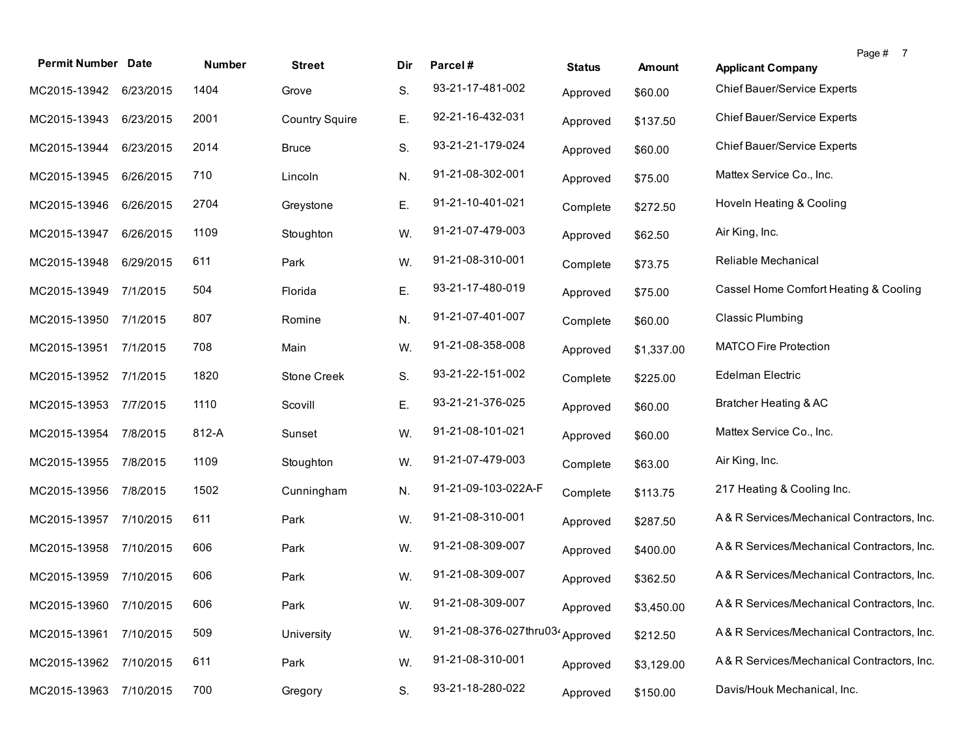| <b>Permit Number Date</b> |           | Number | <b>Street</b>         | Dir | Parcel#                                      | <b>Status</b> | Amount     | Page # 7<br><b>Applicant Company</b>        |
|---------------------------|-----------|--------|-----------------------|-----|----------------------------------------------|---------------|------------|---------------------------------------------|
| MC2015-13942 6/23/2015    |           | 1404   | Grove                 | S.  | 93-21-17-481-002                             | Approved      | \$60.00    | Chief Bauer/Service Experts                 |
| MC2015-13943 6/23/2015    |           | 2001   | <b>Country Squire</b> | Ε.  | 92-21-16-432-031                             | Approved      | \$137.50   | Chief Bauer/Service Experts                 |
| MC2015-13944              | 6/23/2015 | 2014   | <b>Bruce</b>          | S.  | 93-21-21-179-024                             | Approved      | \$60.00    | Chief Bauer/Service Experts                 |
| MC2015-13945              | 6/26/2015 | 710    | Lincoln               | N.  | 91-21-08-302-001                             | Approved      | \$75.00    | Mattex Service Co., Inc.                    |
| MC2015-13946              | 6/26/2015 | 2704   | Greystone             | Ε.  | 91-21-10-401-021                             | Complete      | \$272.50   | Hoveln Heating & Cooling                    |
| MC2015-13947              | 6/26/2015 | 1109   | Stoughton             | W.  | 91-21-07-479-003                             | Approved      | \$62.50    | Air King, Inc.                              |
| MC2015-13948              | 6/29/2015 | 611    | Park                  | W.  | 91-21-08-310-001                             | Complete      | \$73.75    | Reliable Mechanical                         |
| MC2015-13949              | 7/1/2015  | 504    | Florida               | Ε.  | 93-21-17-480-019                             | Approved      | \$75.00    | Cassel Home Comfort Heating & Cooling       |
| MC2015-13950              | 7/1/2015  | 807    | Romine                | N.  | 91-21-07-401-007                             | Complete      | \$60.00    | <b>Classic Plumbing</b>                     |
| MC2015-13951              | 7/1/2015  | 708    | Main                  | W.  | 91-21-08-358-008                             | Approved      | \$1,337.00 | <b>MATCO Fire Protection</b>                |
| MC2015-13952              | 7/1/2015  | 1820   | <b>Stone Creek</b>    | S.  | 93-21-22-151-002                             | Complete      | \$225.00   | Edelman Electric                            |
| MC2015-13953              | 7/7/2015  | 1110   | Scovill               | Ε.  | 93-21-21-376-025                             | Approved      | \$60.00    | Bratcher Heating & AC                       |
| MC2015-13954              | 7/8/2015  | 812-A  | Sunset                | W.  | 91-21-08-101-021                             | Approved      | \$60.00    | Mattex Service Co., Inc.                    |
| MC2015-13955              | 7/8/2015  | 1109   | Stoughton             | W.  | 91-21-07-479-003                             | Complete      | \$63.00    | Air King, Inc.                              |
| MC2015-13956              | 7/8/2015  | 1502   | Cunningham            | N.  | 91-21-09-103-022A-F                          | Complete      | \$113.75   | 217 Heating & Cooling Inc.                  |
| MC2015-13957              | 7/10/2015 | 611    | Park                  | W.  | 91-21-08-310-001                             | Approved      | \$287.50   | A&R Services/Mechanical Contractors, Inc.   |
| MC2015-13958              | 7/10/2015 | 606    | Park                  | W.  | 91-21-08-309-007                             | Approved      | \$400.00   | A& R Services/Mechanical Contractors, Inc.  |
| MC2015-13959              | 7/10/2015 | 606    | Park                  | W.  | 91-21-08-309-007                             | Approved      | \$362.50   | A& R Services/Mechanical Contractors, Inc.  |
| MC2015-13960 7/10/2015    |           | 606    | Park                  | W.  | 91-21-08-309-007                             | Approved      | \$3,450.00 | A&R Services/Mechanical Contractors, Inc.   |
| MC2015-13961              | 7/10/2015 | 509    | University            | W.  | 91-21-08-376-027thru03 <sub>4</sub> Approved |               | \$212.50   | A & R Services/Mechanical Contractors, Inc. |
| MC2015-13962              | 7/10/2015 | 611    | Park                  | W.  | 91-21-08-310-001                             | Approved      | \$3,129.00 | A& R Services/Mechanical Contractors, Inc.  |
| MC2015-13963              | 7/10/2015 | 700    | Gregory               | S.  | 93-21-18-280-022                             | Approved      | \$150.00   | Davis/Houk Mechanical, Inc.                 |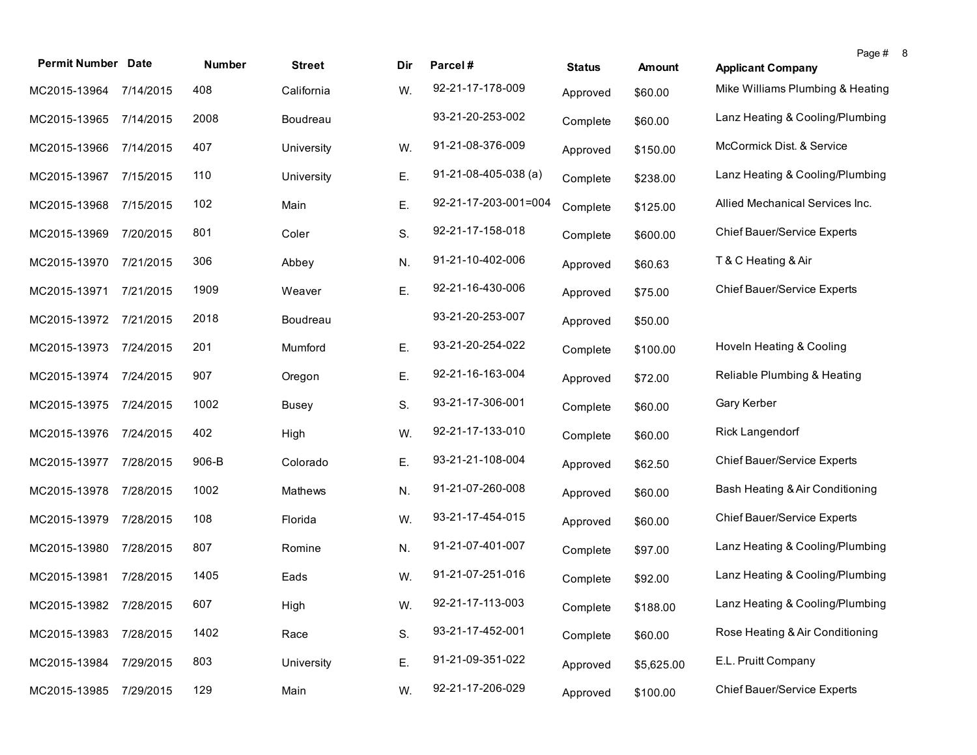| <b>Permit Number Date</b> |           | Number | <b>Street</b>   | Dir. | Parcel#                        | <b>Status</b> | Amount     | Page #<br><b>Applicant Company</b> | - 8 |
|---------------------------|-----------|--------|-----------------|------|--------------------------------|---------------|------------|------------------------------------|-----|
| MC2015-13964              | 7/14/2015 | 408    | California      | W.   | 92-21-17-178-009               | Approved      | \$60.00    | Mike Williams Plumbing & Heating   |     |
| MC2015-13965              | 7/14/2015 | 2008   | <b>Boudreau</b> |      | 93-21-20-253-002               | Complete      | \$60.00    | Lanz Heating & Cooling/Plumbing    |     |
| MC2015-13966              | 7/14/2015 | 407    | University      | W.   | 91-21-08-376-009               | Approved      | \$150.00   | McCormick Dist. & Service          |     |
| MC2015-13967              | 7/15/2015 | 110    | University      | Ε.   | $91 - 21 - 08 - 405 - 038$ (a) | Complete      | \$238.00   | Lanz Heating & Cooling/Plumbing    |     |
| MC2015-13968              | 7/15/2015 | 102    | Main            | Ε.   | 92-21-17-203-001=004           | Complete      | \$125.00   | Allied Mechanical Services Inc.    |     |
| MC2015-13969              | 7/20/2015 | 801    | Coler           | S.   | 92-21-17-158-018               | Complete      | \$600.00   | Chief Bauer/Service Experts        |     |
| MC2015-13970              | 7/21/2015 | 306    | Abbey           | N.   | 91-21-10-402-006               | Approved      | \$60.63    | T & C Heating & Air                |     |
| MC2015-13971              | 7/21/2015 | 1909   | Weaver          | Ε.   | 92-21-16-430-006               | Approved      | \$75.00    | Chief Bauer/Service Experts        |     |
| MC2015-13972              | 7/21/2015 | 2018   | Boudreau        |      | 93-21-20-253-007               | Approved      | \$50.00    |                                    |     |
| MC2015-13973              | 7/24/2015 | 201    | Mumford         | Ε.   | 93-21-20-254-022               | Complete      | \$100.00   | Hoveln Heating & Cooling           |     |
| MC2015-13974              | 7/24/2015 | 907    | Oregon          | Е.   | 92-21-16-163-004               | Approved      | \$72.00    | Reliable Plumbing & Heating        |     |
| MC2015-13975              | 7/24/2015 | 1002   | <b>Busey</b>    | S.   | 93-21-17-306-001               | Complete      | \$60.00    | Gary Kerber                        |     |
| MC2015-13976              | 7/24/2015 | 402    | High            | W.   | 92-21-17-133-010               | Complete      | \$60.00    | Rick Langendorf                    |     |
| MC2015-13977              | 7/28/2015 | 906-B  | Colorado        | Е.   | 93-21-21-108-004               | Approved      | \$62.50    | Chief Bauer/Service Experts        |     |
| MC2015-13978              | 7/28/2015 | 1002   | Mathews         | N.   | 91-21-07-260-008               | Approved      | \$60.00    | Bash Heating & Air Conditioning    |     |
| MC2015-13979              | 7/28/2015 | 108    | Florida         | W.   | 93-21-17-454-015               | Approved      | \$60.00    | <b>Chief Bauer/Service Experts</b> |     |
| MC2015-13980              | 7/28/2015 | 807    | Romine          | N.   | 91-21-07-401-007               | Complete      | \$97.00    | Lanz Heating & Cooling/Plumbing    |     |
| MC2015-13981              | 7/28/2015 | 1405   | Eads            | W.   | 91-21-07-251-016               | Complete      | \$92.00    | Lanz Heating & Cooling/Plumbing    |     |
| MC2015-13982 7/28/2015    |           | 607    | High            | W.   | 92-21-17-113-003               | Complete      | \$188.00   | Lanz Heating & Cooling/Plumbing    |     |
| MC2015-13983              | 7/28/2015 | 1402   | Race            | S.   | 93-21-17-452-001               | Complete      | \$60.00    | Rose Heating & Air Conditioning    |     |
| MC2015-13984              | 7/29/2015 | 803    | University      | Ε.   | 91-21-09-351-022               | Approved      | \$5,625.00 | E.L. Pruitt Company                |     |
| MC2015-13985              | 7/29/2015 | 129    | Main            | W.   | 92-21-17-206-029               | Approved      | \$100.00   | <b>Chief Bauer/Service Experts</b> |     |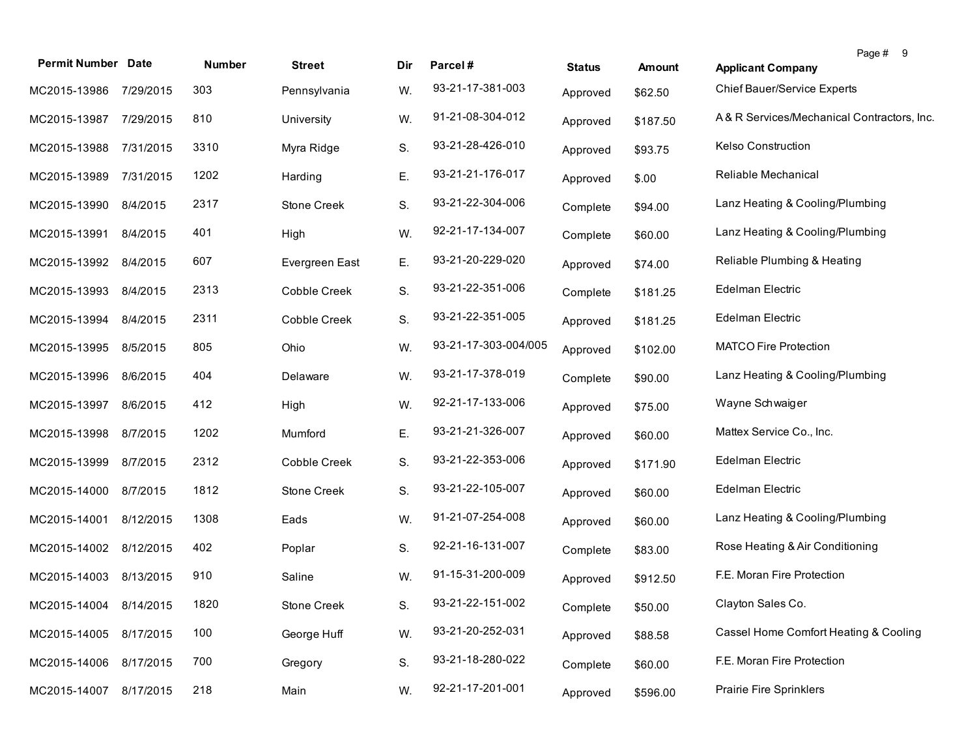| <b>Permit Number Date</b> |           | <b>Number</b> | <b>Street</b>       | Dir | Parcel#              | <b>Status</b> | <b>Amount</b> | Page # 9<br><b>Applicant Company</b>       |
|---------------------------|-----------|---------------|---------------------|-----|----------------------|---------------|---------------|--------------------------------------------|
| MC2015-13986              | 7/29/2015 | 303           | Pennsylvania        | W.  | 93-21-17-381-003     | Approved      | \$62.50       | <b>Chief Bauer/Service Experts</b>         |
| MC2015-13987              | 7/29/2015 | 810           | University          | W.  | 91-21-08-304-012     | Approved      | \$187.50      | A& R Services/Mechanical Contractors, Inc. |
| MC2015-13988              | 7/31/2015 | 3310          | Myra Ridge          | S.  | 93-21-28-426-010     | Approved      | \$93.75       | Kelso Construction                         |
| MC2015-13989              | 7/31/2015 | 1202          | Harding             | Ε.  | 93-21-21-176-017     | Approved      | \$.00         | Reliable Mechanical                        |
| MC2015-13990 8/4/2015     |           | 2317          | Stone Creek         | S.  | 93-21-22-304-006     | Complete      | \$94.00       | Lanz Heating & Cooling/Plumbing            |
| MC2015-13991              | 8/4/2015  | 401           | High                | W.  | 92-21-17-134-007     | Complete      | \$60.00       | Lanz Heating & Cooling/Plumbing            |
| MC2015-13992              | 8/4/2015  | 607           | Evergreen East      | Ε.  | 93-21-20-229-020     | Approved      | \$74.00       | Reliable Plumbing & Heating                |
| MC2015-13993              | 8/4/2015  | 2313          | Cobble Creek        | S.  | 93-21-22-351-006     | Complete      | \$181.25      | Edelman Electric                           |
| MC2015-13994              | 8/4/2015  | 2311          | Cobble Creek        | S.  | 93-21-22-351-005     | Approved      | \$181.25      | Edelman Electric                           |
| MC2015-13995              | 8/5/2015  | 805           | Ohio                | W.  | 93-21-17-303-004/005 | Approved      | \$102.00      | <b>MATCO Fire Protection</b>               |
| MC2015-13996              | 8/6/2015  | 404           | Delaware            | W.  | 93-21-17-378-019     | Complete      | \$90.00       | Lanz Heating & Cooling/Plumbing            |
| MC2015-13997              | 8/6/2015  | 412           | High                | W.  | 92-21-17-133-006     | Approved      | \$75.00       | Wayne Schwaiger                            |
| MC2015-13998              | 8/7/2015  | 1202          | Mumford             | Ε.  | 93-21-21-326-007     | Approved      | \$60.00       | Mattex Service Co., Inc.                   |
| MC2015-13999              | 8/7/2015  | 2312          | <b>Cobble Creek</b> | S.  | 93-21-22-353-006     | Approved      | \$171.90      | Edelman Electric                           |
| MC2015-14000              | 8/7/2015  | 1812          | Stone Creek         | S.  | 93-21-22-105-007     | Approved      | \$60.00       | Edelman Electric                           |
| MC2015-14001              | 8/12/2015 | 1308          | Eads                | W.  | 91-21-07-254-008     | Approved      | \$60.00       | Lanz Heating & Cooling/Plumbing            |
| MC2015-14002              | 8/12/2015 | 402           | Poplar              | S.  | 92-21-16-131-007     | Complete      | \$83.00       | Rose Heating & Air Conditioning            |
| MC2015-14003              | 8/13/2015 | 910           | Saline              | W.  | 91-15-31-200-009     | Approved      | \$912.50      | F.E. Moran Fire Protection                 |
| MC2015-14004 8/14/2015    |           | 1820          | Stone Creek         | S.  | 93-21-22-151-002     | Complete      | \$50.00       | Clayton Sales Co.                          |
| MC2015-14005              | 8/17/2015 | 100           | George Huff         | W.  | 93-21-20-252-031     | Approved      | \$88.58       | Cassel Home Comfort Heating & Cooling      |
| MC2015-14006              | 8/17/2015 | 700           | Gregory             | S.  | 93-21-18-280-022     | Complete      | \$60.00       | F.E. Moran Fire Protection                 |
| MC2015-14007              | 8/17/2015 | 218           | Main                | W.  | 92-21-17-201-001     | Approved      | \$596.00      | Prairie Fire Sprinklers                    |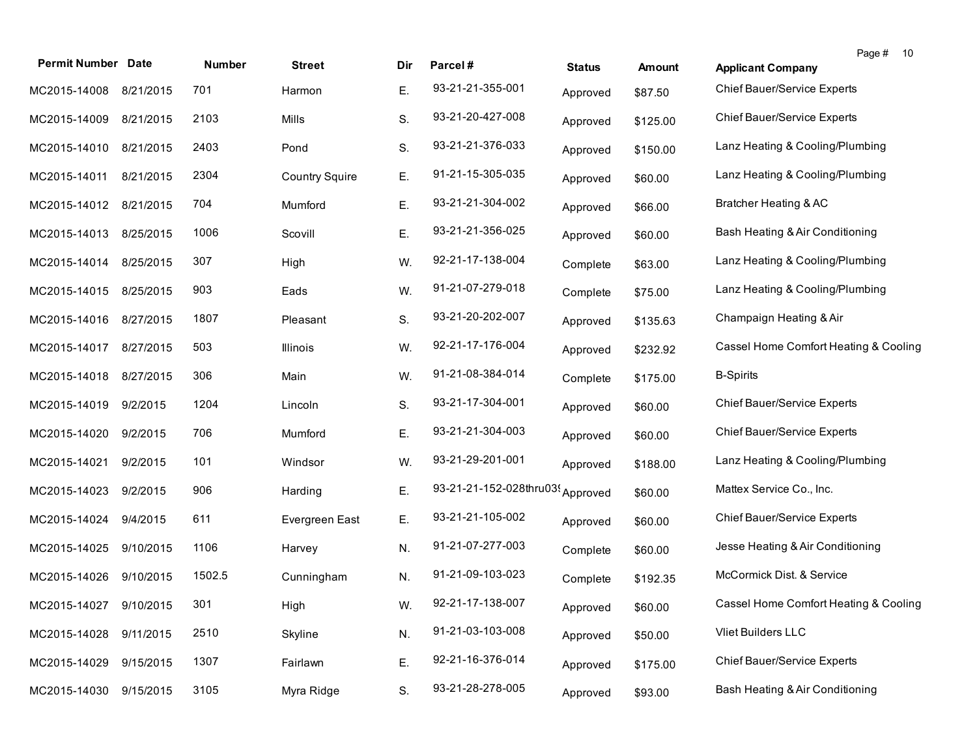| <b>Permit Number Date</b> |           | <b>Number</b> | <b>Street</b>         | Dir | Parcel#                | <b>Status</b> | Amount   | Page #<br>10<br><b>Applicant Company</b> |
|---------------------------|-----------|---------------|-----------------------|-----|------------------------|---------------|----------|------------------------------------------|
| MC2015-14008              | 8/21/2015 | 701           | Harmon                | Е.  | 93-21-21-355-001       | Approved      | \$87.50  | Chief Bauer/Service Experts              |
| MC2015-14009              | 8/21/2015 | 2103          | Mills                 | S.  | 93-21-20-427-008       | Approved      | \$125.00 | Chief Bauer/Service Experts              |
| MC2015-14010              | 8/21/2015 | 2403          | Pond                  | S.  | 93-21-21-376-033       | Approved      | \$150.00 | Lanz Heating & Cooling/Plumbing          |
| MC2015-14011              | 8/21/2015 | 2304          | <b>Country Squire</b> | Ε.  | 91-21-15-305-035       | Approved      | \$60.00  | Lanz Heating & Cooling/Plumbing          |
| MC2015-14012              | 8/21/2015 | 704           | Mumford               | Ε.  | 93-21-21-304-002       | Approved      | \$66.00  | Bratcher Heating & AC                    |
| MC2015-14013              | 8/25/2015 | 1006          | Scovill               | Ε.  | 93-21-21-356-025       | Approved      | \$60.00  | Bash Heating & Air Conditioning          |
| MC2015-14014              | 8/25/2015 | 307           | High                  | W.  | 92-21-17-138-004       | Complete      | \$63.00  | Lanz Heating & Cooling/Plumbing          |
| MC2015-14015              | 8/25/2015 | 903           | Eads                  | W.  | 91-21-07-279-018       | Complete      | \$75.00  | Lanz Heating & Cooling/Plumbing          |
| MC2015-14016              | 8/27/2015 | 1807          | Pleasant              | S.  | 93-21-20-202-007       | Approved      | \$135.63 | Champaign Heating & Air                  |
| MC2015-14017              | 8/27/2015 | 503           | <b>Illinois</b>       | W.  | 92-21-17-176-004       | Approved      | \$232.92 | Cassel Home Comfort Heating & Cooling    |
| MC2015-14018              | 8/27/2015 | 306           | Main                  | W.  | 91-21-08-384-014       | Complete      | \$175.00 | <b>B-Spirits</b>                         |
| MC2015-14019              | 9/2/2015  | 1204          | Lincoln               | S.  | 93-21-17-304-001       | Approved      | \$60.00  | Chief Bauer/Service Experts              |
| MC2015-14020              | 9/2/2015  | 706           | Mumford               | Ε.  | 93-21-21-304-003       | Approved      | \$60.00  | <b>Chief Bauer/Service Experts</b>       |
| MC2015-14021              | 9/2/2015  | 101           | Windsor               | W.  | 93-21-29-201-001       | Approved      | \$188.00 | Lanz Heating & Cooling/Plumbing          |
| MC2015-14023              | 9/2/2015  | 906           | Harding               | Ε.  | 93-21-21-152-028thru03 | Approved      | \$60.00  | Mattex Service Co., Inc.                 |
| MC2015-14024              | 9/4/2015  | 611           | Evergreen East        | Ε.  | 93-21-21-105-002       | Approved      | \$60.00  | Chief Bauer/Service Experts              |
| MC2015-14025              | 9/10/2015 | 1106          | Harvey                | N.  | 91-21-07-277-003       | Complete      | \$60.00  | Jesse Heating & Air Conditioning         |
| MC2015-14026 9/10/2015    |           | 1502.5        | Cunningham            | N.  | 91-21-09-103-023       | Complete      | \$192.35 | McCormick Dist. & Service                |
| MC2015-14027 9/10/2015    |           | 301           | High                  | W.  | 92-21-17-138-007       | Approved      | \$60.00  | Cassel Home Comfort Heating & Cooling    |
| MC2015-14028              | 9/11/2015 | 2510          | Skyline               | N.  | 91-21-03-103-008       | Approved      | \$50.00  | Vliet Builders LLC                       |
| MC2015-14029              | 9/15/2015 | 1307          | Fairlawn              | Ε.  | 92-21-16-376-014       | Approved      | \$175.00 | <b>Chief Bauer/Service Experts</b>       |
| MC2015-14030              | 9/15/2015 | 3105          | Myra Ridge            | S.  | 93-21-28-278-005       | Approved      | \$93.00  | Bash Heating & Air Conditioning          |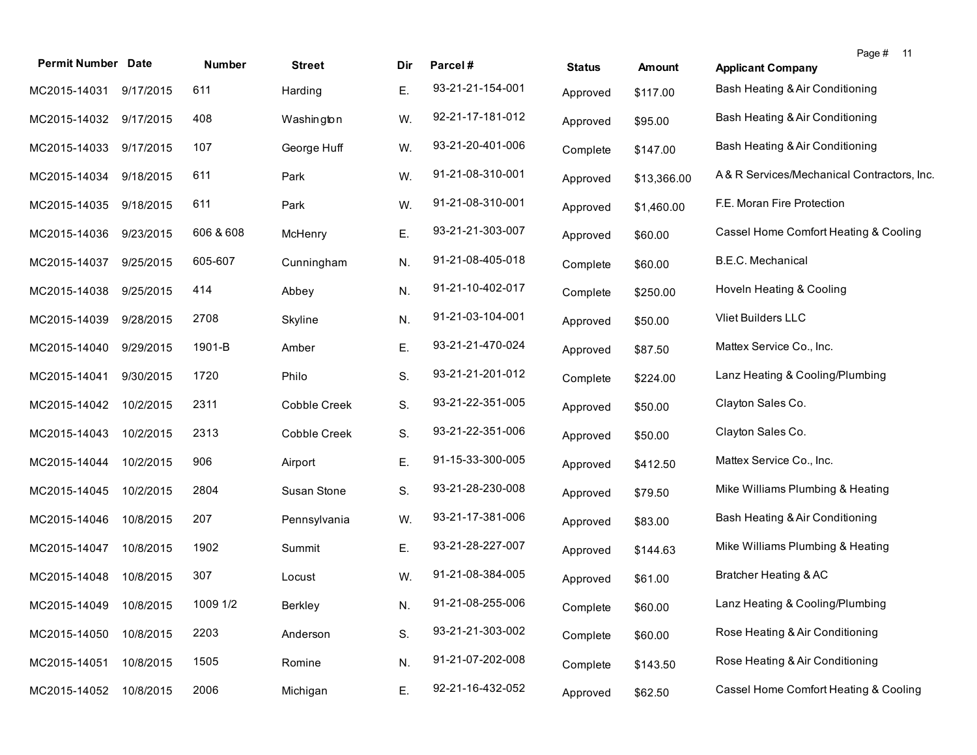| <b>Permit Number Date</b> |           | Number    | <b>Street</b>       | Dir | Parcel#          | <b>Status</b> | <b>Amount</b> | Page # 11<br><b>Applicant Company</b>      |
|---------------------------|-----------|-----------|---------------------|-----|------------------|---------------|---------------|--------------------------------------------|
| MC2015-14031              | 9/17/2015 | 611       | Harding             | Е.  | 93-21-21-154-001 | Approved      | \$117.00      | Bash Heating & Air Conditioning            |
| MC2015-14032 9/17/2015    |           | 408       | Washington          | W.  | 92-21-17-181-012 | Approved      | \$95.00       | Bash Heating & Air Conditioning            |
| MC2015-14033              | 9/17/2015 | 107       | George Huff         | W.  | 93-21-20-401-006 | Complete      | \$147.00      | Bash Heating & Air Conditioning            |
| MC2015-14034              | 9/18/2015 | 611       | Park                | W.  | 91-21-08-310-001 | Approved      | \$13,366.00   | A& R Services/Mechanical Contractors, Inc. |
| MC2015-14035              | 9/18/2015 | 611       | Park                | W.  | 91-21-08-310-001 | Approved      | \$1,460.00    | F.E. Moran Fire Protection                 |
| MC2015-14036              | 9/23/2015 | 606 & 608 | McHenry             | Ε.  | 93-21-21-303-007 | Approved      | \$60.00       | Cassel Home Comfort Heating & Cooling      |
| MC2015-14037              | 9/25/2015 | 605-607   | Cunningham          | N.  | 91-21-08-405-018 | Complete      | \$60.00       | B.E.C. Mechanical                          |
| MC2015-14038              | 9/25/2015 | 414       | Abbey               | N.  | 91-21-10-402-017 | Complete      | \$250.00      | Hoveln Heating & Cooling                   |
| MC2015-14039              | 9/28/2015 | 2708      | Skyline             | N.  | 91-21-03-104-001 | Approved      | \$50.00       | Vliet Builders LLC                         |
| MC2015-14040              | 9/29/2015 | 1901-B    | Amber               | Ε.  | 93-21-21-470-024 | Approved      | \$87.50       | Mattex Service Co., Inc.                   |
| MC2015-14041              | 9/30/2015 | 1720      | Philo               | S.  | 93-21-21-201-012 | Complete      | \$224.00      | Lanz Heating & Cooling/Plumbing            |
| MC2015-14042              | 10/2/2015 | 2311      | <b>Cobble Creek</b> | S.  | 93-21-22-351-005 | Approved      | \$50.00       | Clayton Sales Co.                          |
| MC2015-14043              | 10/2/2015 | 2313      | Cobble Creek        | S.  | 93-21-22-351-006 | Approved      | \$50.00       | Clayton Sales Co.                          |
| MC2015-14044              | 10/2/2015 | 906       | Airport             | Ε.  | 91-15-33-300-005 | Approved      | \$412.50      | Mattex Service Co., Inc.                   |
| MC2015-14045              | 10/2/2015 | 2804      | Susan Stone         | S.  | 93-21-28-230-008 | Approved      | \$79.50       | Mike Williams Plumbing & Heating           |
| MC2015-14046              | 10/8/2015 | 207       | Pennsylvania        | W.  | 93-21-17-381-006 | Approved      | \$83.00       | Bash Heating & Air Conditioning            |
| MC2015-14047              | 10/8/2015 | 1902      | Summit              | Ε.  | 93-21-28-227-007 | Approved      | \$144.63      | Mike Williams Plumbing & Heating           |
| MC2015-14048              | 10/8/2015 | 307       | Locust              | W.  | 91-21-08-384-005 | Approved      | \$61.00       | Bratcher Heating & AC                      |
| MC2015-14049 10/8/2015    |           | 1009 1/2  | Berkley             | N.  | 91-21-08-255-006 | Complete      | \$60.00       | Lanz Heating & Cooling/Plumbing            |
| MC2015-14050              | 10/8/2015 | 2203      | Anderson            | S.  | 93-21-21-303-002 | Complete      | \$60.00       | Rose Heating & Air Conditioning            |
| MC2015-14051              | 10/8/2015 | 1505      | Romine              | N.  | 91-21-07-202-008 | Complete      | \$143.50      | Rose Heating & Air Conditioning            |
| MC2015-14052              | 10/8/2015 | 2006      | Michigan            | Ε.  | 92-21-16-432-052 | Approved      | \$62.50       | Cassel Home Comfort Heating & Cooling      |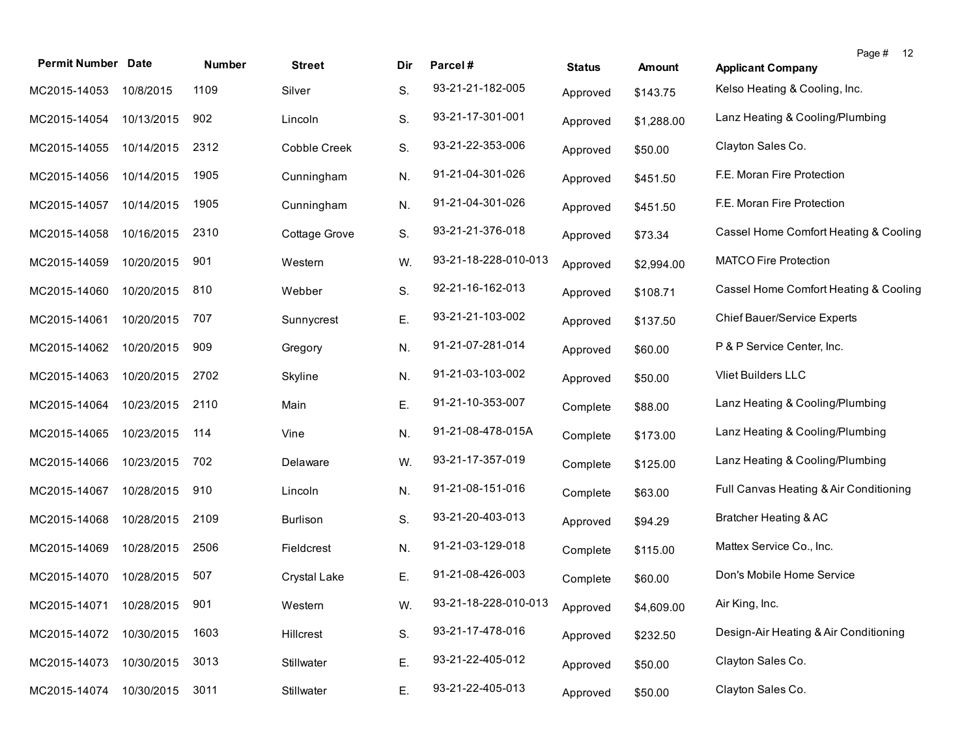| <b>Permit Number Date</b>   |            | Number | <b>Street</b>       | Dir | Parcel#              | <b>Status</b> | Amount     | Page #<br>12<br><b>Applicant Company</b> |
|-----------------------------|------------|--------|---------------------|-----|----------------------|---------------|------------|------------------------------------------|
| MC2015-14053                | 10/8/2015  | 1109   | Silver              | S.  | 93-21-21-182-005     | Approved      | \$143.75   | Kelso Heating & Cooling, Inc.            |
| MC2015-14054                | 10/13/2015 | 902    | Lincoln             | S.  | 93-21-17-301-001     | Approved      | \$1,288.00 | Lanz Heating & Cooling/Plumbing          |
| MC2015-14055                | 10/14/2015 | 2312   | <b>Cobble Creek</b> | S.  | 93-21-22-353-006     | Approved      | \$50.00    | Clayton Sales Co.                        |
| MC2015-14056                | 10/14/2015 | 1905   | Cunningham          | N.  | 91-21-04-301-026     | Approved      | \$451.50   | F.E. Moran Fire Protection               |
| MC2015-14057                | 10/14/2015 | 1905   | Cunningham          | N.  | 91-21-04-301-026     | Approved      | \$451.50   | F.E. Moran Fire Protection               |
| MC2015-14058                | 10/16/2015 | 2310   | Cottage Grove       | S.  | 93-21-21-376-018     | Approved      | \$73.34    | Cassel Home Comfort Heating & Cooling    |
| MC2015-14059                | 10/20/2015 | 901    | Western             | W.  | 93-21-18-228-010-013 | Approved      | \$2,994.00 | <b>MATCO Fire Protection</b>             |
| MC2015-14060                | 10/20/2015 | 810    | Webber              | S.  | 92-21-16-162-013     | Approved      | \$108.71   | Cassel Home Comfort Heating & Cooling    |
| MC2015-14061                | 10/20/2015 | 707    | Sunnycrest          | Ε.  | 93-21-21-103-002     | Approved      | \$137.50   | <b>Chief Bauer/Service Experts</b>       |
| MC2015-14062                | 10/20/2015 | 909    | Gregory             | N.  | 91-21-07-281-014     | Approved      | \$60.00    | P & P Service Center, Inc.               |
| MC2015-14063                | 10/20/2015 | 2702   | Skyline             | N.  | 91-21-03-103-002     | Approved      | \$50.00    | <b>Vliet Builders LLC</b>                |
| MC2015-14064                | 10/23/2015 | 2110   | Main                | Ε.  | 91-21-10-353-007     | Complete      | \$88.00    | Lanz Heating & Cooling/Plumbing          |
| MC2015-14065                | 10/23/2015 | 114    | Vine                | N.  | 91-21-08-478-015A    | Complete      | \$173.00   | Lanz Heating & Cooling/Plumbing          |
| MC2015-14066                | 10/23/2015 | 702    | Delaware            | W.  | 93-21-17-357-019     | Complete      | \$125.00   | Lanz Heating & Cooling/Plumbing          |
| MC2015-14067                | 10/28/2015 | 910    | Lincoln             | N.  | 91-21-08-151-016     | Complete      | \$63.00    | Full Canvas Heating & Air Conditioning   |
| MC2015-14068                | 10/28/2015 | 2109   | <b>Burlison</b>     | S.  | 93-21-20-403-013     | Approved      | \$94.29    | Bratcher Heating & AC                    |
| MC2015-14069                | 10/28/2015 | 2506   | Fieldcrest          | N.  | 91-21-03-129-018     | Complete      | \$115.00   | Mattex Service Co., Inc.                 |
| MC2015-14070                | 10/28/2015 | 507    | Crystal Lake        | Е.  | 91-21-08-426-003     | Complete      | \$60.00    | Don's Mobile Home Service                |
| MC2015-14071 10/28/2015 901 |            |        | Western             | W.  | 93-21-18-228-010-013 | Approved      | \$4,609.00 | Air King, Inc.                           |
| MC2015-14072                | 10/30/2015 | 1603   | Hillcrest           | S.  | 93-21-17-478-016     | Approved      | \$232.50   | Design-Air Heating & Air Conditioning    |
| MC2015-14073                | 10/30/2015 | 3013   | Stillwater          | Ε.  | 93-21-22-405-012     | Approved      | \$50.00    | Clayton Sales Co.                        |
| MC2015-14074                | 10/30/2015 | 3011   | Stillwater          | Ε.  | 93-21-22-405-013     | Approved      | \$50.00    | Clayton Sales Co.                        |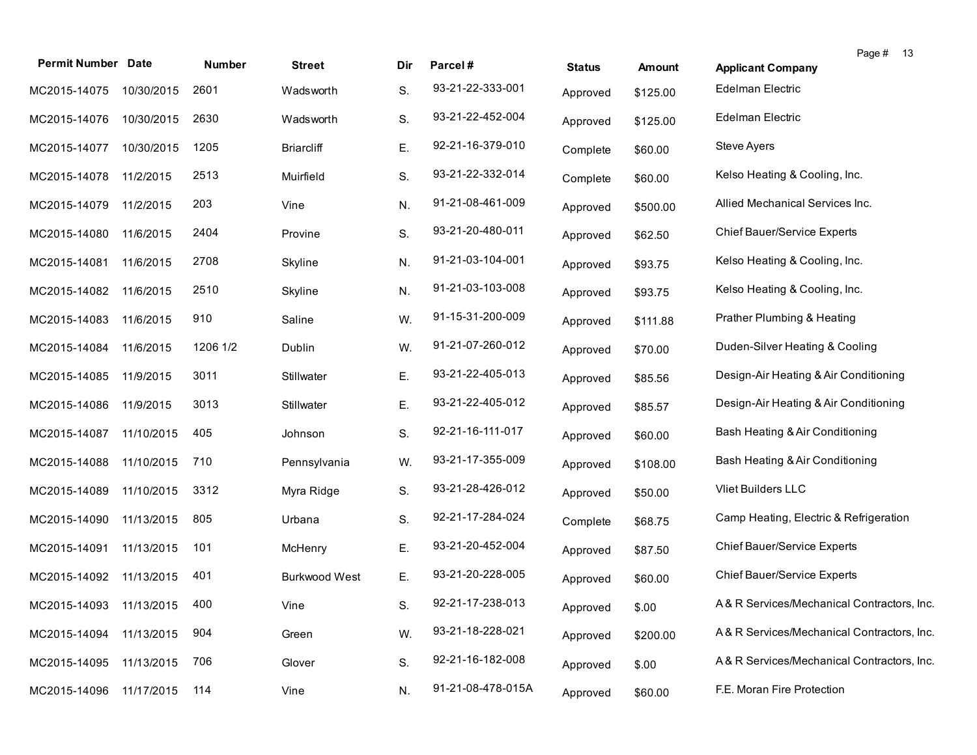| <b>Permit Number Date</b> |            | Number   | <b>Street</b>        | Dir | Parcel#           | <b>Status</b> | Amount   | Page # 13<br><b>Applicant Company</b>       |
|---------------------------|------------|----------|----------------------|-----|-------------------|---------------|----------|---------------------------------------------|
| MC2015-14075              | 10/30/2015 | 2601     | Wadsworth            | S.  | 93-21-22-333-001  | Approved      | \$125.00 | Edelman Electric                            |
| MC2015-14076              | 10/30/2015 | 2630     | Wadsworth            | S.  | 93-21-22-452-004  | Approved      | \$125.00 | Edelman Electric                            |
| MC2015-14077              | 10/30/2015 | 1205     | <b>Briarcliff</b>    | Ε.  | 92-21-16-379-010  | Complete      | \$60.00  | Steve Ayers                                 |
| MC2015-14078              | 11/2/2015  | 2513     | Muirfield            | S.  | 93-21-22-332-014  | Complete      | \$60.00  | Kelso Heating & Cooling, Inc.               |
| MC2015-14079              | 11/2/2015  | 203      | Vine                 | N.  | 91-21-08-461-009  | Approved      | \$500.00 | Allied Mechanical Services Inc.             |
| MC2015-14080              | 11/6/2015  | 2404     | Provine              | S.  | 93-21-20-480-011  | Approved      | \$62.50  | Chief Bauer/Service Experts                 |
| MC2015-14081              | 11/6/2015  | 2708     | Skyline              | N.  | 91-21-03-104-001  | Approved      | \$93.75  | Kelso Heating & Cooling, Inc.               |
| MC2015-14082              | 11/6/2015  | 2510     | Skyline              | N.  | 91-21-03-103-008  | Approved      | \$93.75  | Kelso Heating & Cooling, Inc.               |
| MC2015-14083              | 11/6/2015  | 910      | Saline               | W.  | 91-15-31-200-009  | Approved      | \$111.88 | Prather Plumbing & Heating                  |
| MC2015-14084              | 11/6/2015  | 1206 1/2 | Dublin               | W.  | 91-21-07-260-012  | Approved      | \$70.00  | Duden-Silver Heating & Cooling              |
| MC2015-14085              | 11/9/2015  | 3011     | Stillwater           | Ε.  | 93-21-22-405-013  | Approved      | \$85.56  | Design-Air Heating & Air Conditioning       |
| MC2015-14086              | 11/9/2015  | 3013     | Stillwater           | Ε.  | 93-21-22-405-012  | Approved      | \$85.57  | Design-Air Heating & Air Conditioning       |
| MC2015-14087              | 11/10/2015 | 405      | Johnson              | S.  | 92-21-16-111-017  | Approved      | \$60.00  | Bash Heating & Air Conditioning             |
| MC2015-14088              | 11/10/2015 | 710      | Pennsylvania         | W.  | 93-21-17-355-009  | Approved      | \$108.00 | Bash Heating & Air Conditioning             |
| MC2015-14089              | 11/10/2015 | 3312     | Myra Ridge           | S.  | 93-21-28-426-012  | Approved      | \$50.00  | Vliet Builders LLC                          |
| MC2015-14090              | 11/13/2015 | 805      | Urbana               | S.  | 92-21-17-284-024  | Complete      | \$68.75  | Camp Heating, Electric & Refrigeration      |
| MC2015-14091              | 11/13/2015 | 101      | McHenry              | Ε.  | 93-21-20-452-004  | Approved      | \$87.50  | Chief Bauer/Service Experts                 |
| MC2015-14092              | 11/13/2015 | 401      | <b>Burkwood West</b> | Ε.  | 93-21-20-228-005  | Approved      | \$60.00  | Chief Bauer/Service Experts                 |
| MC2015-14093 11/13/2015   |            | 400      | Vine                 | S.  | 92-21-17-238-013  | Approved      | \$.00    | A&R Services/Mechanical Contractors, Inc.   |
| MC2015-14094              | 11/13/2015 | 904      | Green                | W.  | 93-21-18-228-021  | Approved      | \$200.00 | A& R Services/Mechanical Contractors, Inc.  |
| MC2015-14095              | 11/13/2015 | 706      | Glover               | S.  | 92-21-16-182-008  | Approved      | \$.00    | A & R Services/Mechanical Contractors, Inc. |
| MC2015-14096              | 11/17/2015 | 114      | Vine                 | N.  | 91-21-08-478-015A | Approved      | \$60.00  | F.E. Moran Fire Protection                  |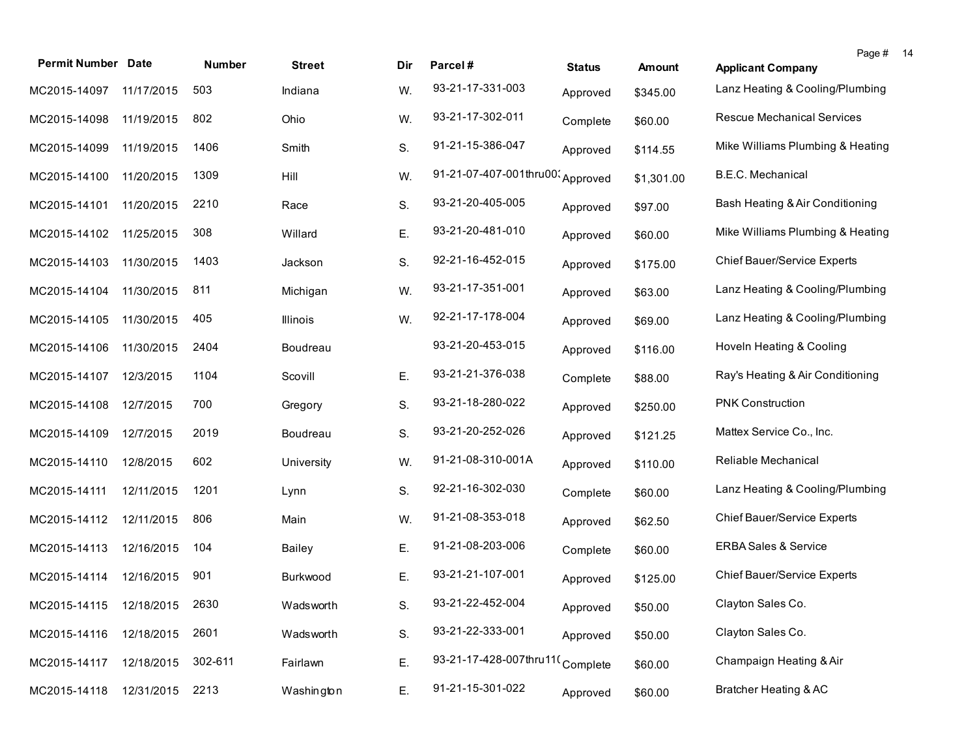| <b>Permit Number Date</b>    |            | <b>Number</b> | <b>Street</b>   | Dir | Parcel#                          | <b>Status</b> | Amount     | Page #<br><b>Applicant Company</b> | 14 |
|------------------------------|------------|---------------|-----------------|-----|----------------------------------|---------------|------------|------------------------------------|----|
| MC2015-14097                 | 11/17/2015 | 503           | Indiana         | W.  | 93-21-17-331-003                 | Approved      | \$345.00   | Lanz Heating & Cooling/Plumbing    |    |
| MC2015-14098                 | 11/19/2015 | 802           | Ohio            | W.  | 93-21-17-302-011                 | Complete      | \$60.00    | <b>Rescue Mechanical Services</b>  |    |
| MC2015-14099                 | 11/19/2015 | 1406          | Smith           | S.  | 91-21-15-386-047                 | Approved      | \$114.55   | Mike Williams Plumbing & Heating   |    |
| MC2015-14100                 | 11/20/2015 | 1309          | Hill            | W.  | 91-21-07-407-001thru00: Approved |               | \$1,301.00 | B.E.C. Mechanical                  |    |
| MC2015-14101                 | 11/20/2015 | 2210          | Race            | S.  | 93-21-20-405-005                 | Approved      | \$97.00    | Bash Heating & Air Conditioning    |    |
| MC2015-14102                 | 11/25/2015 | 308           | Willard         | Ε.  | 93-21-20-481-010                 | Approved      | \$60.00    | Mike Williams Plumbing & Heating   |    |
| MC2015-14103                 | 11/30/2015 | 1403          | Jackson         | S.  | 92-21-16-452-015                 | Approved      | \$175.00   | Chief Bauer/Service Experts        |    |
| MC2015-14104                 | 11/30/2015 | 811           | Michigan        | W.  | 93-21-17-351-001                 | Approved      | \$63.00    | Lanz Heating & Cooling/Plumbing    |    |
| MC2015-14105                 | 11/30/2015 | 405           | <b>Illinois</b> | W.  | 92-21-17-178-004                 | Approved      | \$69.00    | Lanz Heating & Cooling/Plumbing    |    |
| MC2015-14106                 | 11/30/2015 | 2404          | Boudreau        |     | 93-21-20-453-015                 | Approved      | \$116.00   | Hoveln Heating & Cooling           |    |
| MC2015-14107                 | 12/3/2015  | 1104          | Scovill         | Ε.  | 93-21-21-376-038                 | Complete      | \$88.00    | Ray's Heating & Air Conditioning   |    |
| MC2015-14108                 | 12/7/2015  | 700           | Gregory         | S.  | 93-21-18-280-022                 | Approved      | \$250.00   | <b>PNK Construction</b>            |    |
| MC2015-14109                 | 12/7/2015  | 2019          | Boudreau        | S.  | 93-21-20-252-026                 | Approved      | \$121.25   | Mattex Service Co., Inc.           |    |
| MC2015-14110                 | 12/8/2015  | 602           | University      | W.  | 91-21-08-310-001A                | Approved      | \$110.00   | Reliable Mechanical                |    |
| MC2015-14111                 | 12/11/2015 | 1201          | Lynn            | S.  | 92-21-16-302-030                 | Complete      | \$60.00    | Lanz Heating & Cooling/Plumbing    |    |
| MC2015-14112                 | 12/11/2015 | 806           | Main            | W.  | 91-21-08-353-018                 | Approved      | \$62.50    | Chief Bauer/Service Experts        |    |
| MC2015-14113                 | 12/16/2015 | 104           | Bailey          | Ε.  | 91-21-08-203-006                 | Complete      | \$60.00    | <b>ERBA Sales &amp; Service</b>    |    |
| MC2015-14114                 | 12/16/2015 | 901           | Burkwood        | Ε.  | 93-21-21-107-001                 | Approved      | \$125.00   | Chief Bauer/Service Experts        |    |
| MC2015-14115 12/18/2015 2630 |            |               | Wadsworth       | S.  | 93-21-22-452-004                 | Approved      | \$50.00    | Clayton Sales Co.                  |    |
| MC2015-14116                 | 12/18/2015 | 2601          | Wadsworth       | S.  | 93-21-22-333-001                 | Approved      | \$50.00    | Clayton Sales Co.                  |    |
| MC2015-14117                 | 12/18/2015 | 302-611       | Fairlawn        | Ε.  | 93-21-17-428-007thru11(Complete  |               | \$60.00    | Champaign Heating & Air            |    |
| MC2015-14118                 | 12/31/2015 | 2213          | Washington      | Ε.  | 91-21-15-301-022                 | Approved      | \$60.00    | Bratcher Heating & AC              |    |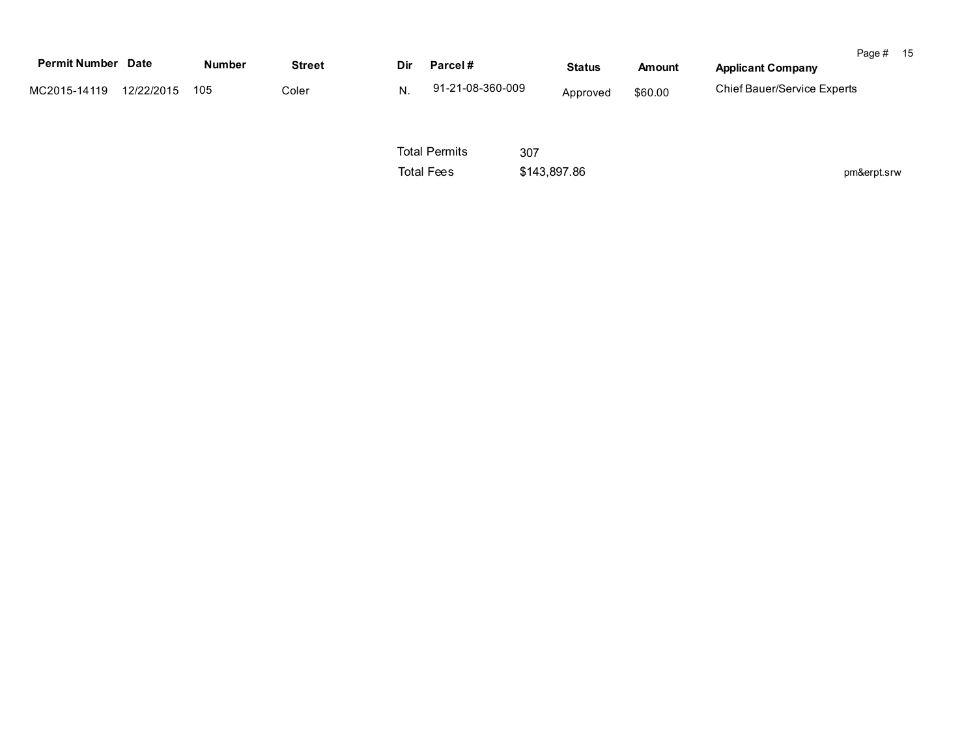| <b>Permit Number Date</b> |            | <b>Number</b> | <b>Street</b> | Dir | Parcel#          | Status   | Amount  | <b>Applicant Company</b>    | Page # | 15 |
|---------------------------|------------|---------------|---------------|-----|------------------|----------|---------|-----------------------------|--------|----|
| MC2015-14119              | 12/22/2015 | 105           | Coler         |     | 91-21-08-360-009 | Approved | \$60.00 | Chief Bauer/Service Experts |        |    |

Total Permits Total Fees \$143,897.86 307

pm&erpt.srw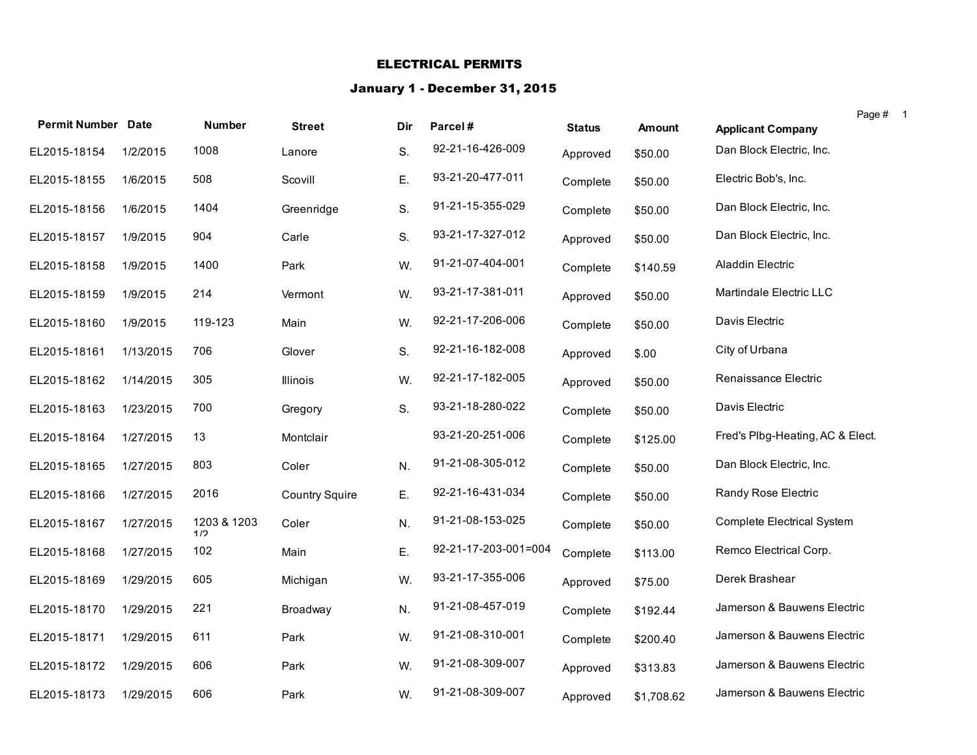### ELECTRICAL PERMITS

|                           |           |                    |                       |     |                      |               |               |                                   | Page # 1 |  |
|---------------------------|-----------|--------------------|-----------------------|-----|----------------------|---------------|---------------|-----------------------------------|----------|--|
| <b>Permit Number Date</b> |           | <b>Number</b>      | <b>Street</b>         | Dir | Parcel#              | <b>Status</b> | <b>Amount</b> | <b>Applicant Company</b>          |          |  |
| EL2015-18154              | 1/2/2015  | 1008               | Lanore                | S.  | 92-21-16-426-009     | Approved      | \$50.00       | Dan Block Electric, Inc.          |          |  |
| EL2015-18155              | 1/6/2015  | 508                | Scovill               | Ε.  | 93-21-20-477-011     | Complete      | \$50.00       | Electric Bob's, Inc.              |          |  |
| EL2015-18156              | 1/6/2015  | 1404               | Greenridge            | S.  | 91-21-15-355-029     | Complete      | \$50.00       | Dan Block Electric, Inc.          |          |  |
| EL2015-18157              | 1/9/2015  | 904                | Carle                 | S.  | 93-21-17-327-012     | Approved      | \$50.00       | Dan Block Electric, Inc.          |          |  |
| EL2015-18158              | 1/9/2015  | 1400               | Park                  | W.  | 91-21-07-404-001     | Complete      | \$140.59      | Aladdin Electric                  |          |  |
| EL2015-18159              | 1/9/2015  | 214                | Vermont               | W.  | 93-21-17-381-011     | Approved      | \$50.00       | Martindale Electric LLC           |          |  |
| EL2015-18160              | 1/9/2015  | 119-123            | Main                  | W.  | 92-21-17-206-006     | Complete      | \$50.00       | Davis Electric                    |          |  |
| EL2015-18161              | 1/13/2015 | 706                | Glover                | S.  | 92-21-16-182-008     | Approved      | \$.00         | City of Urbana                    |          |  |
| EL2015-18162              | 1/14/2015 | 305                | <b>Illinois</b>       | W.  | 92-21-17-182-005     | Approved      | \$50.00       | Renaissance Electric              |          |  |
| EL2015-18163              | 1/23/2015 | 700                | Gregory               | S.  | 93-21-18-280-022     | Complete      | \$50.00       | Davis Electric                    |          |  |
| EL2015-18164              | 1/27/2015 | 13                 | Montclair             |     | 93-21-20-251-006     | Complete      | \$125.00      | Fred's Plbg-Heating, AC & Elect.  |          |  |
| EL2015-18165              | 1/27/2015 | 803                | Coler                 | N.  | 91-21-08-305-012     | Complete      | \$50.00       | Dan Block Electric, Inc.          |          |  |
| EL2015-18166              | 1/27/2015 | 2016               | <b>Country Squire</b> | Ε.  | 92-21-16-431-034     | Complete      | \$50.00       | Randy Rose Electric               |          |  |
| EL2015-18167              | 1/27/2015 | 1203 & 1203<br>1/2 | Coler                 | N.  | 91-21-08-153-025     | Complete      | \$50.00       | <b>Complete Electrical System</b> |          |  |
| EL2015-18168              | 1/27/2015 | 102                | Main                  | Ε.  | 92-21-17-203-001=004 | Complete      | \$113.00      | Remco Electrical Corp.            |          |  |
| EL2015-18169              | 1/29/2015 | 605                | Michigan              | W.  | 93-21-17-355-006     | Approved      | \$75.00       | Derek Brashear                    |          |  |
| EL2015-18170              | 1/29/2015 | 221                | Broadway              | N.  | 91-21-08-457-019     | Complete      | \$192.44      | Jamerson & Bauwens Electric       |          |  |
| EL2015-18171              | 1/29/2015 | 611                | Park                  | W.  | 91-21-08-310-001     | Complete      | \$200.40      | Jamerson & Bauwens Electric       |          |  |
| EL2015-18172              | 1/29/2015 | 606                | Park                  | W.  | 91-21-08-309-007     | Approved      | \$313.83      | Jamerson & Bauwens Electric       |          |  |
| EL2015-18173              | 1/29/2015 | 606                | Park                  | W.  | 91-21-08-309-007     | Approved      | \$1,708.62    | Jamerson & Bauwens Electric       |          |  |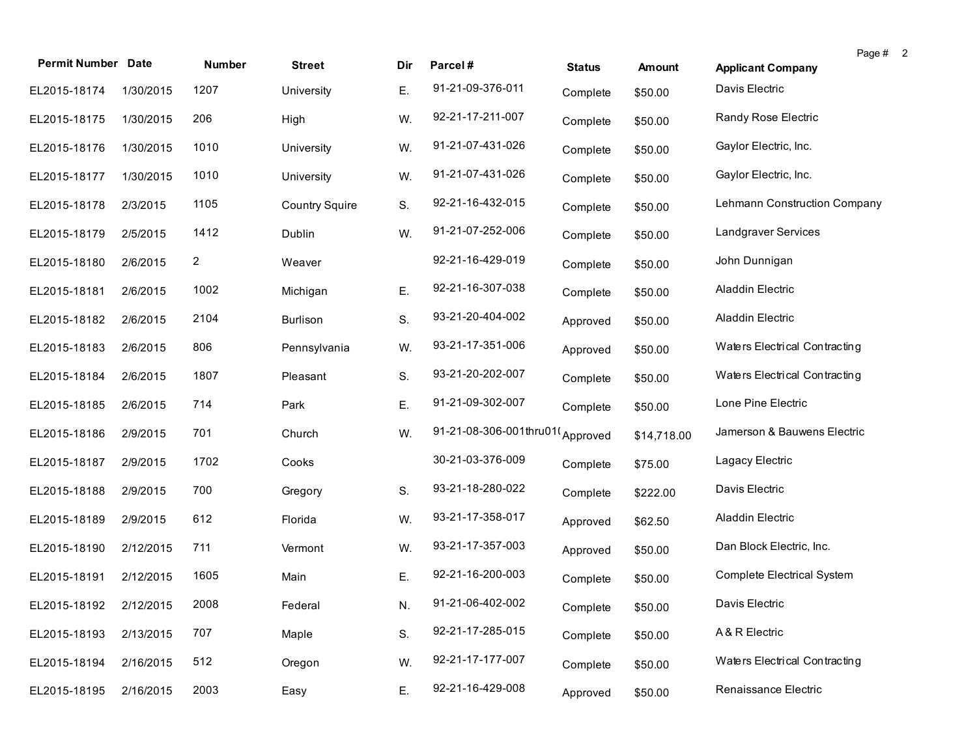| <b>Permit Number Date</b> |           | <b>Number</b>  | <b>Street</b>         | Dir | Parcel#                 | <b>Status</b> | Amount      | Page # 2<br><b>Applicant Company</b> |  |
|---------------------------|-----------|----------------|-----------------------|-----|-------------------------|---------------|-------------|--------------------------------------|--|
| EL2015-18174              | 1/30/2015 | 1207           | University            | Ε.  | 91-21-09-376-011        | Complete      | \$50.00     | Davis Electric                       |  |
| EL2015-18175              | 1/30/2015 | 206            | High                  | W.  | 92-21-17-211-007        | Complete      | \$50.00     | Randy Rose Electric                  |  |
| EL2015-18176              | 1/30/2015 | 1010           | University            | W.  | 91-21-07-431-026        | Complete      | \$50.00     | Gaylor Electric, Inc.                |  |
| EL2015-18177              | 1/30/2015 | 1010           | University            | W.  | 91-21-07-431-026        | Complete      | \$50.00     | Gaylor Electric, Inc.                |  |
| EL2015-18178              | 2/3/2015  | 1105           | <b>Country Squire</b> | S.  | 92-21-16-432-015        | Complete      | \$50.00     | Lehmann Construction Company         |  |
| EL2015-18179              | 2/5/2015  | 1412           | Dublin                | W.  | 91-21-07-252-006        | Complete      | \$50.00     | Landgraver Services                  |  |
| EL2015-18180              | 2/6/2015  | $\overline{a}$ | Weaver                |     | 92-21-16-429-019        | Complete      | \$50.00     | John Dunnigan                        |  |
| EL2015-18181              | 2/6/2015  | 1002           | Michigan              | Ε.  | 92-21-16-307-038        | Complete      | \$50.00     | Aladdin Electric                     |  |
| EL2015-18182              | 2/6/2015  | 2104           | <b>Burlison</b>       | S.  | 93-21-20-404-002        | Approved      | \$50.00     | Aladdin Electric                     |  |
| EL2015-18183              | 2/6/2015  | 806            | Pennsylvania          | W.  | 93-21-17-351-006        | Approved      | \$50.00     | Waters Electrical Contracting        |  |
| EL2015-18184              | 2/6/2015  | 1807           | Pleasant              | S.  | 93-21-20-202-007        | Complete      | \$50.00     | Waters Electrical Contracting        |  |
| EL2015-18185              | 2/6/2015  | 714            | Park                  | Ε.  | 91-21-09-302-007        | Complete      | \$50.00     | Lone Pine Electric                   |  |
| EL2015-18186              | 2/9/2015  | 701            | Church                | W.  | 91-21-08-306-001thru01( | Approved      | \$14,718.00 | Jamerson & Bauwens Electric          |  |
| EL2015-18187              | 2/9/2015  | 1702           | Cooks                 |     | 30-21-03-376-009        | Complete      | \$75.00     | Lagacy Electric                      |  |
| EL2015-18188              | 2/9/2015  | 700            | Gregory               | S.  | 93-21-18-280-022        | Complete      | \$222.00    | Davis Electric                       |  |
| EL2015-18189              | 2/9/2015  | 612            | Florida               | W.  | 93-21-17-358-017        | Approved      | \$62.50     | Aladdin Electric                     |  |
| EL2015-18190              | 2/12/2015 | 711            | Vermont               | W.  | 93-21-17-357-003        | Approved      | \$50.00     | Dan Block Electric, Inc.             |  |
| EL2015-18191              | 2/12/2015 | 1605           | Main                  | Ε.  | 92-21-16-200-003        | Complete      | \$50.00     | <b>Complete Electrical System</b>    |  |
| EL2015-18192 2/12/2015    |           | 2008           | Federal               | N.  | 91-21-06-402-002        | Complete      | \$50.00     | Davis Electric                       |  |
| EL2015-18193              | 2/13/2015 | 707            | Maple                 | S.  | 92-21-17-285-015        | Complete      | \$50.00     | A & R Electric                       |  |
| EL2015-18194              | 2/16/2015 | 512            | Oregon                | W.  | 92-21-17-177-007        | Complete      | \$50.00     | Waters Electrical Contracting        |  |
| EL2015-18195              | 2/16/2015 | 2003           | Easy                  | Ε.  | 92-21-16-429-008        | Approved      | \$50.00     | Renaissance Electric                 |  |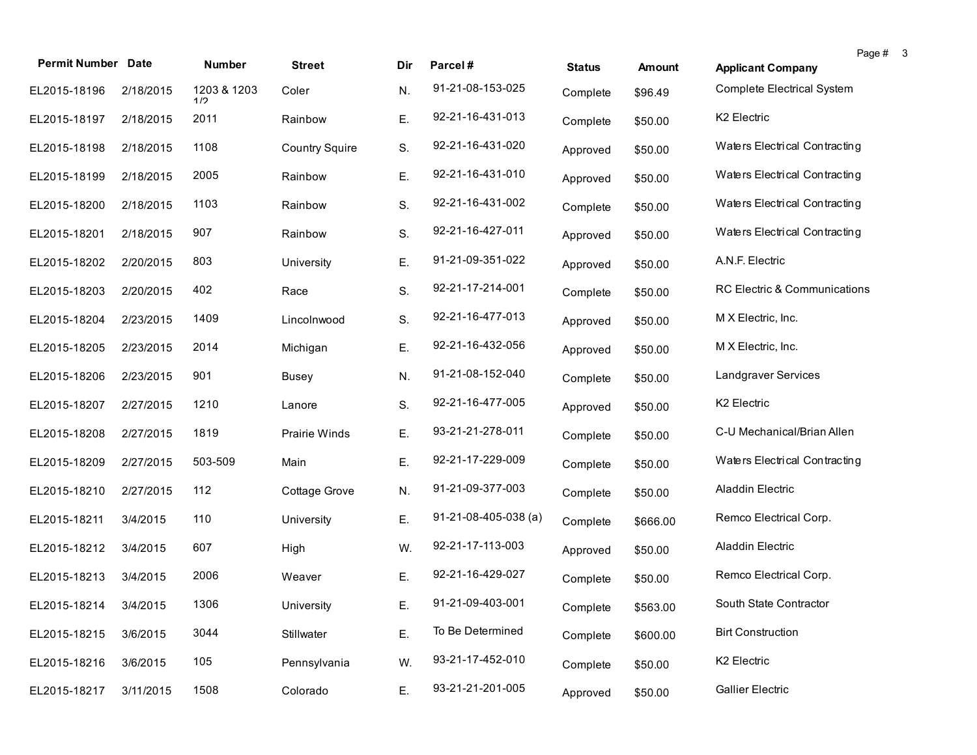| <b>Permit Number Date</b> |           | <b>Number</b>      | <b>Street</b>         | Dir | Parcel#                        | <b>Status</b> | Amount   | Page #<br>3<br><b>Applicant Company</b> |
|---------------------------|-----------|--------------------|-----------------------|-----|--------------------------------|---------------|----------|-----------------------------------------|
| EL2015-18196              | 2/18/2015 | 1203 & 1203<br>1/2 | Coler                 | N.  | 91-21-08-153-025               | Complete      | \$96.49  | <b>Complete Electrical System</b>       |
| EL2015-18197              | 2/18/2015 | 2011               | Rainbow               | Ε.  | 92-21-16-431-013               | Complete      | \$50.00  | K2 Electric                             |
| EL2015-18198              | 2/18/2015 | 1108               | <b>Country Squire</b> | S.  | 92-21-16-431-020               | Approved      | \$50.00  | Waters Electrical Contracting           |
| EL2015-18199              | 2/18/2015 | 2005               | Rainbow               | Ε.  | 92-21-16-431-010               | Approved      | \$50.00  | Waters Electrical Contracting           |
| EL2015-18200              | 2/18/2015 | 1103               | Rainbow               | S.  | 92-21-16-431-002               | Complete      | \$50.00  | Waters Electrical Contracting           |
| EL2015-18201              | 2/18/2015 | 907                | Rainbow               | S.  | 92-21-16-427-011               | Approved      | \$50.00  | Waters Electrical Contracting           |
| EL2015-18202              | 2/20/2015 | 803                | University            | Ε.  | 91-21-09-351-022               | Approved      | \$50.00  | A.N.F. Electric                         |
| EL2015-18203              | 2/20/2015 | 402                | Race                  | S.  | 92-21-17-214-001               | Complete      | \$50.00  | RC Electric & Communications            |
| EL2015-18204              | 2/23/2015 | 1409               | Lincolnwood           | S.  | 92-21-16-477-013               | Approved      | \$50.00  | M X Electric, Inc.                      |
| EL2015-18205              | 2/23/2015 | 2014               | Michigan              | Ε.  | 92-21-16-432-056               | Approved      | \$50.00  | M X Electric, Inc.                      |
| EL2015-18206              | 2/23/2015 | 901                | Busey                 | N.  | 91-21-08-152-040               | Complete      | \$50.00  | Landgraver Services                     |
| EL2015-18207              | 2/27/2015 | 1210               | Lanore                | S.  | 92-21-16-477-005               | Approved      | \$50.00  | K2 Electric                             |
| EL2015-18208              | 2/27/2015 | 1819               | Prairie Winds         | Ε.  | 93-21-21-278-011               | Complete      | \$50.00  | C-U Mechanical/Brian Allen              |
| EL2015-18209              | 2/27/2015 | 503-509            | Main                  | Е.  | 92-21-17-229-009               | Complete      | \$50.00  | Waters Electrical Contracting           |
| EL2015-18210              | 2/27/2015 | 112                | Cottage Grove         | N.  | 91-21-09-377-003               | Complete      | \$50.00  | Aladdin Electric                        |
| EL2015-18211              | 3/4/2015  | 110                | University            | Ε.  | $91 - 21 - 08 - 405 - 038$ (a) | Complete      | \$666.00 | Remco Electrical Corp.                  |
| EL2015-18212              | 3/4/2015  | 607                | High                  | W.  | 92-21-17-113-003               | Approved      | \$50.00  | Aladdin Electric                        |
| EL2015-18213              | 3/4/2015  | 2006               | Weaver                | Ε.  | 92-21-16-429-027               | Complete      | \$50.00  | Remco Electrical Corp.                  |
| EL2015-18214 3/4/2015     |           | 1306               | University            | Е.  | 91-21-09-403-001               | Complete      | \$563.00 | South State Contractor                  |
| EL2015-18215              | 3/6/2015  | 3044               | Stillwater            | Ε.  | To Be Determined               | Complete      | \$600.00 | <b>Birt Construction</b>                |
| EL2015-18216              | 3/6/2015  | 105                | Pennsylvania          | W.  | 93-21-17-452-010               | Complete      | \$50.00  | K2 Electric                             |
| EL2015-18217              | 3/11/2015 | 1508               | Colorado              | Ε.  | 93-21-21-201-005               | Approved      | \$50.00  | <b>Gallier Electric</b>                 |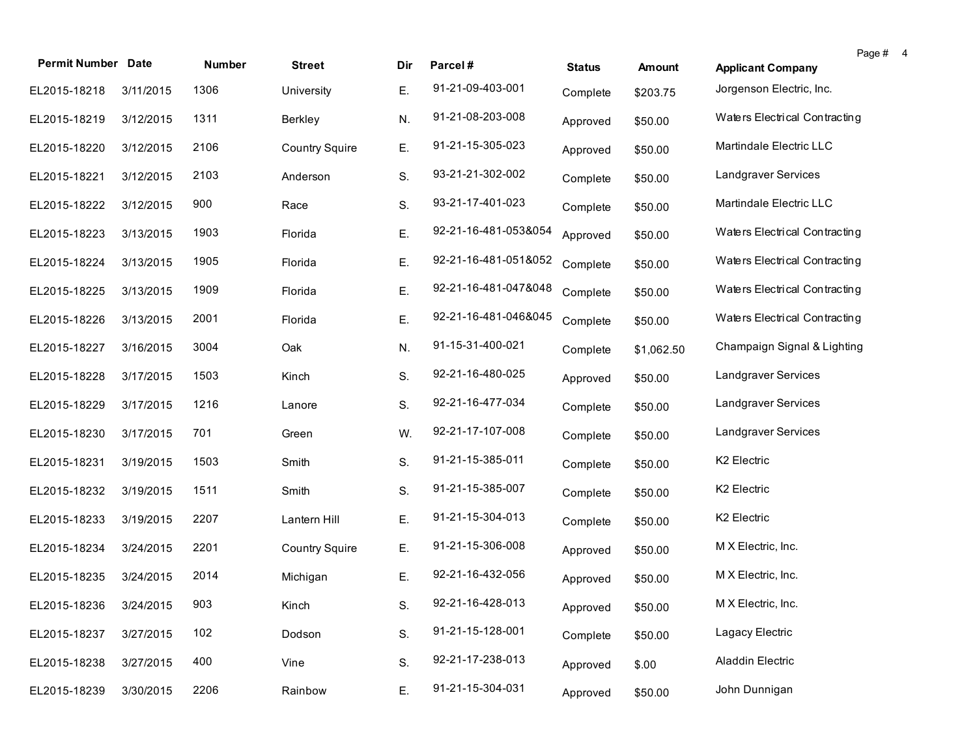|                           |           |               |                       |     |                      |               |            |                               | Page # | $\overline{4}$ |
|---------------------------|-----------|---------------|-----------------------|-----|----------------------|---------------|------------|-------------------------------|--------|----------------|
| <b>Permit Number Date</b> |           | <b>Number</b> | <b>Street</b>         | Dir | Parcel#              | <b>Status</b> | Amount     | <b>Applicant Company</b>      |        |                |
| EL2015-18218              | 3/11/2015 | 1306          | University            | Ε.  | 91-21-09-403-001     | Complete      | \$203.75   | Jorgenson Electric, Inc.      |        |                |
| EL2015-18219              | 3/12/2015 | 1311          | Berkley               | N.  | 91-21-08-203-008     | Approved      | \$50.00    | Waters Electrical Contracting |        |                |
| EL2015-18220              | 3/12/2015 | 2106          | <b>Country Squire</b> | Ε.  | 91-21-15-305-023     | Approved      | \$50.00    | Martindale Electric LLC       |        |                |
| EL2015-18221              | 3/12/2015 | 2103          | Anderson              | S.  | 93-21-21-302-002     | Complete      | \$50.00    | Landgraver Services           |        |                |
| EL2015-18222              | 3/12/2015 | 900           | Race                  | S.  | 93-21-17-401-023     | Complete      | \$50.00    | Martindale Electric LLC       |        |                |
| EL2015-18223              | 3/13/2015 | 1903          | Florida               | Ε.  | 92-21-16-481-053&054 | Approved      | \$50.00    | Waters Electrical Contracting |        |                |
| EL2015-18224              | 3/13/2015 | 1905          | Florida               | Ε.  | 92-21-16-481-051&052 | Complete      | \$50.00    | Waters Electrical Contracting |        |                |
| EL2015-18225              | 3/13/2015 | 1909          | Florida               | Ε.  | 92-21-16-481-047&048 | Complete      | \$50.00    | Waters Electrical Contracting |        |                |
| EL2015-18226              | 3/13/2015 | 2001          | Florida               | Ε.  | 92-21-16-481-046&045 | Complete      | \$50.00    | Waters Electrical Contracting |        |                |
| EL2015-18227              | 3/16/2015 | 3004          | Oak                   | N.  | 91-15-31-400-021     | Complete      | \$1,062.50 | Champaign Signal & Lighting   |        |                |
| EL2015-18228              | 3/17/2015 | 1503          | Kinch                 | S.  | 92-21-16-480-025     | Approved      | \$50.00    | Landgraver Services           |        |                |
| EL2015-18229              | 3/17/2015 | 1216          | Lanore                | S.  | 92-21-16-477-034     | Complete      | \$50.00    | Landgraver Services           |        |                |
| EL2015-18230              | 3/17/2015 | 701           | Green                 | W.  | 92-21-17-107-008     | Complete      | \$50.00    | Landgraver Services           |        |                |
| EL2015-18231              | 3/19/2015 | 1503          | Smith                 | S.  | 91-21-15-385-011     | Complete      | \$50.00    | K2 Electric                   |        |                |
| EL2015-18232              | 3/19/2015 | 1511          | Smith                 | S.  | 91-21-15-385-007     | Complete      | \$50.00    | K2 Electric                   |        |                |
| EL2015-18233              | 3/19/2015 | 2207          | Lantern Hill          | Ε.  | 91-21-15-304-013     | Complete      | \$50.00    | K2 Electric                   |        |                |
| EL2015-18234              | 3/24/2015 | 2201          | <b>Country Squire</b> | Ε.  | 91-21-15-306-008     | Approved      | \$50.00    | M X Electric, Inc.            |        |                |
| EL2015-18235              | 3/24/2015 | 2014          | Michigan              | Ε.  | 92-21-16-432-056     | Approved      | \$50.00    | M X Electric, Inc.            |        |                |
| EL2015-18236 3/24/2015    |           | 903           | Kinch                 | S.  | 92-21-16-428-013     | Approved      | \$50.00    | M X Electric, Inc.            |        |                |
| EL2015-18237              | 3/27/2015 | 102           | Dodson                | S.  | 91-21-15-128-001     | Complete      | \$50.00    | Lagacy Electric               |        |                |
| EL2015-18238              | 3/27/2015 | 400           | Vine                  | S.  | 92-21-17-238-013     | Approved      | \$.00      | Aladdin Electric              |        |                |
| EL2015-18239              | 3/30/2015 | 2206          | Rainbow               | Ε.  | 91-21-15-304-031     | Approved      | \$50.00    | John Dunnigan                 |        |                |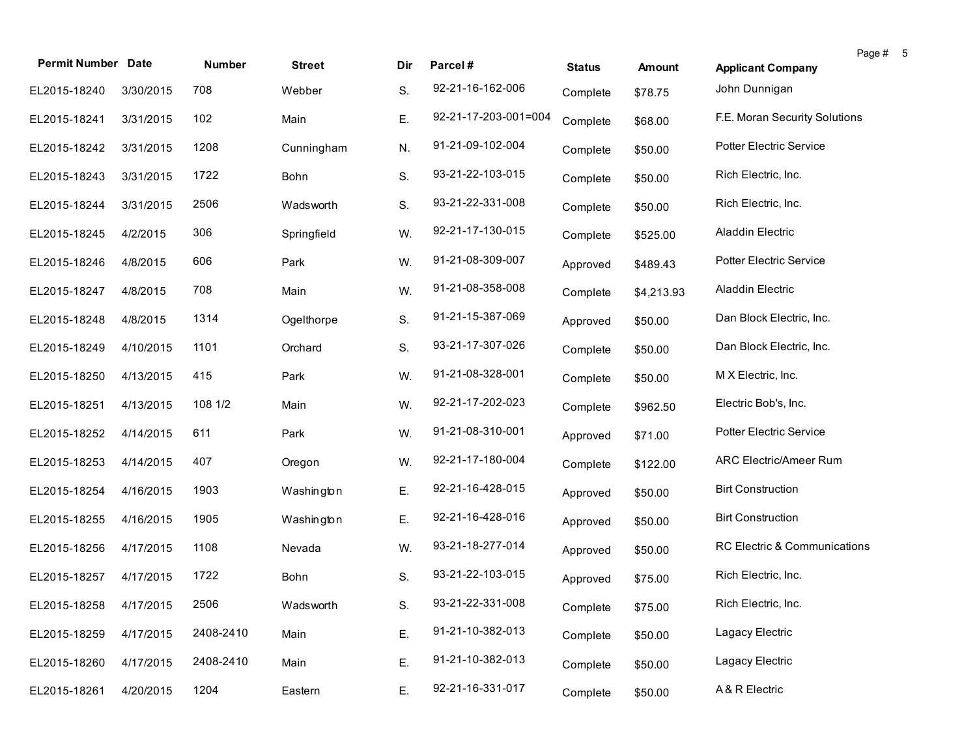| <b>Permit Number Date</b> |           | Number    | <b>Street</b> | Dir | Parcel#              |               |            |                                | Page # 5 |  |
|---------------------------|-----------|-----------|---------------|-----|----------------------|---------------|------------|--------------------------------|----------|--|
|                           |           |           |               |     |                      | <b>Status</b> | Amount     | <b>Applicant Company</b>       |          |  |
| EL2015-18240              | 3/30/2015 | 708       | Webber        | S.  | 92-21-16-162-006     | Complete      | \$78.75    | John Dunnigan                  |          |  |
| EL2015-18241              | 3/31/2015 | 102       | Main          | Ε.  | 92-21-17-203-001=004 | Complete      | \$68.00    | F.E. Moran Security Solutions  |          |  |
| EL2015-18242              | 3/31/2015 | 1208      | Cunningham    | N.  | 91-21-09-102-004     | Complete      | \$50.00    | Potter Electric Service        |          |  |
| EL2015-18243              | 3/31/2015 | 1722      | Bohn          | S.  | 93-21-22-103-015     | Complete      | \$50.00    | Rich Electric, Inc.            |          |  |
| EL2015-18244              | 3/31/2015 | 2506      | Wadsworth     | S.  | 93-21-22-331-008     | Complete      | \$50.00    | Rich Electric, Inc.            |          |  |
| EL2015-18245              | 4/2/2015  | 306       | Springfield   | W.  | 92-21-17-130-015     | Complete      | \$525.00   | Aladdin Electric               |          |  |
| EL2015-18246              | 4/8/2015  | 606       | Park          | W.  | 91-21-08-309-007     | Approved      | \$489.43   | <b>Potter Electric Service</b> |          |  |
| EL2015-18247              | 4/8/2015  | 708       | Main          | W.  | 91-21-08-358-008     | Complete      | \$4,213.93 | Aladdin Electric               |          |  |
| EL2015-18248              | 4/8/2015  | 1314      | Ogelthorpe    | S.  | 91-21-15-387-069     | Approved      | \$50.00    | Dan Block Electric, Inc.       |          |  |
| EL2015-18249              | 4/10/2015 | 1101      | Orchard       | S.  | 93-21-17-307-026     | Complete      | \$50.00    | Dan Block Electric, Inc.       |          |  |
| EL2015-18250              | 4/13/2015 | 415       | Park          | W.  | 91-21-08-328-001     | Complete      | \$50.00    | M X Electric, Inc.             |          |  |
| EL2015-18251              | 4/13/2015 | 108 1/2   | Main          | W.  | 92-21-17-202-023     | Complete      | \$962.50   | Electric Bob's, Inc.           |          |  |
| EL2015-18252              | 4/14/2015 | 611       | Park          | W.  | 91-21-08-310-001     | Approved      | \$71.00    | Potter Electric Service        |          |  |
| EL2015-18253              | 4/14/2015 | 407       | Oregon        | W.  | 92-21-17-180-004     | Complete      | \$122.00   | ARC Electric/Ameer Rum         |          |  |
| EL2015-18254              | 4/16/2015 | 1903      | Washington    | Ε.  | 92-21-16-428-015     | Approved      | \$50.00    | <b>Birt Construction</b>       |          |  |
| EL2015-18255              | 4/16/2015 | 1905      | Washington    | Ε.  | 92-21-16-428-016     | Approved      | \$50.00    | <b>Birt Construction</b>       |          |  |
| EL2015-18256              | 4/17/2015 | 1108      | Nevada        | W.  | 93-21-18-277-014     | Approved      | \$50.00    | RC Electric & Communications   |          |  |
| EL2015-18257              | 4/17/2015 | 1722      | Bohn          | S.  | 93-21-22-103-015     | Approved      | \$75.00    | Rich Electric, Inc.            |          |  |
| EL2015-18258 4/17/2015    |           | 2506      | Wadsworth     | S.  | 93-21-22-331-008     | Complete      | \$75.00    | Rich Electric, Inc.            |          |  |
| EL2015-18259              | 4/17/2015 | 2408-2410 | Main          | Ε.  | 91-21-10-382-013     | Complete      | \$50.00    | Lagacy Electric                |          |  |
| EL2015-18260              | 4/17/2015 | 2408-2410 | Main          | Ε.  | 91-21-10-382-013     | Complete      | \$50.00    | Lagacy Electric                |          |  |
| EL2015-18261              | 4/20/2015 | 1204      | Eastern       | Ε.  | 92-21-16-331-017     | Complete      | \$50.00    | A & R Electric                 |          |  |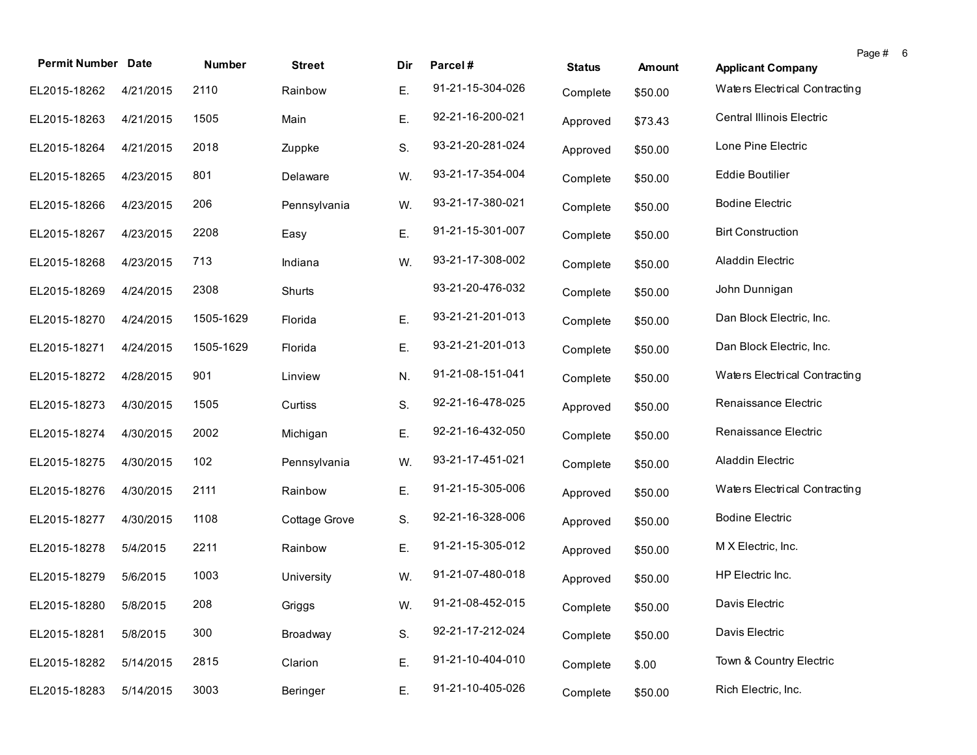| <b>Permit Number Date</b> |           | Number    | <b>Street</b> | Dir | Parcel#          | <b>Status</b> | Amount  | <b>Applicant Company</b>      | Page # | - 6 |
|---------------------------|-----------|-----------|---------------|-----|------------------|---------------|---------|-------------------------------|--------|-----|
| EL2015-18262              | 4/21/2015 | 2110      | Rainbow       | Ε.  | 91-21-15-304-026 | Complete      | \$50.00 | Waters Electrical Contracting |        |     |
| EL2015-18263              | 4/21/2015 | 1505      | Main          | Ε.  | 92-21-16-200-021 | Approved      | \$73.43 | Central Illinois Electric     |        |     |
| EL2015-18264              | 4/21/2015 | 2018      | Zuppke        | S.  | 93-21-20-281-024 | Approved      | \$50.00 | Lone Pine Electric            |        |     |
| EL2015-18265              | 4/23/2015 | 801       | Delaware      | W.  | 93-21-17-354-004 | Complete      | \$50.00 | <b>Eddie Boutilier</b>        |        |     |
| EL2015-18266              | 4/23/2015 | 206       | Pennsylvania  | W.  | 93-21-17-380-021 | Complete      | \$50.00 | <b>Bodine Electric</b>        |        |     |
| EL2015-18267              | 4/23/2015 | 2208      | Easy          | Ε.  | 91-21-15-301-007 | Complete      | \$50.00 | <b>Birt Construction</b>      |        |     |
| EL2015-18268              | 4/23/2015 | 713       | Indiana       | W.  | 93-21-17-308-002 | Complete      | \$50.00 | Aladdin Electric              |        |     |
| EL2015-18269              | 4/24/2015 | 2308      | Shurts        |     | 93-21-20-476-032 | Complete      | \$50.00 | John Dunnigan                 |        |     |
| EL2015-18270              | 4/24/2015 | 1505-1629 | Florida       | Ε.  | 93-21-21-201-013 | Complete      | \$50.00 | Dan Block Electric, Inc.      |        |     |
| EL2015-18271              | 4/24/2015 | 1505-1629 | Florida       | Ε.  | 93-21-21-201-013 | Complete      | \$50.00 | Dan Block Electric, Inc.      |        |     |
| EL2015-18272              | 4/28/2015 | 901       | Linview       | N.  | 91-21-08-151-041 | Complete      | \$50.00 | Waters Electrical Contracting |        |     |
| EL2015-18273              | 4/30/2015 | 1505      | Curtiss       | S.  | 92-21-16-478-025 | Approved      | \$50.00 | Renaissance Electric          |        |     |
| EL2015-18274              | 4/30/2015 | 2002      | Michigan      | Ε.  | 92-21-16-432-050 | Complete      | \$50.00 | Renaissance Electric          |        |     |
| EL2015-18275              | 4/30/2015 | 102       | Pennsylvania  | W.  | 93-21-17-451-021 | Complete      | \$50.00 | Aladdin Electric              |        |     |
| EL2015-18276              | 4/30/2015 | 2111      | Rainbow       | Ε.  | 91-21-15-305-006 | Approved      | \$50.00 | Waters Electrical Contracting |        |     |
| EL2015-18277              | 4/30/2015 | 1108      | Cottage Grove | S.  | 92-21-16-328-006 | Approved      | \$50.00 | <b>Bodine Electric</b>        |        |     |
| EL2015-18278              | 5/4/2015  | 2211      | Rainbow       | Ε.  | 91-21-15-305-012 | Approved      | \$50.00 | M X Electric, Inc.            |        |     |
| EL2015-18279              | 5/6/2015  | 1003      | University    | W.  | 91-21-07-480-018 | Approved      | \$50.00 | HP Electric Inc.              |        |     |
| EL2015-18280 5/8/2015     |           | 208       | Griggs        | W.  | 91-21-08-452-015 | Complete      | \$50.00 | Davis Electric                |        |     |
| EL2015-18281              | 5/8/2015  | 300       | Broadway      | S.  | 92-21-17-212-024 | Complete      | \$50.00 | Davis Electric                |        |     |
| EL2015-18282              | 5/14/2015 | 2815      | Clarion       | Ε.  | 91-21-10-404-010 | Complete      | \$.00   | Town & Country Electric       |        |     |
| EL2015-18283              | 5/14/2015 | 3003      | Beringer      | Ε.  | 91-21-10-405-026 | Complete      | \$50.00 | Rich Electric, Inc.           |        |     |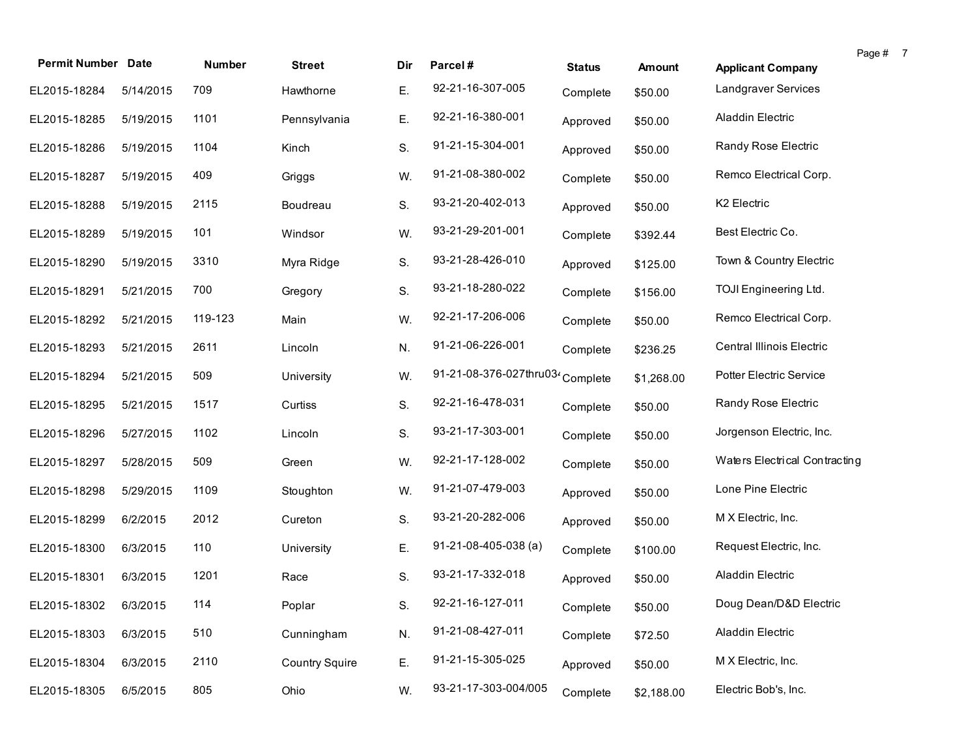| <b>Permit Number Date</b> |           | <b>Number</b> | <b>Street</b>         | Dir | Parcel#                                      |               |               |                               | Page # 7 |  |
|---------------------------|-----------|---------------|-----------------------|-----|----------------------------------------------|---------------|---------------|-------------------------------|----------|--|
|                           |           |               |                       |     | 92-21-16-307-005                             | <b>Status</b> | <b>Amount</b> | <b>Applicant Company</b>      |          |  |
| EL2015-18284              | 5/14/2015 | 709           | Hawthorne             | Ε.  |                                              | Complete      | \$50.00       | Landgraver Services           |          |  |
| EL2015-18285              | 5/19/2015 | 1101          | Pennsylvania          | Ε.  | 92-21-16-380-001                             | Approved      | \$50.00       | Aladdin Electric              |          |  |
| EL2015-18286              | 5/19/2015 | 1104          | Kinch                 | S.  | 91-21-15-304-001                             | Approved      | \$50.00       | Randy Rose Electric           |          |  |
| EL2015-18287              | 5/19/2015 | 409           | Griggs                | W.  | 91-21-08-380-002                             | Complete      | \$50.00       | Remco Electrical Corp.        |          |  |
| EL2015-18288              | 5/19/2015 | 2115          | Boudreau              | S.  | 93-21-20-402-013                             | Approved      | \$50.00       | K2 Electric                   |          |  |
| EL2015-18289              | 5/19/2015 | 101           | Windsor               | W.  | 93-21-29-201-001                             | Complete      | \$392.44      | Best Electric Co.             |          |  |
| EL2015-18290              | 5/19/2015 | 3310          | Myra Ridge            | S.  | 93-21-28-426-010                             | Approved      | \$125.00      | Town & Country Electric       |          |  |
| EL2015-18291              | 5/21/2015 | 700           | Gregory               | S.  | 93-21-18-280-022                             | Complete      | \$156.00      | TOJI Engineering Ltd.         |          |  |
| EL2015-18292              | 5/21/2015 | 119-123       | Main                  | W.  | 92-21-17-206-006                             | Complete      | \$50.00       | Remco Electrical Corp.        |          |  |
| EL2015-18293              | 5/21/2015 | 2611          | Lincoln               | N.  | 91-21-06-226-001                             | Complete      | \$236.25      | Central Illinois Electric     |          |  |
| EL2015-18294              | 5/21/2015 | 509           | University            | W.  | 91-21-08-376-027thru03 <sup>4</sup> Complete |               | \$1,268.00    | Potter Electric Service       |          |  |
| EL2015-18295              | 5/21/2015 | 1517          | Curtiss               | S.  | 92-21-16-478-031                             | Complete      | \$50.00       | Randy Rose Electric           |          |  |
| EL2015-18296              | 5/27/2015 | 1102          | Lincoln               | S.  | 93-21-17-303-001                             | Complete      | \$50.00       | Jorgenson Electric, Inc.      |          |  |
| EL2015-18297              | 5/28/2015 | 509           | Green                 | W.  | 92-21-17-128-002                             | Complete      | \$50.00       | Waters Electrical Contracting |          |  |
| EL2015-18298              | 5/29/2015 | 1109          | Stoughton             | W.  | 91-21-07-479-003                             | Approved      | \$50.00       | Lone Pine Electric            |          |  |
| EL2015-18299              | 6/2/2015  | 2012          | Cureton               | S.  | 93-21-20-282-006                             | Approved      | \$50.00       | M X Electric, Inc.            |          |  |
| EL2015-18300              | 6/3/2015  | 110           | University            | Ε.  | $91-21-08-405-038$ (a)                       | Complete      | \$100.00      | Request Electric, Inc.        |          |  |
| EL2015-18301              | 6/3/2015  | 1201          | Race                  | S.  | 93-21-17-332-018                             | Approved      | \$50.00       | Aladdin Electric              |          |  |
| EL2015-18302 6/3/2015     |           | 114           | Poplar                | S.  | 92-21-16-127-011                             | Complete      | \$50.00       | Doug Dean/D&D Electric        |          |  |
| EL2015-18303              | 6/3/2015  | 510           | Cunningham            | N.  | 91-21-08-427-011                             | Complete      | \$72.50       | Aladdin Electric              |          |  |
| EL2015-18304              | 6/3/2015  | 2110          | <b>Country Squire</b> | Ε.  | 91-21-15-305-025                             | Approved      | \$50.00       | M X Electric, Inc.            |          |  |
| EL2015-18305              | 6/5/2015  | 805           | Ohio                  | W.  | 93-21-17-303-004/005                         | Complete      | \$2,188.00    | Electric Bob's, Inc.          |          |  |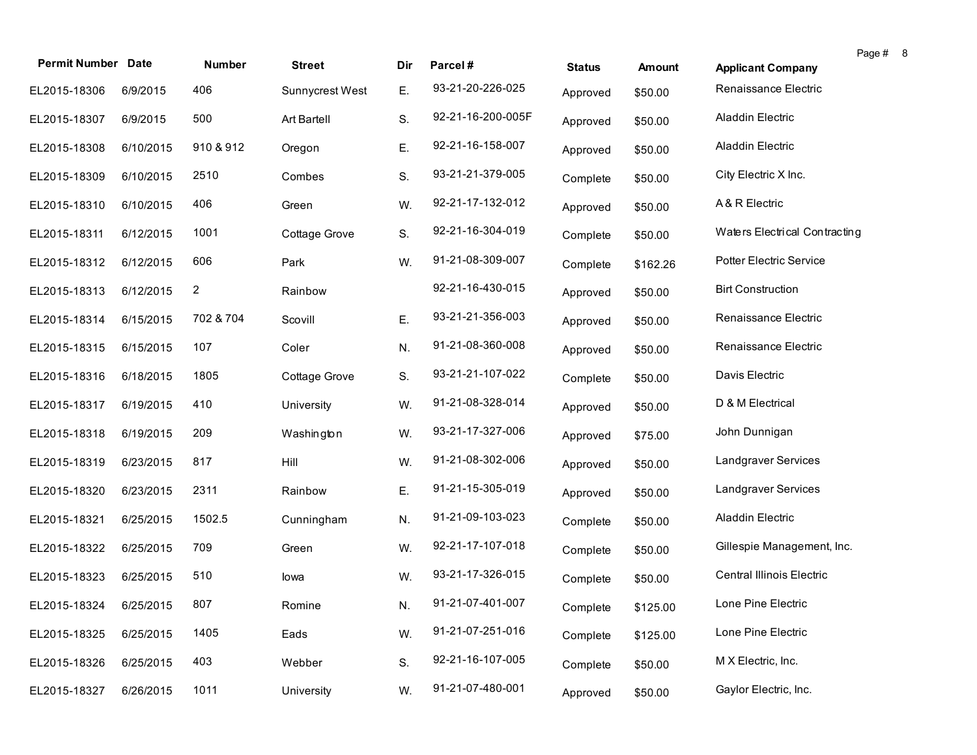| <b>Permit Number Date</b> |           | Number         | <b>Street</b>   | Dir | Parcel#           | <b>Status</b> | <b>Amount</b> | Page # 8<br><b>Applicant Company</b> |
|---------------------------|-----------|----------------|-----------------|-----|-------------------|---------------|---------------|--------------------------------------|
| EL2015-18306              | 6/9/2015  | 406            | Sunnycrest West | Ε.  | 93-21-20-226-025  | Approved      | \$50.00       | Renaissance Electric                 |
| EL2015-18307              | 6/9/2015  | 500            | Art Bartell     | S.  | 92-21-16-200-005F | Approved      | \$50.00       | Aladdin Electric                     |
| EL2015-18308              | 6/10/2015 | 910 & 912      | Oregon          | Ε.  | 92-21-16-158-007  | Approved      | \$50.00       | Aladdin Electric                     |
| EL2015-18309              | 6/10/2015 | 2510           | Combes          | S.  | 93-21-21-379-005  | Complete      | \$50.00       | City Electric X Inc.                 |
| EL2015-18310              | 6/10/2015 | 406            | Green           | W.  | 92-21-17-132-012  | Approved      | \$50.00       | A & R Electric                       |
| EL2015-18311              | 6/12/2015 | 1001           | Cottage Grove   | S.  | 92-21-16-304-019  | Complete      | \$50.00       | Waters Electrical Contracting        |
| EL2015-18312              | 6/12/2015 | 606            | Park            | W.  | 91-21-08-309-007  | Complete      | \$162.26      | Potter Electric Service              |
| EL2015-18313              | 6/12/2015 | $\overline{a}$ | Rainbow         |     | 92-21-16-430-015  | Approved      | \$50.00       | <b>Birt Construction</b>             |
| EL2015-18314              | 6/15/2015 | 702 & 704      | Scovill         | Ε.  | 93-21-21-356-003  | Approved      | \$50.00       | Renaissance Electric                 |
| EL2015-18315              | 6/15/2015 | 107            | Coler           | N.  | 91-21-08-360-008  | Approved      | \$50.00       | Renaissance Electric                 |
| EL2015-18316              | 6/18/2015 | 1805           | Cottage Grove   | S.  | 93-21-21-107-022  | Complete      | \$50.00       | Davis Electric                       |
| EL2015-18317              | 6/19/2015 | 410            | University      | W.  | 91-21-08-328-014  | Approved      | \$50.00       | D & M Electrical                     |
| EL2015-18318              | 6/19/2015 | 209            | Washington      | W.  | 93-21-17-327-006  | Approved      | \$75.00       | John Dunnigan                        |
| EL2015-18319              | 6/23/2015 | 817            | Hill            | W.  | 91-21-08-302-006  | Approved      | \$50.00       | Landgraver Services                  |
| EL2015-18320              | 6/23/2015 | 2311           | Rainbow         | Ε.  | 91-21-15-305-019  | Approved      | \$50.00       | Landgraver Services                  |
| EL2015-18321              | 6/25/2015 | 1502.5         | Cunningham      | N.  | 91-21-09-103-023  | Complete      | \$50.00       | Aladdin Electric                     |
| EL2015-18322              | 6/25/2015 | 709            | Green           | W.  | 92-21-17-107-018  | Complete      | \$50.00       | Gillespie Management, Inc.           |
| EL2015-18323              | 6/25/2015 | 510            | lowa            | W.  | 93-21-17-326-015  | Complete      | \$50.00       | Central Illinois Electric            |
| EL2015-18324 6/25/2015    |           | 807            | Romine          | N.  | 91-21-07-401-007  | Complete      | \$125.00      | Lone Pine Electric                   |
| EL2015-18325              | 6/25/2015 | 1405           | Eads            | W.  | 91-21-07-251-016  | Complete      | \$125.00      | Lone Pine Electric                   |
| EL2015-18326              | 6/25/2015 | 403            | Webber          | S.  | 92-21-16-107-005  | Complete      | \$50.00       | M X Electric, Inc.                   |
| EL2015-18327              | 6/26/2015 | 1011           | University      | W.  | 91-21-07-480-001  | Approved      | \$50.00       | Gaylor Electric, Inc.                |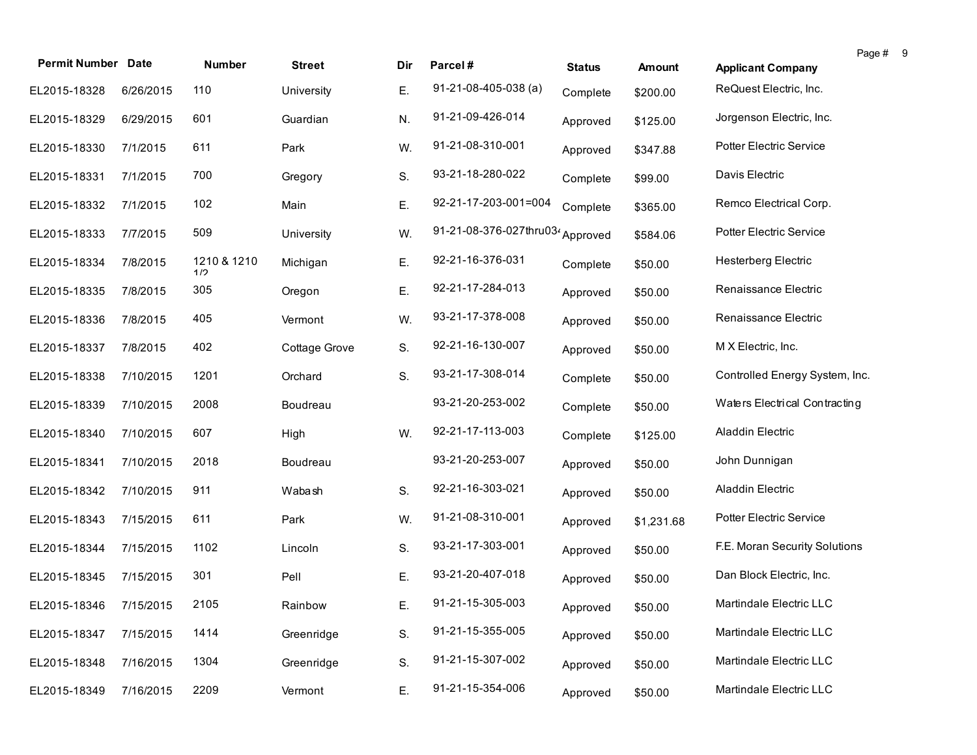| <b>Permit Number Date</b> |           | Number             | <b>Street</b> | Dir | Parcel#                          | <b>Status</b> | Amount     | <b>Applicant Company</b>       | Page # 9 |  |
|---------------------------|-----------|--------------------|---------------|-----|----------------------------------|---------------|------------|--------------------------------|----------|--|
| EL2015-18328              | 6/26/2015 | 110                | University    | Ε.  | 91-21-08-405-038 (a)             |               |            | ReQuest Electric, Inc.         |          |  |
|                           |           |                    |               |     |                                  | Complete      | \$200.00   |                                |          |  |
| EL2015-18329              | 6/29/2015 | 601                | Guardian      | N.  | 91-21-09-426-014                 | Approved      | \$125.00   | Jorgenson Electric, Inc.       |          |  |
| EL2015-18330              | 7/1/2015  | 611                | Park          | W.  | 91-21-08-310-001                 | Approved      | \$347.88   | <b>Potter Electric Service</b> |          |  |
| EL2015-18331              | 7/1/2015  | 700                | Gregory       | S.  | 93-21-18-280-022                 | Complete      | \$99.00    | Davis Electric                 |          |  |
| EL2015-18332              | 7/1/2015  | 102                | Main          | Ε.  | 92-21-17-203-001=004             | Complete      | \$365.00   | Remco Electrical Corp.         |          |  |
| EL2015-18333              | 7/7/2015  | 509                | University    | W.  | 91-21-08-376-027thru034 Approved |               | \$584.06   | Potter Electric Service        |          |  |
| EL2015-18334              | 7/8/2015  | 1210 & 1210<br>1/2 | Michigan      | Ε.  | 92-21-16-376-031                 | Complete      | \$50.00    | Hesterberg Electric            |          |  |
| EL2015-18335              | 7/8/2015  | 305                | Oregon        | Ε.  | 92-21-17-284-013                 | Approved      | \$50.00    | Renaissance Electric           |          |  |
| EL2015-18336              | 7/8/2015  | 405                | Vermont       | W.  | 93-21-17-378-008                 | Approved      | \$50.00    | Renaissance Electric           |          |  |
| EL2015-18337              | 7/8/2015  | 402                | Cottage Grove | S.  | 92-21-16-130-007                 | Approved      | \$50.00    | M X Electric, Inc.             |          |  |
| EL2015-18338              | 7/10/2015 | 1201               | Orchard       | S.  | 93-21-17-308-014                 | Complete      | \$50.00    | Controlled Energy System, Inc. |          |  |
| EL2015-18339              | 7/10/2015 | 2008               | Boudreau      |     | 93-21-20-253-002                 | Complete      | \$50.00    | Waters Electrical Contracting  |          |  |
| EL2015-18340              | 7/10/2015 | 607                | High          | W.  | 92-21-17-113-003                 | Complete      | \$125.00   | Aladdin Electric               |          |  |
| EL2015-18341              | 7/10/2015 | 2018               | Boudreau      |     | 93-21-20-253-007                 | Approved      | \$50.00    | John Dunnigan                  |          |  |
| EL2015-18342              | 7/10/2015 | 911                | Wabash        | S.  | 92-21-16-303-021                 | Approved      | \$50.00    | Aladdin Electric               |          |  |
| EL2015-18343              | 7/15/2015 | 611                | Park          | W.  | 91-21-08-310-001                 | Approved      | \$1,231.68 | Potter Electric Service        |          |  |
| EL2015-18344              | 7/15/2015 | 1102               | Lincoln       | S.  | 93-21-17-303-001                 | Approved      | \$50.00    | F.E. Moran Security Solutions  |          |  |
| EL2015-18345              | 7/15/2015 | 301                | Pell          | Ε.  | 93-21-20-407-018                 | Approved      | \$50.00    | Dan Block Electric, Inc.       |          |  |
| EL2015-18346 7/15/2015    |           | 2105               | Rainbow       | E.  | 91-21-15-305-003                 | Approved      | \$50.00    | Martindale Electric LLC        |          |  |
| EL2015-18347              | 7/15/2015 | 1414               | Greenridge    | S.  | 91-21-15-355-005                 | Approved      | \$50.00    | Martindale Electric LLC        |          |  |
| EL2015-18348              | 7/16/2015 | 1304               | Greenridge    | S.  | 91-21-15-307-002                 | Approved      | \$50.00    | Martindale Electric LLC        |          |  |
| EL2015-18349              | 7/16/2015 | 2209               | Vermont       | Ε.  | 91-21-15-354-006                 | Approved      | \$50.00    | Martindale Electric LLC        |          |  |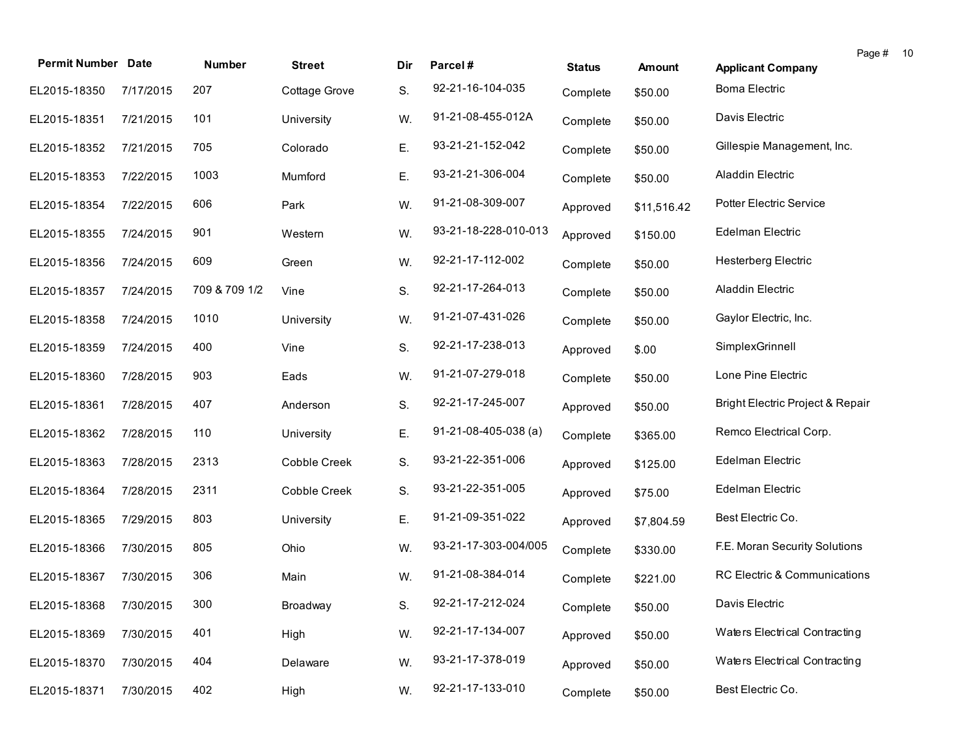| <b>Permit Number Date</b> |           | Number        | <b>Street</b> | Dir | Parcel#              | <b>Status</b> | <b>Amount</b> | <b>Applicant Company</b>         | Page # | 10 |
|---------------------------|-----------|---------------|---------------|-----|----------------------|---------------|---------------|----------------------------------|--------|----|
| EL2015-18350              | 7/17/2015 | 207           | Cottage Grove | S.  | 92-21-16-104-035     | Complete      | \$50.00       | <b>Boma Electric</b>             |        |    |
| EL2015-18351              | 7/21/2015 | 101           | University    | W.  | 91-21-08-455-012A    | Complete      | \$50.00       | Davis Electric                   |        |    |
| EL2015-18352              | 7/21/2015 | 705           | Colorado      | Ε.  | 93-21-21-152-042     | Complete      | \$50.00       | Gillespie Management, Inc.       |        |    |
| EL2015-18353              | 7/22/2015 | 1003          | Mumford       | Ε.  | 93-21-21-306-004     | Complete      | \$50.00       | Aladdin Electric                 |        |    |
| EL2015-18354              | 7/22/2015 | 606           | Park          | W.  | 91-21-08-309-007     | Approved      | \$11,516.42   | Potter Electric Service          |        |    |
| EL2015-18355              | 7/24/2015 | 901           | Western       | W.  | 93-21-18-228-010-013 | Approved      | \$150.00      | Edelman Electric                 |        |    |
| EL2015-18356              | 7/24/2015 | 609           | Green         | W.  | 92-21-17-112-002     | Complete      | \$50.00       | <b>Hesterberg Electric</b>       |        |    |
| EL2015-18357              | 7/24/2015 | 709 & 709 1/2 | Vine          | S.  | 92-21-17-264-013     | Complete      | \$50.00       | Aladdin Electric                 |        |    |
| EL2015-18358              | 7/24/2015 | 1010          | University    | W.  | 91-21-07-431-026     | Complete      | \$50.00       | Gaylor Electric, Inc.            |        |    |
| EL2015-18359              | 7/24/2015 | 400           | Vine          | S.  | 92-21-17-238-013     | Approved      | \$.00         | SimplexGrinnell                  |        |    |
| EL2015-18360              | 7/28/2015 | 903           | Eads          | W.  | 91-21-07-279-018     | Complete      | \$50.00       | Lone Pine Electric               |        |    |
| EL2015-18361              | 7/28/2015 | 407           | Anderson      | S.  | 92-21-17-245-007     | Approved      | \$50.00       | Bright Electric Project & Repair |        |    |
| EL2015-18362              | 7/28/2015 | 110           | University    | Ε.  | 91-21-08-405-038 (a) | Complete      | \$365.00      | Remco Electrical Corp.           |        |    |
| EL2015-18363              | 7/28/2015 | 2313          | Cobble Creek  | S.  | 93-21-22-351-006     | Approved      | \$125.00      | Edelman Electric                 |        |    |
| EL2015-18364              | 7/28/2015 | 2311          | Cobble Creek  | S.  | 93-21-22-351-005     | Approved      | \$75.00       | Edelman Electric                 |        |    |
| EL2015-18365              | 7/29/2015 | 803           | University    | Ε.  | 91-21-09-351-022     | Approved      | \$7,804.59    | Best Electric Co.                |        |    |
| EL2015-18366              | 7/30/2015 | 805           | Ohio          | W.  | 93-21-17-303-004/005 | Complete      | \$330.00      | F.E. Moran Security Solutions    |        |    |
| EL2015-18367              | 7/30/2015 | 306           | Main          | W.  | 91-21-08-384-014     | Complete      | \$221.00      | RC Electric & Communications     |        |    |
| EL2015-18368 7/30/2015    |           | 300           | Broadway      | S.  | 92-21-17-212-024     | Complete      | \$50.00       | Davis Electric                   |        |    |
| EL2015-18369              | 7/30/2015 | 401           | High          | W.  | 92-21-17-134-007     | Approved      | \$50.00       | Waters Electrical Contracting    |        |    |
| EL2015-18370              | 7/30/2015 | 404           | Delaware      | W.  | 93-21-17-378-019     | Approved      | \$50.00       | Waters Electrical Contracting    |        |    |
| EL2015-18371              | 7/30/2015 | 402           | High          | W.  | 92-21-17-133-010     | Complete      | \$50.00       | Best Electric Co.                |        |    |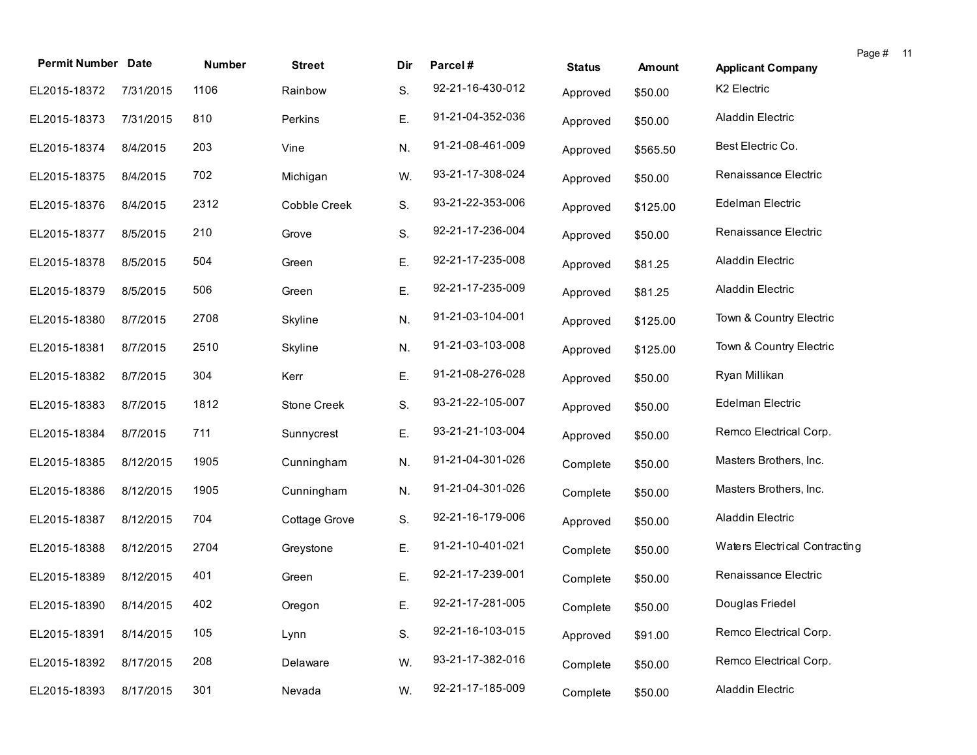| <b>Permit Number Date</b> |           | Number | <b>Street</b> | Dir | Parcel#          | <b>Status</b> | Amount   | <b>Applicant Company</b>      | Page # 11 |  |
|---------------------------|-----------|--------|---------------|-----|------------------|---------------|----------|-------------------------------|-----------|--|
| EL2015-18372              | 7/31/2015 | 1106   | Rainbow       | S.  | 92-21-16-430-012 | Approved      | \$50.00  | K2 Electric                   |           |  |
| EL2015-18373              | 7/31/2015 | 810    | Perkins       | Ε.  | 91-21-04-352-036 | Approved      | \$50.00  | Aladdin Electric              |           |  |
| EL2015-18374              | 8/4/2015  | 203    | Vine          | N.  | 91-21-08-461-009 | Approved      | \$565.50 | Best Electric Co.             |           |  |
| EL2015-18375              | 8/4/2015  | 702    | Michigan      | W.  | 93-21-17-308-024 | Approved      | \$50.00  | Renaissance Electric          |           |  |
| EL2015-18376              | 8/4/2015  | 2312   | Cobble Creek  | S.  | 93-21-22-353-006 | Approved      | \$125.00 | Edelman Electric              |           |  |
| EL2015-18377              | 8/5/2015  | 210    | Grove         | S.  | 92-21-17-236-004 | Approved      | \$50.00  | Renaissance Electric          |           |  |
| EL2015-18378              | 8/5/2015  | 504    | Green         | Ε.  | 92-21-17-235-008 | Approved      | \$81.25  | Aladdin Electric              |           |  |
| EL2015-18379              | 8/5/2015  | 506    | Green         | Ε.  | 92-21-17-235-009 | Approved      | \$81.25  | Aladdin Electric              |           |  |
| EL2015-18380              | 8/7/2015  | 2708   | Skyline       | N.  | 91-21-03-104-001 | Approved      | \$125.00 | Town & Country Electric       |           |  |
| EL2015-18381              | 8/7/2015  | 2510   | Skyline       | N.  | 91-21-03-103-008 | Approved      | \$125.00 | Town & Country Electric       |           |  |
| EL2015-18382              | 8/7/2015  | 304    | Kerr          | Ε.  | 91-21-08-276-028 | Approved      | \$50.00  | Ryan Millikan                 |           |  |
| EL2015-18383              | 8/7/2015  | 1812   | Stone Creek   | S.  | 93-21-22-105-007 | Approved      | \$50.00  | Edelman Electric              |           |  |
| EL2015-18384              | 8/7/2015  | 711    | Sunnycrest    | Ε.  | 93-21-21-103-004 | Approved      | \$50.00  | Remco Electrical Corp.        |           |  |
| EL2015-18385              | 8/12/2015 | 1905   | Cunningham    | N.  | 91-21-04-301-026 | Complete      | \$50.00  | Masters Brothers, Inc.        |           |  |
| EL2015-18386              | 8/12/2015 | 1905   | Cunningham    | N.  | 91-21-04-301-026 | Complete      | \$50.00  | Masters Brothers, Inc.        |           |  |
| EL2015-18387              | 8/12/2015 | 704    | Cottage Grove | S.  | 92-21-16-179-006 | Approved      | \$50.00  | Aladdin Electric              |           |  |
| EL2015-18388              | 8/12/2015 | 2704   | Greystone     | Ε.  | 91-21-10-401-021 | Complete      | \$50.00  | Waters Electrical Contracting |           |  |
| EL2015-18389              | 8/12/2015 | 401    | Green         | Ε.  | 92-21-17-239-001 | Complete      | \$50.00  | Renaissance Electric          |           |  |
| EL2015-18390 8/14/2015    |           | 402    | Oregon        | Е.  | 92-21-17-281-005 | Complete      | \$50.00  | Douglas Friedel               |           |  |
| EL2015-18391              | 8/14/2015 | 105    | Lynn          | S.  | 92-21-16-103-015 | Approved      | \$91.00  | Remco Electrical Corp.        |           |  |
| EL2015-18392              | 8/17/2015 | 208    | Delaware      | W.  | 93-21-17-382-016 | Complete      | \$50.00  | Remco Electrical Corp.        |           |  |
| EL2015-18393              | 8/17/2015 | 301    | Nevada        | W.  | 92-21-17-185-009 | Complete      | \$50.00  | Aladdin Electric              |           |  |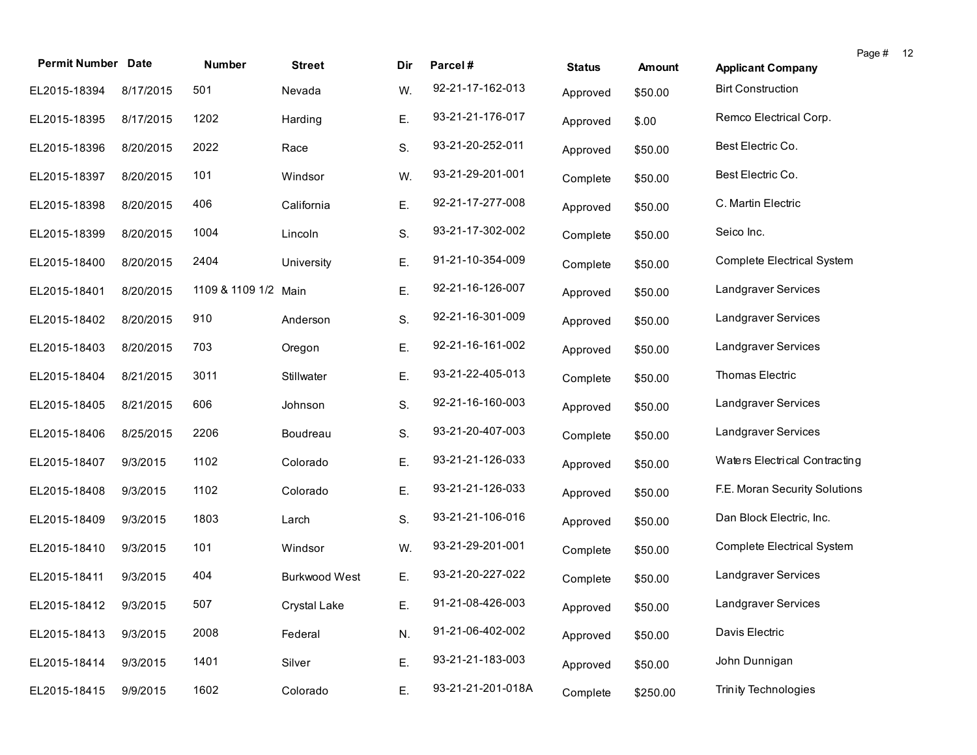| <b>Permit Number Date</b> |           | Number               | <b>Street</b>        | Dir | Parcel#           | <b>Status</b> | <b>Amount</b> | Page #<br><b>Applicant Company</b> | - 12 |
|---------------------------|-----------|----------------------|----------------------|-----|-------------------|---------------|---------------|------------------------------------|------|
| EL2015-18394              | 8/17/2015 | 501                  | Nevada               | W.  | 92-21-17-162-013  | Approved      | \$50.00       | <b>Birt Construction</b>           |      |
| EL2015-18395              | 8/17/2015 | 1202                 | Harding              | Ε.  | 93-21-21-176-017  | Approved      | \$.00         | Remco Electrical Corp.             |      |
| EL2015-18396              | 8/20/2015 | 2022                 | Race                 | S.  | 93-21-20-252-011  | Approved      | \$50.00       | Best Electric Co.                  |      |
| EL2015-18397              | 8/20/2015 | 101                  | Windsor              | W.  | 93-21-29-201-001  | Complete      | \$50.00       | Best Electric Co.                  |      |
| EL2015-18398              | 8/20/2015 | 406                  | California           | Ε.  | 92-21-17-277-008  | Approved      | \$50.00       | C. Martin Electric                 |      |
| EL2015-18399              | 8/20/2015 | 1004                 | Lincoln              | S.  | 93-21-17-302-002  | Complete      | \$50.00       | Seico Inc.                         |      |
| EL2015-18400              | 8/20/2015 | 2404                 | University           | Ε.  | 91-21-10-354-009  | Complete      | \$50.00       | Complete Electrical System         |      |
| EL2015-18401              | 8/20/2015 | 1109 & 1109 1/2 Main |                      | Ε.  | 92-21-16-126-007  | Approved      | \$50.00       | Landgraver Services                |      |
| EL2015-18402              | 8/20/2015 | 910                  | Anderson             | S.  | 92-21-16-301-009  | Approved      | \$50.00       | Landgraver Services                |      |
| EL2015-18403              | 8/20/2015 | 703                  | Oregon               | Ε.  | 92-21-16-161-002  | Approved      | \$50.00       | Landgraver Services                |      |
| EL2015-18404              | 8/21/2015 | 3011                 | Stillwater           | Ε.  | 93-21-22-405-013  | Complete      | \$50.00       | Thomas Electric                    |      |
| EL2015-18405              | 8/21/2015 | 606                  | Johnson              | S.  | 92-21-16-160-003  | Approved      | \$50.00       | Landgraver Services                |      |
| EL2015-18406              | 8/25/2015 | 2206                 | Boudreau             | S.  | 93-21-20-407-003  | Complete      | \$50.00       | Landgraver Services                |      |
| EL2015-18407              | 9/3/2015  | 1102                 | Colorado             | Ε.  | 93-21-21-126-033  | Approved      | \$50.00       | Waters Electrical Contracting      |      |
| EL2015-18408              | 9/3/2015  | 1102                 | Colorado             | Ε.  | 93-21-21-126-033  | Approved      | \$50.00       | F.E. Moran Security Solutions      |      |
| EL2015-18409              | 9/3/2015  | 1803                 | Larch                | S.  | 93-21-21-106-016  | Approved      | \$50.00       | Dan Block Electric, Inc.           |      |
| EL2015-18410              | 9/3/2015  | 101                  | Windsor              | W.  | 93-21-29-201-001  | Complete      | \$50.00       | Complete Electrical System         |      |
| EL2015-18411              | 9/3/2015  | 404                  | <b>Burkwood West</b> | Ε.  | 93-21-20-227-022  | Complete      | \$50.00       | Landgraver Services                |      |
| EL2015-18412 9/3/2015     |           | 507                  | Crystal Lake         | E.  | 91-21-08-426-003  | Approved      | \$50.00       | Landgraver Services                |      |
| EL2015-18413              | 9/3/2015  | 2008                 | Federal              | N.  | 91-21-06-402-002  | Approved      | \$50.00       | Davis Electric                     |      |
| EL2015-18414              | 9/3/2015  | 1401                 | Silver               | Ε.  | 93-21-21-183-003  | Approved      | \$50.00       | John Dunnigan                      |      |
| EL2015-18415              | 9/9/2015  | 1602                 | Colorado             | Ε.  | 93-21-21-201-018A | Complete      | \$250.00      | Trinity Technologies               |      |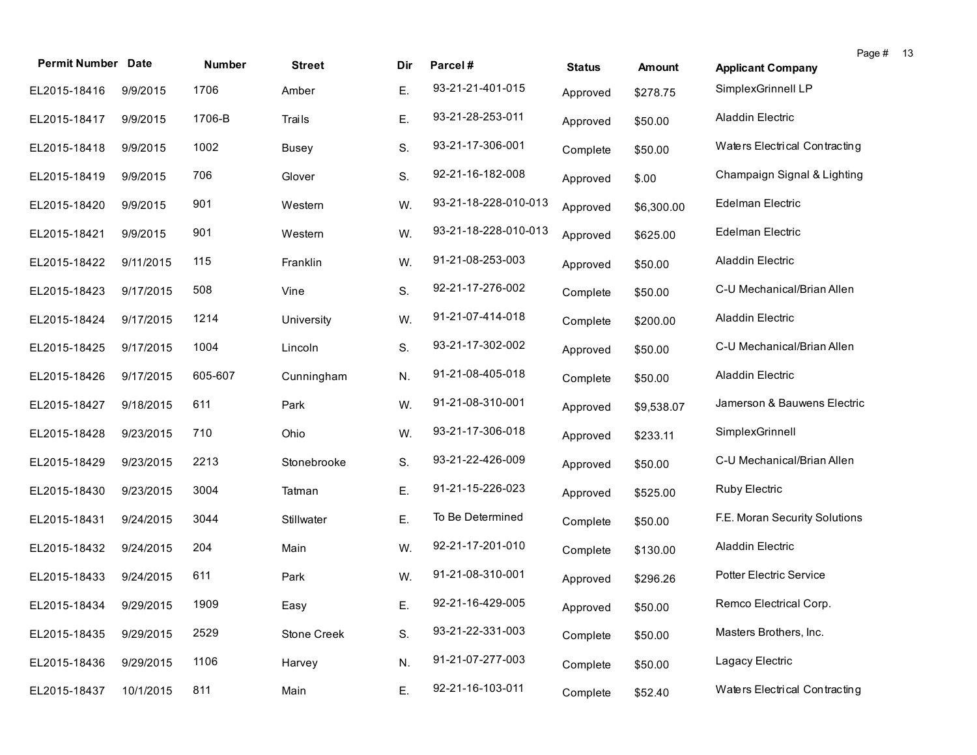| <b>Permit Number Date</b> |           | Number  | <b>Street</b> | Dir | Parcel#              | <b>Status</b> | <b>Amount</b> | Page #<br><b>Applicant Company</b> | - 13 |
|---------------------------|-----------|---------|---------------|-----|----------------------|---------------|---------------|------------------------------------|------|
| EL2015-18416              | 9/9/2015  | 1706    | Amber         | Ε.  | 93-21-21-401-015     | Approved      | \$278.75      | SimplexGrinnell LP                 |      |
| EL2015-18417              | 9/9/2015  | 1706-B  | Trails        | Ε.  | 93-21-28-253-011     | Approved      | \$50.00       | Aladdin Electric                   |      |
| EL2015-18418              | 9/9/2015  | 1002    | <b>Busey</b>  | S.  | 93-21-17-306-001     | Complete      | \$50.00       | Waters Electrical Contracting      |      |
| EL2015-18419              | 9/9/2015  | 706     | Glover        | S.  | 92-21-16-182-008     | Approved      | \$.00         | Champaign Signal & Lighting        |      |
| EL2015-18420              | 9/9/2015  | 901     | Western       | W.  | 93-21-18-228-010-013 | Approved      | \$6,300.00    | Edelman Electric                   |      |
| EL2015-18421              | 9/9/2015  | 901     | Western       | W.  | 93-21-18-228-010-013 | Approved      | \$625.00      | Edelman Electric                   |      |
| EL2015-18422              | 9/11/2015 | 115     | Franklin      | W.  | 91-21-08-253-003     | Approved      | \$50.00       | Aladdin Electric                   |      |
| EL2015-18423              | 9/17/2015 | 508     | Vine          | S.  | 92-21-17-276-002     | Complete      | \$50.00       | C-U Mechanical/Brian Allen         |      |
| EL2015-18424              | 9/17/2015 | 1214    | University    | W.  | 91-21-07-414-018     | Complete      | \$200.00      | Aladdin Electric                   |      |
| EL2015-18425              | 9/17/2015 | 1004    | Lincoln       | S.  | 93-21-17-302-002     | Approved      | \$50.00       | C-U Mechanical/Brian Allen         |      |
| EL2015-18426              | 9/17/2015 | 605-607 | Cunningham    | N.  | 91-21-08-405-018     | Complete      | \$50.00       | Aladdin Electric                   |      |
| EL2015-18427              | 9/18/2015 | 611     | Park          | W.  | 91-21-08-310-001     | Approved      | \$9,538.07    | Jamerson & Bauwens Electric        |      |
| EL2015-18428              | 9/23/2015 | 710     | Ohio          | W.  | 93-21-17-306-018     | Approved      | \$233.11      | SimplexGrinnell                    |      |
| EL2015-18429              | 9/23/2015 | 2213    | Stonebrooke   | S.  | 93-21-22-426-009     | Approved      | \$50.00       | C-U Mechanical/Brian Allen         |      |
| EL2015-18430              | 9/23/2015 | 3004    | Tatman        | Ε.  | 91-21-15-226-023     | Approved      | \$525.00      | Ruby Electric                      |      |
| EL2015-18431              | 9/24/2015 | 3044    | Stillwater    | Ε.  | To Be Determined     | Complete      | \$50.00       | F.E. Moran Security Solutions      |      |
| EL2015-18432              | 9/24/2015 | 204     | Main          | W.  | 92-21-17-201-010     | Complete      | \$130.00      | Aladdin Electric                   |      |
| EL2015-18433              | 9/24/2015 | 611     | Park          | W.  | 91-21-08-310-001     | Approved      | \$296.26      | <b>Potter Electric Service</b>     |      |
| EL2015-18434 9/29/2015    |           | 1909    | Easy          | Е.  | 92-21-16-429-005     | Approved      | \$50.00       | Remco Electrical Corp.             |      |
| EL2015-18435              | 9/29/2015 | 2529    | Stone Creek   | S.  | 93-21-22-331-003     | Complete      | \$50.00       | Masters Brothers, Inc.             |      |
| EL2015-18436              | 9/29/2015 | 1106    | Harvey        | N.  | 91-21-07-277-003     | Complete      | \$50.00       | Lagacy Electric                    |      |
| EL2015-18437              | 10/1/2015 | 811     | Main          | Ε.  | 92-21-16-103-011     | Complete      | \$52.40       | Waters Electrical Contracting      |      |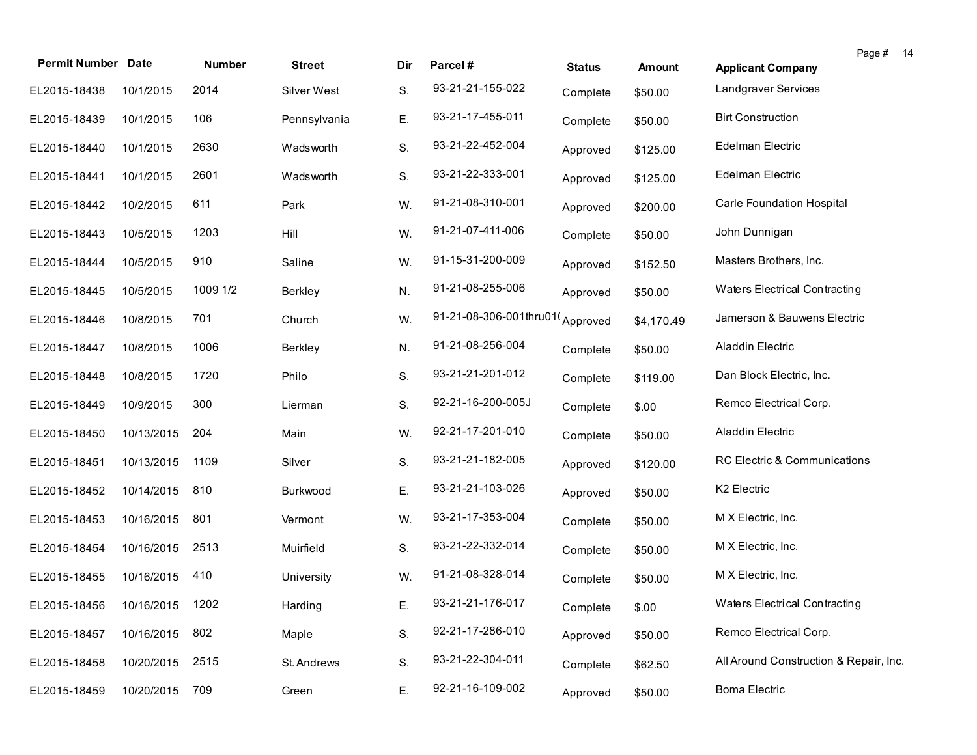| <b>Permit Number Date</b>    |            | Number   | <b>Street</b>  | Dir | Parcel#                         | <b>Status</b> | <b>Amount</b> | <b>Applicant Company</b>               | Page #<br>14 |
|------------------------------|------------|----------|----------------|-----|---------------------------------|---------------|---------------|----------------------------------------|--------------|
| EL2015-18438                 | 10/1/2015  | 2014     | Silver West    | S.  | 93-21-21-155-022                | Complete      | \$50.00       | Landgraver Services                    |              |
| EL2015-18439                 | 10/1/2015  | 106      | Pennsylvania   | Ε.  | 93-21-17-455-011                | Complete      | \$50.00       | <b>Birt Construction</b>               |              |
| EL2015-18440                 | 10/1/2015  | 2630     | Wadsworth      | S.  | 93-21-22-452-004                | Approved      | \$125.00      | Edelman Electric                       |              |
| EL2015-18441                 | 10/1/2015  | 2601     | Wadsworth      | S.  | 93-21-22-333-001                | Approved      | \$125.00      | Edelman Electric                       |              |
| EL2015-18442                 | 10/2/2015  | 611      | Park           | W.  | 91-21-08-310-001                | Approved      | \$200.00      | <b>Carle Foundation Hospital</b>       |              |
| EL2015-18443                 | 10/5/2015  | 1203     | Hill           | W.  | 91-21-07-411-006                | Complete      | \$50.00       | John Dunnigan                          |              |
| EL2015-18444                 | 10/5/2015  | 910      | Saline         | W.  | 91-15-31-200-009                | Approved      | \$152.50      | Masters Brothers, Inc.                 |              |
| EL2015-18445                 | 10/5/2015  | 1009 1/2 | <b>Berkley</b> | N.  | 91-21-08-255-006                | Approved      | \$50.00       | Waters Electrical Contracting          |              |
| EL2015-18446                 | 10/8/2015  | 701      | Church         | W.  | 91-21-08-306-001thru01(Approved |               | \$4,170.49    | Jamerson & Bauwens Electric            |              |
| EL2015-18447                 | 10/8/2015  | 1006     | <b>Berkley</b> | N.  | 91-21-08-256-004                | Complete      | \$50.00       | Aladdin Electric                       |              |
| EL2015-18448                 | 10/8/2015  | 1720     | Philo          | S.  | 93-21-21-201-012                | Complete      | \$119.00      | Dan Block Electric, Inc.               |              |
| EL2015-18449                 | 10/9/2015  | 300      | Lierman        | S.  | 92-21-16-200-005J               | Complete      | \$.00         | Remco Electrical Corp.                 |              |
| EL2015-18450                 | 10/13/2015 | 204      | Main           | W.  | 92-21-17-201-010                | Complete      | \$50.00       | Aladdin Electric                       |              |
| EL2015-18451                 | 10/13/2015 | 1109     | Silver         | S.  | 93-21-21-182-005                | Approved      | \$120.00      | RC Electric & Communications           |              |
| EL2015-18452                 | 10/14/2015 | 810      | Burkwood       | Ε.  | 93-21-21-103-026                | Approved      | \$50.00       | K2 Electric                            |              |
| EL2015-18453                 | 10/16/2015 | 801      | Vermont        | W.  | 93-21-17-353-004                | Complete      | \$50.00       | M X Electric, Inc.                     |              |
| EL2015-18454                 | 10/16/2015 | 2513     | Muirfield      | S.  | 93-21-22-332-014                | Complete      | \$50.00       | M X Electric, Inc.                     |              |
| EL2015-18455                 | 10/16/2015 | 410      | University     | W.  | 91-21-08-328-014                | Complete      | \$50.00       | M X Electric, Inc.                     |              |
| EL2015-18456 10/16/2015 1202 |            |          | Harding        | E.  | 93-21-21-176-017                | Complete      | \$.00         | Waters Electrical Contracting          |              |
| EL2015-18457                 | 10/16/2015 | 802      | Maple          | S.  | 92-21-17-286-010                | Approved      | \$50.00       | Remco Electrical Corp.                 |              |
| EL2015-18458                 | 10/20/2015 | 2515     | St. Andrews    | S.  | 93-21-22-304-011                | Complete      | \$62.50       | All Around Construction & Repair, Inc. |              |
| EL2015-18459                 | 10/20/2015 | 709      | Green          | Ε.  | 92-21-16-109-002                | Approved      | \$50.00       | <b>Boma Electric</b>                   |              |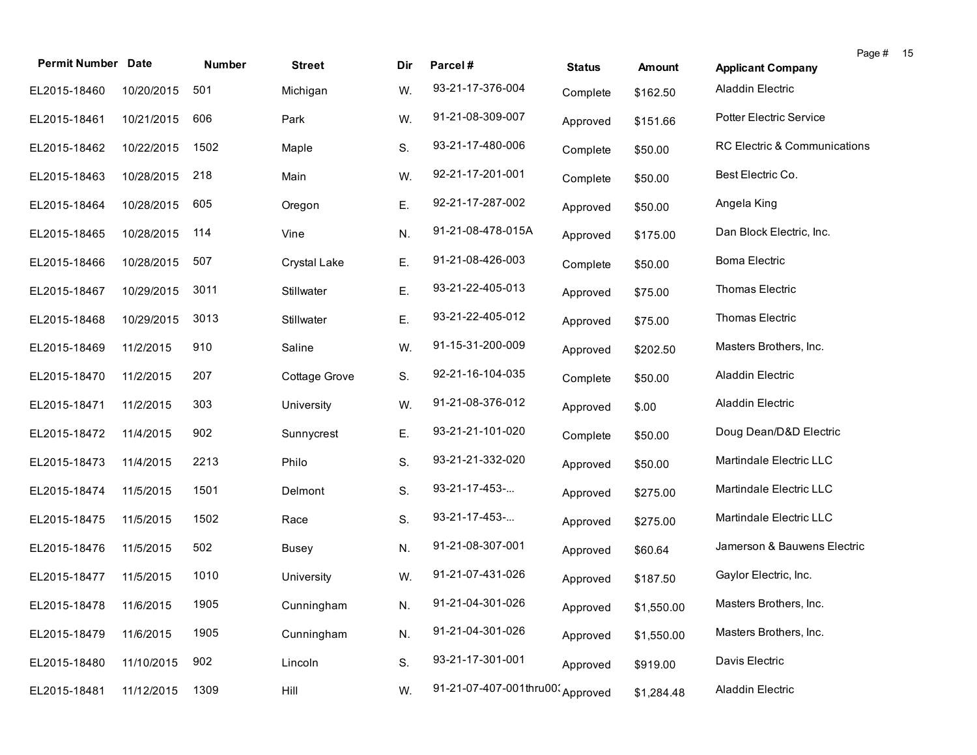| <b>Permit Number Date</b> |            | Number | <b>Street</b> | Dir | Parcel#                          | <b>Status</b> | <b>Amount</b> | Page # 15<br><b>Applicant Company</b> |  |
|---------------------------|------------|--------|---------------|-----|----------------------------------|---------------|---------------|---------------------------------------|--|
| EL2015-18460              | 10/20/2015 | 501    | Michigan      | W.  | 93-21-17-376-004                 | Complete      | \$162.50      | Aladdin Electric                      |  |
| EL2015-18461              | 10/21/2015 | 606    | Park          | W.  | 91-21-08-309-007                 | Approved      | \$151.66      | Potter Electric Service               |  |
| EL2015-18462              | 10/22/2015 | 1502   | Maple         | S.  | 93-21-17-480-006                 | Complete      | \$50.00       | RC Electric & Communications          |  |
| EL2015-18463              | 10/28/2015 | 218    | Main          | W.  | 92-21-17-201-001                 | Complete      | \$50.00       | Best Electric Co.                     |  |
| EL2015-18464              | 10/28/2015 | 605    | Oregon        | Ε.  | 92-21-17-287-002                 | Approved      | \$50.00       | Angela King                           |  |
| EL2015-18465              | 10/28/2015 | 114    | Vine          | N.  | 91-21-08-478-015A                | Approved      | \$175.00      | Dan Block Electric, Inc.              |  |
| EL2015-18466              | 10/28/2015 | 507    | Crystal Lake  | Ε.  | 91-21-08-426-003                 | Complete      | \$50.00       | <b>Boma Electric</b>                  |  |
| EL2015-18467              | 10/29/2015 | 3011   | Stillwater    | Ε.  | 93-21-22-405-013                 | Approved      | \$75.00       | Thomas Electric                       |  |
| EL2015-18468              | 10/29/2015 | 3013   | Stillwater    | Ε.  | 93-21-22-405-012                 | Approved      | \$75.00       | Thomas Electric                       |  |
| EL2015-18469              | 11/2/2015  | 910    | Saline        | W.  | 91-15-31-200-009                 | Approved      | \$202.50      | Masters Brothers, Inc.                |  |
| EL2015-18470              | 11/2/2015  | 207    | Cottage Grove | S.  | 92-21-16-104-035                 | Complete      | \$50.00       | Aladdin Electric                      |  |
| EL2015-18471              | 11/2/2015  | 303    | University    | W.  | 91-21-08-376-012                 | Approved      | \$.00         | Aladdin Electric                      |  |
| EL2015-18472              | 11/4/2015  | 902    | Sunnycrest    | Ε.  | 93-21-21-101-020                 | Complete      | \$50.00       | Doug Dean/D&D Electric                |  |
| EL2015-18473              | 11/4/2015  | 2213   | Philo         | S.  | 93-21-21-332-020                 | Approved      | \$50.00       | Martindale Electric LLC               |  |
| EL2015-18474              | 11/5/2015  | 1501   | Delmont       | S.  | 93-21-17-453-                    | Approved      | \$275.00      | Martindale Electric LLC               |  |
| EL2015-18475              | 11/5/2015  | 1502   | Race          | S.  | 93-21-17-453-                    | Approved      | \$275.00      | Martindale Electric LLC               |  |
| EL2015-18476              | 11/5/2015  | 502    | <b>Busey</b>  | N.  | 91-21-08-307-001                 | Approved      | \$60.64       | Jamerson & Bauwens Electric           |  |
| EL2015-18477              | 11/5/2015  | 1010   | University    | W.  | 91-21-07-431-026                 | Approved      | \$187.50      | Gaylor Electric, Inc.                 |  |
| EL2015-18478 11/6/2015    |            | 1905   | Cunningham    | N.  | 91-21-04-301-026                 | Approved      | \$1,550.00    | Masters Brothers, Inc.                |  |
| EL2015-18479              | 11/6/2015  | 1905   | Cunningham    | N.  | 91-21-04-301-026                 | Approved      | \$1,550.00    | Masters Brothers, Inc.                |  |
| EL2015-18480              | 11/10/2015 | 902    | Lincoln       | S.  | 93-21-17-301-001                 | Approved      | \$919.00      | Davis Electric                        |  |
| EL2015-18481              | 11/12/2015 | 1309   | Hill          | W.  | 91-21-07-407-001thru00: Approved |               | \$1,284.48    | Aladdin Electric                      |  |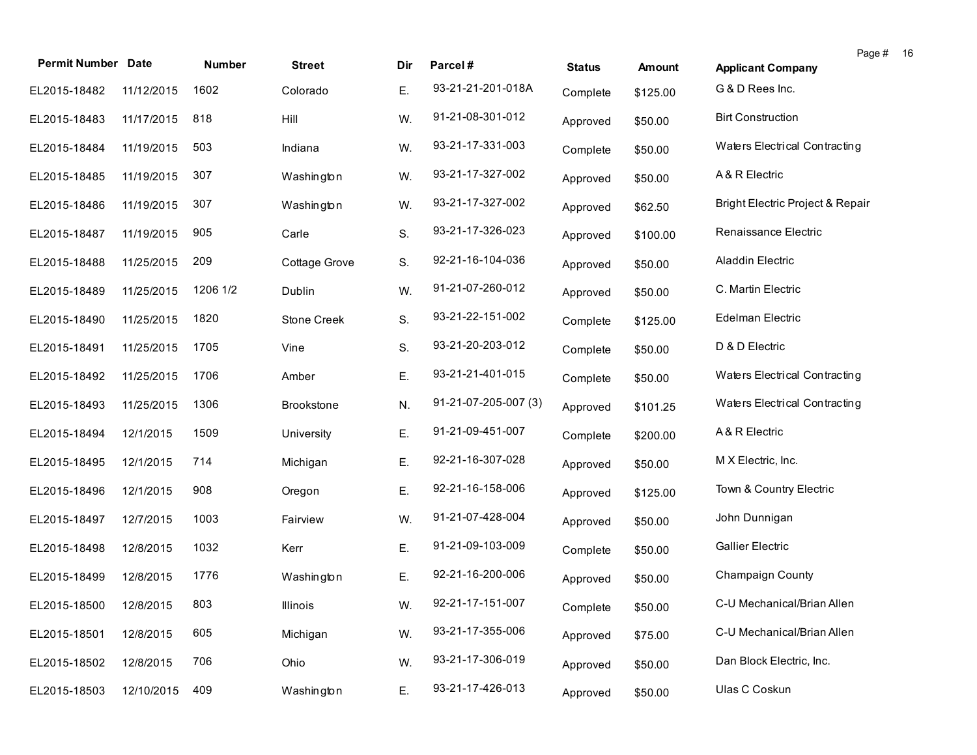| <b>Permit Number Date</b> |            | Number   | <b>Street</b>     | Dir | Parcel#              | <b>Status</b> | <b>Amount</b> | Page # 16<br><b>Applicant Company</b> |
|---------------------------|------------|----------|-------------------|-----|----------------------|---------------|---------------|---------------------------------------|
| EL2015-18482              | 11/12/2015 | 1602     | Colorado          | Ε.  | 93-21-21-201-018A    | Complete      | \$125.00      | G & D Rees Inc.                       |
| EL2015-18483              | 11/17/2015 | 818      | Hill              | W.  | 91-21-08-301-012     | Approved      | \$50.00       | <b>Birt Construction</b>              |
| EL2015-18484              | 11/19/2015 | 503      | Indiana           | W.  | 93-21-17-331-003     | Complete      | \$50.00       | Waters Electrical Contracting         |
| EL2015-18485              | 11/19/2015 | 307      | Washington        | W.  | 93-21-17-327-002     | Approved      | \$50.00       | A & R Electric                        |
| EL2015-18486              | 11/19/2015 | 307      | Washington        | W.  | 93-21-17-327-002     | Approved      | \$62.50       | Bright Electric Project & Repair      |
| EL2015-18487              | 11/19/2015 | 905      | Carle             | S.  | 93-21-17-326-023     | Approved      | \$100.00      | Renaissance Electric                  |
| EL2015-18488              | 11/25/2015 | 209      | Cottage Grove     | S.  | 92-21-16-104-036     | Approved      | \$50.00       | Aladdin Electric                      |
| EL2015-18489              | 11/25/2015 | 1206 1/2 | Dublin            | W.  | 91-21-07-260-012     | Approved      | \$50.00       | C. Martin Electric                    |
| EL2015-18490              | 11/25/2015 | 1820     | Stone Creek       | S.  | 93-21-22-151-002     | Complete      | \$125.00      | Edelman Electric                      |
| EL2015-18491              | 11/25/2015 | 1705     | Vine              | S.  | 93-21-20-203-012     | Complete      | \$50.00       | D & D Electric                        |
| EL2015-18492              | 11/25/2015 | 1706     | Amber             | Ε.  | 93-21-21-401-015     | Complete      | \$50.00       | Waters Electrical Contracting         |
| EL2015-18493              | 11/25/2015 | 1306     | <b>Brookstone</b> | N.  | 91-21-07-205-007 (3) | Approved      | \$101.25      | Waters Electrical Contracting         |
| EL2015-18494              | 12/1/2015  | 1509     | University        | Ε.  | 91-21-09-451-007     | Complete      | \$200.00      | A & R Electric                        |
| EL2015-18495              | 12/1/2015  | 714      | Michigan          | Ε.  | 92-21-16-307-028     | Approved      | \$50.00       | M X Electric, Inc.                    |
| EL2015-18496              | 12/1/2015  | 908      | Oregon            | Ε.  | 92-21-16-158-006     | Approved      | \$125.00      | Town & Country Electric               |
| EL2015-18497              | 12/7/2015  | 1003     | Fairview          | W.  | 91-21-07-428-004     | Approved      | \$50.00       | John Dunnigan                         |
| EL2015-18498              | 12/8/2015  | 1032     | Kerr              | Ε.  | 91-21-09-103-009     | Complete      | \$50.00       | <b>Gallier Electric</b>               |
| EL2015-18499              | 12/8/2015  | 1776     | Washington        | Ε.  | 92-21-16-200-006     | Approved      | \$50.00       | Champaign County                      |
| EL2015-18500 12/8/2015    |            | 803      | Illinois          | W.  | 92-21-17-151-007     | Complete      | \$50.00       | C-U Mechanical/Brian Allen            |
| EL2015-18501              | 12/8/2015  | 605      | Michigan          | W.  | 93-21-17-355-006     | Approved      | \$75.00       | C-U Mechanical/Brian Allen            |
| EL2015-18502              | 12/8/2015  | 706      | Ohio              | W.  | 93-21-17-306-019     | Approved      | \$50.00       | Dan Block Electric, Inc.              |
| EL2015-18503              | 12/10/2015 | 409      | Washington        | E.  | 93-21-17-426-013     | Approved      | \$50.00       | Ulas C Coskun                         |